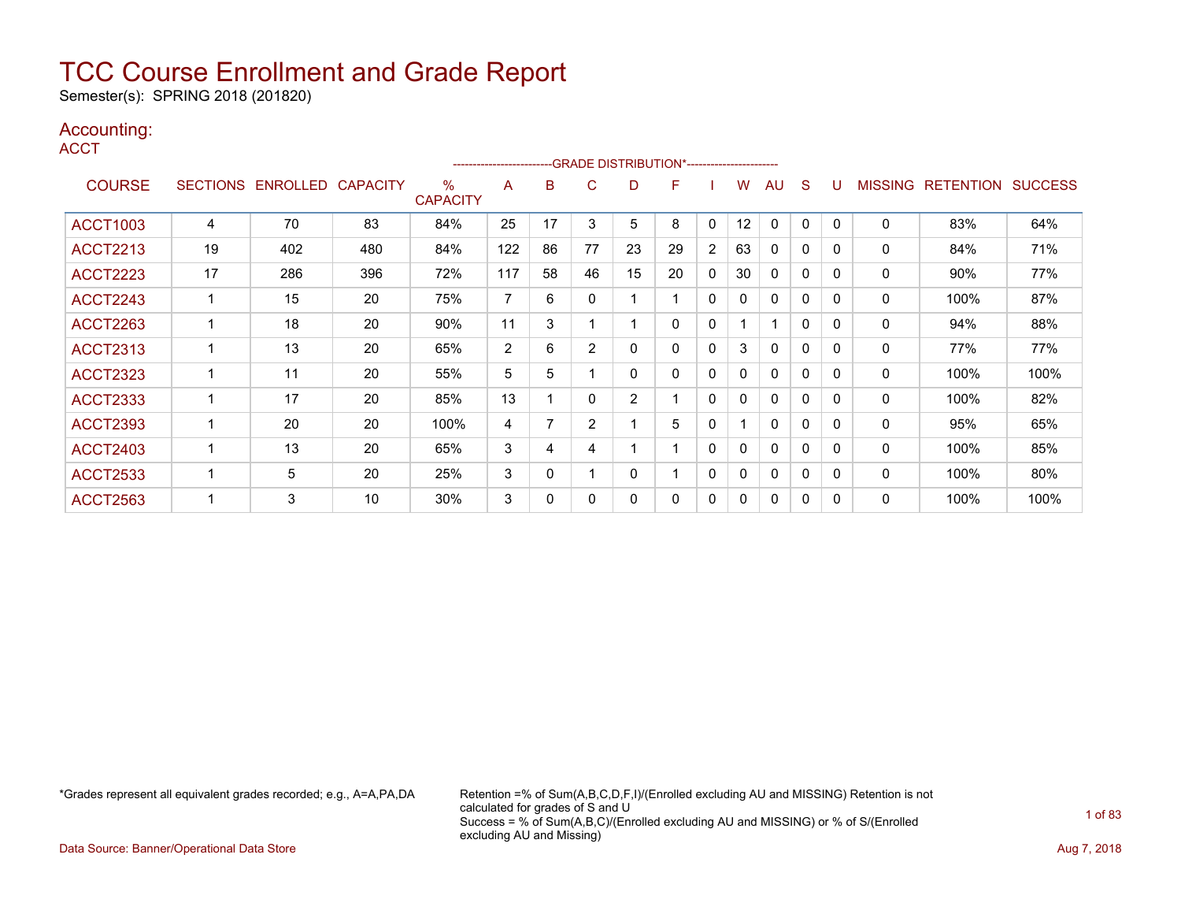Semester(s): SPRING 2018 (201820)

### Accounting:

**ACCT** 

|                 |                 |          |                 |                         | ----------------------- |              |                | --GRADE DISTRIBUTION*----------------------- |    |          |              |              |              |              |                |                  |                |
|-----------------|-----------------|----------|-----------------|-------------------------|-------------------------|--------------|----------------|----------------------------------------------|----|----------|--------------|--------------|--------------|--------------|----------------|------------------|----------------|
| <b>COURSE</b>   | <b>SECTIONS</b> | ENROLLED | <b>CAPACITY</b> | $\%$<br><b>CAPACITY</b> | A                       | в            | С              | D                                            | F  |          | W            | AU           | S            | υ            | <b>MISSING</b> | <b>RETENTION</b> | <b>SUCCESS</b> |
| <b>ACCT1003</b> | 4               | 70       | 83              | 84%                     | 25                      | 17           | 3              | 5                                            | 8  | 0        | 12           | 0            | 0            | $\Omega$     | 0              | 83%              | 64%            |
| <b>ACCT2213</b> | 19              | 402      | 480             | 84%                     | 122                     | 86           | 77             | 23                                           | 29 | 2        | 63           | 0            | 0            | <sup>0</sup> | 0              | 84%              | 71%            |
| <b>ACCT2223</b> | 17              | 286      | 396             | 72%                     | 117                     | 58           | 46             | 15                                           | 20 | 0        | 30           | $\mathbf{0}$ | $\mathbf{0}$ | $\Omega$     | 0              | $90\%$           | 77%            |
| <b>ACCT2243</b> |                 | 15       | 20              | 75%                     | 7                       | 6            | 0              |                                              |    | 0        | $\mathbf{0}$ | 0            | 0            | $\Omega$     | 0              | 100%             | 87%            |
| <b>ACCT2263</b> |                 | 18       | 20              | 90%                     | 11                      | 3            |                |                                              | 0  | 0        |              |              | $\Omega$     | <sup>0</sup> | 0              | 94%              | 88%            |
| <b>ACCT2313</b> |                 | 13       | 20              | 65%                     | $\overline{2}$          | 6            | $\overline{2}$ | 0                                            | 0  | $\Omega$ | 3            | 0            | $\mathbf{0}$ | $\Omega$     | 0              | 77%              | 77%            |
| <b>ACCT2323</b> |                 | 11       | 20              | 55%                     | 5                       | 5            |                | 0                                            | 0  | 0        | $\mathbf{0}$ | 0            | $\mathbf 0$  | $\Omega$     | 0              | 100%             | 100%           |
| <b>ACCT2333</b> |                 | 17       | 20              | 85%                     | 13                      |              | 0              | $\overline{2}$                               |    | 0        | 0            | $\mathbf{0}$ | 0            | <sup>0</sup> | 0              | 100%             | 82%            |
| <b>ACCT2393</b> |                 | 20       | 20              | 100%                    | 4                       | 7            | $\overline{2}$ |                                              | 5  | $\Omega$ |              | $\mathbf{0}$ | $\mathbf{0}$ | <sup>0</sup> | 0              | 95%              | 65%            |
| <b>ACCT2403</b> |                 | 13       | 20              | 65%                     | 3                       | 4            | 4              |                                              |    | 0        | $\mathbf{0}$ | 0            | 0            | $\Omega$     | 0              | 100%             | 85%            |
| <b>ACCT2533</b> |                 | 5        | 20              | 25%                     | 3                       | $\mathbf{0}$ |                | 0                                            |    | 0        | 0            | $\mathbf{0}$ | 0            | <sup>0</sup> | 0              | 100%             | 80%            |
| <b>ACCT2563</b> |                 | 3        | 10              | 30%                     | 3                       | 0            |                | 0                                            | 0  | 0        | 0            | 0            | 0            | 0            | 0              | 100%             | 100%           |

\*Grades represent all equivalent grades recorded; e.g., A=A,PA,DA Retention =% of Sum(A,B,C,D,F,I)/(Enrolled excluding AU and MISSING) Retention is not calculated for grades of S and U Success = % of Sum(A,B,C)/(Enrolled excluding AU and MISSING) or % of S/(Enrolled excluding AU and Missing)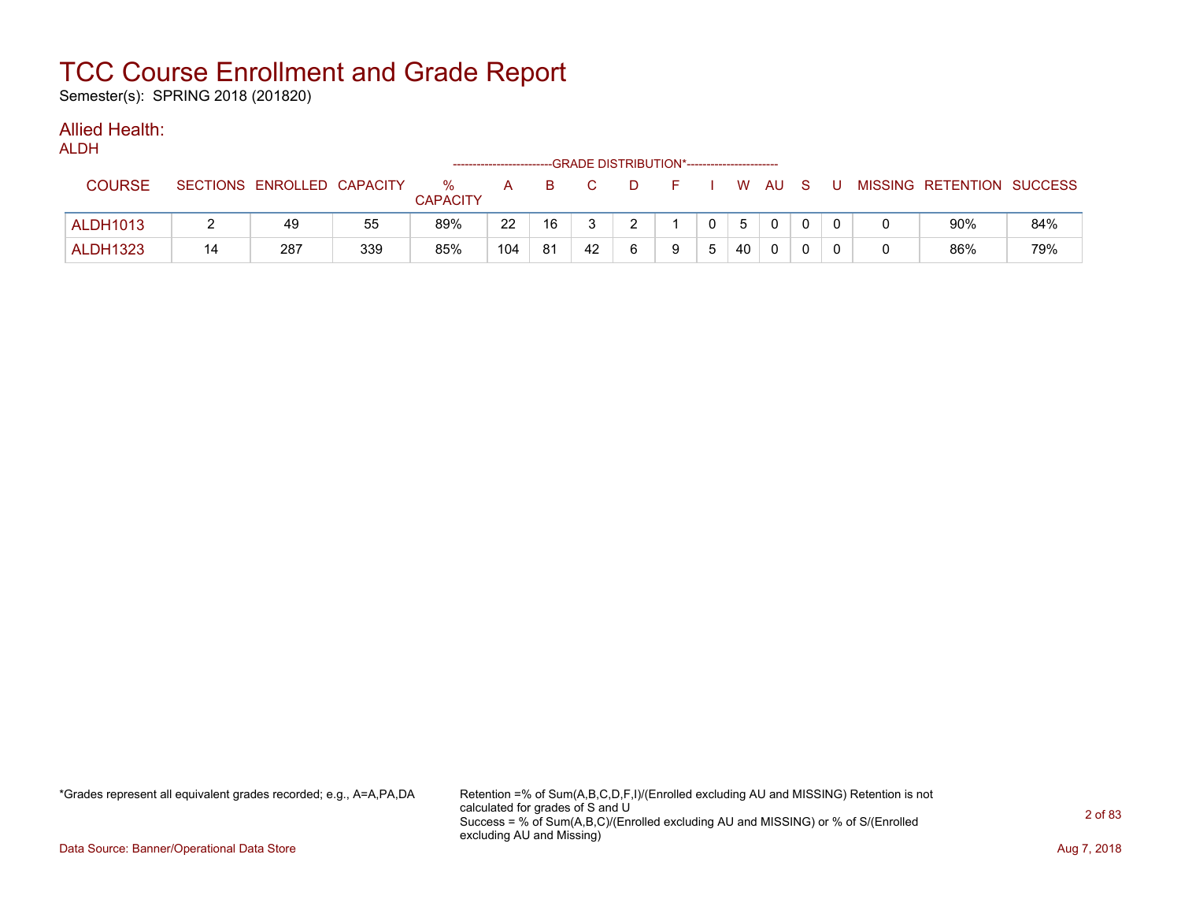Semester(s): SPRING 2018 (201820)

#### Allied Health: ALDH

| ALDN            |    |                            |     |                         |     |    | --GRADE DISTRIBUTION*----------------------- |   |    |   |    |              |     |     |                           |     |
|-----------------|----|----------------------------|-----|-------------------------|-----|----|----------------------------------------------|---|----|---|----|--------------|-----|-----|---------------------------|-----|
| <b>COURSE</b>   |    | SECTIONS ENROLLED CAPACITY |     | $\%$<br><b>CAPACITY</b> | A   | B. |                                              | D | F. |   |    | W AU         | - S | . U | MISSING RETENTION SUCCESS |     |
| <b>ALDH1013</b> |    | 49                         | 55  | 89%                     | 22  | 16 |                                              | ົ |    |   | 5  | $\Omega$     |     |     | 90%                       | 84% |
| <b>ALDH1323</b> | 14 | 287                        | 339 | 85%                     | 104 | 81 | 42                                           |   | a  | ა | 40 | $\mathbf{0}$ |     |     | 86%                       | 79% |

\*Grades represent all equivalent grades recorded; e.g., A=A,PA,DA Retention =% of Sum(A,B,C,D,F,I)/(Enrolled excluding AU and MISSING) Retention is not calculated for grades of S and U Success = % of Sum(A,B,C)/(Enrolled excluding AU and MISSING) or % of S/(Enrolled excluding AU and Missing)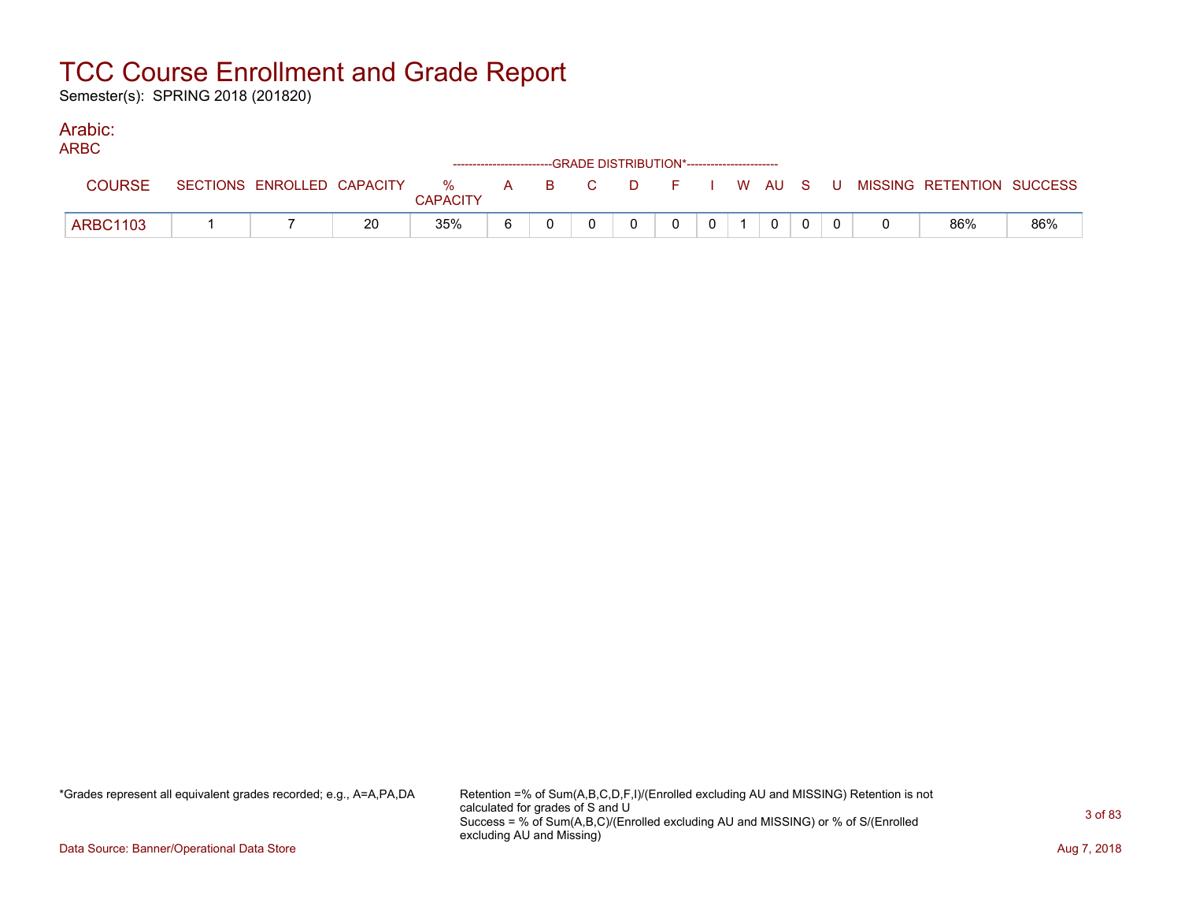Semester(s): SPRING 2018 (201820)

#### Arabic: ARBC

| ARDU            |                            |    |                         |  | ------------------------GRADE DISTRIBUTION*----------------------- |          |   |          |  |  |                                                |     |
|-----------------|----------------------------|----|-------------------------|--|--------------------------------------------------------------------|----------|---|----------|--|--|------------------------------------------------|-----|
| <b>COURSE</b>   | SECTIONS ENROLLED CAPACITY |    | $\%$<br><b>CAPACITY</b> |  |                                                                    |          |   |          |  |  | A B C D F I W AU S U MISSING—RETENTION SUCCESS |     |
| <b>ARBC1103</b> |                            | 20 | 35%                     |  |                                                                    | $\Omega$ | 0 | $\Omega$ |  |  | 86%                                            | 86% |

\*Grades represent all equivalent grades recorded; e.g., A=A,PA,DA Retention =% of Sum(A,B,C,D,F,I)/(Enrolled excluding AU and MISSING) Retention is not calculated for grades of S and U Success = % of Sum(A,B,C)/(Enrolled excluding AU and MISSING) or % of S/(Enrolled excluding AU and Missing)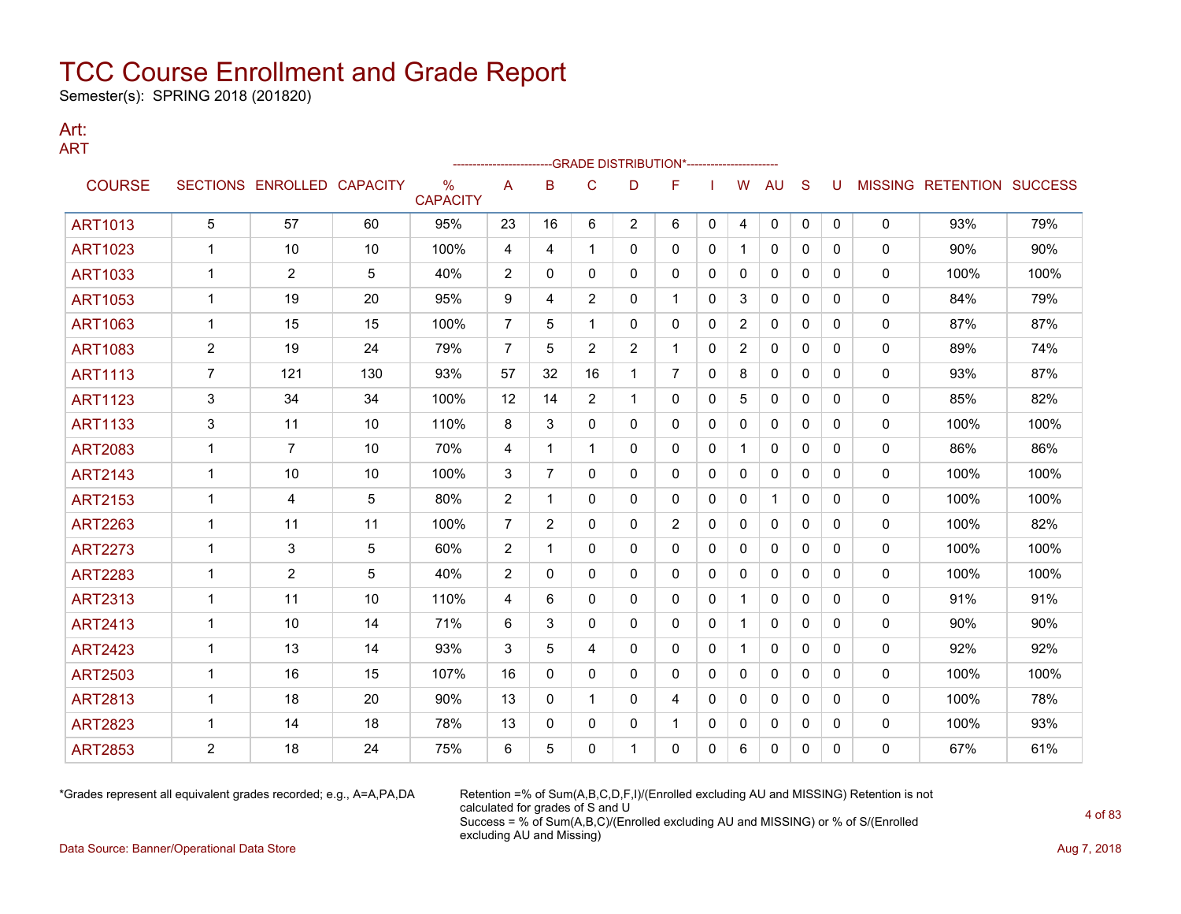Semester(s): SPRING 2018 (201820)

### Art: ART

|                |                |                            |     |                         |                |                |                | -GRADE DISTRIBUTION*---------------------- |                |              |                |              |              |              |              |                                  |      |
|----------------|----------------|----------------------------|-----|-------------------------|----------------|----------------|----------------|--------------------------------------------|----------------|--------------|----------------|--------------|--------------|--------------|--------------|----------------------------------|------|
| <b>COURSE</b>  |                | SECTIONS ENROLLED CAPACITY |     | $\%$<br><b>CAPACITY</b> | A              | B              | C              | D                                          | F              |              | W              | AU           | S            | U            |              | <b>MISSING RETENTION SUCCESS</b> |      |
| <b>ART1013</b> | 5              | 57                         | 60  | 95%                     | 23             | 16             | 6              | $\overline{2}$                             | 6              | $\mathbf{0}$ | 4              | 0            | $\mathbf{0}$ | 0            | 0            | 93%                              | 79%  |
| <b>ART1023</b> |                | 10                         | 10  | 100%                    | 4              | 4              | 1              | 0                                          | 0              | 0            | -1             | $\mathbf{0}$ | $\Omega$     | 0            | 0            | 90%                              | 90%  |
| <b>ART1033</b> | 1              | $\overline{2}$             | 5   | 40%                     | 2              | 0              | 0              | 0                                          | 0              | 0            | 0              | 0            | $\mathbf{0}$ | 0            | 0            | 100%                             | 100% |
| <b>ART1053</b> | 1              | 19                         | 20  | 95%                     | 9              | 4              | $\overline{2}$ | 0                                          | 1              | 0            | 3              | 0            | 0            | 0            | 0            | 84%                              | 79%  |
| <b>ART1063</b> | $\mathbf{1}$   | 15                         | 15  | 100%                    | $\overline{7}$ | 5              | 1              | 0                                          | 0              | 0            | $\overline{2}$ | 0            | 0            | 0            | 0            | 87%                              | 87%  |
| <b>ART1083</b> | $\overline{2}$ | 19                         | 24  | 79%                     | $\overline{7}$ | 5              | $\overline{2}$ | $\overline{c}$                             | $\mathbf 1$    | $\mathbf{0}$ | $\overline{2}$ | $\mathbf{0}$ | $\Omega$     | 0            | 0            | 89%                              | 74%  |
| <b>ART1113</b> | $\overline{7}$ | 121                        | 130 | 93%                     | 57             | 32             | 16             | $\mathbf 1$                                | $\overline{7}$ | 0            | 8              | $\mathbf{0}$ | $\mathbf{0}$ | 0            | 0            | 93%                              | 87%  |
| <b>ART1123</b> | 3              | 34                         | 34  | 100%                    | 12             | 14             | $\overline{2}$ | $\mathbf 1$                                | 0              | $\mathbf{0}$ | 5              | $\mathbf{0}$ | $\Omega$     | $\mathbf{0}$ | 0            | 85%                              | 82%  |
| <b>ART1133</b> | 3              | 11                         | 10  | 110%                    | 8              | 3              | 0              | 0                                          | 0              | 0            | 0              | 0            | 0            | 0            | 0            | 100%                             | 100% |
| <b>ART2083</b> | $\mathbf{1}$   | $\overline{7}$             | 10  | 70%                     | 4              | 1              | 1              | 0                                          | 0              | $\mathbf{0}$ |                | $\mathbf{0}$ | $\Omega$     | 0            | 0            | 86%                              | 86%  |
| <b>ART2143</b> | 1              | 10                         | 10  | 100%                    | 3              | 7              | 0              | 0                                          | 0              | 0            | 0              | 0            | $\mathbf{0}$ | 0            | 0            | 100%                             | 100% |
| <b>ART2153</b> | 1              | 4                          | 5   | 80%                     | 2              | 1              | 0              | 0                                          | 0              | 0            | $\mathbf 0$    | 1            | $\mathbf{0}$ | 0            | 0            | 100%                             | 100% |
| <b>ART2263</b> | 1              | 11                         | 11  | 100%                    | 7              | $\overline{2}$ | 0              | 0                                          | $\overline{2}$ | 0            | 0              | 0            | 0            | 0            | 0            | 100%                             | 82%  |
| <b>ART2273</b> | $\mathbf{1}$   | 3                          | 5   | 60%                     | 2              | 1              | $\mathbf{0}$   | 0                                          | 0              | $\mathbf{0}$ | $\mathbf{0}$   | $\mathbf{0}$ | $\mathbf{0}$ | 0            | 0            | 100%                             | 100% |
| <b>ART2283</b> | $\mathbf{1}$   | 2                          | 5   | 40%                     | 2              | 0              | 0              | 0                                          | 0              | $\mathbf{0}$ | $\mathbf{0}$   | $\mathbf{0}$ | $\mathbf{0}$ | 0            | $\mathbf 0$  | 100%                             | 100% |
| <b>ART2313</b> | $\mathbf 1$    | 11                         | 10  | 110%                    | 4              | 6              | 0              | 0                                          | 0              | 0            | -1             | 0            | 0            | $\mathbf{0}$ | 0            | 91%                              | 91%  |
| <b>ART2413</b> | 1              | 10                         | 14  | 71%                     | 6              | 3              | 0              | 0                                          | 0              | $\mathbf{0}$ | -1             | $\mathbf{0}$ | $\mathbf{0}$ | 0            | 0            | 90%                              | 90%  |
| <b>ART2423</b> | $\mathbf{1}$   | 13                         | 14  | 93%                     | 3              | 5              | 4              | 0                                          | 0              | $\mathbf{0}$ |                | $\mathbf{0}$ | $\mathbf{0}$ | 0            | $\mathbf{0}$ | 92%                              | 92%  |
| <b>ART2503</b> | 1              | 16                         | 15  | 107%                    | 16             | $\mathbf{0}$   | 0              | 0                                          | 0              | 0            | 0              | 0            | $\mathbf{0}$ | 0            | 0            | 100%                             | 100% |
| <b>ART2813</b> | 1              | 18                         | 20  | 90%                     | 13             | $\mathbf{0}$   |                | 0                                          | 4              | 0            | 0              | 0            | $\mathbf{0}$ | 0            | 0            | 100%                             | 78%  |
| <b>ART2823</b> | 1              | 14                         | 18  | 78%                     | 13             | 0              | 0              | 0                                          | 1              | 0            | 0              | 0            | 0            | 0            | 0            | 100%                             | 93%  |
| <b>ART2853</b> | 2              | 18                         | 24  | 75%                     | 6              | 5              | 0              | 1                                          | 0              | 0            | 6              | 0            | 0            | $\Omega$     | $\mathbf{0}$ | 67%                              | 61%  |

\*Grades represent all equivalent grades recorded; e.g., A=A,PA,DA Retention =% of Sum(A,B,C,D,F,I)/(Enrolled excluding AU and MISSING) Retention is not calculated for grades of S and U Success = % of Sum(A,B,C)/(Enrolled excluding AU and MISSING) or % of S/(Enrolled excluding AU and Missing)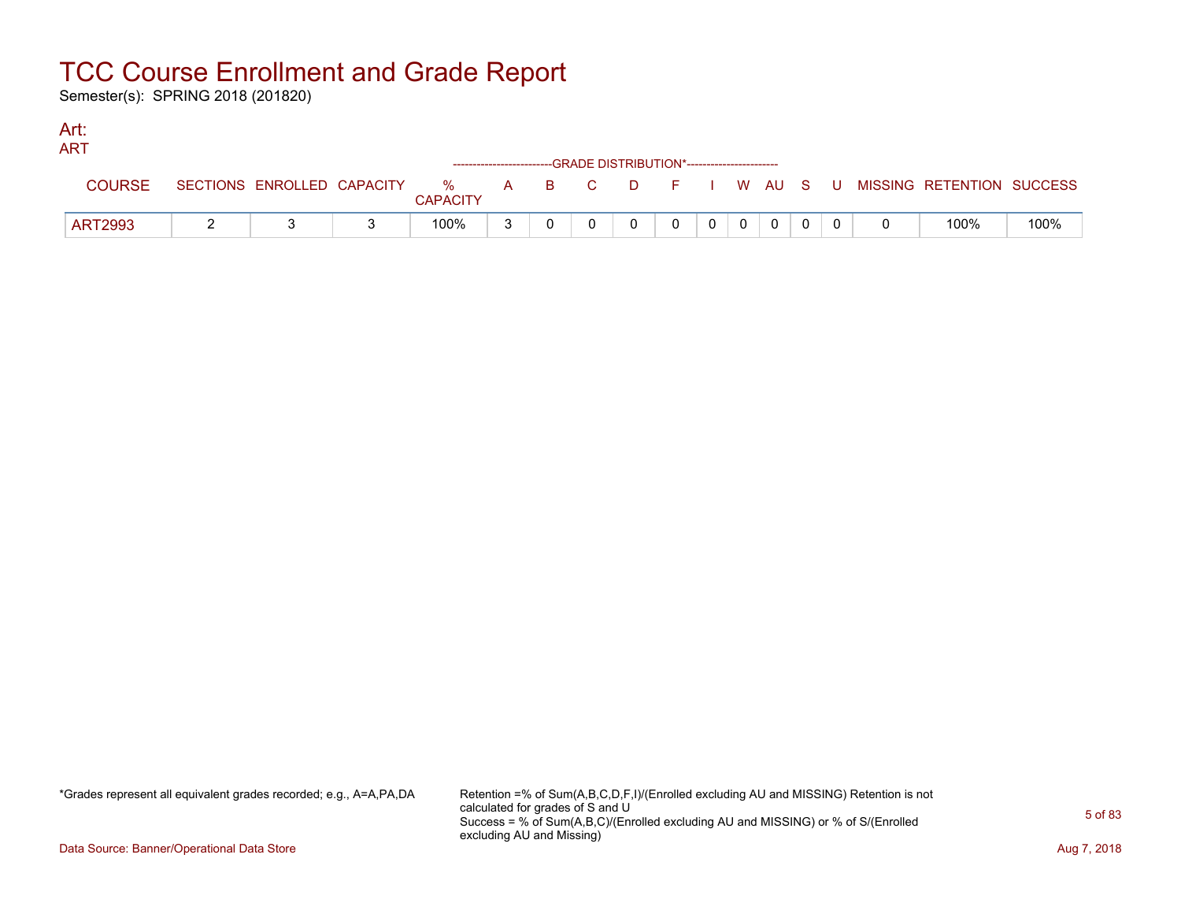Semester(s): SPRING 2018 (201820)

### Art: ART

| 731 X L        |                            |                         | ------------------------GRADE DISTRIBUTION*----------------------- |                                           |              |    |    |  |          |    |                           |      |
|----------------|----------------------------|-------------------------|--------------------------------------------------------------------|-------------------------------------------|--------------|----|----|--|----------|----|---------------------------|------|
| <b>COURSE</b>  | SECTIONS ENROLLED CAPACITY | $\%$<br><b>CAPACITY</b> |                                                                    | $\rightarrow$ $\rightarrow$ $\rightarrow$ | $\mathbf{C}$ | D. | .F |  | I WAUS   | -U | MISSING RETENTION SUCCESS |      |
| <b>ART2993</b> |                            | 100%                    |                                                                    |                                           |              |    |    |  | $\Omega$ |    | 100%                      | 100% |

\*Grades represent all equivalent grades recorded; e.g., A=A,PA,DA Retention =% of Sum(A,B,C,D,F,I)/(Enrolled excluding AU and MISSING) Retention is not calculated for grades of S and U Success = % of Sum(A,B,C)/(Enrolled excluding AU and MISSING) or % of S/(Enrolled excluding AU and Missing)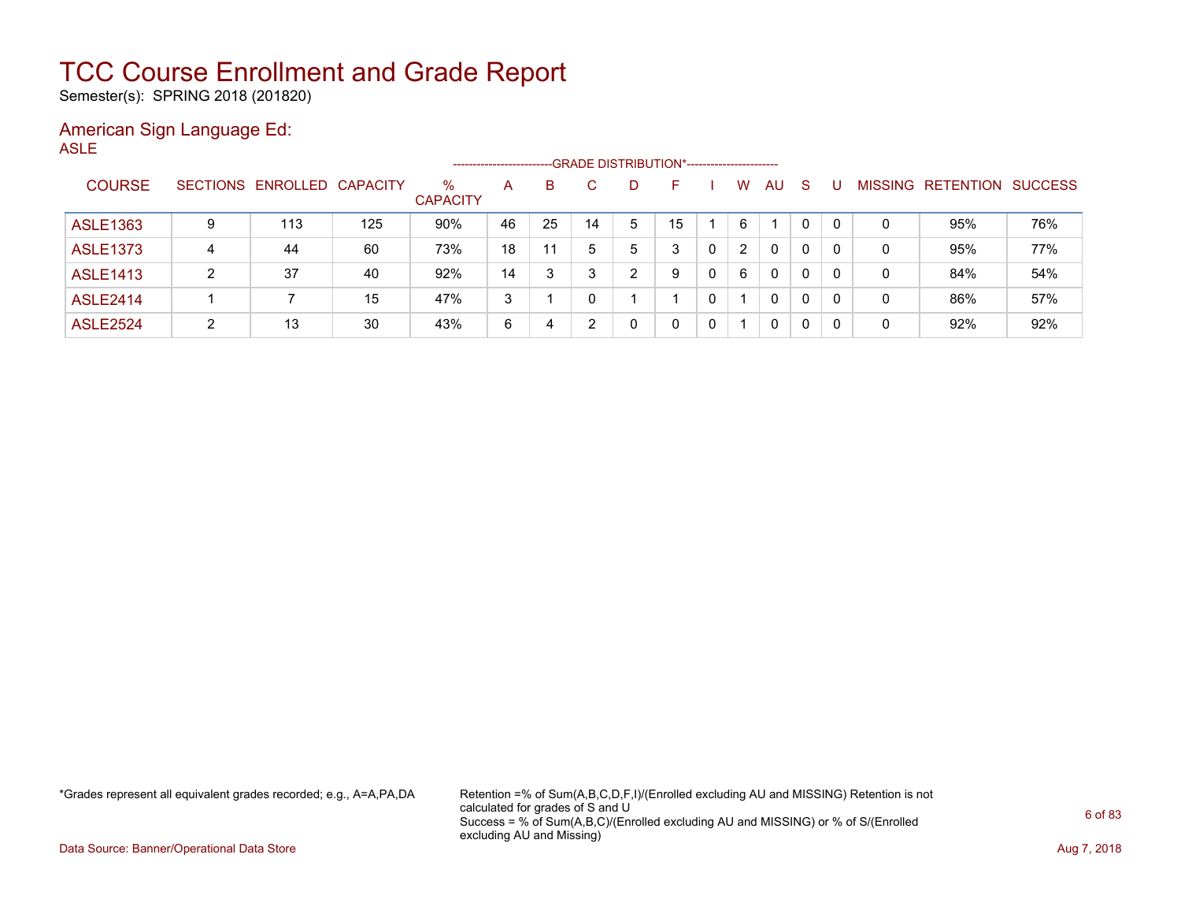Semester(s): SPRING 2018 (201820)

### American Sign Language Ed: ASLE

|                 |   |                            |     | ------------------   |    |    |    | -GRADE DISTRIBUTION*---------------------- |    |   |                      |              |    |          |                |                  |                |
|-----------------|---|----------------------------|-----|----------------------|----|----|----|--------------------------------------------|----|---|----------------------|--------------|----|----------|----------------|------------------|----------------|
| <b>COURSE</b>   |   | SECTIONS ENROLLED CAPACITY |     | %<br><b>CAPACITY</b> | A  | B  | C. | D                                          | н. |   | W                    | AU.          | -S |          | <b>MISSING</b> | <b>RETENTION</b> | <b>SUCCESS</b> |
| <b>ASLE1363</b> | 9 | 113                        | 125 | 90%                  | 46 | 25 | 14 | 5                                          | 15 |   | 6                    |              | 0  |          | 0              | 95%              | 76%            |
| <b>ASLE1373</b> | 4 | 44                         | 60  | 73%                  | 18 | 11 |    | 5                                          | 3  |   | $\mathbf{2}^{\circ}$ | 0            | 0  | 0        | 0              | 95%              | 77%            |
| <b>ASLE1413</b> | 2 | 37                         | 40  | 92%                  | 14 | 3  |    | ົ                                          | 9  | 0 | 6                    | 0            | 0  | $\Omega$ | 0              | 84%              | 54%            |
| <b>ASLE2414</b> |   |                            | 15  | 47%                  | 3  |    |    |                                            |    |   |                      | 0            | 0  | 0        | 0              | 86%              | 57%            |
| <b>ASLE2524</b> | ົ | 13                         | 30  | 43%                  | 6  | 4  |    |                                            | 0  |   |                      | $\mathbf{0}$ | 0  |          | 0              | 92%              | 92%            |

\*Grades represent all equivalent grades recorded; e.g., A=A,PA,DA Retention =% of Sum(A,B,C,D,F,I)/(Enrolled excluding AU and MISSING) Retention is not calculated for grades of S and U Success = % of Sum(A,B,C)/(Enrolled excluding AU and MISSING) or % of S/(Enrolled excluding AU and Missing)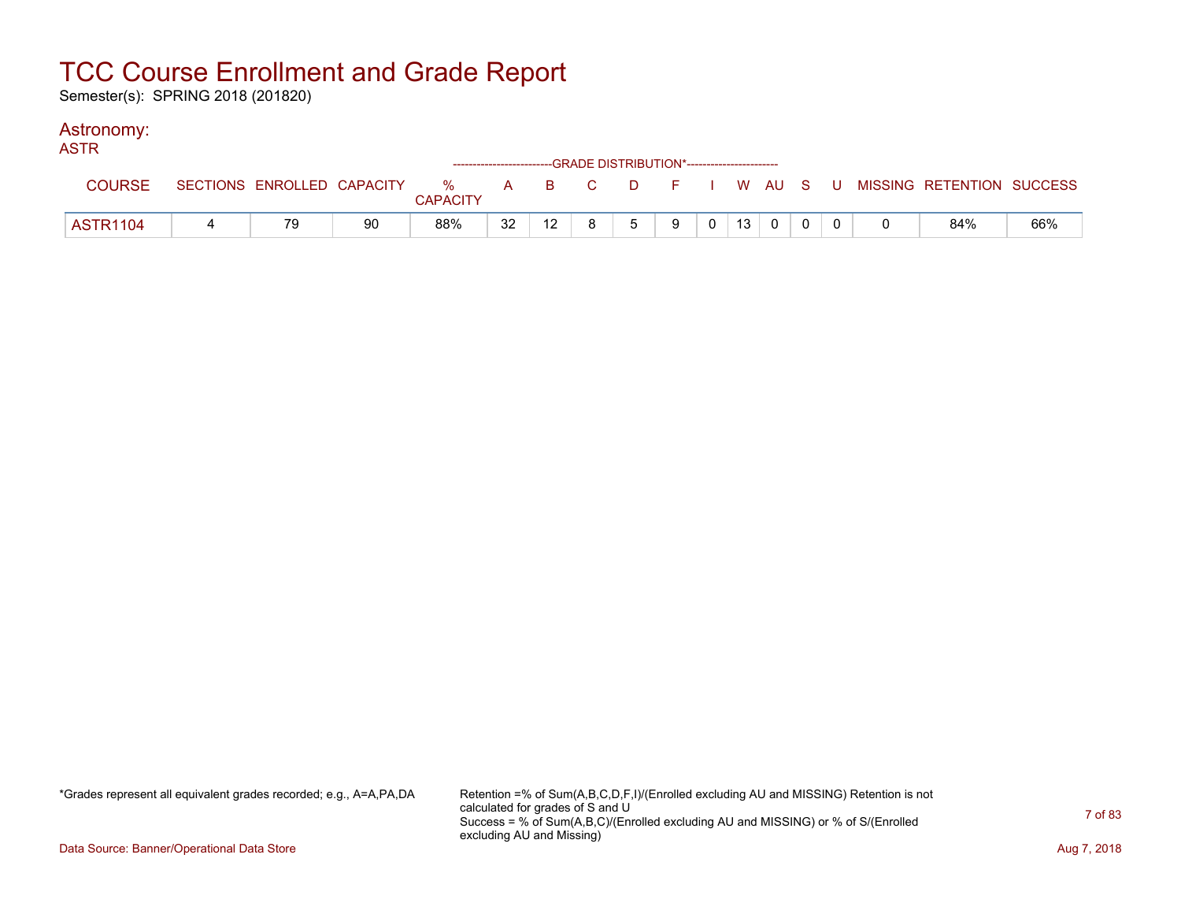Semester(s): SPRING 2018 (201820)

### Astronomy:

| <b>ASTR</b>     |    |    |                 |    | ------------------------GRADE DISTRIBUTION*----------------------- |    |   |   |                |                 |                |  |                                                                             |     |
|-----------------|----|----|-----------------|----|--------------------------------------------------------------------|----|---|---|----------------|-----------------|----------------|--|-----------------------------------------------------------------------------|-----|
| <b>COURSE</b>   |    |    | <b>CAPACITY</b> |    |                                                                    |    |   |   |                |                 |                |  | SECTIONS ENROLLED CAPACITY % A B C D F I W AU S U MISSING RETENTION SUCCESS |     |
| <b>ASTR1104</b> | 79 | 90 | 88%             | 32 | 12 <sup>1</sup>                                                    | R. | 5 | 9 | 0 <sup>1</sup> | 13 <sup>1</sup> | $\overline{0}$ |  | 84%                                                                         | 66% |

\*Grades represent all equivalent grades recorded; e.g., A=A,PA,DA Retention =% of Sum(A,B,C,D,F,I)/(Enrolled excluding AU and MISSING) Retention is not calculated for grades of S and U Success = % of Sum(A,B,C)/(Enrolled excluding AU and MISSING) or % of S/(Enrolled excluding AU and Missing)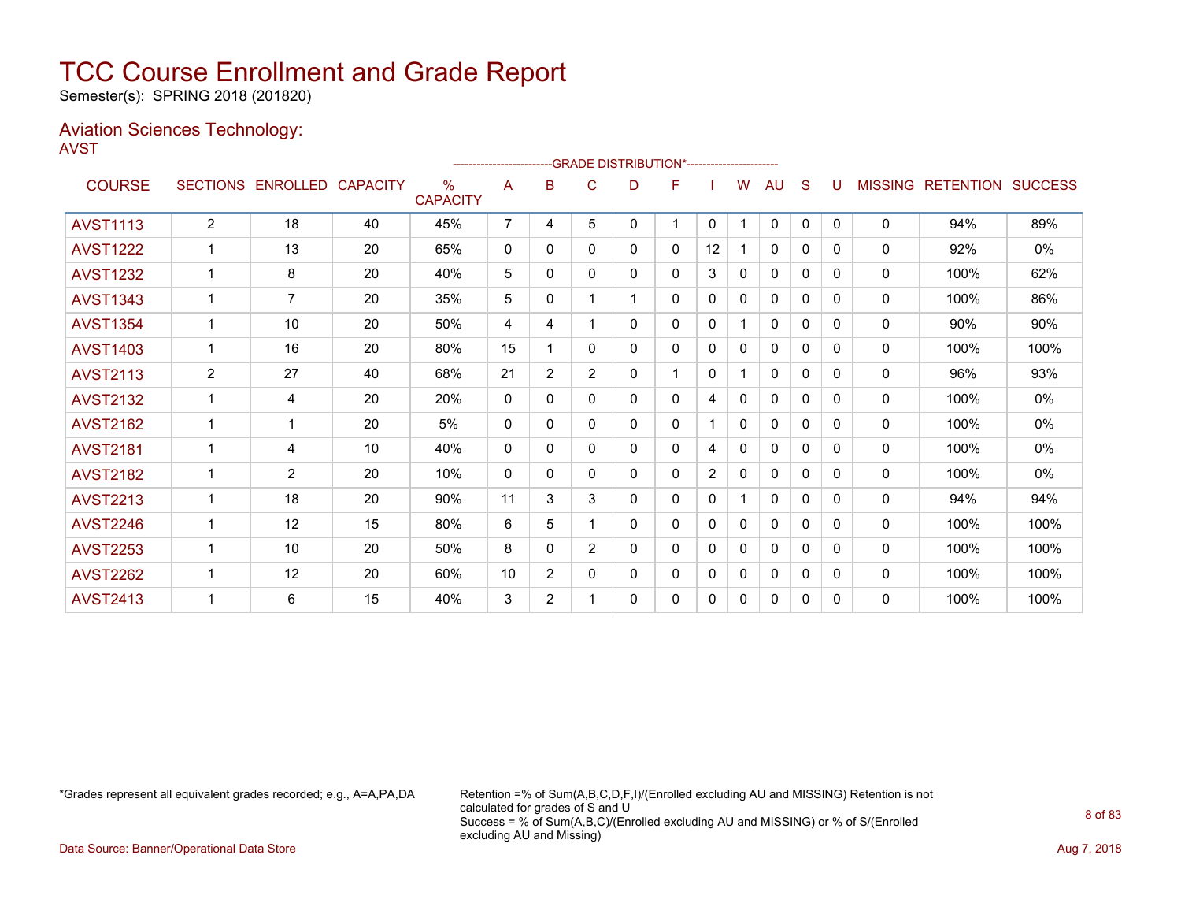Semester(s): SPRING 2018 (201820)

### Aviation Sciences Technology: AVST

|                 |                |                            |    |                         |                |                |                |   | ------------------------GRADE                DISTRIBUTION*---------------------- |              |              |              |          |          |                |                          |      |
|-----------------|----------------|----------------------------|----|-------------------------|----------------|----------------|----------------|---|----------------------------------------------------------------------------------|--------------|--------------|--------------|----------|----------|----------------|--------------------------|------|
| <b>COURSE</b>   |                | SECTIONS ENROLLED CAPACITY |    | $\%$<br><b>CAPACITY</b> | A              | в              | C              | D | F                                                                                |              | W            | AU           | S        | U        | <b>MISSING</b> | <b>RETENTION SUCCESS</b> |      |
| <b>AVST1113</b> | $\overline{2}$ | 18                         | 40 | 45%                     | $\overline{7}$ | 4              | 5              | 0 | 1                                                                                | 0            |              | $\mathbf 0$  | 0        | $\Omega$ | 0              | 94%                      | 89%  |
| <b>AVST1222</b> |                | 13                         | 20 | 65%                     | $\mathbf 0$    | 0              | 0              | 0 | 0                                                                                | 12           |              | 0            | 0        | 0        | 0              | 92%                      | 0%   |
| <b>AVST1232</b> | 1              | 8                          | 20 | 40%                     | 5              | 0              | $\mathbf{0}$   | 0 | 0                                                                                | 3            | 0            | $\mathbf{0}$ | 0        | 0        | 0              | 100%                     | 62%  |
| <b>AVST1343</b> |                | $\overline{7}$             | 20 | 35%                     | 5              | 0              |                |   | 0                                                                                | 0            | 0            | 0            | 0        | 0        | $\Omega$       | 100%                     | 86%  |
| <b>AVST1354</b> |                | 10                         | 20 | 50%                     | 4              | 4              |                | 0 | 0                                                                                | 0            |              | $\mathbf{0}$ | 0        | 0        | $\Omega$       | 90%                      | 90%  |
| <b>AVST1403</b> |                | 16                         | 20 | 80%                     | 15             |                | $\mathbf{0}$   | 0 | 0                                                                                | $\mathbf 0$  | 0            | $\mathbf{0}$ | $\Omega$ | $\Omega$ | $\Omega$       | 100%                     | 100% |
| <b>AVST2113</b> | 2              | 27                         | 40 | 68%                     | 21             | $\overline{2}$ | $\overline{2}$ | 0 |                                                                                  | 0            |              | $\mathbf{0}$ | $\Omega$ | $\Omega$ | 0              | 96%                      | 93%  |
| <b>AVST2132</b> |                | 4                          | 20 | 20%                     | $\Omega$       | $\Omega$       | $\Omega$       | 0 | 0                                                                                | 4            | $\mathbf{0}$ | $\Omega$     | $\Omega$ | $\Omega$ | 0              | 100%                     | 0%   |
| <b>AVST2162</b> | 1              | 1                          | 20 | 5%                      | 0              | $\Omega$       | 0              | 0 | 0                                                                                |              | $\Omega$     | $\Omega$     | 0        | 0        | 0              | 100%                     | 0%   |
| <b>AVST2181</b> | 1              | 4                          | 10 | 40%                     | $\Omega$       | 0              | $\mathbf{0}$   | 0 | 0                                                                                | 4            | 0            | $\mathbf{0}$ | 0        | 0        | 0              | 100%                     | 0%   |
| <b>AVST2182</b> |                | $\overline{2}$             | 20 | 10%                     | $\Omega$       | 0              | $\mathbf{0}$   | 0 | 0                                                                                | 2            | $\mathbf{0}$ | $\mathbf{0}$ | 0        | $\Omega$ | 0              | 100%                     | 0%   |
| <b>AVST2213</b> |                | 18                         | 20 | 90%                     | 11             | 3              | 3              | 0 | 0                                                                                | $\Omega$     |              | $\mathbf{0}$ | $\Omega$ | 0        | $\Omega$       | 94%                      | 94%  |
| <b>AVST2246</b> | 1              | 12                         | 15 | 80%                     | 6              | 5              |                | 0 | 0                                                                                | $\mathbf{0}$ | $\Omega$     | $\mathbf{0}$ | $\Omega$ | 0        | $\mathbf{0}$   | 100%                     | 100% |
| <b>AVST2253</b> |                | 10                         | 20 | 50%                     | 8              | $\Omega$       | $\overline{2}$ | 0 | 0                                                                                | 0            | $\Omega$     | $\mathbf{0}$ | $\Omega$ | 0        | $\Omega$       | 100%                     | 100% |
| <b>AVST2262</b> |                | 12                         | 20 | 60%                     | 10             | $\overline{2}$ | $\Omega$       | 0 | 0                                                                                | 0            | 0            | $\mathbf{0}$ | $\Omega$ | 0        | 0              | 100%                     | 100% |
| <b>AVST2413</b> |                | 6                          | 15 | 40%                     | 3              | $\overline{2}$ |                | 0 | 0                                                                                | 0            | 0            | 0            | 0        | 0        | 0              | 100%                     | 100% |

\*Grades represent all equivalent grades recorded; e.g., A=A,PA,DA Retention =% of Sum(A,B,C,D,F,I)/(Enrolled excluding AU and MISSING) Retention is not calculated for grades of S and U Success = % of Sum(A,B,C)/(Enrolled excluding AU and MISSING) or % of S/(Enrolled excluding AU and Missing)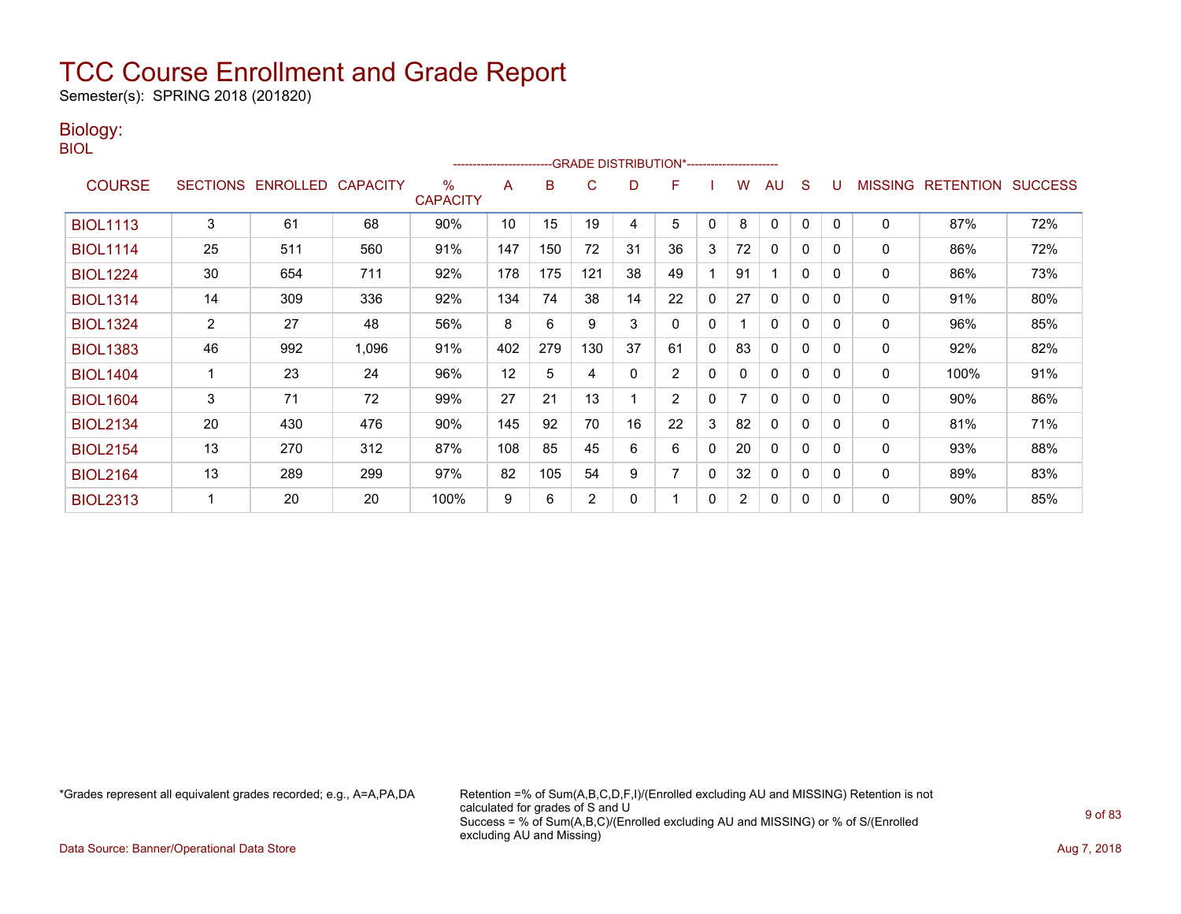Semester(s): SPRING 2018 (201820)

### Biology:

| PU 1<br>M.<br>۰. |  |
|------------------|--|
|                  |  |

|                 |                 |          |                 |                         | ----------------------- |     |                | -- GRADE DISTRIBUTION*------------------------ |                |              |                |              |              |              |                |                  |                |
|-----------------|-----------------|----------|-----------------|-------------------------|-------------------------|-----|----------------|------------------------------------------------|----------------|--------------|----------------|--------------|--------------|--------------|----------------|------------------|----------------|
| <b>COURSE</b>   | <b>SECTIONS</b> | ENROLLED | <b>CAPACITY</b> | $\%$<br><b>CAPACITY</b> | A                       | B   | C              | D                                              | F              |              | W              | AU           | S            |              | <b>MISSING</b> | <b>RETENTION</b> | <b>SUCCESS</b> |
| <b>BIOL1113</b> | 3               | 61       | 68              | 90%                     | 10                      | 15  | 19             | 4                                              | 5              | $\mathbf{0}$ | 8              | 0            | 0            | $\Omega$     | $\mathbf 0$    | 87%              | 72%            |
| <b>BIOL1114</b> | 25              | 511      | 560             | 91%                     | 147                     | 150 | 72             | 31                                             | 36             | 3            | 72             | 0            | 0            | $\Omega$     | 0              | 86%              | 72%            |
| <b>BIOL1224</b> | 30              | 654      | 711             | 92%                     | 178                     | 175 | 121            | 38                                             | 49             |              | 91             | 1            | $\mathbf{0}$ | $\Omega$     | 0              | 86%              | 73%            |
| <b>BIOL1314</b> | 14              | 309      | 336             | 92%                     | 134                     | 74  | 38             | 14                                             | 22             | $\mathbf{0}$ | 27             | 0            | 0            | $\Omega$     | 0              | 91%              | 80%            |
| <b>BIOL1324</b> | $\overline{2}$  | 27       | 48              | 56%                     | 8                       | 6   | 9              | 3                                              | 0              | 0            |                | 0            | 0            | <sup>0</sup> | 0              | 96%              | 85%            |
| <b>BIOL1383</b> | 46              | 992      | 1,096           | 91%                     | 402                     | 279 | 130            | 37                                             | 61             | $\mathbf{0}$ | 83             | $\mathbf{0}$ | $\mathbf{0}$ | $\Omega$     | 0              | 92%              | 82%            |
| <b>BIOL1404</b> |                 | 23       | 24              | 96%                     | 12                      | 5   | 4              | 0                                              | $\overline{2}$ | 0            | 0              | $\mathbf{0}$ | $\mathbf 0$  | $\Omega$     | $\mathbf 0$    | 100%             | 91%            |
| <b>BIOL1604</b> | 3               | 71       | 72              | 99%                     | 27                      | 21  | 13             |                                                | $\overline{2}$ | $\mathbf{0}$ | 7              | $\mathbf{0}$ | 0            | $\Omega$     | 0              | 90%              | 86%            |
| <b>BIOL2134</b> | 20              | 430      | 476             | 90%                     | 145                     | 92  | 70             | 16                                             | 22             | 3            | 82             | $\mathbf{0}$ | $\mathbf{0}$ | $\Omega$     | $\mathbf 0$    | 81%              | 71%            |
| <b>BIOL2154</b> | 13              | 270      | 312             | 87%                     | 108                     | 85  | 45             | 6                                              | 6              | 0            | 20             | 0            | $\mathbf 0$  | $\Omega$     | 0              | 93%              | 88%            |
| <b>BIOL2164</b> | 13              | 289      | 299             | 97%                     | 82                      | 105 | 54             | 9                                              | 7              | 0            | 32             | $\mathbf{0}$ | 0            | $\Omega$     | 0              | 89%              | 83%            |
| <b>BIOL2313</b> |                 | 20       | 20              | 100%                    | 9                       | 6   | $\overline{2}$ | 0                                              |                | $\mathbf{0}$ | $\overline{2}$ | 0            | 0            | $\Omega$     | 0              | 90%              | 85%            |

\*Grades represent all equivalent grades recorded; e.g., A=A,PA,DA Retention =% of Sum(A,B,C,D,F,I)/(Enrolled excluding AU and MISSING) Retention is not calculated for grades of S and U Success = % of Sum(A,B,C)/(Enrolled excluding AU and MISSING) or % of S/(Enrolled excluding AU and Missing)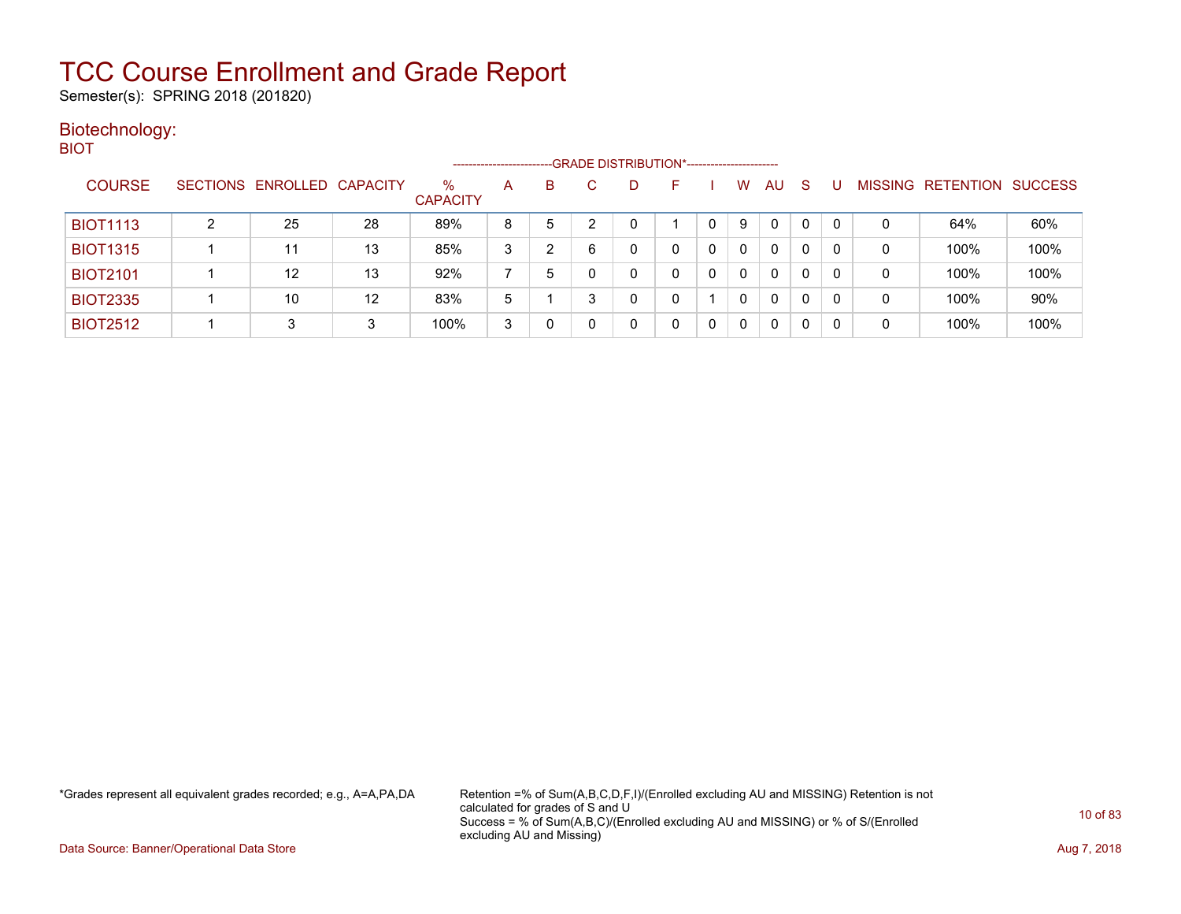Semester(s): SPRING 2018 (201820)

### Biotechnology: BIOT

|                 |   |                            |    |                         | ---------------------- |   |   | --GRADE DISTRIBUTION*----------------------- |   |          |              |              |          |                |                  |                |
|-----------------|---|----------------------------|----|-------------------------|------------------------|---|---|----------------------------------------------|---|----------|--------------|--------------|----------|----------------|------------------|----------------|
| <b>COURSE</b>   |   | SECTIONS ENROLLED CAPACITY |    | $\%$<br><b>CAPACITY</b> | A                      | B |   | D                                            | н | w        | AU           | <sub>S</sub> |          | <b>MISSING</b> | <b>RETENTION</b> | <b>SUCCESS</b> |
| <b>BIOT1113</b> | ົ | 25                         | 28 | 89%                     | 8                      | 5 |   |                                              |   | 9        | $\mathbf{0}$ | 0            | $\Omega$ | 0              | 64%              | 60%            |
| <b>BIOT1315</b> |   | 11                         | 13 | 85%                     | 3                      |   | 6 |                                              | 0 | $\Omega$ | 0            | 0            | 0        | 0              | 100%             | 100%           |
| <b>BIOT2101</b> |   | 12                         | 13 | 92%                     |                        | 5 |   |                                              | 0 | $\Omega$ | 0            | 0            | $\Omega$ | 0              | 100%             | 100%           |
| <b>BIOT2335</b> |   | 10                         | 12 | 83%                     | 5                      |   |   |                                              |   | 0        | 0            | 0            |          | 0              | 100%             | 90%            |
| <b>BIOT2512</b> |   | 3                          | 3  | 100%                    | 3                      |   |   |                                              | 0 | 0        | 0            | 0            | 0        | 0              | 100%             | 100%           |

\*Grades represent all equivalent grades recorded; e.g., A=A,PA,DA Retention =% of Sum(A,B,C,D,F,I)/(Enrolled excluding AU and MISSING) Retention is not calculated for grades of S and U Success = % of Sum(A,B,C)/(Enrolled excluding AU and MISSING) or % of S/(Enrolled excluding AU and Missing)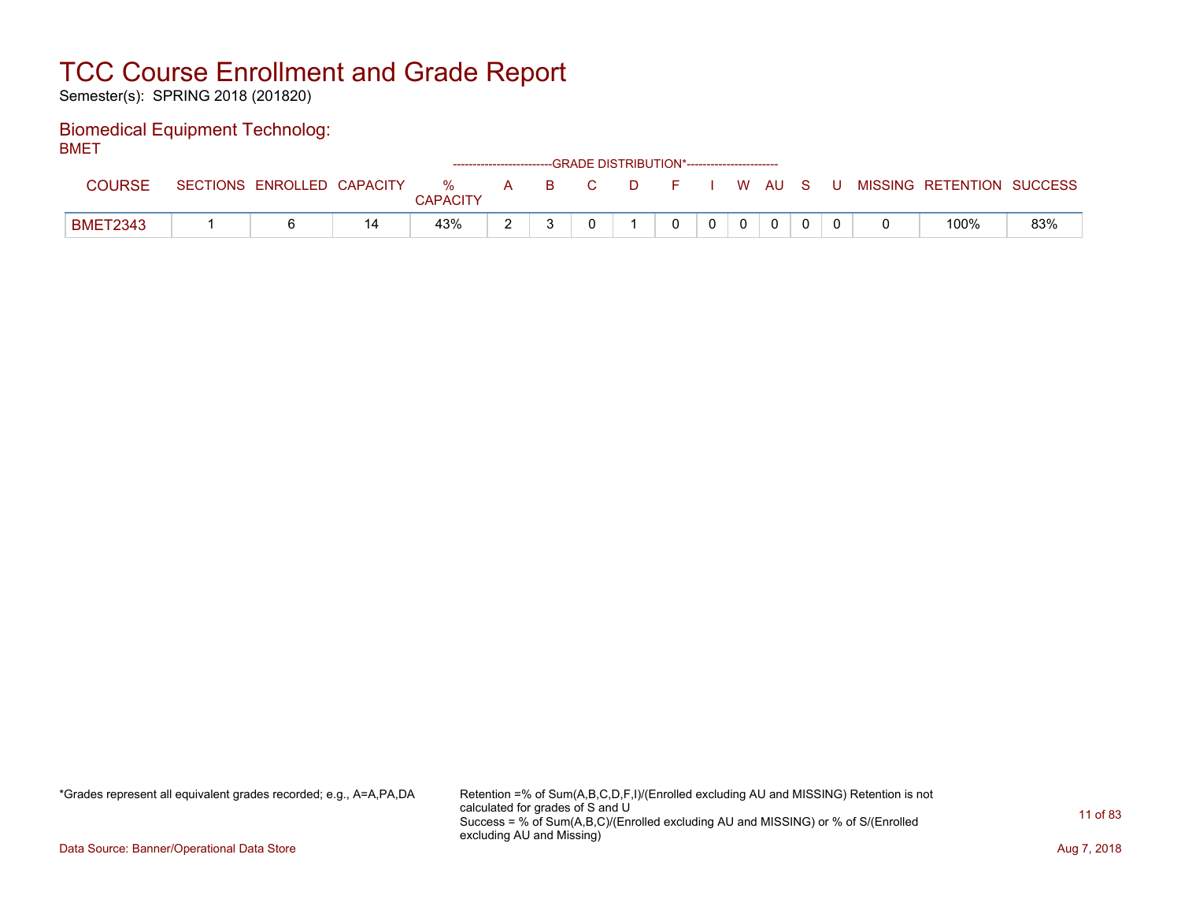Semester(s): SPRING 2018 (201820)

### Biomedical Equipment Technolog: BMET

| -------         |                            |               |                                    | ------------------------GRADE DISTRIBUTION*----------------------- |        |          |              |              |     |                           |     |
|-----------------|----------------------------|---------------|------------------------------------|--------------------------------------------------------------------|--------|----------|--------------|--------------|-----|---------------------------|-----|
| <b>COURSE</b>   | SECTIONS ENROLLED CAPACITY | %<br>CAPACITY | $\mathbf{A}$ <b>B</b> $\mathbf{A}$ | C.                                                                 | $\Box$ | FIWAUS   |              |              | . U | MISSING RETENTION SUCCESS |     |
| <b>BMET2343</b> |                            | 43%           |                                    |                                                                    |        | $\Omega$ | $\mathbf{0}$ | $\mathbf{0}$ |     | 100%                      | 83% |

\*Grades represent all equivalent grades recorded; e.g., A=A,PA,DA Retention =% of Sum(A,B,C,D,F,I)/(Enrolled excluding AU and MISSING) Retention is not calculated for grades of S and U Success = % of Sum(A,B,C)/(Enrolled excluding AU and MISSING) or % of S/(Enrolled excluding AU and Missing)

Data Source: Banner/Operational Data Store **Aug 7, 2018**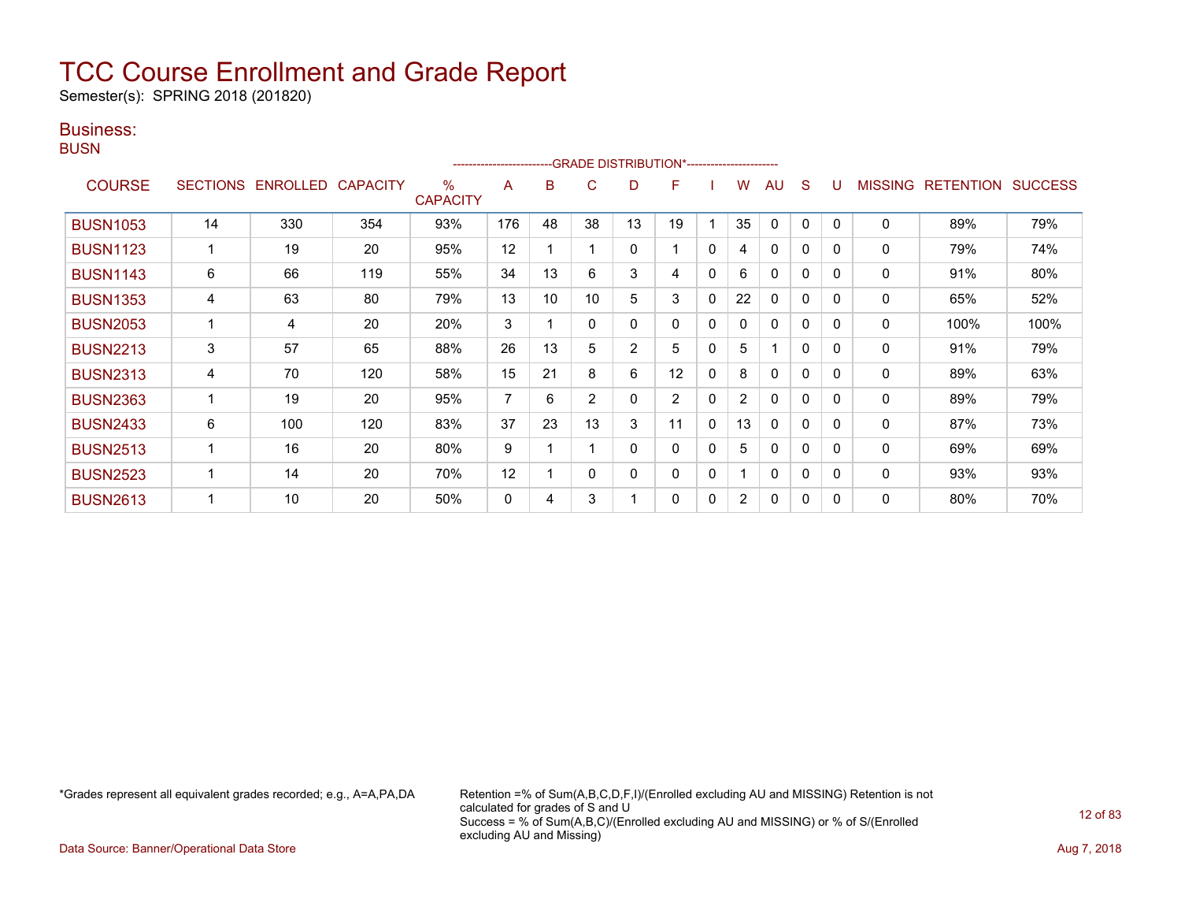Semester(s): SPRING 2018 (201820)

### Business:

**BUSN** 

|                 |    |                   |                 |                         | ----------------------- |    |                | --GRADE DISTRIBUTION*---------------------- |                |              |                |                         |              |              |                |                  |                |
|-----------------|----|-------------------|-----------------|-------------------------|-------------------------|----|----------------|---------------------------------------------|----------------|--------------|----------------|-------------------------|--------------|--------------|----------------|------------------|----------------|
| <b>COURSE</b>   |    | SECTIONS ENROLLED | <b>CAPACITY</b> | $\%$<br><b>CAPACITY</b> | A                       | B  | C              | D                                           | F              |              | W              | AU                      | S            |              | <b>MISSING</b> | <b>RETENTION</b> | <b>SUCCESS</b> |
| <b>BUSN1053</b> | 14 | 330               | 354             | 93%                     | 176                     | 48 | 38             | 13                                          | 19             |              | 35             | $\mathbf{0}$            | 0            | $\Omega$     | $\mathbf 0$    | 89%              | 79%            |
| <b>BUSN1123</b> |    | 19                | 20              | 95%                     | 12                      |    |                | 0                                           |                | 0            | 4              | $\mathbf{0}$            | 0            | $\Omega$     | 0              | 79%              | 74%            |
| <b>BUSN1143</b> | 6  | 66                | 119             | 55%                     | 34                      | 13 | 6              | 3                                           | 4              | $\mathbf{0}$ | 6              | $\mathbf{0}$            | $\mathbf{0}$ | $\Omega$     | $\mathbf 0$    | 91%              | 80%            |
| <b>BUSN1353</b> | 4  | 63                | 80              | 79%                     | 13                      | 10 | 10             | 5                                           | 3              | 0            | 22             | 0                       | 0            | $\Omega$     | 0              | 65%              | 52%            |
| <b>BUSN2053</b> |    | 4                 | 20              | 20%                     | 3                       |    | 0              | 0                                           | 0              | 0            | 0              | $\mathbf{0}$            | 0            | $\Omega$     | $\mathbf{0}$   | 100%             | 100%           |
| <b>BUSN2213</b> | 3  | 57                | 65              | 88%                     | 26                      | 13 | 5              | $\overline{2}$                              | 5              | 0            | 5              | $\overline{\mathbf{A}}$ | $\mathbf{0}$ | $\Omega$     | 0              | 91%              | 79%            |
| <b>BUSN2313</b> | 4  | 70                | 120             | 58%                     | 15                      | 21 | 8              | 6                                           | 12             | 0            | 8              | $\mathbf{0}$            | $\mathbf{0}$ | $\Omega$     | $\mathbf 0$    | 89%              | 63%            |
| <b>BUSN2363</b> |    | 19                | 20              | 95%                     | 7                       | 6  | $\overline{2}$ | 0                                           | $\overline{2}$ | 0            | $\overline{2}$ | $\mathbf{0}$            | 0            | <sup>0</sup> | 0              | 89%              | 79%            |
| <b>BUSN2433</b> | 6  | 100               | 120             | 83%                     | 37                      | 23 | 13             | 3                                           | 11             | 0            | 13             | $\mathbf{0}$            | $\Omega$     | $\Omega$     | 0              | 87%              | 73%            |
| <b>BUSN2513</b> |    | 16                | 20              | 80%                     | 9                       |    |                | 0                                           | 0              | $\mathbf{0}$ | 5              | $\mathbf{0}$            | $\mathbf{0}$ | $\Omega$     | $\mathbf 0$    | 69%              | 69%            |
| <b>BUSN2523</b> |    | 14                | 20              | 70%                     | 12                      |    | 0              | 0                                           | 0              | 0            |                | $\mathbf{0}$            | 0            | $\Omega$     | 0              | 93%              | 93%            |
| <b>BUSN2613</b> |    | 10                | 20              | 50%                     | 0                       | 4  | 3              |                                             | 0              | 0            | 2              | 0                       | 0            | $\Omega$     | 0              | 80%              | 70%            |

\*Grades represent all equivalent grades recorded; e.g., A=A,PA,DA Retention =% of Sum(A,B,C,D,F,I)/(Enrolled excluding AU and MISSING) Retention is not calculated for grades of S and U Success = % of Sum(A,B,C)/(Enrolled excluding AU and MISSING) or % of S/(Enrolled excluding AU and Missing)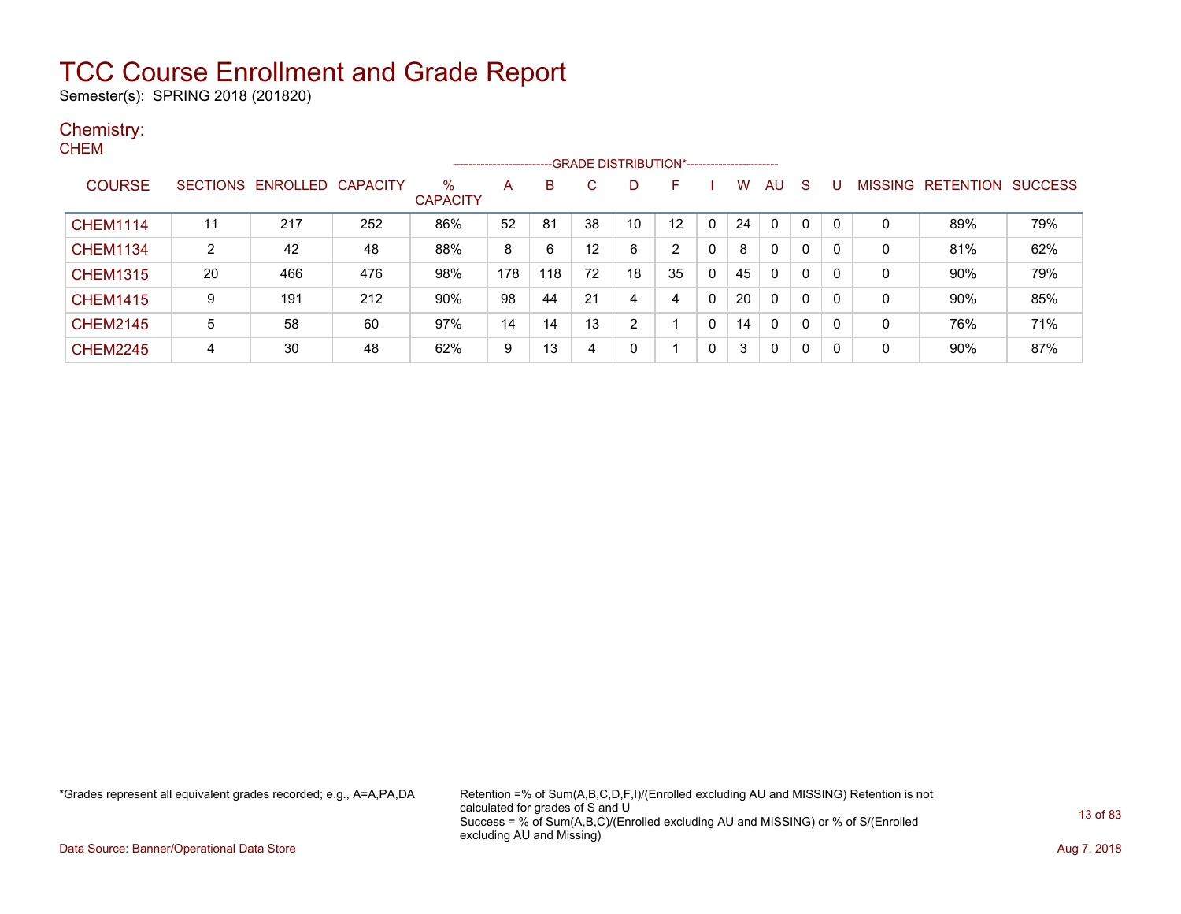Semester(s): SPRING 2018 (201820)

### Chemistry:

|                 |    |                   |                 |                         |     |     |    |    | --GRADE DISTRIBUTION*----------------------- |   |    |              |   |   |                |                  |                |
|-----------------|----|-------------------|-----------------|-------------------------|-----|-----|----|----|----------------------------------------------|---|----|--------------|---|---|----------------|------------------|----------------|
| <b>COURSE</b>   |    | SECTIONS ENROLLED | <b>CAPACITY</b> | $\%$<br><b>CAPACITY</b> | A   | B   | C. |    | н.                                           |   | w  | AU           | S |   | <b>MISSING</b> | <b>RETENTION</b> | <b>SUCCESS</b> |
| <b>CHEM1114</b> | 11 | 217               | 252             | 86%                     | 52  | 81  | 38 | 10 | $12 \overline{ }$                            | 0 | 24 | $\mathbf{0}$ | 0 | 0 | 0              | 89%              | 79%            |
| <b>CHEM1134</b> | 2  | 42                | 48              | 88%                     | 8   | 6   | 12 | 6  | $\overline{2}$                               | 0 | 8  | 0            | 0 | 0 | 0              | 81%              | 62%            |
| <b>CHEM1315</b> | 20 | 466               | 476             | 98%                     | 178 | 118 | 72 | 18 | 35                                           | 0 | 45 | 0            | 0 | 0 | 0              | 90%              | 79%            |
| <b>CHEM1415</b> | 9  | 191               | 212             | 90%                     | 98  | 44  | 21 | 4  | 4                                            | 0 | 20 | 0            | 0 | 0 | $\mathbf 0$    | 90%              | 85%            |
| <b>CHEM2145</b> | 5  | 58                | 60              | 97%                     | 14  | 14  | 13 | ົ  |                                              | 0 | 14 | 0            | 0 | 0 | 0              | 76%              | 71%            |
| <b>CHEM2245</b> | 4  | 30                | 48              | 62%                     | 9   | 13  | 4  | 0  |                                              | 0 | 3  | 0            | 0 | 0 | $\mathbf 0$    | 90%              | 87%            |

\*Grades represent all equivalent grades recorded; e.g., A=A,PA,DA Retention =% of Sum(A,B,C,D,F,I)/(Enrolled excluding AU and MISSING) Retention is not calculated for grades of S and U Success = % of Sum(A,B,C)/(Enrolled excluding AU and MISSING) or % of S/(Enrolled excluding AU and Missing)

Data Source: Banner/Operational Data Store **Aug 7, 2018**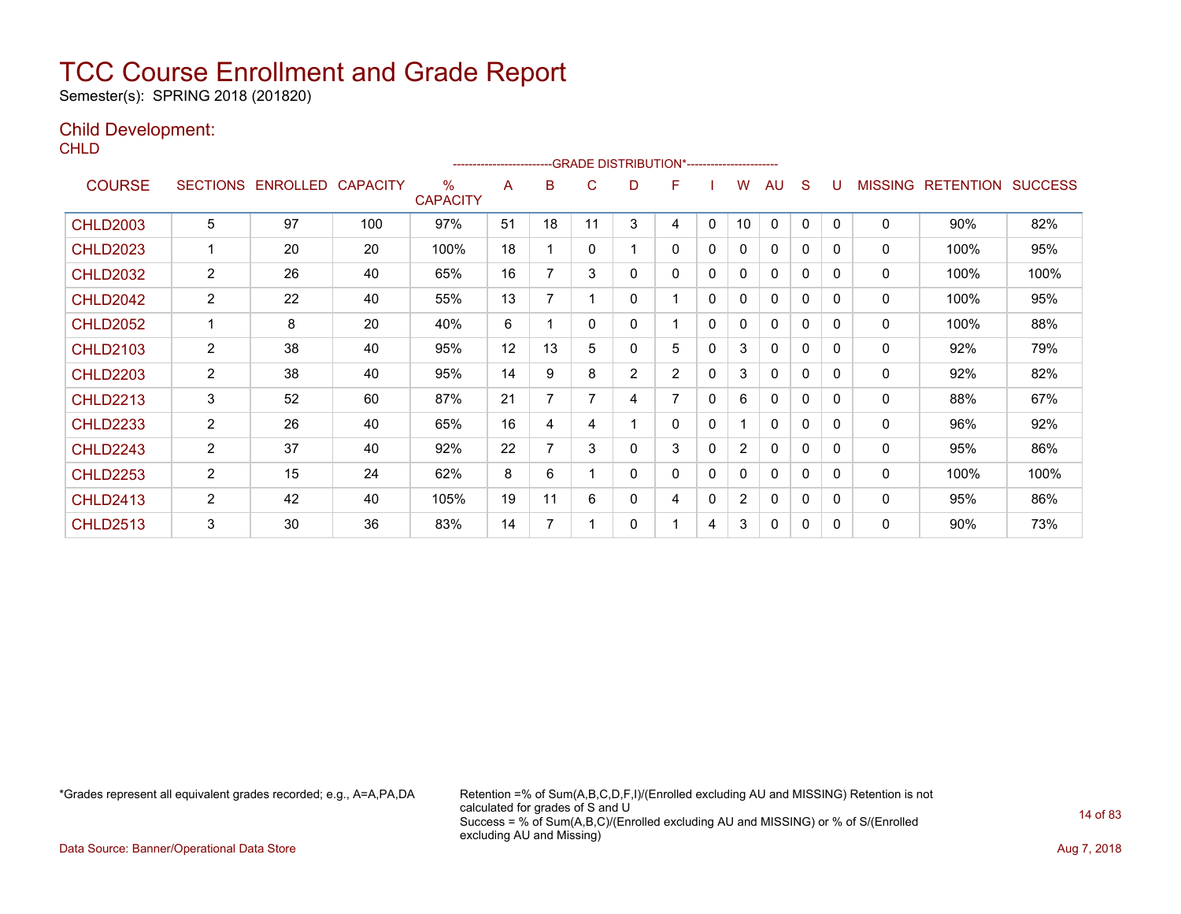Semester(s): SPRING 2018 (201820)

### Child Development:

**CHLD** 

|                 |                 |          |                 |                         |    | ------------------------GRADE                DISTRIBUTION*---------------------- |    |                |                |   |                |          |              |              |                |                  |                |
|-----------------|-----------------|----------|-----------------|-------------------------|----|----------------------------------------------------------------------------------|----|----------------|----------------|---|----------------|----------|--------------|--------------|----------------|------------------|----------------|
| <b>COURSE</b>   | <b>SECTIONS</b> | ENROLLED | <b>CAPACITY</b> | $\%$<br><b>CAPACITY</b> | A  | B                                                                                | С  | D              | F              |   | W              | AU       | S            |              | <b>MISSING</b> | <b>RETENTION</b> | <b>SUCCESS</b> |
| <b>CHLD2003</b> | 5               | 97       | 100             | 97%                     | 51 | 18                                                                               | 11 | 3              | 4              | 0 | 10             | $\Omega$ | $\Omega$     | 0            | 0              | 90%              | 82%            |
| <b>CHLD2023</b> |                 | 20       | 20              | 100%                    | 18 |                                                                                  | 0  | 1              | $\mathbf{0}$   | 0 | 0              | 0        | 0            | $\mathbf{0}$ | 0              | 100%             | 95%            |
| <b>CHLD2032</b> | $\overline{2}$  | 26       | 40              | 65%                     | 16 | 7                                                                                | 3  | 0              | 0              | 0 | 0              | $\Omega$ | $\Omega$     | $\Omega$     | 0              | 100%             | 100%           |
| <b>CHLD2042</b> | 2               | 22       | 40              | 55%                     | 13 |                                                                                  |    | 0              |                | 0 | 0              | 0        | 0            | 0            | 0              | 100%             | 95%            |
| <b>CHLD2052</b> |                 | 8        | 20              | 40%                     | 6  |                                                                                  | 0  | 0              |                | 0 | 0              | 0        | 0            | 0            | $\mathbf{0}$   | 100%             | 88%            |
| <b>CHLD2103</b> | $\overline{2}$  | 38       | 40              | 95%                     | 12 | 13                                                                               | 5  | 0              | 5              | 0 | 3              | 0        | 0            | $\mathbf{0}$ | $\mathbf{0}$   | 92%              | 79%            |
| <b>CHLD2203</b> | $\overline{2}$  | 38       | 40              | 95%                     | 14 | 9                                                                                | 8  | $\overline{2}$ | $\overline{2}$ | 0 | 3              | $\Omega$ | 0            | 0            | $\mathbf{0}$   | 92%              | 82%            |
| <b>CHLD2213</b> | 3               | 52       | 60              | 87%                     | 21 |                                                                                  |    | 4              | 7              | 0 | 6              | 0        | 0            | 0            | 0              | 88%              | 67%            |
| <b>CHLD2233</b> | $\overline{2}$  | 26       | 40              | 65%                     | 16 | 4                                                                                | 4  | 1              | 0              | 0 |                | 0        | 0            | 0            | 0              | 96%              | 92%            |
| <b>CHLD2243</b> | 2               | 37       | 40              | 92%                     | 22 |                                                                                  | 3  | 0              | 3              | 0 | $\overline{2}$ | 0        | 0            | 0            | $\mathbf{0}$   | 95%              | 86%            |
| <b>CHLD2253</b> | $\overline{2}$  | 15       | 24              | 62%                     | 8  | 6                                                                                |    | 0              | $\mathbf{0}$   | 0 | 0              | $\Omega$ | $\mathbf{0}$ | 0            | $\mathbf{0}$   | 100%             | 100%           |
| <b>CHLD2413</b> | $\overline{2}$  | 42       | 40              | 105%                    | 19 | 11                                                                               | 6  | 0              | 4              | 0 | $\overline{2}$ | 0        | $\mathbf{0}$ | 0            | 0              | 95%              | 86%            |
| <b>CHLD2513</b> | 3               | 30       | 36              | 83%                     | 14 | ⇁                                                                                |    | 0              |                | 4 | 3              | 0        | 0            | 0            | 0              | 90%              | 73%            |

\*Grades represent all equivalent grades recorded; e.g., A=A,PA,DA Retention =% of Sum(A,B,C,D,F,I)/(Enrolled excluding AU and MISSING) Retention is not calculated for grades of S and U Success = % of Sum(A,B,C)/(Enrolled excluding AU and MISSING) or % of S/(Enrolled excluding AU and Missing)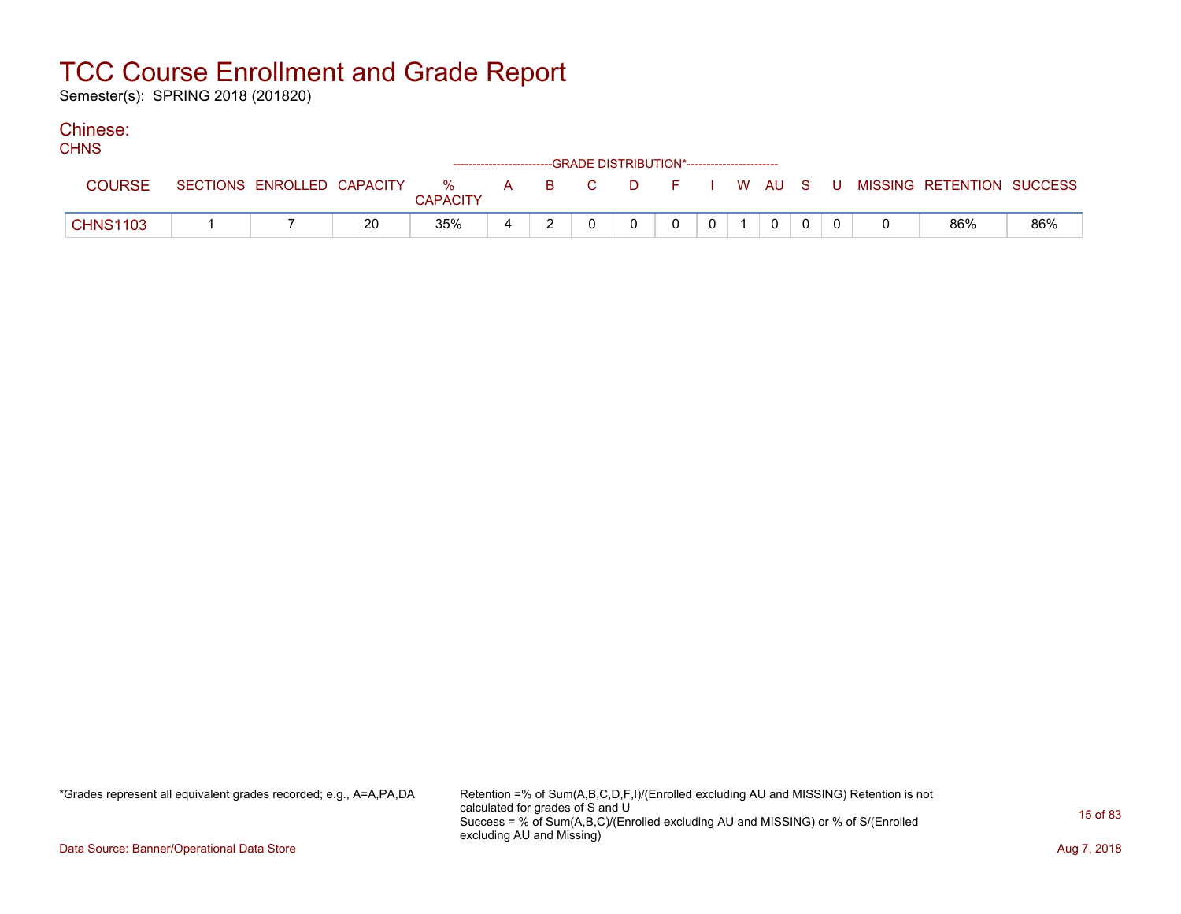Semester(s): SPRING 2018 (201820)

#### Chinese:  $C$

| <b>UHIND</b>    |                            |    |                 |   |  | ------------------------GRADE DISTRIBUTION*----------------------- |          |                |  |  |                                                  |     |
|-----------------|----------------------------|----|-----------------|---|--|--------------------------------------------------------------------|----------|----------------|--|--|--------------------------------------------------|-----|
| <b>COURSE</b>   | SECTIONS ENROLLED CAPACITY |    | <b>CAPACITY</b> |   |  |                                                                    |          |                |  |  | % A B C D F I W AU S U MISSING RETENTION SUCCESS |     |
| <b>CHNS1103</b> |                            | 20 | 35%             | 4 |  | $\Omega$                                                           | $\Omega$ | 0 <sup>1</sup> |  |  | 86%                                              | 86% |

\*Grades represent all equivalent grades recorded; e.g., A=A,PA,DA Retention =% of Sum(A,B,C,D,F,I)/(Enrolled excluding AU and MISSING) Retention is not calculated for grades of S and U Success = % of Sum(A,B,C)/(Enrolled excluding AU and MISSING) or % of S/(Enrolled excluding AU and Missing)

Data Source: Banner/Operational Data Store **Aug 7, 2018**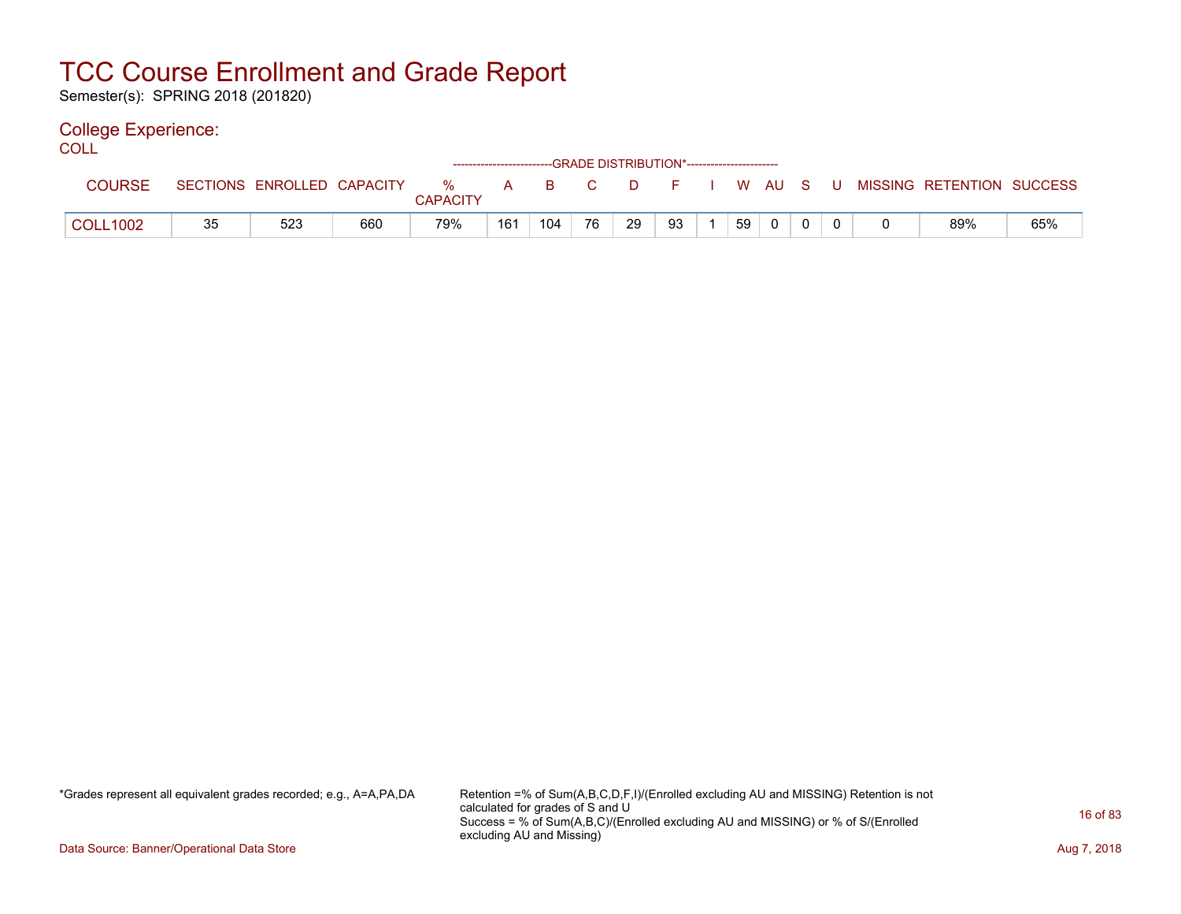Semester(s): SPRING 2018 (201820)

### College Experience:

| COLL            |    |                            |     |                      |     |      |    |          |    |    |  |  |                                        |     |
|-----------------|----|----------------------------|-----|----------------------|-----|------|----|----------|----|----|--|--|----------------------------------------|-----|
| <b>COURSE</b>   |    | SECTIONS ENROLLED CAPACITY |     | %<br><b>CAPACITY</b> | A   | BC B |    | <b>D</b> |    |    |  |  | F I W AU S U MISSING RETENTION SUCCESS |     |
| <b>COLL1002</b> | 35 | 523                        | 660 | 79%                  | 161 | 104  | 76 | 29       | 93 | 59 |  |  | 89%                                    | 65% |

\*Grades represent all equivalent grades recorded; e.g., A=A,PA,DA Retention =% of Sum(A,B,C,D,F,I)/(Enrolled excluding AU and MISSING) Retention is not calculated for grades of S and U Success = % of Sum(A,B,C)/(Enrolled excluding AU and MISSING) or % of S/(Enrolled excluding AU and Missing)

Data Source: Banner/Operational Data Store **Aug 7, 2018**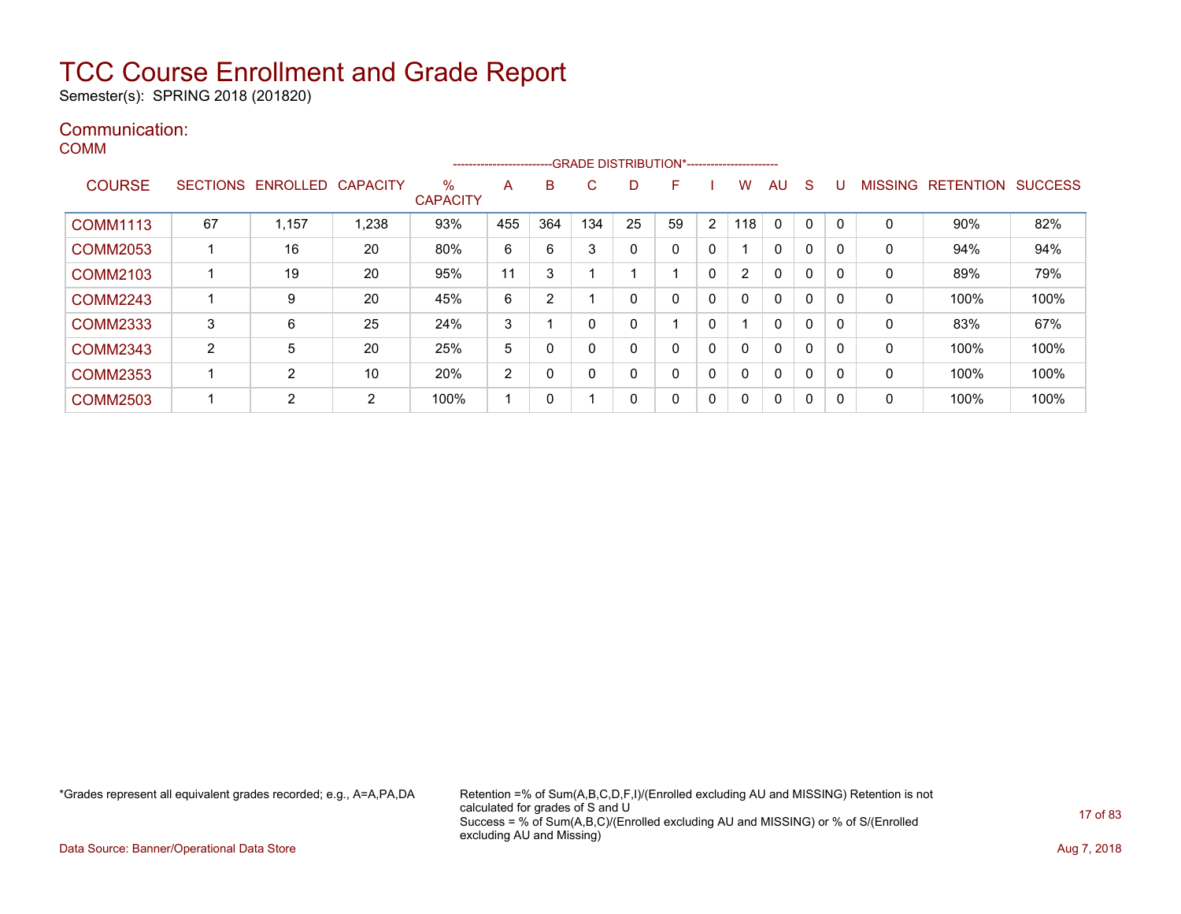Semester(s): SPRING 2018 (201820)

### Communication: COMM

|                 |    |                            |      |                      | ---------------------- |     |                          |          | -GRADE DISTRIBUTION*----------------------- |                |              |    |              |   |              |                                  |      |
|-----------------|----|----------------------------|------|----------------------|------------------------|-----|--------------------------|----------|---------------------------------------------|----------------|--------------|----|--------------|---|--------------|----------------------------------|------|
| <b>COURSE</b>   |    | SECTIONS ENROLLED CAPACITY |      | %<br><b>CAPACITY</b> | A                      | в   | C                        | D        | F.                                          |                | W            | AU | <sub>S</sub> |   |              | <b>MISSING RETENTION SUCCESS</b> |      |
| <b>COMM1113</b> | 67 | 1,157                      | .238 | 93%                  | 455                    | 364 | 134                      | 25       | 59                                          | $\overline{2}$ | 18           | 0  | 0            | 0 | 0            | 90%                              | 82%  |
| <b>COMM2053</b> |    | 16                         | 20   | 80%                  | 6                      | 6   | 3                        | $\Omega$ | $\mathbf{0}$                                | $\mathbf{0}$   |              | 0  | 0            | 0 | $\mathbf{0}$ | 94%                              | 94%  |
| <b>COMM2103</b> |    | 19                         | 20   | 95%                  | 11                     | 3   |                          |          |                                             | $\mathbf{0}$   | 2            | 0  | 0            | 0 | $\mathbf{0}$ | 89%                              | 79%  |
| <b>COMM2243</b> |    | 9                          | 20   | 45%                  | 6                      | 2   |                          | 0        | $\mathbf{0}$                                | $\mathbf{0}$   |              | 0  | 0            | 0 | 0            | 100%                             | 100% |
| <b>COMM2333</b> | 3  | 6                          | 25   | 24%                  | 3                      |     | $\Omega$                 | 0        |                                             | $\mathbf{0}$   |              | 0  | 0            | 0 | $\mathbf{0}$ | 83%                              | 67%  |
| <b>COMM2343</b> | 2  | 5                          | 20   | 25%                  | 5                      | 0   | 0                        | 0        | $\mathbf{0}$                                | $\mathbf{0}$   | 0            | 0  | 0            | 0 | 0            | 100%                             | 100% |
| <b>COMM2353</b> |    | 2                          | 10   | 20%                  | 2                      | 0   | 0                        | $\Omega$ | $\mathbf{0}$                                | $\mathbf{0}$   |              | 0  | 0            | 0 | $\mathbf{0}$ | 100%                             | 100% |
| <b>COMM2503</b> |    | $\overline{2}$             | 2    | 100%                 |                        | 0   | $\overline{\phantom{a}}$ | 0        | 0                                           | $\mathbf{0}$   | $\mathbf{0}$ | 0  | 0            | 0 | 0            | 100%                             | 100% |

\*Grades represent all equivalent grades recorded; e.g., A=A,PA,DA Retention =% of Sum(A,B,C,D,F,I)/(Enrolled excluding AU and MISSING) Retention is not calculated for grades of S and U Success = % of Sum(A,B,C)/(Enrolled excluding AU and MISSING) or % of S/(Enrolled excluding AU and Missing)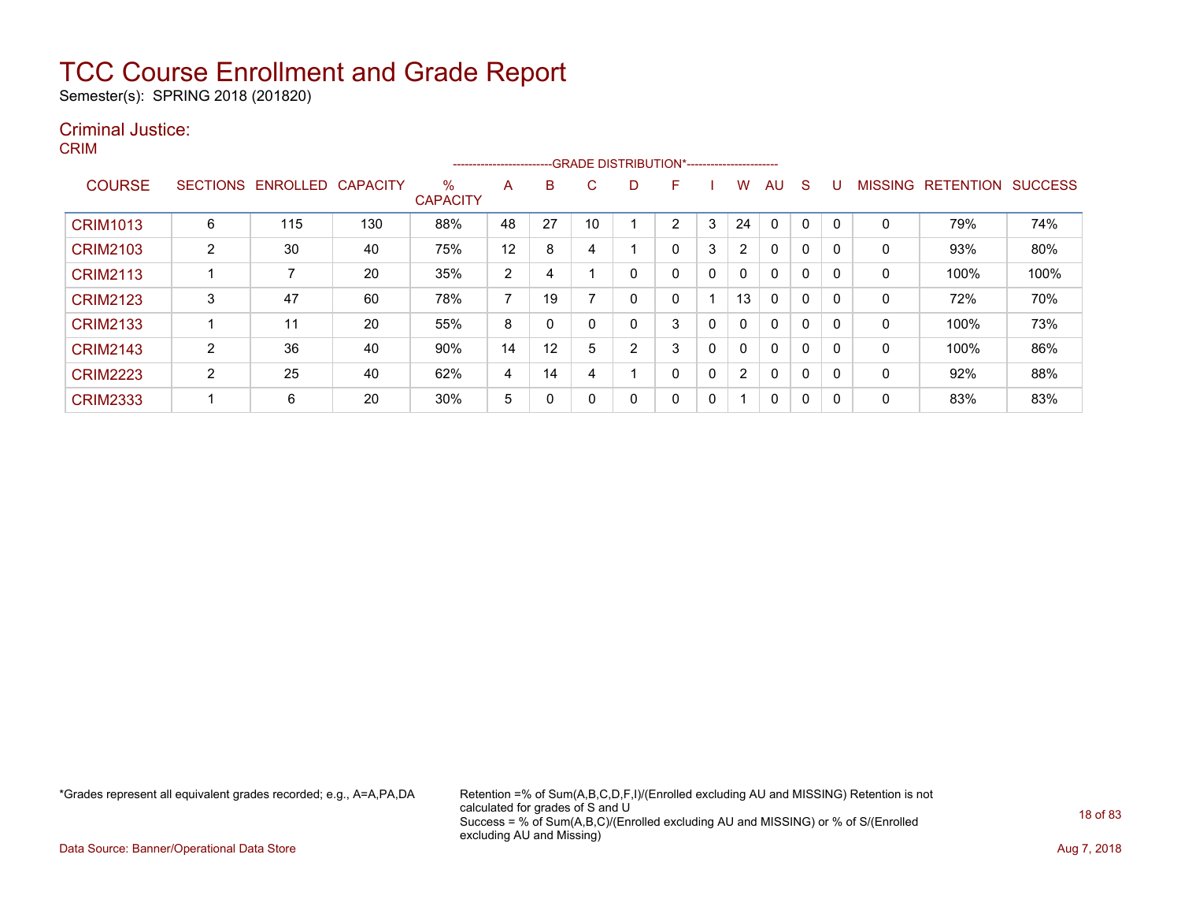Semester(s): SPRING 2018 (201820)

### Criminal Justice:

CRIM

|                 |                 |          |                 |                         | ----------------------- |          |    |   | --- GRADE DISTRIBUTION*------------------------ |          |                         |              |          |              |                |                  |                |
|-----------------|-----------------|----------|-----------------|-------------------------|-------------------------|----------|----|---|-------------------------------------------------|----------|-------------------------|--------------|----------|--------------|----------------|------------------|----------------|
| <b>COURSE</b>   | <b>SECTIONS</b> | ENROLLED | <b>CAPACITY</b> | $\%$<br><b>CAPACITY</b> | A                       | B        | C. | D | F                                               |          | w                       | AU           | S        |              | <b>MISSING</b> | <b>RETENTION</b> | <b>SUCCESS</b> |
| <b>CRIM1013</b> | 6               | 115      | 130             | 88%                     | 48                      | 27       | 10 |   | $\overline{2}$                                  | 3        | 24                      | $\mathbf 0$  | $\Omega$ |              | 0              | 79%              | 74%            |
| <b>CRIM2103</b> | 2               | 30       | 40              | 75%                     | 12                      | 8        | 4  |   | 0                                               | 3        | $\overline{2}$          | $\mathbf{0}$ | 0        |              | 0              | 93%              | 80%            |
| <b>CRIM2113</b> |                 |          | 20              | 35%                     | 2                       | 4        |    | 0 | 0                                               | 0        | 0                       | 0            | 0        | $\Gamma$     | 0              | 100%             | 100%           |
| <b>CRIM2123</b> | 3               | 47       | 60              | 78%                     | ⇁                       | 19       |    | 0 | 0                                               |          | 13                      | 0            | 0        |              | 0              | 72%              | 70%            |
| <b>CRIM2133</b> |                 | 11       | 20              | 55%                     | 8                       | $\Omega$ |    | 0 | 3                                               | 0        | $\mathbf{0}$            | $\mathbf{0}$ | 0        | <sup>0</sup> | 0              | 100%             | 73%            |
| <b>CRIM2143</b> | ົ<br>∠          | 36       | 40              | 90%                     | 14                      | 12       | 5  | 2 | 3                                               | 0        | 0                       | 0            | 0        | $\Omega$     | 0              | 100%             | 86%            |
| <b>CRIM2223</b> | $\overline{2}$  | 25       | 40              | 62%                     | 4                       | 14       | 4  |   | 0                                               | $\Omega$ | $\overline{2}$          | 0            | 0        |              | 0              | 92%              | 88%            |
| <b>CRIM2333</b> |                 | 6        | 20              | 30%                     | 5                       | 0        |    | 0 | 0                                               | 0        | $\overline{\mathbf{A}}$ | 0            | 0        | -0           | 0              | 83%              | 83%            |

\*Grades represent all equivalent grades recorded; e.g., A=A,PA,DA Retention =% of Sum(A,B,C,D,F,I)/(Enrolled excluding AU and MISSING) Retention is not calculated for grades of S and U Success = % of Sum(A,B,C)/(Enrolled excluding AU and MISSING) or % of S/(Enrolled excluding AU and Missing)

Data Source: Banner/Operational Data Store **Aug 7, 2018**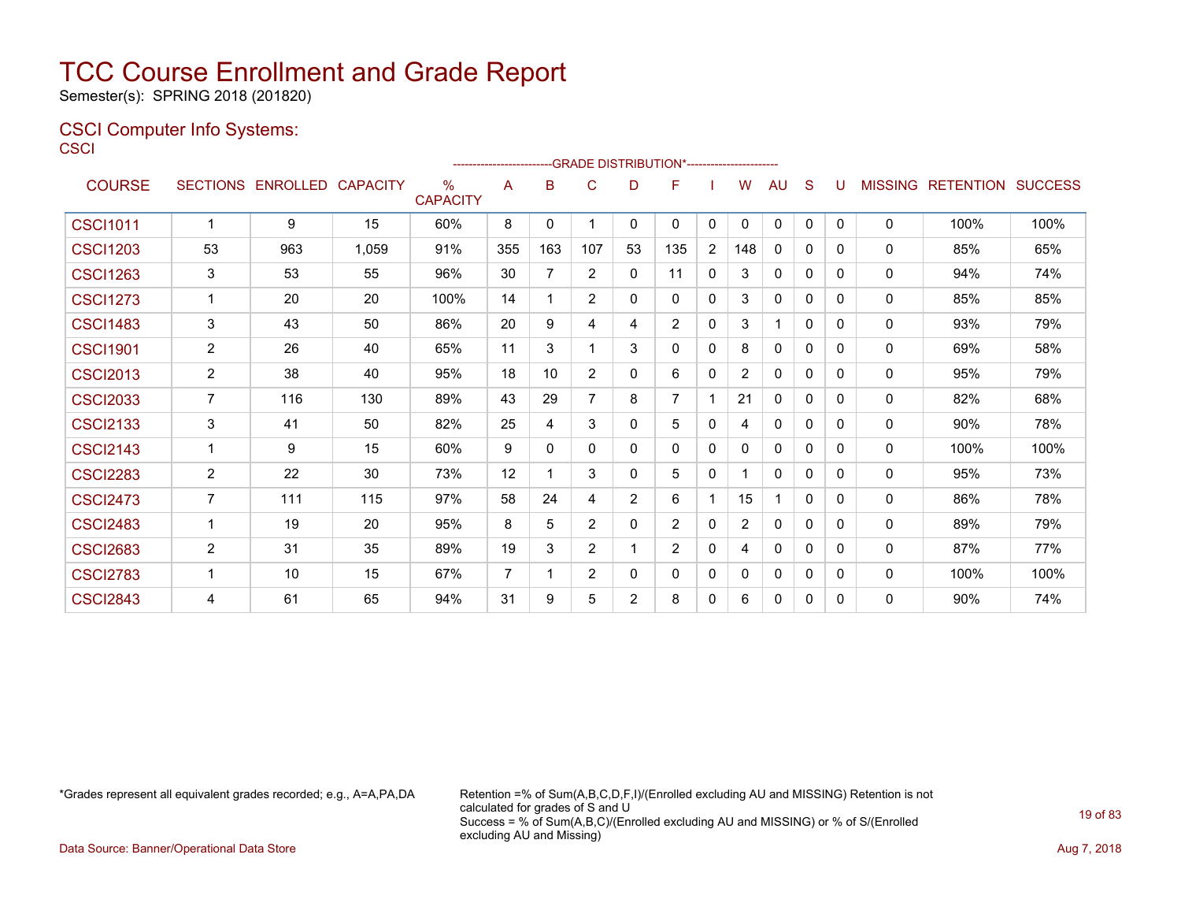Semester(s): SPRING 2018 (201820)

### CSCI Computer Info Systems: **CSCI**

|                 |                |                            |       |                         |     |                 | ------------------------GRADE                DISTRIBUTION*---------------------- |                |                |                |                |              |              |              |              |                           |      |
|-----------------|----------------|----------------------------|-------|-------------------------|-----|-----------------|----------------------------------------------------------------------------------|----------------|----------------|----------------|----------------|--------------|--------------|--------------|--------------|---------------------------|------|
| <b>COURSE</b>   |                | SECTIONS ENROLLED CAPACITY |       | $\%$<br><b>CAPACITY</b> | A   | B               | C                                                                                | D              | F              |                | W              | AU           | S            | U            |              | MISSING RETENTION SUCCESS |      |
| <b>CSCI1011</b> | $\mathbf 1$    | 9                          | 15    | 60%                     | 8   | $\mathbf{0}$    | 1                                                                                | $\mathbf{0}$   | $\mathbf{0}$   | 0              | $\Omega$       | 0            | $\mathbf{0}$ | $\mathbf{0}$ | 0            | 100%                      | 100% |
| <b>CSCI1203</b> | 53             | 963                        | 1,059 | 91%                     | 355 | 163             | 107                                                                              | 53             | 135            | $\overline{2}$ | 148            | 0            | 0            | 0            | 0            | 85%                       | 65%  |
| <b>CSCI1263</b> | 3              | 53                         | 55    | 96%                     | 30  | $\overline{7}$  | $\overline{2}$                                                                   | $\Omega$       | 11             | $\mathbf{0}$   | 3              | 0            | 0            | 0            | 0            | 94%                       | 74%  |
| <b>CSCI1273</b> | 1              | 20                         | 20    | 100%                    | 14  | 1               | 2                                                                                | $\Omega$       | $\mathbf{0}$   | $\mathbf{0}$   | 3              | $\mathbf{0}$ | 0            | 0            | $\mathbf{0}$ | 85%                       | 85%  |
| <b>CSCI1483</b> | 3              | 43                         | 50    | 86%                     | 20  | 9               | 4                                                                                | 4              | $\overline{2}$ | $\mathbf{0}$   | 3              |              | $\Omega$     | 0            | $\mathbf{0}$ | 93%                       | 79%  |
| <b>CSCI1901</b> | $\overline{2}$ | 26                         | 40    | 65%                     | 11  | 3               | 1                                                                                | 3              | $\Omega$       | $\Omega$       | 8              | $\mathbf{0}$ | $\Omega$     | 0            | 0            | 69%                       | 58%  |
| <b>CSCI2013</b> | $\overline{2}$ | 38                         | 40    | 95%                     | 18  | 10 <sup>°</sup> | 2                                                                                | $\Omega$       | 6              | $\mathbf{0}$   | $\overline{2}$ | $\mathbf{0}$ | $\mathbf{0}$ | 0            | 0            | 95%                       | 79%  |
| <b>CSCI2033</b> | $\overline{7}$ | 116                        | 130   | 89%                     | 43  | 29              | $\overline{7}$                                                                   | 8              | 7              |                | 21             | $\mathbf{0}$ | $\mathbf{0}$ | 0            | 0            | 82%                       | 68%  |
| <b>CSCI2133</b> | 3              | 41                         | 50    | 82%                     | 25  | 4               | 3                                                                                | $\mathbf{0}$   | 5              | 0              | 4              | 0            | 0            | 0            | 0            | 90%                       | 78%  |
| <b>CSCI2143</b> | 1              | 9                          | 15    | 60%                     | 9   | $\Omega$        | $\mathbf{0}$                                                                     | $\mathbf{0}$   | 0              | 0              | 0              | $\mathbf{0}$ | $\mathbf{0}$ | 0            | 0            | 100%                      | 100% |
| <b>CSCI2283</b> | 2              | 22                         | 30    | 73%                     | 12  | 1               | 3                                                                                | $\mathbf{0}$   | 5              | 0              |                | $\mathbf{0}$ | $\mathbf{0}$ | 0            | 0            | 95%                       | 73%  |
| <b>CSCI2473</b> | $\overline{7}$ | 111                        | 115   | 97%                     | 58  | 24              | 4                                                                                | $\overline{2}$ | 6              |                | 15             |              | $\Omega$     | 0            | 0            | 86%                       | 78%  |
| <b>CSCI2483</b> | $\mathbf{1}$   | 19                         | 20    | 95%                     | 8   | 5               | 2                                                                                | $\mathbf{0}$   | $\overline{2}$ | $\mathbf{0}$   | $\overline{2}$ | $\mathbf{0}$ | $\mathbf{0}$ | 0            | 0            | 89%                       | 79%  |
| <b>CSCI2683</b> | $\overline{2}$ | 31                         | 35    | 89%                     | 19  | 3               | $\overline{2}$                                                                   |                | $\overline{2}$ | $\mathbf{0}$   | 4              | $\mathbf{0}$ | 0            | 0            | 0            | 87%                       | 77%  |
| <b>CSCI2783</b> | 1              | 10                         | 15    | 67%                     | 7   | 1               | $\overline{2}$                                                                   | 0              | 0              | 0              | 0              | 0            | 0            | 0            | 0            | 100%                      | 100% |
| <b>CSCI2843</b> | 4              | 61                         | 65    | 94%                     | 31  | 9               | 5                                                                                | 2              | 8              | 0              | 6              | 0            | $\mathbf{0}$ | 0            | 0            | 90%                       | 74%  |

\*Grades represent all equivalent grades recorded; e.g., A=A,PA,DA Retention =% of Sum(A,B,C,D,F,I)/(Enrolled excluding AU and MISSING) Retention is not calculated for grades of S and U Success = % of Sum(A,B,C)/(Enrolled excluding AU and MISSING) or % of S/(Enrolled excluding AU and Missing)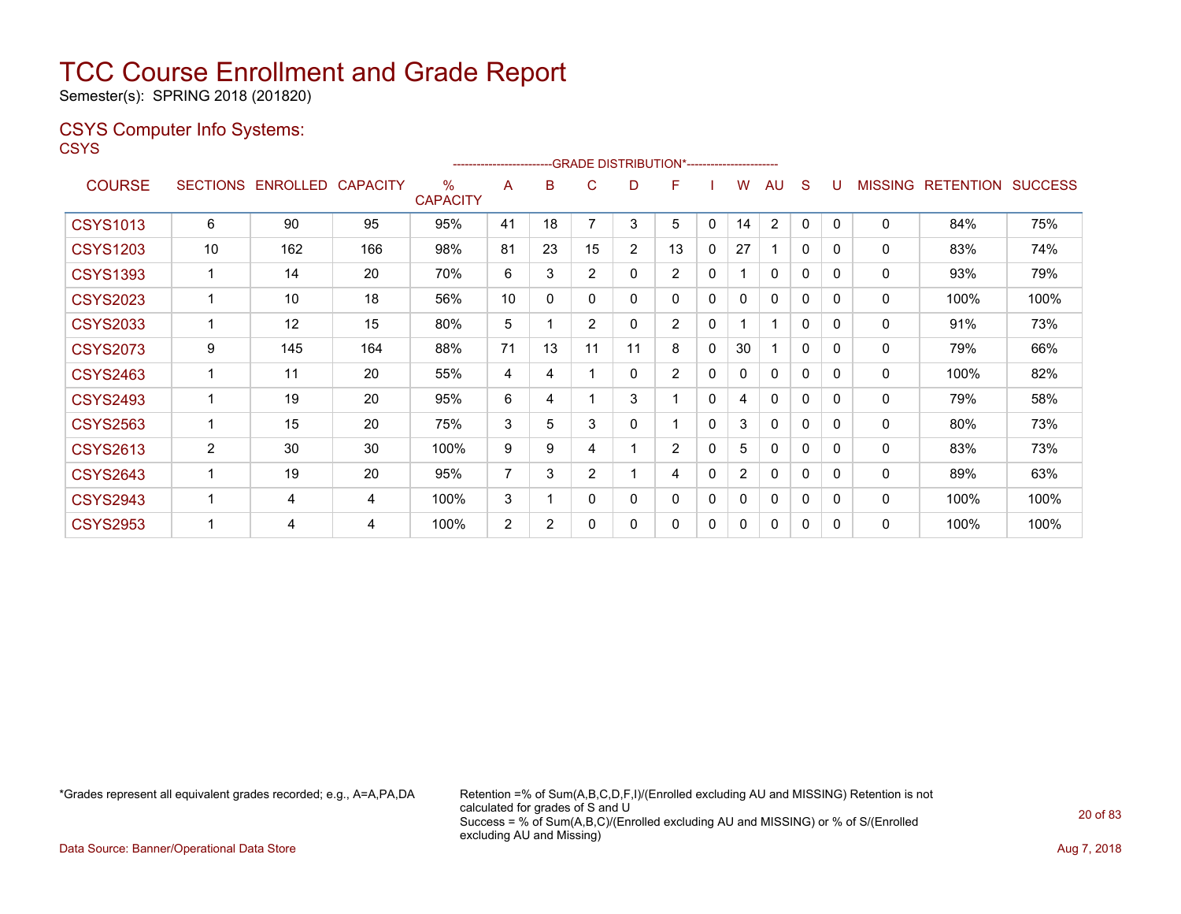Semester(s): SPRING 2018 (201820)

### CSYS Computer Info Systems:

**CSYS** 

|                 |                 |          |                 |                         |                | ------------------------GRADE                DISTRIBUTION*---------------------- |                |                |                |   |                |              |              |          |                |                  |                |
|-----------------|-----------------|----------|-----------------|-------------------------|----------------|----------------------------------------------------------------------------------|----------------|----------------|----------------|---|----------------|--------------|--------------|----------|----------------|------------------|----------------|
| <b>COURSE</b>   | <b>SECTIONS</b> | ENROLLED | <b>CAPACITY</b> | $\%$<br><b>CAPACITY</b> | A              | B                                                                                | С              | D              | F              |   | W              | AU           | S            |          | <b>MISSING</b> | <b>RETENTION</b> | <b>SUCCESS</b> |
| <b>CSYS1013</b> | 6               | 90       | 95              | 95%                     | 41             | 18                                                                               |                | 3              | 5              | 0 | 14             | 2            | 0            | 0        | 0              | 84%              | 75%            |
| <b>CSYS1203</b> | 10              | 162      | 166             | 98%                     | 81             | 23                                                                               | 15             | $\overline{2}$ | 13             | 0 | 27             |              | 0            | 0        | 0              | 83%              | 74%            |
| <b>CSYS1393</b> |                 | 14       | 20              | 70%                     | 6              | 3                                                                                | $\overline{2}$ | 0              | $\overline{2}$ | 0 |                | $\Omega$     | 0            | 0        | 0              | 93%              | 79%            |
| <b>CSYS2023</b> |                 | 10       | 18              | 56%                     | 10             | 0                                                                                | 0              | 0              | $\mathbf{0}$   | 0 | 0              | 0            | 0            | 0        | 0              | 100%             | 100%           |
| <b>CSYS2033</b> |                 | 12       | 15              | 80%                     | 5              |                                                                                  | $\overline{2}$ | 0              | $\overline{2}$ | 0 |                |              | $\mathbf{0}$ | 0        | 0              | 91%              | 73%            |
| <b>CSYS2073</b> | 9               | 145      | 164             | 88%                     | 71             | 13                                                                               | 11             | 11             | 8              | 0 | 30             |              | $\mathbf{0}$ | 0        | 0              | 79%              | 66%            |
| <b>CSYS2463</b> |                 | 11       | 20              | 55%                     | 4              | 4                                                                                |                | 0              | $\overline{2}$ | 0 | 0              | $\Omega$     | 0            | $\Omega$ | $\mathbf{0}$   | 100%             | 82%            |
| <b>CSYS2493</b> |                 | 19       | 20              | 95%                     | 6              | 4                                                                                |                | 3              |                | 0 | 4              | $\mathbf{0}$ | $\mathbf{0}$ | 0        | 0              | 79%              | 58%            |
| <b>CSYS2563</b> |                 | 15       | 20              | 75%                     | 3              | 5                                                                                | 3              | 0              |                | 0 | 3              | $\mathbf{0}$ | $\mathbf{0}$ | 0        | $\mathbf{0}$   | 80%              | 73%            |
| <b>CSYS2613</b> | $\overline{2}$  | 30       | 30              | 100%                    | 9              | 9                                                                                | 4              | 1              | $\overline{2}$ | 0 | 5              | $\mathbf{0}$ | $\mathbf{0}$ | 0        | $\mathbf{0}$   | 83%              | 73%            |
| <b>CSYS2643</b> |                 | 19       | 20              | 95%                     | 7              | 3                                                                                | $\overline{2}$ | 1              | 4              | 0 | $\overline{2}$ | $\mathbf{0}$ | $\mathbf{0}$ | $\Omega$ | $\mathbf{0}$   | 89%              | 63%            |
| <b>CSYS2943</b> |                 | 4        | 4               | 100%                    | 3              |                                                                                  | 0              | 0              | $\mathbf{0}$   | 0 | 0              | $\mathbf{0}$ | $\mathbf{0}$ | 0        | $\mathbf{0}$   | 100%             | 100%           |
| <b>CSYS2953</b> |                 | 4        | 4               | 100%                    | $\overline{2}$ | $\overline{2}$                                                                   | 0              | 0              | 0              | 0 | 0              | 0            | 0            | 0        | $\mathbf{0}$   | 100%             | 100%           |

\*Grades represent all equivalent grades recorded; e.g., A=A,PA,DA Retention =% of Sum(A,B,C,D,F,I)/(Enrolled excluding AU and MISSING) Retention is not calculated for grades of S and U Success = % of Sum(A,B,C)/(Enrolled excluding AU and MISSING) or % of S/(Enrolled excluding AU and Missing)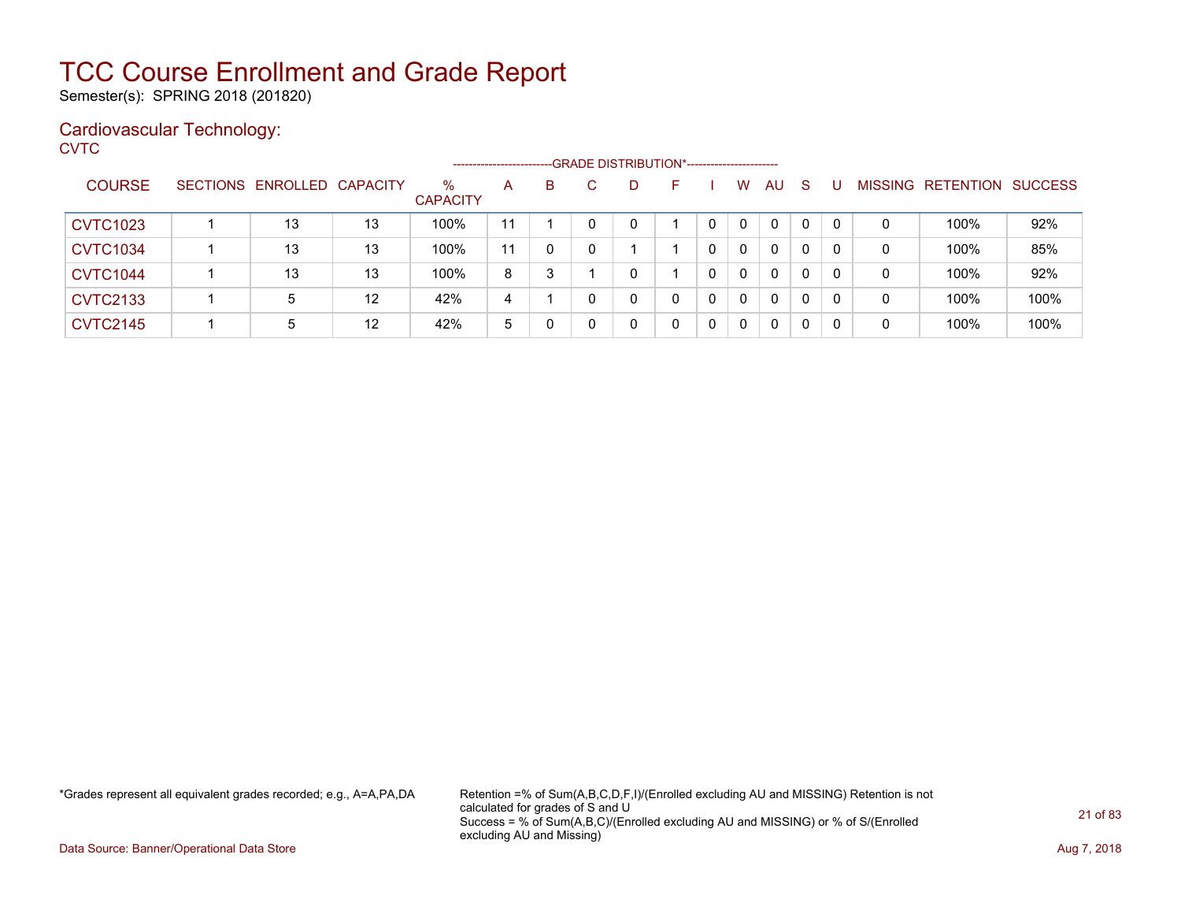Semester(s): SPRING 2018 (201820)

### Cardiovascular Technology:

**CVTC** 

|                 |                            |    |                         | ---------------------- |   | --GRADE DISTRIBUTION*----------------------- |    |   |              |              |              |          |                |                  |                |
|-----------------|----------------------------|----|-------------------------|------------------------|---|----------------------------------------------|----|---|--------------|--------------|--------------|----------|----------------|------------------|----------------|
| <b>COURSE</b>   | SECTIONS ENROLLED CAPACITY |    | $\%$<br><b>CAPACITY</b> | A                      | B | D                                            | н. |   | W            | AU           | -S           |          | <b>MISSING</b> | <b>RETENTION</b> | <b>SUCCESS</b> |
| <b>CVTC1023</b> | 13                         | 13 | 100%                    | 11                     |   |                                              |    |   | $\mathbf{0}$ | 0            | $\Omega$     | $\Omega$ | 0              | 100%             | 92%            |
| <b>CVTC1034</b> | 13                         | 13 | 100%                    | 11                     | 0 |                                              |    |   | $\mathbf{0}$ | $\Omega$     | $\mathbf{0}$ |          | 0              | 100%             | 85%            |
| <b>CVTC1044</b> | 13                         | 13 | 100%                    | 8                      | 3 |                                              |    |   | $\mathbf{0}$ | 0            | 0            | 0        | 0              | 100%             | 92%            |
| <b>CVTC2133</b> | 5                          | 12 | 42%                     | 4                      |   |                                              | 0  | 0 | $\mathbf{0}$ | $\mathbf{0}$ | $\mathbf{0}$ | $\Omega$ | 0              | 100%             | 100%           |
| <b>CVTC2145</b> | 5                          | 12 | 42%                     | 5                      | 0 |                                              | 0  | 0 | $\mathbf 0$  | 0            | 0            | 0        | 0              | 100%             | 100%           |

\*Grades represent all equivalent grades recorded; e.g., A=A,PA,DA Retention =% of Sum(A,B,C,D,F,I)/(Enrolled excluding AU and MISSING) Retention is not calculated for grades of S and U Success = % of Sum(A,B,C)/(Enrolled excluding AU and MISSING) or % of S/(Enrolled excluding AU and Missing)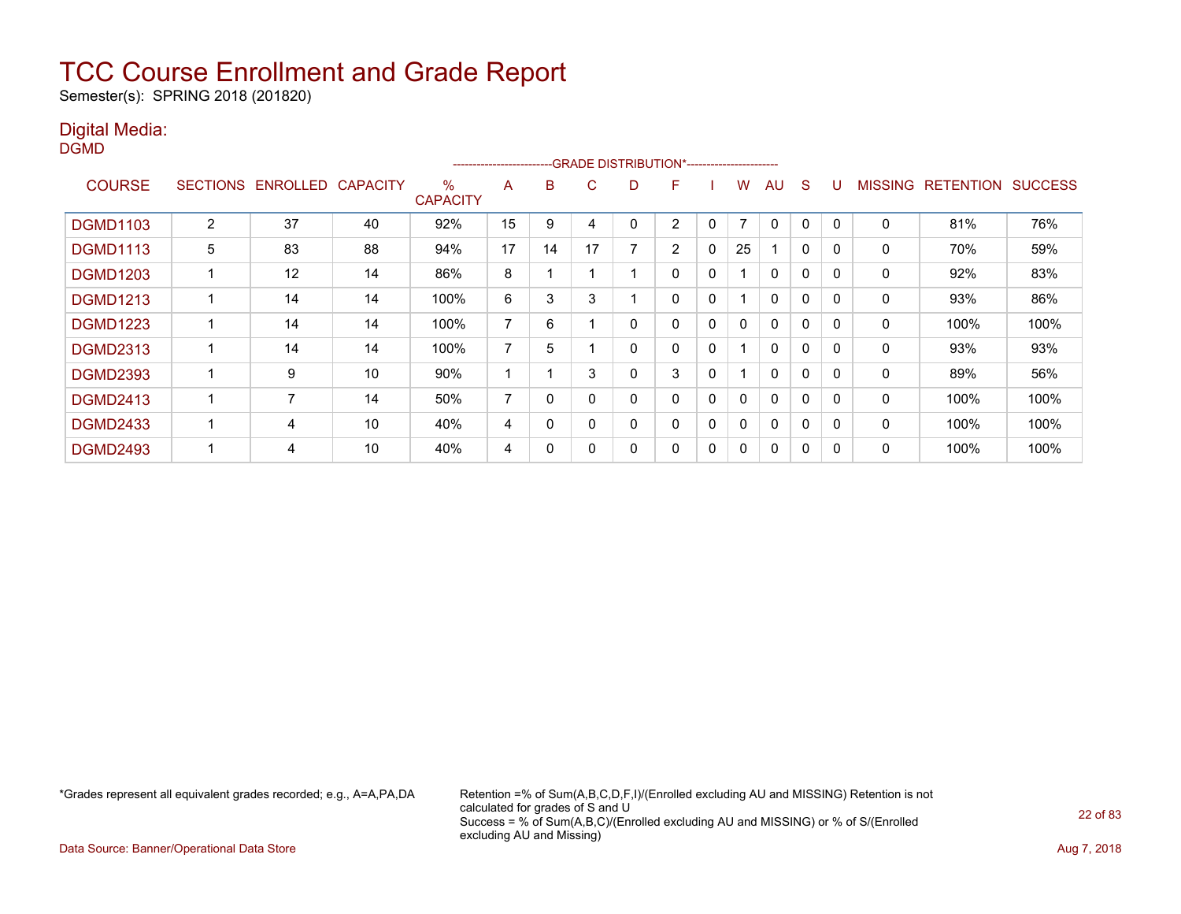Semester(s): SPRING 2018 (201820)

### Digital Media:

DGMD

|                 |                 |                 |                 |                         | ---------------------- |          | -GRADE DISTRIBUTION*----------------------- |   |                |             |                |              |              |          |                |                  |                |
|-----------------|-----------------|-----------------|-----------------|-------------------------|------------------------|----------|---------------------------------------------|---|----------------|-------------|----------------|--------------|--------------|----------|----------------|------------------|----------------|
| <b>COURSE</b>   | <b>SECTIONS</b> | <b>ENROLLED</b> | <b>CAPACITY</b> | $\%$<br><b>CAPACITY</b> | A                      | B        | C                                           | D | F              |             | w              | AU           | <sub>S</sub> |          | <b>MISSING</b> | <b>RETENTION</b> | <b>SUCCESS</b> |
| <b>DGMD1103</b> | $\overline{2}$  | 37              | 40              | 92%                     | 15                     | 9        | 4                                           |   | 2              | 0           | $\overline{7}$ | $\mathbf{0}$ | 0            | $\Omega$ | $\mathbf 0$    | 81%              | 76%            |
| <b>DGMD1113</b> | 5               | 83              | 88              | 94%                     | 17                     | 14       | 17                                          |   | $\overline{2}$ | 0           | 25             |              | $\mathbf{0}$ | $\Omega$ | $\Omega$       | 70%              | 59%            |
| <b>DGMD1203</b> |                 | 12              | 14              | 86%                     | 8                      |          |                                             |   | 0              | 0           |                | $\mathbf{0}$ | 0            | $\Omega$ | 0              | 92%              | 83%            |
| <b>DGMD1213</b> |                 | 14              | 14              | 100%                    | 6                      | 3        | 3                                           |   | 0              | $\mathbf 0$ |                | 0            | 0            | $\Omega$ | 0              | 93%              | 86%            |
| <b>DGMD1223</b> |                 | 14              | 14              | 100%                    | $\overline{7}$         | 6        |                                             | 0 | 0              | 0           | 0              | $\Omega$     | 0            | $\Omega$ | 0              | 100%             | 100%           |
| <b>DGMD2313</b> |                 | 14              | 14              | 100%                    | 7                      | 5        |                                             | 0 | 0              | 0           |                | $\mathbf{0}$ | $\Omega$     | $\Omega$ | 0              | 93%              | 93%            |
| <b>DGMD2393</b> |                 | 9               | 10              | 90%                     |                        |          | 3                                           |   | 3              | $\mathbf 0$ |                | $\mathbf{0}$ | 0            | $\Omega$ | 0              | 89%              | 56%            |
| <b>DGMD2413</b> |                 | $\overline{7}$  | 14              | 50%                     | $\overline{ }$         | $\Omega$ | $\Omega$                                    | ი | 0              | 0           | 0              | $\mathbf{0}$ | 0            | $\Omega$ | 0              | 100%             | 100%           |
| <b>DGMD2433</b> |                 | 4               | 10              | 40%                     | 4                      | 0        | $\Omega$                                    |   | 0              | 0           | 0              | $\mathbf{0}$ | 0            |          | 0              | 100%             | 100%           |
| <b>DGMD2493</b> |                 | 4               | 10              | 40%                     | 4                      | 0        |                                             |   | 0              | 0           | 0              | $\mathbf{0}$ | 0            | 0        | 0              | 100%             | 100%           |

\*Grades represent all equivalent grades recorded; e.g., A=A,PA,DA Retention =% of Sum(A,B,C,D,F,I)/(Enrolled excluding AU and MISSING) Retention is not calculated for grades of S and U Success = % of Sum(A,B,C)/(Enrolled excluding AU and MISSING) or % of S/(Enrolled excluding AU and Missing)

Data Source: Banner/Operational Data Store **Aug 7, 2018**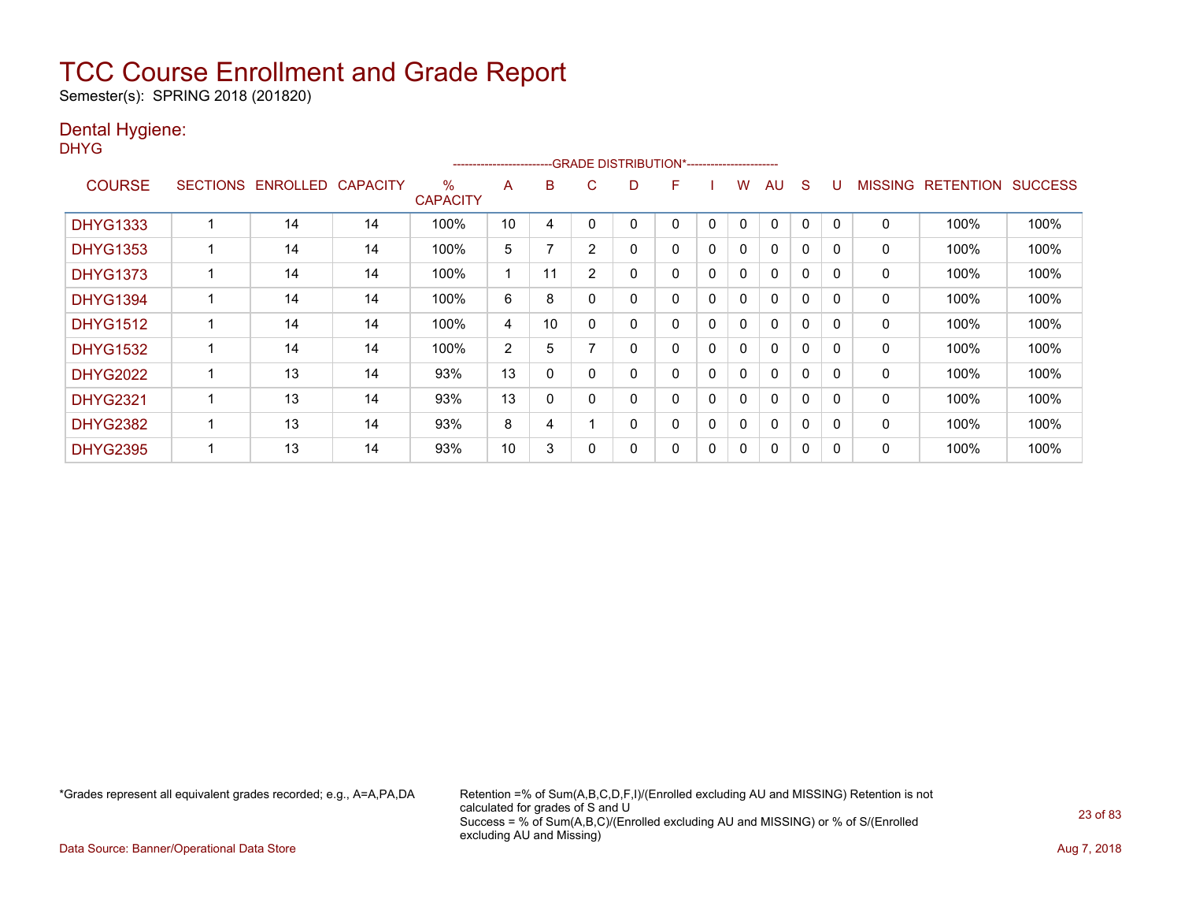Semester(s): SPRING 2018 (201820)

### Dental Hygiene:

DHYG

|                 |                 |                 |                 |                         | ----------------------- |    |                | --GRADE DISTRIBUTION*----------------------- |   |              |              |              |              |          |                |                  |                |
|-----------------|-----------------|-----------------|-----------------|-------------------------|-------------------------|----|----------------|----------------------------------------------|---|--------------|--------------|--------------|--------------|----------|----------------|------------------|----------------|
| <b>COURSE</b>   | <b>SECTIONS</b> | <b>ENROLLED</b> | <b>CAPACITY</b> | $\%$<br><b>CAPACITY</b> | A                       | B  | C              | D                                            | F |              | W            | AU           | <sub>S</sub> |          | <b>MISSING</b> | <b>RETENTION</b> | <b>SUCCESS</b> |
| <b>DHYG1333</b> |                 | 14              | 14              | 100%                    | 10                      | 4  |                |                                              | 0 | 0            | 0            | $\mathbf{0}$ | 0            |          | 0              | 100%             | 100%           |
| <b>DHYG1353</b> |                 | 14              | 14              | 100%                    | 5                       |    | $\overline{2}$ | 0                                            | 0 | $\mathbf{0}$ | 0            | $\mathbf{0}$ | $\Omega$     | $\Omega$ | 0              | 100%             | 100%           |
| <b>DHYG1373</b> |                 | 14              | 14              | 100%                    |                         | 11 | $\overline{2}$ | 0                                            | 0 | 0            | 0            | $\mathbf{0}$ | $\Omega$     | $\Omega$ | 0              | 100%             | 100%           |
| <b>DHYG1394</b> |                 | 14              | 14              | 100%                    | 6                       | 8  |                | 0                                            | 0 | $\mathbf{0}$ | $\mathbf{0}$ | $\mathbf{0}$ | $\mathbf{0}$ | $\Omega$ | 0              | 100%             | 100%           |
| <b>DHYG1512</b> |                 | 14              | 14              | 100%                    | 4                       | 10 |                | 0                                            | 0 | $\mathbf{0}$ | $\mathbf{0}$ | $\mathbf{0}$ | $\mathbf{0}$ | $\Omega$ | 0              | 100%             | 100%           |
| <b>DHYG1532</b> |                 | 14              | 14              | 100%                    | 2                       | 5  |                | 0                                            | 0 | $\mathbf{0}$ | 0            | $\mathbf{0}$ | $\mathbf{0}$ | $\Omega$ | 0              | 100%             | 100%           |
| <b>DHYG2022</b> |                 | 13              | 14              | 93%                     | 13                      | 0  |                | 0                                            | 0 | $\mathbf{0}$ | $\mathbf{0}$ | $\mathbf{0}$ | $\mathbf{0}$ | $\Omega$ | 0              | 100%             | 100%           |
| <b>DHYG2321</b> |                 | 13              | 14              | 93%                     | 13                      | 0  |                | 0                                            | 0 | $\mathbf{0}$ | $\mathbf{0}$ | $\mathbf{0}$ | 0            |          | 0              | 100%             | 100%           |
| <b>DHYG2382</b> |                 | 13              | 14              | 93%                     | 8                       | 4  |                | 0                                            | 0 | 0            | 0            | $\mathbf{0}$ | 0            | $\Omega$ | 0              | 100%             | 100%           |
| <b>DHYG2395</b> |                 | 13              | 14              | 93%                     | 10                      | 3  |                | 0                                            | 0 | 0            | 0            | 0            | 0            |          | 0              | 100%             | 100%           |

\*Grades represent all equivalent grades recorded; e.g., A=A,PA,DA Retention =% of Sum(A,B,C,D,F,I)/(Enrolled excluding AU and MISSING) Retention is not calculated for grades of S and U Success = % of Sum(A,B,C)/(Enrolled excluding AU and MISSING) or % of S/(Enrolled excluding AU and Missing)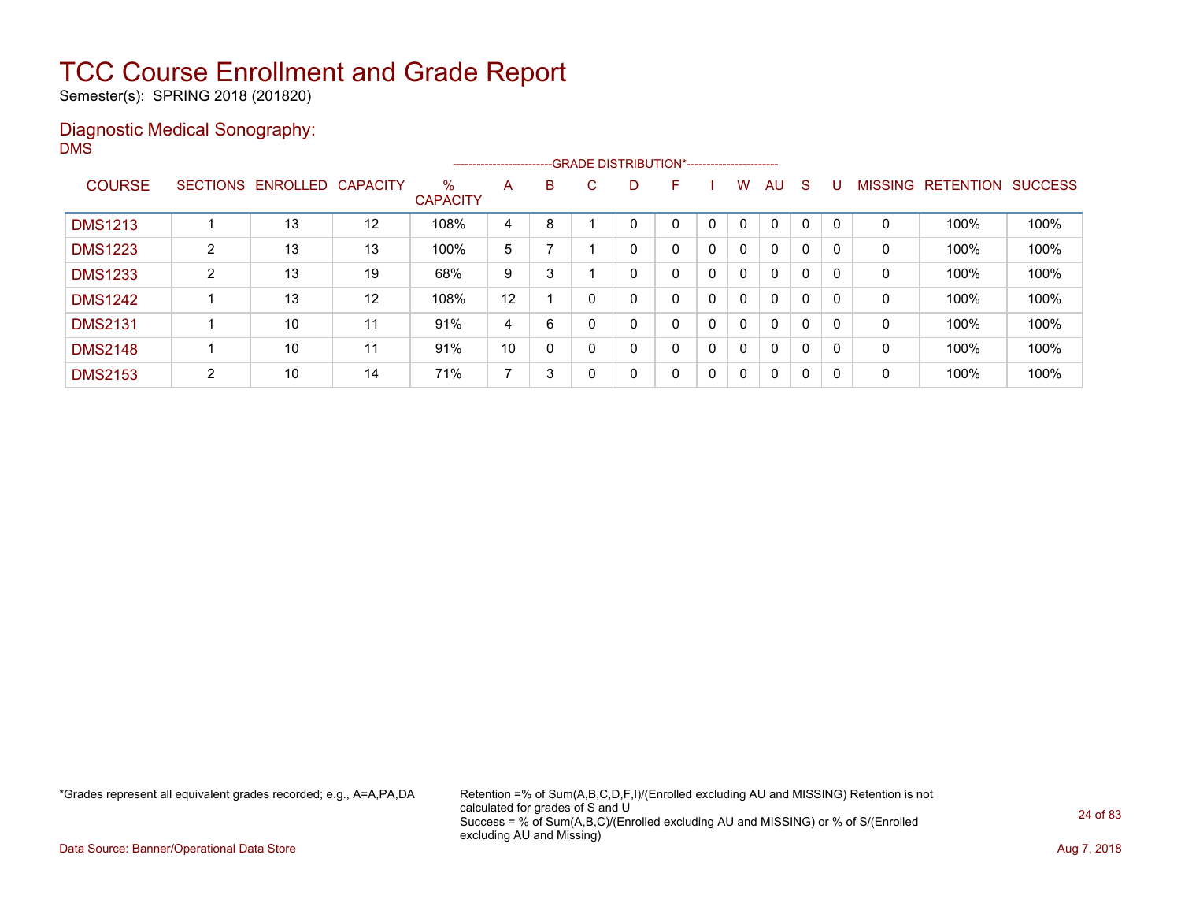Semester(s): SPRING 2018 (201820)

### Diagnostic Medical Sonography: DMS

|                |                 |          |          |                         |    |          | --------------------------GRADE DISTRIBUTION*----------------------- |   |   |              |              |              |              |          |                |                  |                |
|----------------|-----------------|----------|----------|-------------------------|----|----------|----------------------------------------------------------------------|---|---|--------------|--------------|--------------|--------------|----------|----------------|------------------|----------------|
| <b>COURSE</b>  | <b>SECTIONS</b> | ENROLLED | CAPACITY | $\%$<br><b>CAPACITY</b> | A  | B        | C.                                                                   | D | F |              | W            | AU           | <sub>S</sub> |          | <b>MISSING</b> | <b>RETENTION</b> | <b>SUCCESS</b> |
| <b>DMS1213</b> |                 | 13       | $12 \,$  | 108%                    | 4  | 8        |                                                                      |   | 0 | $\Omega$     | $\mathbf{0}$ | $\mathbf 0$  | $\mathbf 0$  | $\Omega$ | 0              | 100%             | 100%           |
| <b>DMS1223</b> | 2               | 13       | 13       | 100%                    | 5  |          |                                                                      | 0 | 0 | $\mathbf{0}$ | 0            | $\mathbf{0}$ | $\mathbf 0$  | 0        | 0              | 100%             | 100%           |
| <b>DMS1233</b> | 2               | 13       | 19       | 68%                     | 9  | 3        |                                                                      |   | 0 | 0            | $\Omega$     | 0            | 0            | -C       | 0              | 100%             | 100%           |
| <b>DMS1242</b> |                 | 13       | 12       | 108%                    | 12 |          |                                                                      |   | 0 | $\mathbf{0}$ | $\Omega$     | $\mathbf{0}$ | 0            | 0        | 0              | 100%             | 100%           |
| <b>DMS2131</b> |                 | 10       | 11       | 91%                     | 4  | 6        |                                                                      | 0 | 0 | $\mathbf{0}$ | $\Omega$     | $\mathbf{0}$ | 0            | 0        | 0              | 100%             | 100%           |
| <b>DMS2148</b> |                 | 10       | 11       | 91%                     | 10 | $\Omega$ |                                                                      | 0 | 0 | $\mathbf{0}$ | $\Omega$     | $\mathbf{0}$ | 0            | 0        | 0              | 100%             | 100%           |
| <b>DMS2153</b> | 2               | 10       | 14       | 71%                     | ⇁  | 3        |                                                                      | 0 | 0 | $\mathbf{0}$ | $\mathbf{0}$ | $\mathbf{0}$ | 0            | 0        | 0              | 100%             | 100%           |

\*Grades represent all equivalent grades recorded; e.g., A=A,PA,DA Retention =% of Sum(A,B,C,D,F,I)/(Enrolled excluding AU and MISSING) Retention is not calculated for grades of S and U Success = % of Sum(A,B,C)/(Enrolled excluding AU and MISSING) or % of S/(Enrolled excluding AU and Missing)

Data Source: Banner/Operational Data Store **Aug 7, 2018**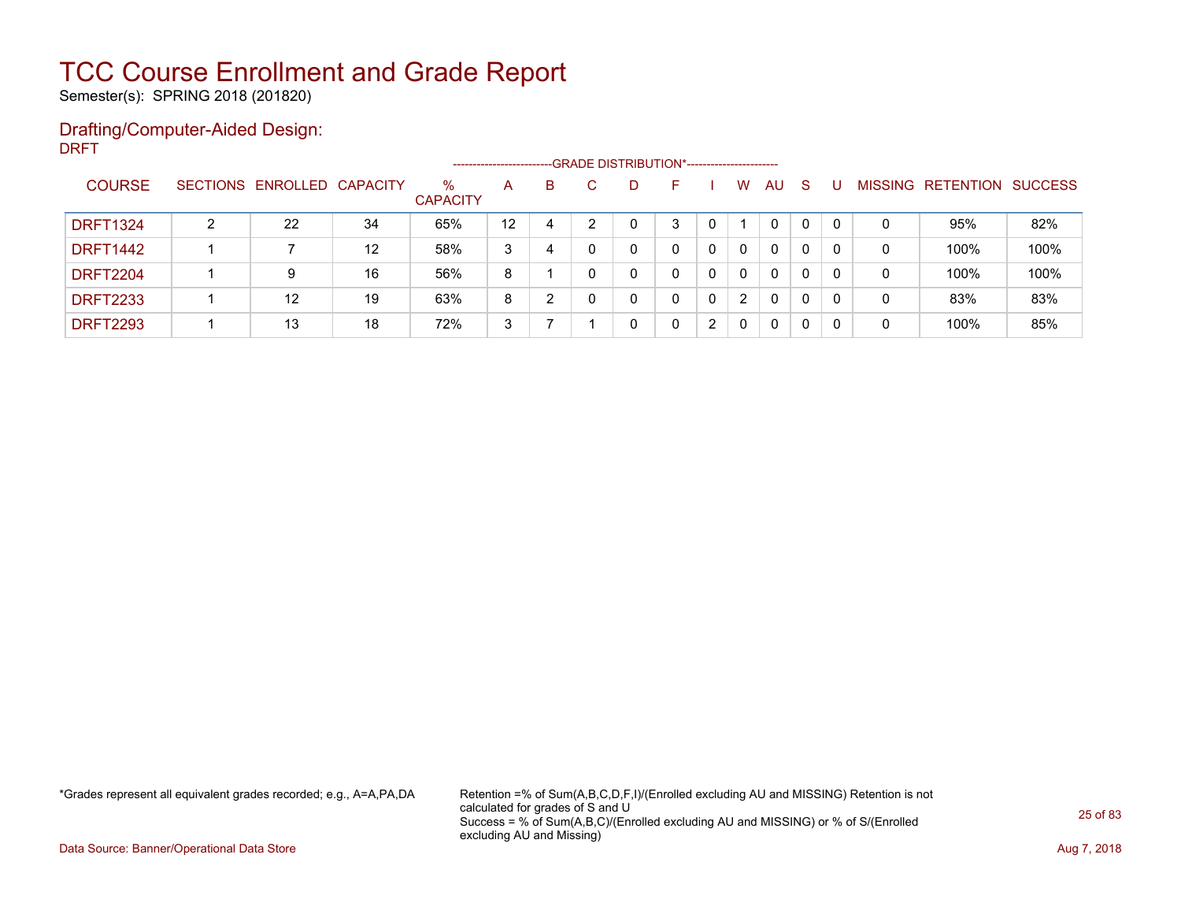Semester(s): SPRING 2018 (201820)

### Drafting/Computer-Aided Design: DRFT

|                 |   |                            |                   |                         |    |   | -- GRADE DISTRIBUTION*------------------------ |    |   |              |              |    |   |   |                           |      |
|-----------------|---|----------------------------|-------------------|-------------------------|----|---|------------------------------------------------|----|---|--------------|--------------|----|---|---|---------------------------|------|
| <b>COURSE</b>   |   | SECTIONS ENROLLED CAPACITY |                   | $\%$<br><b>CAPACITY</b> | A  | B | D                                              | н. |   | W            | AU           | -S |   |   | MISSING RETENTION SUCCESS |      |
| <b>DRFT1324</b> | ົ | 22                         | 34                | 65%                     | 12 | 4 |                                                | 3  |   |              | $\mathbf{0}$ | 0  |   | 0 | 95%                       | 82%  |
| <b>DRFT1442</b> |   |                            | $12 \overline{ }$ | 58%                     | 3  | 4 |                                                |    |   | $\mathbf{0}$ | $\Omega$     | 0  | 0 | 0 | 100%                      | 100% |
| <b>DRFT2204</b> |   | 9                          | 16                | 56%                     | 8  |   |                                                |    |   | $\mathbf{0}$ | 0            | 0  | 0 | 0 | 100%                      | 100% |
| <b>DRFT2233</b> |   | 12                         | 19                | 63%                     | 8  | າ |                                                | 0  | 0 | 2            | 0            | 0  |   | 0 | 83%                       | 83%  |
| <b>DRFT2293</b> |   | 13                         | 18                | 72%                     | 3  |   |                                                |    | າ | 0            | 0            | 0  | 0 | 0 | 100%                      | 85%  |

\*Grades represent all equivalent grades recorded; e.g., A=A,PA,DA Retention =% of Sum(A,B,C,D,F,I)/(Enrolled excluding AU and MISSING) Retention is not calculated for grades of S and U Success = % of Sum(A,B,C)/(Enrolled excluding AU and MISSING) or % of S/(Enrolled excluding AU and Missing)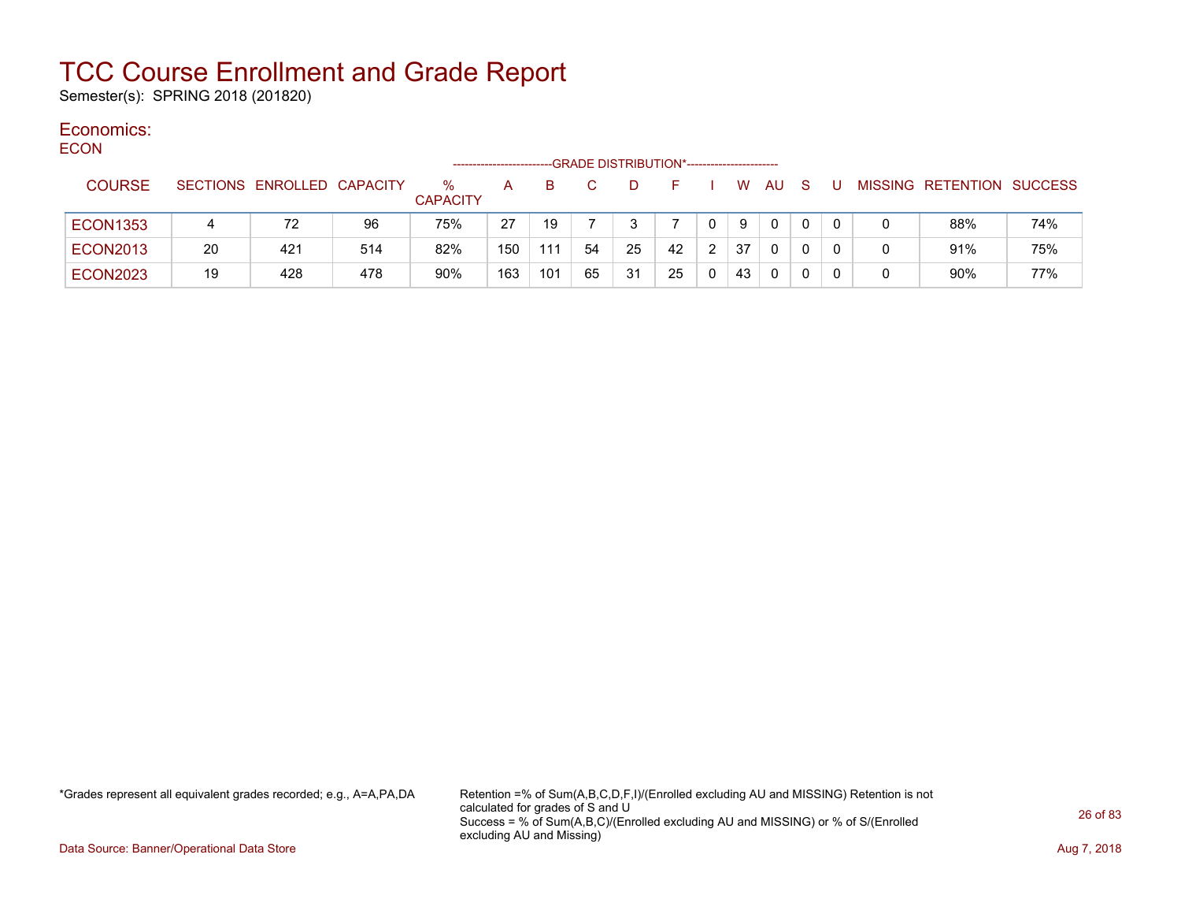Semester(s): SPRING 2018 (201820)

#### Economics: ECON

| <b>EUUN</b> |                 |    |                            |     |                         | -------------------- |     |    | --GRADE DISTRIBUTION*----------------------- |          |              |    |              |     |    |                           |     |
|-------------|-----------------|----|----------------------------|-----|-------------------------|----------------------|-----|----|----------------------------------------------|----------|--------------|----|--------------|-----|----|---------------------------|-----|
|             | <b>COURSE</b>   |    | SECTIONS ENROLLED CAPACITY |     | $\%$<br><b>CAPACITY</b> | A                    | B.  | C. | D                                            | <b>1</b> |              |    | W AU         | - S | J. | MISSING RETENTION SUCCESS |     |
|             | <b>ECON1353</b> |    | 72                         | 96  | 75%                     | 27                   | 19  |    |                                              |          | $\mathbf{0}$ | 9  | $\Omega$     | 0   |    | 88%                       | 74% |
|             | <b>ECON2013</b> | 20 | 421                        | 514 | 82%                     | 150                  | 111 | 54 | 25                                           | 42       | 2            | 37 | $\mathbf{0}$ | 0   |    | 91%                       | 75% |
|             | <b>ECON2023</b> | 19 | 428                        | 478 | 90%                     | 163                  | 101 | 65 | 31                                           | 25       |              | 43 | 0            | 0   |    | 90%                       | 77% |

\*Grades represent all equivalent grades recorded; e.g., A=A,PA,DA Retention =% of Sum(A,B,C,D,F,I)/(Enrolled excluding AU and MISSING) Retention is not calculated for grades of S and U Success = % of Sum(A,B,C)/(Enrolled excluding AU and MISSING) or % of S/(Enrolled excluding AU and Missing)

Data Source: Banner/Operational Data Store **Aug 7, 2018**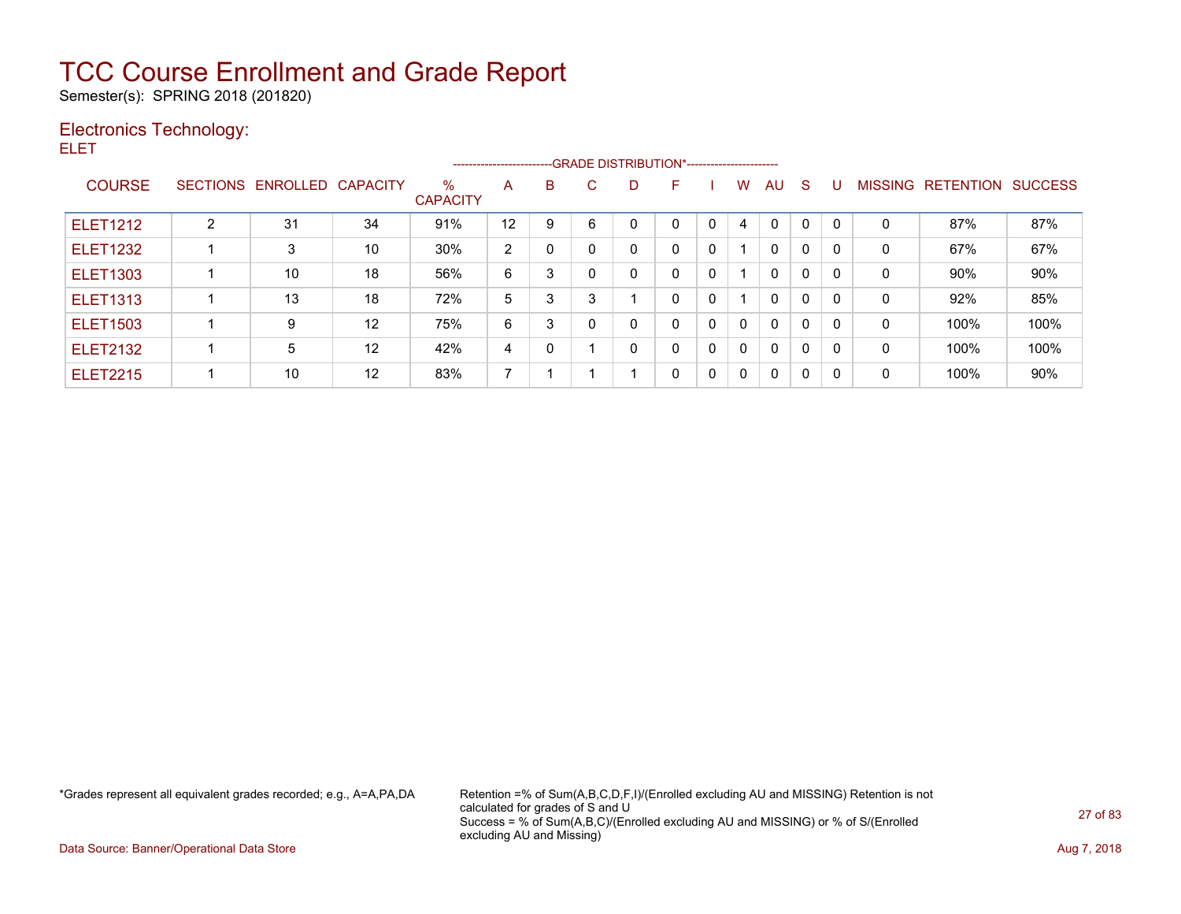Semester(s): SPRING 2018 (201820)

### Electronics Technology:

ELET

|                 |                 |          |                 |                         |                |   |   |   | ------------------------GRADE DISTRIBUTION*---------------------- |          |              |              |              |              |                |           |                |
|-----------------|-----------------|----------|-----------------|-------------------------|----------------|---|---|---|-------------------------------------------------------------------|----------|--------------|--------------|--------------|--------------|----------------|-----------|----------------|
| <b>COURSE</b>   | <b>SECTIONS</b> | ENROLLED | <b>CAPACITY</b> | $\%$<br><b>CAPACITY</b> | A              | B | С | D | F                                                                 |          | W            | AU.          | <sub>S</sub> |              | <b>MISSING</b> | RETENTION | <b>SUCCESS</b> |
| <b>ELET1212</b> | っ               | 31       | 34              | 91%                     | 12             | 9 | 6 | 0 |                                                                   |          | 4            | $\Omega$     | $\mathbf 0$  | $\mathbf{0}$ | 0              | 87%       | 87%            |
| <b>ELET1232</b> |                 | 3        | 10              | 30%                     | $\overline{2}$ |   |   | 0 | $\Omega$                                                          | 0        |              | $\mathbf{0}$ | 0            | $\mathbf{0}$ | 0              | 67%       | 67%            |
| <b>ELET1303</b> |                 | 10       | 18              | 56%                     | 6              | 3 |   | 0 | 0                                                                 | 0        |              | $\mathbf{0}$ | $\mathbf{0}$ | $\mathbf{0}$ | 0              | 90%       | 90%            |
| <b>ELET1313</b> |                 | 13       | 18              | 72%                     | 5              | 3 | 3 |   | 0                                                                 | 0        |              | $\mathbf{0}$ | $\mathbf{0}$ | $\mathbf{0}$ | 0              | 92%       | 85%            |
| <b>ELET1503</b> |                 | 9        | 12              | 75%                     | 6              | 3 |   | 0 | 0                                                                 | 0        | $\mathbf{0}$ | $\mathbf{0}$ | $\mathbf{0}$ | $\mathbf{0}$ | 0              | 100%      | 100%           |
| <b>ELET2132</b> |                 | 5        | 12              | 42%                     | 4              |   |   | 0 | 0                                                                 | $\Omega$ | $\mathbf{0}$ | $\mathbf{0}$ | 0            | $\mathbf{0}$ | 0              | 100%      | 100%           |
| <b>ELET2215</b> |                 | 10       | 12              | 83%                     | 7              |   |   |   | 0                                                                 | 0        | 0            | $\mathbf{0}$ | $\Omega$     | $\Omega$     | 0              | 100%      | 90%            |

\*Grades represent all equivalent grades recorded; e.g., A=A,PA,DA Retention =% of Sum(A,B,C,D,F,I)/(Enrolled excluding AU and MISSING) Retention is not calculated for grades of S and U Success = % of Sum(A,B,C)/(Enrolled excluding AU and MISSING) or % of S/(Enrolled excluding AU and Missing)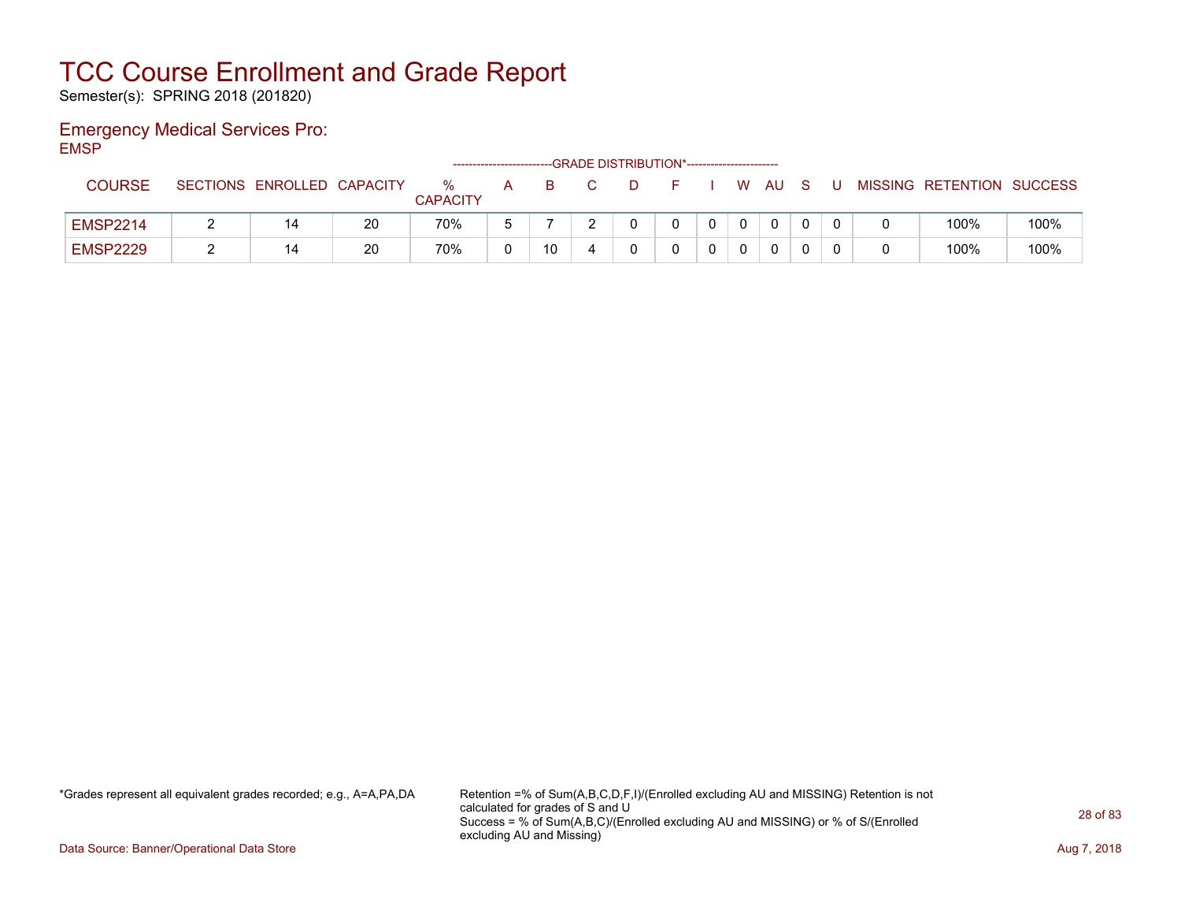Semester(s): SPRING 2018 (201820)

### Emergency Medical Services Pro: EMSP

|                 |                            |    |                      | ----------------------- |    | --GRADE DISTRIBUTION*----------------------- |  |    |     |  |                           |      |
|-----------------|----------------------------|----|----------------------|-------------------------|----|----------------------------------------------|--|----|-----|--|---------------------------|------|
| <b>COURSE</b>   | SECTIONS ENROLLED CAPACITY |    | %<br><b>CAPACITY</b> | A                       |    |                                              |  | W. | AU. |  | MISSING RETENTION SUCCESS |      |
| <b>EMSP2214</b> | 14                         | 20 | 70%                  |                         |    |                                              |  |    | 0   |  | 100%                      | 100% |
| <b>EMSP2229</b> | 14                         | 20 | 70%                  |                         | 10 |                                              |  |    | 0   |  | 100%                      | 100% |

\*Grades represent all equivalent grades recorded; e.g., A=A,PA,DA Retention =% of Sum(A,B,C,D,F,I)/(Enrolled excluding AU and MISSING) Retention is not calculated for grades of S and U Success = % of Sum(A,B,C)/(Enrolled excluding AU and MISSING) or % of S/(Enrolled excluding AU and Missing)

Data Source: Banner/Operational Data Store **Aug 7, 2018**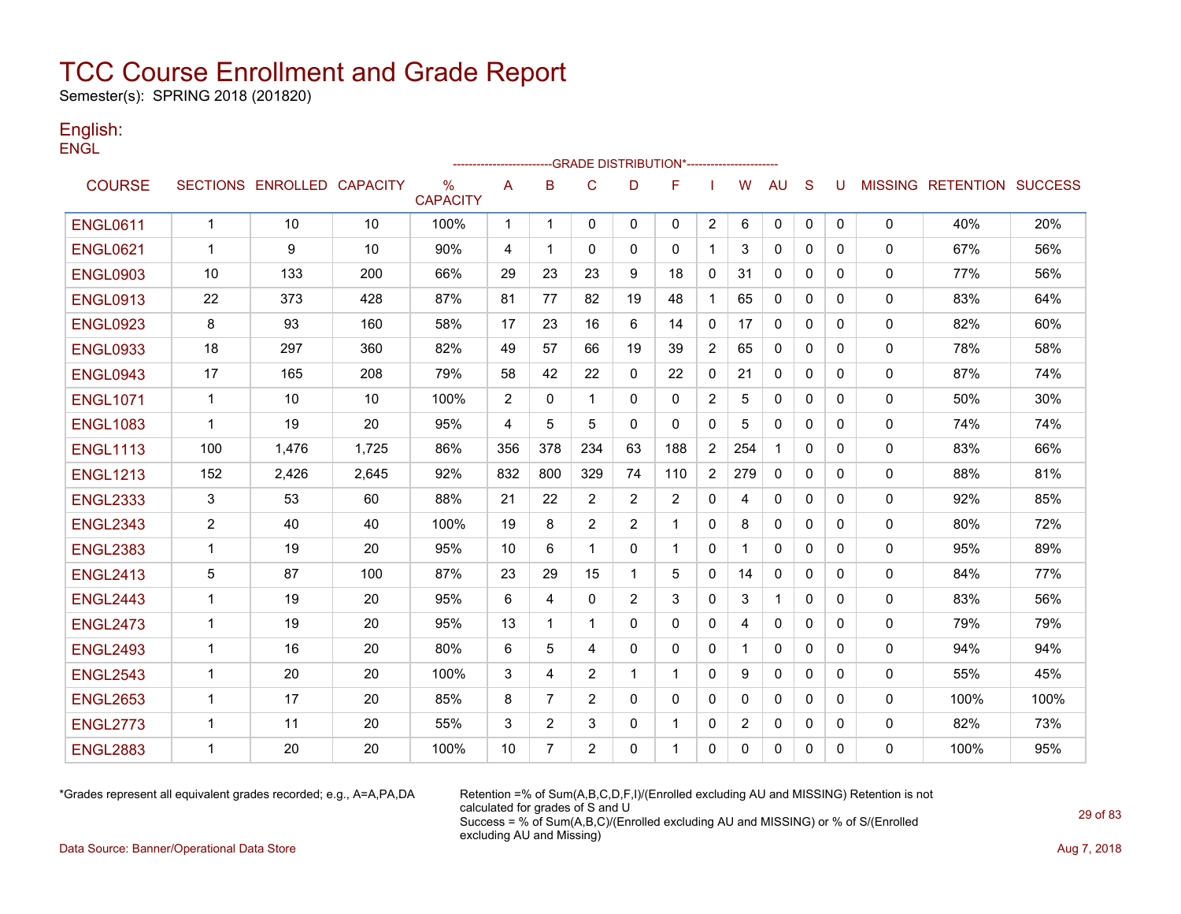Semester(s): SPRING 2018 (201820)

### English: **ENGL**

|                 |                |                            |       |                         |                |                |                |                | -------------------GRADE                      DISTRIBUTION*--------------------- |                |          |              |              |              |              |                                  |      |
|-----------------|----------------|----------------------------|-------|-------------------------|----------------|----------------|----------------|----------------|----------------------------------------------------------------------------------|----------------|----------|--------------|--------------|--------------|--------------|----------------------------------|------|
| <b>COURSE</b>   |                | SECTIONS ENROLLED CAPACITY |       | $\%$<br><b>CAPACITY</b> | A              | B              | $\mathsf{C}$   | D              | F                                                                                |                | W        | AU           | S            | U            |              | <b>MISSING RETENTION SUCCESS</b> |      |
| <b>ENGL0611</b> | $\overline{1}$ | 10                         | 10    | 100%                    | $\mathbf{1}$   | $\mathbf{1}$   | $\mathbf{0}$   | $\mathbf{0}$   | $\mathbf{0}$                                                                     | $\overline{2}$ | 6        | 0            | 0            | $\mathbf{0}$ | 0            | 40%                              | 20%  |
| <b>ENGL0621</b> | $\mathbf{1}$   | 9                          | 10    | 90%                     | 4              | $\mathbf 1$    | $\Omega$       | 0              | $\mathbf{0}$                                                                     | $\mathbf{1}$   | 3        | $\Omega$     | $\Omega$     | 0            | $\mathbf{0}$ | 67%                              | 56%  |
| <b>ENGL0903</b> | 10             | 133                        | 200   | 66%                     | 29             | 23             | 23             | 9              | 18                                                                               | 0              | 31       | 0            | $\Omega$     | 0            | 0            | 77%                              | 56%  |
| <b>ENGL0913</b> | 22             | 373                        | 428   | 87%                     | 81             | 77             | 82             | 19             | 48                                                                               | $\mathbf{1}$   | 65       | 0            | $\Omega$     | 0            | 0            | 83%                              | 64%  |
| <b>ENGL0923</b> | 8              | 93                         | 160   | 58%                     | 17             | 23             | 16             | 6              | 14                                                                               | $\mathbf{0}$   | 17       | 0            | $\mathbf{0}$ | 0            | 0            | 82%                              | 60%  |
| <b>ENGL0933</b> | 18             | 297                        | 360   | 82%                     | 49             | 57             | 66             | 19             | 39                                                                               | $\overline{2}$ | 65       | $\mathbf{0}$ | $\mathbf{0}$ | 0            | 0            | 78%                              | 58%  |
| <b>ENGL0943</b> | 17             | 165                        | 208   | 79%                     | 58             | 42             | 22             | $\mathbf{0}$   | 22                                                                               | 0              | 21       | 0            | $\mathbf{0}$ | 0            | $\mathbf 0$  | 87%                              | 74%  |
| <b>ENGL1071</b> | $\mathbf{1}$   | 10                         | 10    | 100%                    | $\overline{2}$ | $\Omega$       | $\mathbf{1}$   | $\Omega$       | $\mathbf{0}$                                                                     | $\overline{2}$ | 5        | $\Omega$     | $\Omega$     | $\Omega$     | 0            | 50%                              | 30%  |
| <b>ENGL1083</b> | $\mathbf{1}$   | 19                         | 20    | 95%                     | 4              | 5              | 5              | $\mathbf{0}$   | $\Omega$                                                                         | $\mathbf{0}$   | 5        | 0            | $\Omega$     | 0            | $\mathbf 0$  | 74%                              | 74%  |
| <b>ENGL1113</b> | 100            | 1,476                      | 1,725 | 86%                     | 356            | 378            | 234            | 63             | 188                                                                              | $\overline{2}$ | 254      | $\mathbf{1}$ | $\Omega$     | 0            | 0            | 83%                              | 66%  |
| <b>ENGL1213</b> | 152            | 2,426                      | 2,645 | 92%                     | 832            | 800            | 329            | 74             | 110                                                                              | $\overline{2}$ | 279      | $\Omega$     | $\Omega$     | 0            | 0            | 88%                              | 81%  |
| <b>ENGL2333</b> | 3              | 53                         | 60    | 88%                     | 21             | 22             | 2              | $\overline{2}$ | 2                                                                                | 0              | 4        | 0            | $\Omega$     | 0            | 0            | 92%                              | 85%  |
| <b>ENGL2343</b> | $\overline{2}$ | 40                         | 40    | 100%                    | 19             | 8              | $\overline{2}$ | 2              | 1                                                                                | $\mathbf{0}$   | 8        | 0            | $\Omega$     | 0            | 0            | 80%                              | 72%  |
| <b>ENGL2383</b> | $\mathbf{1}$   | 19                         | 20    | 95%                     | 10             | 6              | $\mathbf 1$    | $\mathbf{0}$   | -1                                                                               | $\mathbf{0}$   | 1        | 0            | $\mathbf{0}$ | 0            | 0            | 95%                              | 89%  |
| <b>ENGL2413</b> | 5              | 87                         | 100   | 87%                     | 23             | 29             | 15             | 1              | 5                                                                                | 0              | 14       | 0            | $\Omega$     | 0            | 0            | 84%                              | 77%  |
| <b>ENGL2443</b> | $\mathbf{1}$   | 19                         | 20    | 95%                     | 6              | 4              | $\Omega$       | 2              | 3                                                                                | 0              | 3        | $\mathbf{1}$ | $\mathbf{0}$ | 0            | 0            | 83%                              | 56%  |
| <b>ENGL2473</b> | $\mathbf{1}$   | 19                         | 20    | 95%                     | 13             | 1              | $\mathbf{1}$   | $\Omega$       | $\Omega$                                                                         | $\mathbf{0}$   | 4        | $\Omega$     | $\Omega$     | 0            | $\mathbf 0$  | 79%                              | 79%  |
| <b>ENGL2493</b> | $\mathbf{1}$   | 16                         | 20    | 80%                     | 6              | 5              | 4              | $\mathbf{0}$   | $\mathbf{0}$                                                                     | $\mathbf{0}$   | 1        | 0            | $\Omega$     | 0            | 0            | 94%                              | 94%  |
| <b>ENGL2543</b> | $\mathbf{1}$   | 20                         | 20    | 100%                    | 3              | 4              | 2              | $\mathbf 1$    | $\overline{1}$                                                                   | $\mathbf{0}$   | 9        | $\mathbf{0}$ | $\Omega$     | 0            | 0            | 55%                              | 45%  |
| <b>ENGL2653</b> | 1              | 17                         | 20    | 85%                     | 8              | $\overline{7}$ | $\overline{2}$ | $\mathbf{0}$   | $\mathbf{0}$                                                                     | 0              | $\Omega$ | $\Omega$     | $\Omega$     | 0            | $\mathbf 0$  | 100%                             | 100% |
| <b>ENGL2773</b> | $\mathbf{1}$   | 11                         | 20    | 55%                     | 3              | 2              | 3              | 0              | $\overline{\mathbf{1}}$                                                          | 0              | 2        | 0            | $\mathbf{0}$ | 0            | 0            | 82%                              | 73%  |
| <b>ENGL2883</b> | $\mathbf{1}$   | 20                         | 20    | 100%                    | 10             | 7              | $\overline{2}$ | $\Omega$       | 1                                                                                | $\Omega$       | 0        | $\Omega$     | $\mathbf{0}$ | 0            | 0            | 100%                             | 95%  |

\*Grades represent all equivalent grades recorded; e.g., A=A,PA,DA Retention =% of Sum(A,B,C,D,F,I)/(Enrolled excluding AU and MISSING) Retention is not calculated for grades of S and U Success = % of Sum(A,B,C)/(Enrolled excluding AU and MISSING) or % of S/(Enrolled excluding AU and Missing)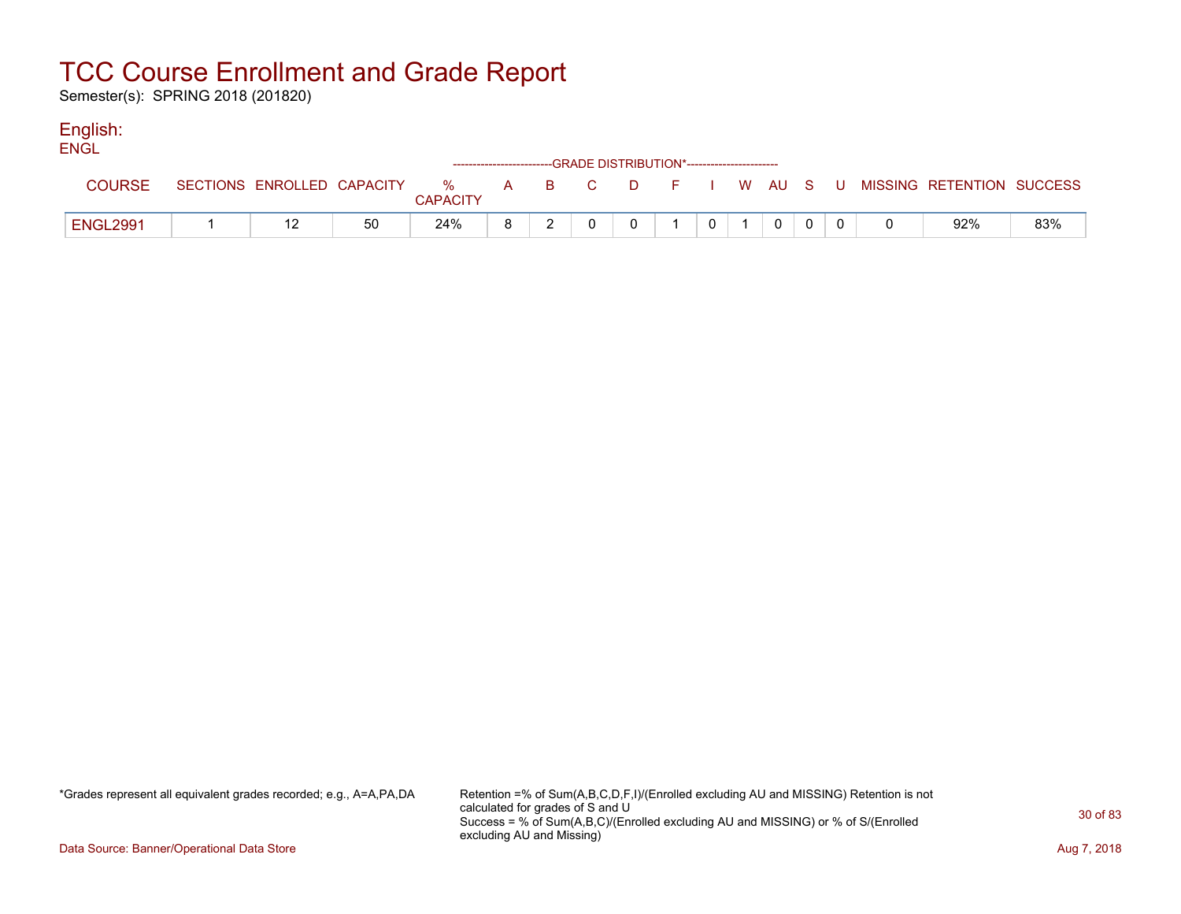Semester(s): SPRING 2018 (201820)

### English:

| <b>ENGL</b>     |  |    | ------------------------GRADE DISTRIBUTION*----------------------- |  |  |  |             |  |                                                                             |     |
|-----------------|--|----|--------------------------------------------------------------------|--|--|--|-------------|--|-----------------------------------------------------------------------------|-----|
| <b>COURSE</b>   |  |    | <b>CAPACITY</b>                                                    |  |  |  |             |  | SECTIONS ENROLLED CAPACITY % A B C D F I W AU S U MISSING RETENTION SUCCESS |     |
| <b>ENGL2991</b> |  | 50 | 24%                                                                |  |  |  | $\mathbf 0$ |  | 92%                                                                         | 83% |

\*Grades represent all equivalent grades recorded; e.g., A=A,PA,DA Retention =% of Sum(A,B,C,D,F,I)/(Enrolled excluding AU and MISSING) Retention is not calculated for grades of S and U Success = % of Sum(A,B,C)/(Enrolled excluding AU and MISSING) or % of S/(Enrolled excluding AU and Missing)

Data Source: Banner/Operational Data Store **Aug 7, 2018**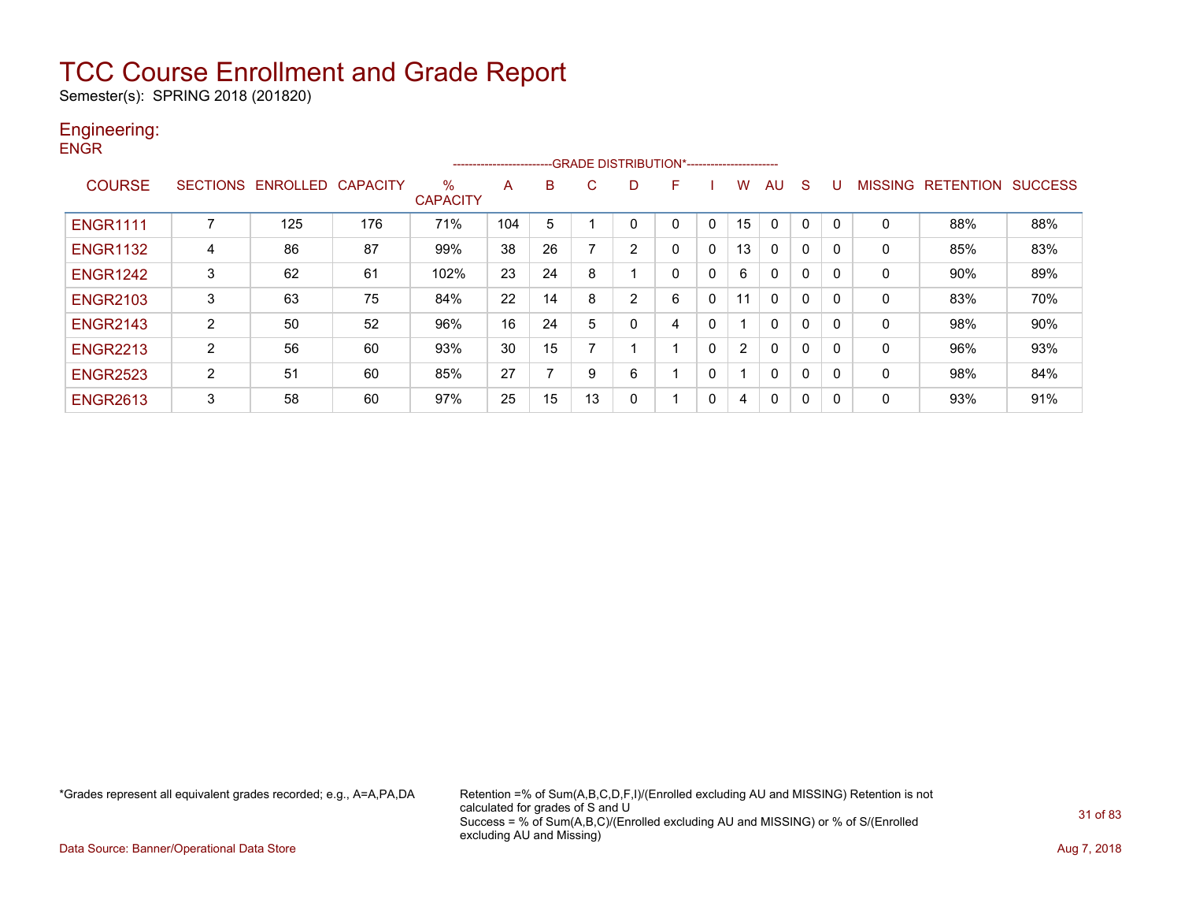Semester(s): SPRING 2018 (201820)

### Engineering: **ENGR**

|                 |                 |                   |     |                      | ---------------------- |    | -- GRADE DISTRIBUTION*------------------------- |                |          |             |                |              |              |              |                |                  |                |
|-----------------|-----------------|-------------------|-----|----------------------|------------------------|----|-------------------------------------------------|----------------|----------|-------------|----------------|--------------|--------------|--------------|----------------|------------------|----------------|
| <b>COURSE</b>   | <b>SECTIONS</b> | ENROLLED CAPACITY |     | %<br><b>CAPACITY</b> | A                      | B  | C                                               | D              | F        |             | w              | AU           | <sub>S</sub> |              | <b>MISSING</b> | <b>RETENTION</b> | <b>SUCCESS</b> |
| <b>ENGR1111</b> | ∍               | 125               | 176 | 71%                  | 104                    | 5  |                                                 |                | 0        | 0           | 15             | $\Omega$     | 0            | - 0          | 0              | 88%              | 88%            |
| <b>ENGR1132</b> | 4               | 86                | 87  | 99%                  | 38                     | 26 |                                                 | 2              | $\Omega$ | 0           | 13             | $\mathbf{0}$ | $\Omega$     | $\Omega$     | 0              | 85%              | 83%            |
| <b>ENGR1242</b> | 3               | 62                | 61  | 102%                 | 23                     | 24 | 8                                               |                | 0        | 0           | 6              | $\mathbf{0}$ | 0            | $\Omega$     | 0              | 90%              | 89%            |
| <b>ENGR2103</b> | 3               | 63                | 75  | 84%                  | 22                     | 14 | 8                                               | $\overline{2}$ | 6        | $\mathbf 0$ | 11             | $\mathbf{0}$ | 0            |              | 0              | 83%              | 70%            |
| <b>ENGR2143</b> | 2               | 50                | 52  | 96%                  | 16                     | 24 | 5                                               | 0              | 4        | 0           |                | $\mathbf{0}$ | 0            | $\Omega$     | 0              | 98%              | 90%            |
| <b>ENGR2213</b> | 2               | 56                | 60  | 93%                  | 30                     | 15 |                                                 |                |          | $\mathbf 0$ | $\overline{2}$ | $\mathbf{0}$ | 0            | -0           | 0              | 96%              | 93%            |
| <b>ENGR2523</b> | $\overline{2}$  | 51                | 60  | 85%                  | 27                     | –  | 9                                               | 6              |          | $\mathbf 0$ |                | 0            | 0            | 0            | 0              | 98%              | 84%            |
| <b>ENGR2613</b> | 3               | 58                | 60  | 97%                  | 25                     | 15 | 13                                              | 0              |          | 0           | 4              | 0            | 0            | $\mathbf{0}$ | 0              | 93%              | 91%            |

\*Grades represent all equivalent grades recorded; e.g., A=A,PA,DA Retention =% of Sum(A,B,C,D,F,I)/(Enrolled excluding AU and MISSING) Retention is not calculated for grades of S and U Success = % of Sum(A,B,C)/(Enrolled excluding AU and MISSING) or % of S/(Enrolled excluding AU and Missing)

Data Source: Banner/Operational Data Store **Aug 7, 2018**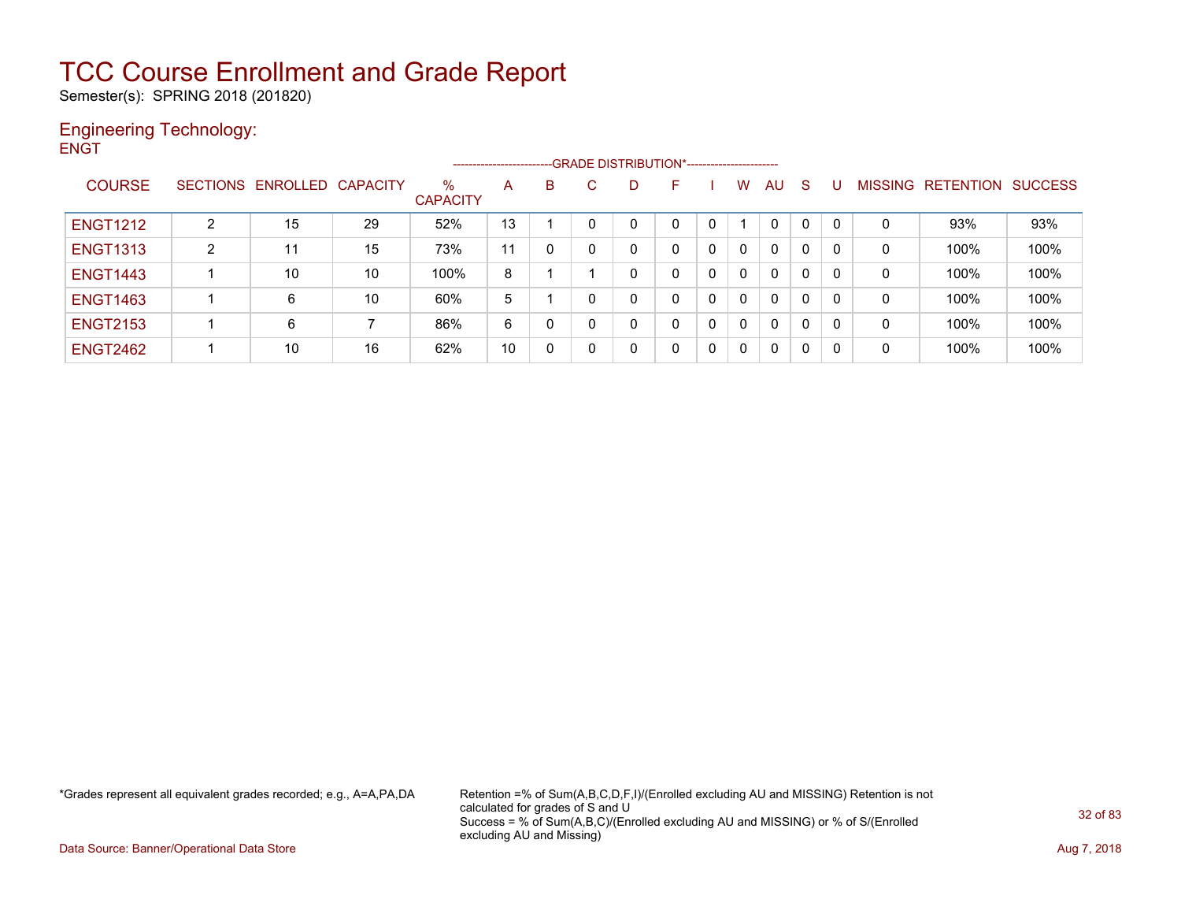Semester(s): SPRING 2018 (201820)

### Engineering Technology: **ENGT**

|                 |                |                            |    |                         | ----------------------- |   |              | -GRADE DISTRIBUTION*---------------------- |              |              |    |   |              |   |                   |                |
|-----------------|----------------|----------------------------|----|-------------------------|-------------------------|---|--------------|--------------------------------------------|--------------|--------------|----|---|--------------|---|-------------------|----------------|
| <b>COURSE</b>   |                | SECTIONS ENROLLED CAPACITY |    | $\%$<br><b>CAPACITY</b> | A                       | B | C.           | F                                          |              | w            | AU | S |              |   | MISSING RETENTION | <b>SUCCESS</b> |
| <b>ENGT1212</b> | $\overline{2}$ | 15                         | 29 | 52%                     | 13                      |   |              |                                            |              |              | 0  |   | 0            | 0 | 93%               | 93%            |
| <b>ENGT1313</b> | 2              | 11                         | 15 | 73%                     | 11                      |   | $\mathbf{0}$ |                                            | $\Omega$     | 0            | 0  | 0 | 0            | 0 | 100%              | 100%           |
| <b>ENGT1443</b> |                | 10                         | 10 | 100%                    | 8                       |   |              |                                            | $\mathbf{0}$ | $\mathbf{0}$ | 0  | 0 | 0            | 0 | 100%              | 100%           |
| <b>ENGT1463</b> |                | 6                          | 10 | 60%                     | 5                       |   | $\mathbf{0}$ | 0                                          | $\Omega$     | 0            | 0  | 0 | $\mathbf{0}$ | 0 | 100%              | 100%           |
| <b>ENGT2153</b> |                | 6                          | ⇁  | 86%                     | 6                       | 0 | 0            |                                            | $\mathbf{0}$ | 0            | 0  | 0 | 0            | 0 | 100%              | 100%           |
| <b>ENGT2462</b> |                | 10                         | 16 | 62%                     | 10                      | 0 | 0            | 0                                          | $\mathbf{0}$ |              | 0  | 0 | 0            | 0 | 100%              | 100%           |

\*Grades represent all equivalent grades recorded; e.g., A=A,PA,DA Retention =% of Sum(A,B,C,D,F,I)/(Enrolled excluding AU and MISSING) Retention is not calculated for grades of S and U Success = % of Sum(A,B,C)/(Enrolled excluding AU and MISSING) or % of S/(Enrolled excluding AU and Missing)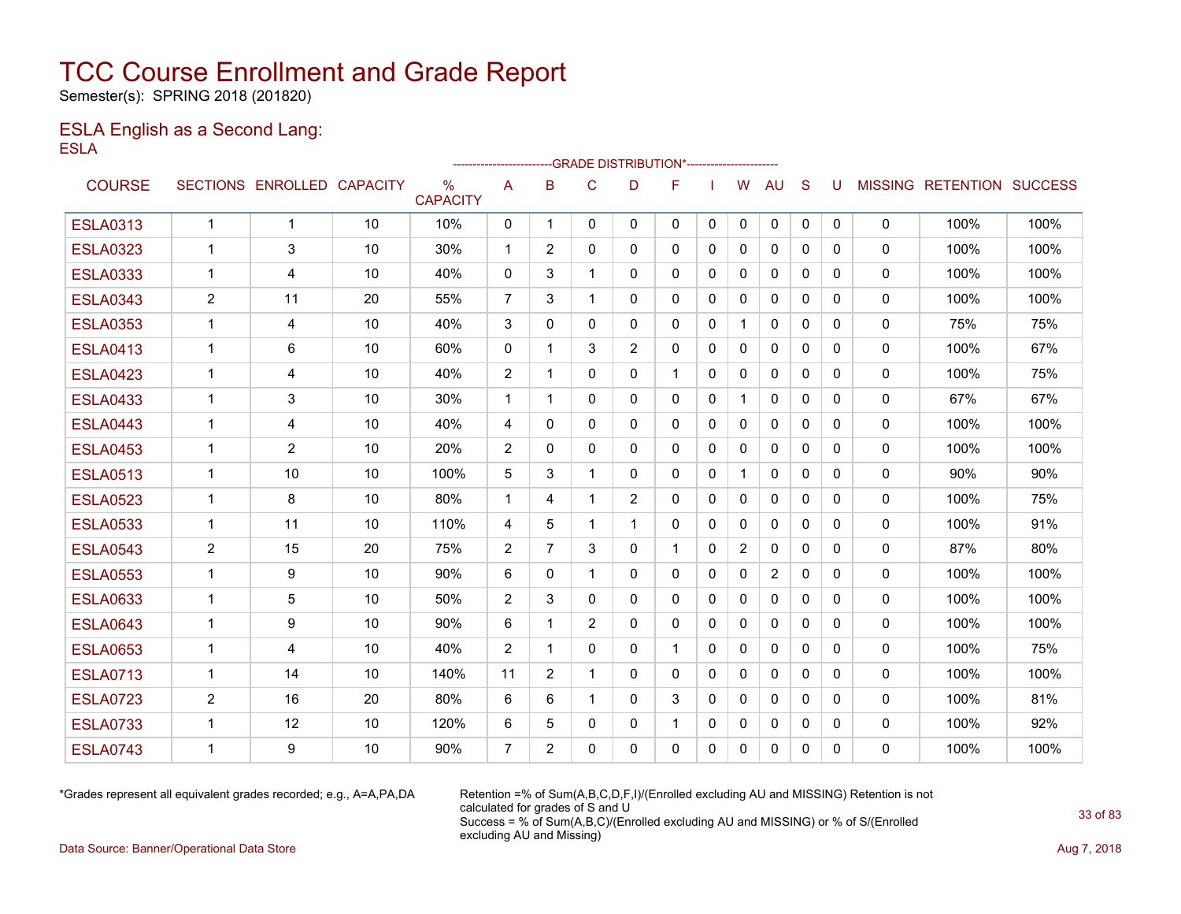Semester(s): SPRING 2018 (201820)

### ESLA English as a Second Lang: ESLA

|                 |                |                            |    |                      |                |                |                | --GRADE DISTRIBUTION*---------------------- |              |              |                |                |              |              |              |                           |      |
|-----------------|----------------|----------------------------|----|----------------------|----------------|----------------|----------------|---------------------------------------------|--------------|--------------|----------------|----------------|--------------|--------------|--------------|---------------------------|------|
| <b>COURSE</b>   |                | SECTIONS ENROLLED CAPACITY |    | %<br><b>CAPACITY</b> | A              | B              | $\mathsf{C}$   | D                                           | F            |              | W              | <b>AU</b>      | S            | U            |              | MISSING RETENTION SUCCESS |      |
| <b>ESLA0313</b> | $\mathbf{1}$   | $\mathbf{1}$               | 10 | 10%                  | $\mathbf{0}$   | $\mathbf 1$    | $\Omega$       | $\Omega$                                    | $\mathbf{0}$ | $\mathbf{0}$ | $\mathbf{0}$   | $\mathbf{0}$   | $\mathbf{0}$ | $\mathbf{0}$ | 0            | 100%                      | 100% |
| <b>ESLA0323</b> | $\mathbf 1$    | 3                          | 10 | 30%                  | $\mathbf{1}$   | 2              | $\Omega$       | 0                                           | $\mathbf{0}$ | $\mathbf{0}$ | $\Omega$       | $\mathbf{0}$   | $\mathbf{0}$ | 0            | $\mathbf{0}$ | 100%                      | 100% |
| <b>ESLA0333</b> | $\mathbf 1$    | 4                          | 10 | 40%                  | $\Omega$       | 3              | 1              | $\Omega$                                    | $\Omega$     | $\mathbf{0}$ | 0              | $\mathbf{0}$   | $\mathbf{0}$ | 0            | $\mathbf{0}$ | 100%                      | 100% |
| <b>ESLA0343</b> | $\overline{2}$ | 11                         | 20 | 55%                  | 7              | 3              | 1              | $\Omega$                                    | $\mathbf{0}$ | 0            | $\mathbf{0}$   | $\mathbf{0}$   | $\Omega$     | 0            | 0            | 100%                      | 100% |
| <b>ESLA0353</b> | 1              | 4                          | 10 | 40%                  | 3              | $\mathbf{0}$   | $\Omega$       | 0                                           | 0            | 0            |                | $\mathbf{0}$   | $\mathbf{0}$ | 0            | $\mathbf{0}$ | 75%                       | 75%  |
| <b>ESLA0413</b> | $\mathbf 1$    | 6                          | 10 | 60%                  | $\Omega$       | 1              | 3              | $\overline{2}$                              | $\mathbf{0}$ | $\mathbf{0}$ | $\Omega$       | $\mathbf{0}$   | $\Omega$     | 0            | 0            | 100%                      | 67%  |
| <b>ESLA0423</b> | $\mathbf 1$    | 4                          | 10 | 40%                  | $\overline{2}$ | 1              | $\Omega$       | 0                                           | $\mathbf{1}$ | 0            | $\mathbf{0}$   | $\mathbf{0}$   | $\mathbf{0}$ | 0            | $\mathbf{0}$ | 100%                      | 75%  |
| <b>ESLA0433</b> | 1              | 3                          | 10 | 30%                  | $\mathbf{1}$   | $\overline{1}$ | $\Omega$       | $\Omega$                                    | $\Omega$     | $\Omega$     | $\mathbf 1$    | $\mathbf{0}$   | $\Omega$     | 0            | $\mathbf{0}$ | 67%                       | 67%  |
| <b>ESLA0443</b> | $\mathbf 1$    | 4                          | 10 | 40%                  | $\overline{4}$ | $\Omega$       | 0              | 0                                           | $\mathbf{0}$ | $\mathbf{0}$ | $\Omega$       | $\mathbf{0}$   | $\Omega$     | 0            | 0            | 100%                      | 100% |
| <b>ESLA0453</b> | 1              | 2                          | 10 | 20%                  | 2              | $\Omega$       | $\Omega$       | $\Omega$                                    | $\Omega$     | $\Omega$     | $\mathbf{0}$   | $\mathbf{0}$   | $\Omega$     | 0            | $\mathbf{0}$ | 100%                      | 100% |
| <b>ESLA0513</b> | $\mathbf 1$    | 10                         | 10 | 100%                 | 5              | 3              | 1              | 0                                           | $\mathbf{0}$ | $\mathbf{0}$ | 1              | $\mathbf{0}$   | $\Omega$     | 0            | 0            | 90%                       | 90%  |
| <b>ESLA0523</b> | $\mathbf 1$    | 8                          | 10 | 80%                  | $\mathbf{1}$   | 4              | 1              | $\overline{2}$                              | $\Omega$     | $\Omega$     | $\Omega$       | $\mathbf{0}$   | $\Omega$     | 0            | $\mathbf{0}$ | 100%                      | 75%  |
| <b>ESLA0533</b> | $\mathbf 1$    | 11                         | 10 | 110%                 | 4              | 5              | 1              | 1                                           | $\Omega$     | $\Omega$     | $\mathbf{0}$   | $\mathbf{0}$   | $\Omega$     | 0            | 0            | 100%                      | 91%  |
| <b>ESLA0543</b> | $\overline{2}$ | 15                         | 20 | 75%                  | $\overline{2}$ | $\overline{7}$ | 3              | 0                                           |              | $\mathbf{0}$ | $\overline{2}$ | $\mathbf{0}$   | $\mathbf{0}$ | 0            | 0            | 87%                       | 80%  |
| <b>ESLA0553</b> | 1              | 9                          | 10 | 90%                  | 6              | $\Omega$       |                | $\Omega$                                    | $\mathbf{0}$ | 0            | $\mathbf{0}$   | $\overline{2}$ | $\Omega$     | 0            | 0            | 100%                      | 100% |
| <b>ESLA0633</b> | $\mathbf 1$    | 5                          | 10 | 50%                  | $\overline{2}$ | 3              | $\mathbf{0}$   | 0                                           | $\mathbf{0}$ | 0            | 0              | $\mathbf{0}$   | $\mathbf{0}$ | 0            | 0            | 100%                      | 100% |
| <b>ESLA0643</b> | $\mathbf 1$    | 9                          | 10 | 90%                  | 6              | 1              | $\overline{2}$ | 0                                           | $\mathbf{0}$ | $\mathbf{0}$ | $\Omega$       | $\mathbf{0}$   | $\Omega$     | 0            | $\mathbf{0}$ | 100%                      | 100% |
| <b>ESLA0653</b> | $\mathbf{1}$   | 4                          | 10 | 40%                  | $\overline{2}$ | $\overline{1}$ | $\Omega$       | $\Omega$                                    | $\mathbf{1}$ | $\mathbf{0}$ | 0              | $\mathbf{0}$   | $\Omega$     | 0            | 0            | 100%                      | 75%  |
| <b>ESLA0713</b> | $\mathbf 1$    | 14                         | 10 | 140%                 | 11             | 2              | $\overline{1}$ | $\Omega$                                    | $\mathbf{0}$ | $\Omega$     | $\Omega$       | $\mathbf{0}$   | $\Omega$     | 0            | $\mathbf{0}$ | 100%                      | 100% |
| <b>ESLA0723</b> | $\overline{2}$ | 16                         | 20 | 80%                  | 6              | 6              | $\mathbf 1$    | 0                                           | 3            | $\Omega$     | $\mathbf{0}$   | $\mathbf{0}$   | $\Omega$     | 0            | 0            | 100%                      | 81%  |
| <b>ESLA0733</b> | $\mathbf{1}$   | 12                         | 10 | 120%                 | 6              | 5              | $\Omega$       | 0                                           | $\mathbf 1$  | $\Omega$     | 0              | $\mathbf{0}$   | $\Omega$     | 0            | 0            | 100%                      | 92%  |
| <b>ESLA0743</b> | 1              | 9                          | 10 | 90%                  | $\overline{7}$ | 2              | $\Omega$       | $\Omega$                                    | $\Omega$     | $\Omega$     | $\Omega$       | $\mathbf{0}$   | $\Omega$     | 0            | $\mathbf{0}$ | 100%                      | 100% |

\*Grades represent all equivalent grades recorded; e.g., A=A,PA,DA Retention =% of Sum(A,B,C,D,F,I)/(Enrolled excluding AU and MISSING) Retention is not calculated for grades of S and U Success = % of Sum(A,B,C)/(Enrolled excluding AU and MISSING) or % of S/(Enrolled excluding AU and Missing)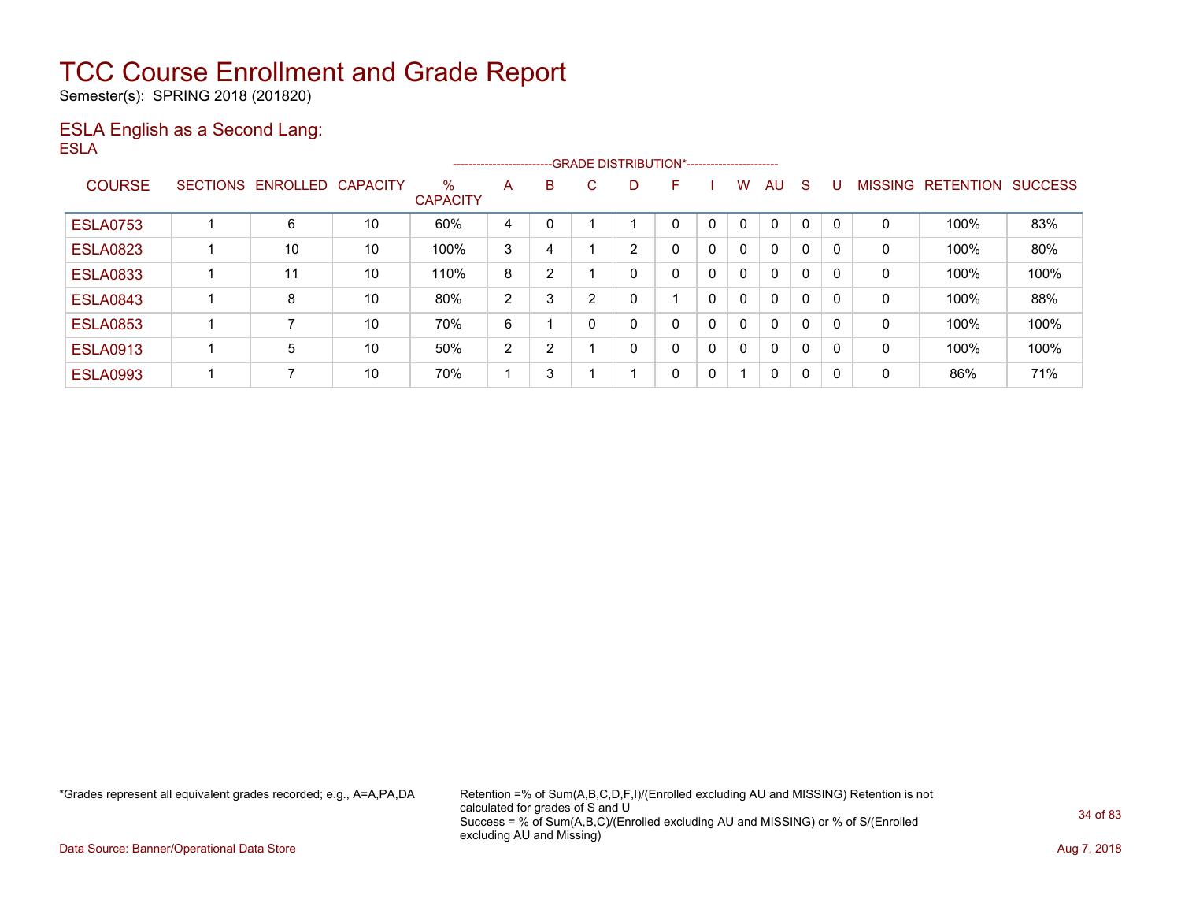Semester(s): SPRING 2018 (201820)

### ESLA English as a Second Lang: ESLA

|                 |                 |          |                 |                         |                |   | --------------------------GRADE DISTRIBUTION*---------------------- |   |   |   |              |              |   |          |                |                  |                |
|-----------------|-----------------|----------|-----------------|-------------------------|----------------|---|---------------------------------------------------------------------|---|---|---|--------------|--------------|---|----------|----------------|------------------|----------------|
| <b>COURSE</b>   | <b>SECTIONS</b> | ENROLLED | <b>CAPACITY</b> | $\%$<br><b>CAPACITY</b> | A              | В | C.                                                                  | D | F |   | W            | AU           | S |          | <b>MISSING</b> | <b>RETENTION</b> | <b>SUCCESS</b> |
| <b>ESLA0753</b> |                 | 6        | 10              | 60%                     | 4              | 0 |                                                                     |   | 0 | 0 | $\mathbf{0}$ | $\mathbf{0}$ | 0 | $\Omega$ | 0              | 100%             | 83%            |
| <b>ESLA0823</b> |                 | 10       | 10              | 100%                    | 3              | 4 |                                                                     | 2 | 0 | 0 | $\mathbf{0}$ | $\mathbf{0}$ | 0 | 0        | 0              | 100%             | 80%            |
| <b>ESLA0833</b> |                 | 11       | 10              | 110%                    | 8              | 2 |                                                                     |   | 0 | 0 | $\mathbf{0}$ | $\mathbf{0}$ | 0 | 0        | 0              | 100%             | 100%           |
| <b>ESLA0843</b> |                 | 8        | 10              | 80%                     | 2              | 3 | 2                                                                   |   |   | 0 | $\mathbf{0}$ | $\mathbf{0}$ | 0 | $\Omega$ | 0              | 100%             | 88%            |
| <b>ESLA0853</b> |                 |          | 10              | 70%                     | 6              |   |                                                                     |   | 0 | 0 | $\mathbf{0}$ | $\mathbf{0}$ | 0 | $\Omega$ | $\mathbf 0$    | 100%             | 100%           |
| <b>ESLA0913</b> |                 | 5        | 10              | 50%                     | $\overline{2}$ | 2 |                                                                     |   | 0 | 0 | 0            | $\mathbf{0}$ | 0 | $\Omega$ | 0              | 100%             | 100%           |
| <b>ESLA0993</b> |                 |          | 10              | 70%                     |                | 3 |                                                                     |   | 0 | 0 |              | $\mathbf{0}$ | 0 | 0        | 0              | 86%              | 71%            |

\*Grades represent all equivalent grades recorded; e.g., A=A,PA,DA Retention =% of Sum(A,B,C,D,F,I)/(Enrolled excluding AU and MISSING) Retention is not calculated for grades of S and U Success = % of Sum(A,B,C)/(Enrolled excluding AU and MISSING) or % of S/(Enrolled excluding AU and Missing)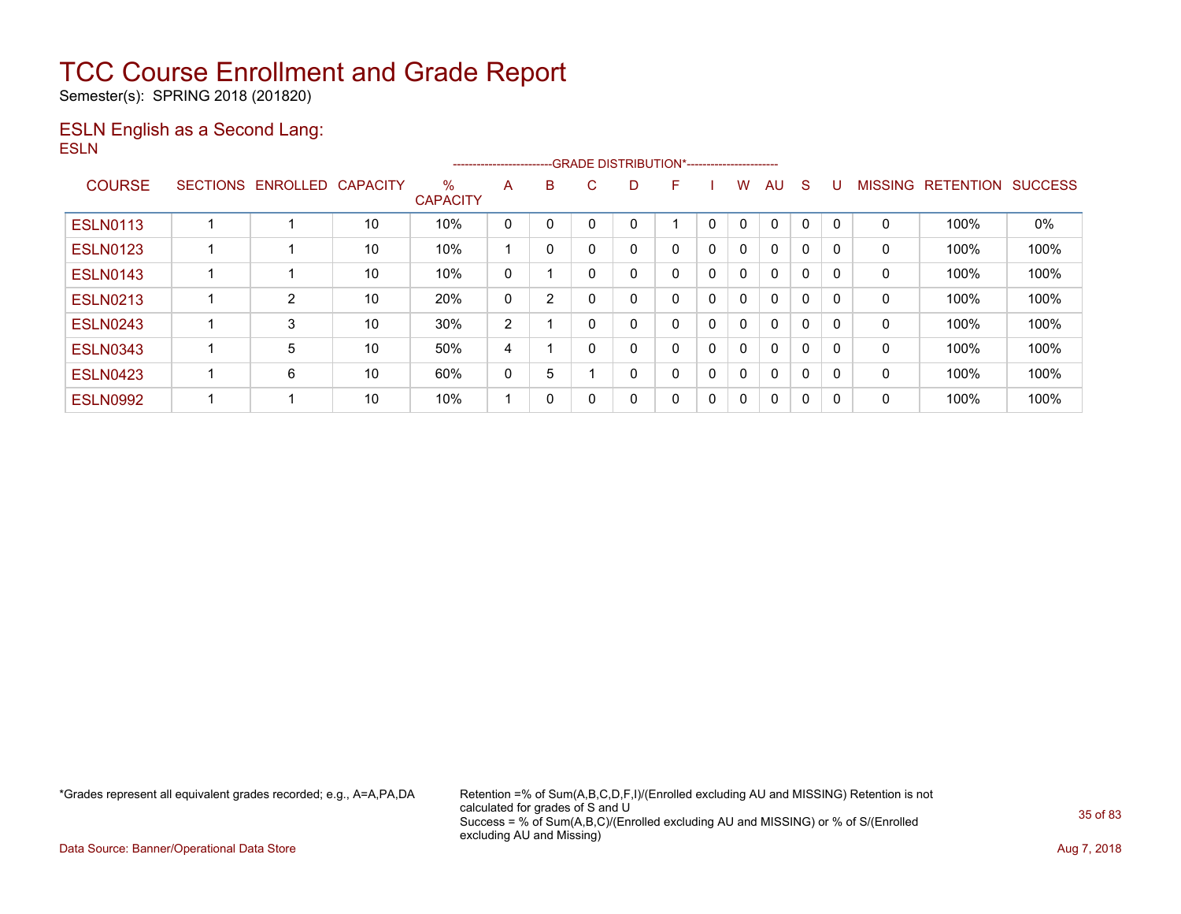Semester(s): SPRING 2018 (201820)

### ESLN English as a Second Lang: ESLN

|                 | --GRADE DISTRIBUTION*-----------------------<br>----------------------- |                   |    |                         |                |   |          |   |   |   |              |              |              |              |                |                  |                |
|-----------------|-------------------------------------------------------------------------|-------------------|----|-------------------------|----------------|---|----------|---|---|---|--------------|--------------|--------------|--------------|----------------|------------------|----------------|
| <b>COURSE</b>   | <b>SECTIONS</b>                                                         | ENROLLED CAPACITY |    | $\%$<br><b>CAPACITY</b> | A              | B | C.       | D | F |   | w            | AU           | S            |              | <b>MISSING</b> | <b>RETENTION</b> | <b>SUCCESS</b> |
| <b>ESLN0113</b> |                                                                         |                   | 10 | 10%                     | $\mathbf 0$    |   |          |   |   | 0 |              | $\Omega$     | 0            |              | 0              | 100%             | $0\%$          |
| <b>ESLN0123</b> |                                                                         |                   | 10 | 10%                     |                | 0 |          |   | 0 | 0 | $\mathbf{0}$ | $\mathbf{0}$ | 0            | $\Omega$     | 0              | 100%             | 100%           |
| <b>ESLN0143</b> |                                                                         |                   | 10 | 10%                     | 0              |   |          |   | 0 | 0 | 0            | $\mathbf{0}$ | 0            | $\Omega$     | 0              | 100%             | 100%           |
| <b>ESLN0213</b> |                                                                         | 2                 | 10 | 20%                     | 0              | 2 |          | ۵ | 0 | 0 | $\mathbf{0}$ | $\Omega$     | $\mathbf{0}$ |              | 0              | 100%             | 100%           |
| <b>ESLN0243</b> |                                                                         | 3                 | 10 | 30%                     | $\overline{2}$ |   | $\Omega$ |   | 0 | 0 | 0            | $\mathbf{0}$ | 0            | $\Omega$     | 0              | 100%             | 100%           |
| <b>ESLN0343</b> |                                                                         | 5                 | 10 | 50%                     | 4              |   |          |   | 0 | 0 | 0            | $\mathbf{0}$ | 0            | $\Omega$     | 0              | 100%             | 100%           |
| <b>ESLN0423</b> |                                                                         | 6                 | 10 | 60%                     | 0              | 5 |          | n | 0 | 0 | $\mathbf{0}$ | $\mathbf{0}$ | $\mathbf{0}$ | $\mathbf{0}$ | 0              | 100%             | 100%           |
| <b>ESLN0992</b> |                                                                         |                   | 10 | 10%                     |                | 0 | 0        | 0 | 0 | 0 | 0            | $\mathbf{0}$ | 0            | 0            | 0              | 100%             | 100%           |

\*Grades represent all equivalent grades recorded; e.g., A=A,PA,DA Retention =% of Sum(A,B,C,D,F,I)/(Enrolled excluding AU and MISSING) Retention is not calculated for grades of S and U Success = % of Sum(A,B,C)/(Enrolled excluding AU and MISSING) or % of S/(Enrolled excluding AU and Missing)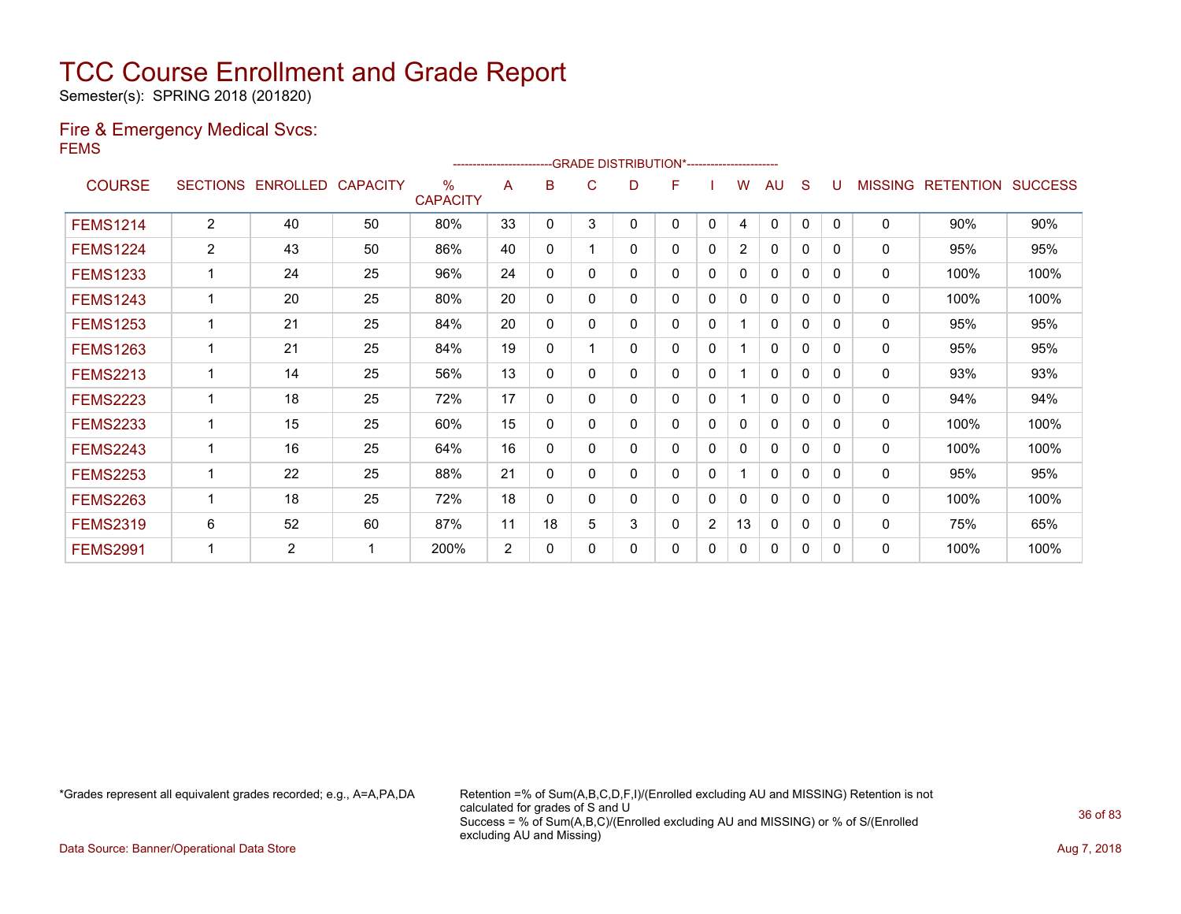Semester(s): SPRING 2018 (201820)

### Fire & Emergency Medical Svcs: FEMS

|                 |                 | --GRADE DISTRIBUTION*----------------------- |                 |                         |    |              |   |              |   |                |                |              |              |              |                |                  |                |
|-----------------|-----------------|----------------------------------------------|-----------------|-------------------------|----|--------------|---|--------------|---|----------------|----------------|--------------|--------------|--------------|----------------|------------------|----------------|
| <b>COURSE</b>   | <b>SECTIONS</b> | <b>ENROLLED</b>                              | <b>CAPACITY</b> | $\%$<br><b>CAPACITY</b> | A  | в            | С | D            | F |                | w              | AU           | S            |              | <b>MISSING</b> | <b>RETENTION</b> | <b>SUCCESS</b> |
| <b>FEMS1214</b> | $\overline{2}$  | 40                                           | 50              | 80%                     | 33 | 0            | 3 | $\mathbf{0}$ | 0 | $\mathbf{0}$   | 4              | $\mathbf{0}$ | $\mathbf{0}$ | $\Omega$     | $\Omega$       | 90%              | 90%            |
| <b>FEMS1224</b> | $\overline{2}$  | 43                                           | 50              | 86%                     | 40 | $\mathbf{0}$ |   | 0            | 0 | 0              | $\overline{2}$ | $\Omega$     | 0            | $\mathbf{0}$ | 0              | 95%              | 95%            |
| <b>FEMS1233</b> | 1               | 24                                           | 25              | 96%                     | 24 | 0            | 0 | 0            | 0 | 0              | 0              | $\mathbf{0}$ | $\Omega$     | $\Omega$     | 0              | 100%             | 100%           |
| <b>FEMS1243</b> | $\mathbf{1}$    | 20                                           | 25              | 80%                     | 20 | $\mathbf{0}$ | 0 | $\mathbf{0}$ | 0 | 0              | 0              | $\mathbf{0}$ | 0            | 0            | $\mathbf{0}$   | 100%             | 100%           |
| <b>FEMS1253</b> | $\mathbf 1$     | 21                                           | 25              | 84%                     | 20 | $\mathbf{0}$ | 0 | $\mathbf{0}$ | 0 | 0              |                | $\mathbf{0}$ | 0            | $\Omega$     | $\mathbf{0}$   | 95%              | 95%            |
| <b>FEMS1263</b> |                 | 21                                           | 25              | 84%                     | 19 | 0            |   | $\mathbf{0}$ | 0 | 0              |                | $\mathbf{0}$ | 0            | $\Omega$     | 0              | 95%              | 95%            |
| <b>FEMS2213</b> | 1               | 14                                           | 25              | 56%                     | 13 | 0            | 0 | 0            | 0 | 0              | 1              | 0            | 0            | $\Omega$     | 0              | 93%              | 93%            |
| <b>FEMS2223</b> | $\mathbf{1}$    | 18                                           | 25              | 72%                     | 17 | 0            | 0 | 0            | 0 | 0              | 1              | 0            | 0            | 0            | 0              | 94%              | 94%            |
| <b>FEMS2233</b> | 1               | 15                                           | 25              | 60%                     | 15 | 0            | 0 | $\mathbf{0}$ | 0 | 0              | 0              | $\mathbf{0}$ | $\Omega$     | 0            | $\mathbf{0}$   | 100%             | 100%           |
| <b>FEMS2243</b> | 1               | 16                                           | 25              | 64%                     | 16 | 0            | 0 | 0            | 0 | 0              | 0              | 0            | 0            | $\Omega$     | 0              | 100%             | 100%           |
| <b>FEMS2253</b> | 1               | 22                                           | 25              | 88%                     | 21 | 0            | 0 | 0            | 0 | 0              |                | 0            | $\Omega$     | $\Omega$     | 0              | 95%              | 95%            |
| <b>FEMS2263</b> | 1               | 18                                           | 25              | 72%                     | 18 | 0            | 0 | 0            | 0 | 0              | 0              | $\mathbf{0}$ | 0            | 0            | $\mathbf{0}$   | 100%             | 100%           |
| <b>FEMS2319</b> | 6               | 52                                           | 60              | 87%                     | 11 | 18           | 5 | 3            | 0 | $\overline{2}$ | 13             | 0            | 0            | $\Omega$     | 0              | 75%              | 65%            |
| <b>FEMS2991</b> |                 | $\overline{2}$                               |                 | 200%                    | 2  | 0            | 0 | 0            | 0 | 0              | 0              | $\mathbf{0}$ | 0            | $\Omega$     | 0              | 100%             | 100%           |

\*Grades represent all equivalent grades recorded; e.g., A=A,PA,DA Retention =% of Sum(A,B,C,D,F,I)/(Enrolled excluding AU and MISSING) Retention is not calculated for grades of S and U Success = % of Sum(A,B,C)/(Enrolled excluding AU and MISSING) or % of S/(Enrolled excluding AU and Missing)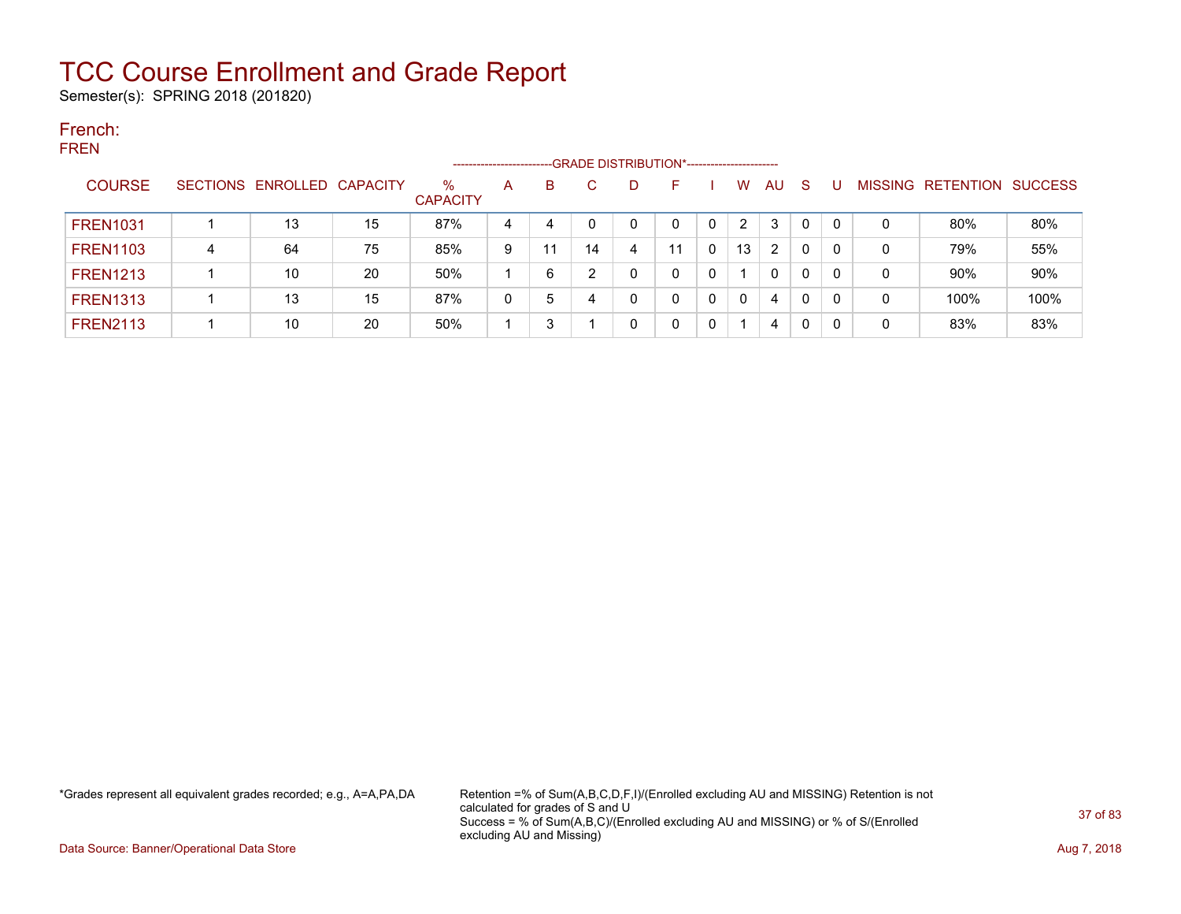Semester(s): SPRING 2018 (201820)

#### French: FREN

|                 |   |                            |    |                         | ---------------------- |    |    | --GRADE DISTRIBUTION*---------------------- |    |   |                |    |    |   |                   |                |
|-----------------|---|----------------------------|----|-------------------------|------------------------|----|----|---------------------------------------------|----|---|----------------|----|----|---|-------------------|----------------|
| <b>COURSE</b>   |   | SECTIONS ENROLLED CAPACITY |    | $\%$<br><b>CAPACITY</b> | A                      | B  |    | D                                           | н  |   | W              | AU | -S |   | MISSING RETENTION | <b>SUCCESS</b> |
| <b>FREN1031</b> |   | 13                         | 15 | 87%                     | 4                      | 4  |    | 0                                           | 0  | 0 | $\overline{2}$ | 3  | 0  | 0 | 80%               | 80%            |
| <b>FREN1103</b> | 4 | 64                         | 75 | 85%                     | 9                      | 11 | 14 | 4                                           | 11 | 0 | 13             | 2  | 0  | 0 | 79%               | 55%            |
| <b>FREN1213</b> |   | 10                         | 20 | 50%                     |                        | 6  |    |                                             | 0  |   |                | 0  | 0  | 0 | 90%               | 90%            |
| <b>FREN1313</b> |   | 13                         | 15 | 87%                     | 0                      | 5  |    | 0                                           | 0  | 0 | $\mathbf{0}$   | 4  | 0  | 0 | 100%              | 100%           |
| <b>FREN2113</b> |   | 10                         | 20 | 50%                     |                        | 3  |    |                                             |    |   |                | 4  | 0  | 0 | 83%               | 83%            |

\*Grades represent all equivalent grades recorded; e.g., A=A,PA,DA Retention =% of Sum(A,B,C,D,F,I)/(Enrolled excluding AU and MISSING) Retention is not calculated for grades of S and U Success = % of Sum(A,B,C)/(Enrolled excluding AU and MISSING) or % of S/(Enrolled excluding AU and Missing)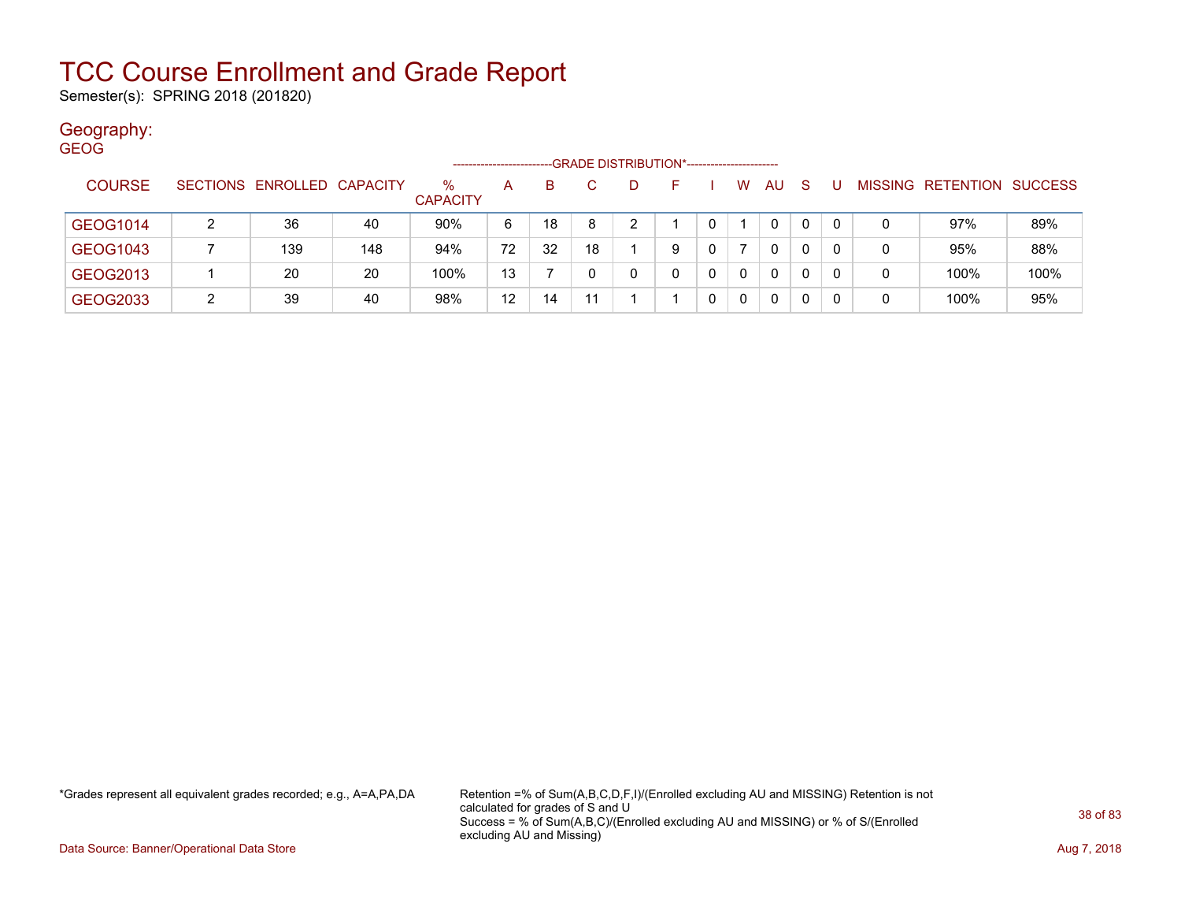Semester(s): SPRING 2018 (201820)

### Geography:

| <b>GEOG</b> |               |   |                            |     |                         |    |    |    |                                             |   |   |          |              |              |    |   |                           |      |
|-------------|---------------|---|----------------------------|-----|-------------------------|----|----|----|---------------------------------------------|---|---|----------|--------------|--------------|----|---|---------------------------|------|
|             |               |   |                            |     |                         |    |    |    | -GRADE DISTRIBUTION*----------------------- |   |   |          |              |              |    |   |                           |      |
|             | <b>COURSE</b> |   | SECTIONS ENROLLED CAPACITY |     | $\%$<br><b>CAPACITY</b> | A  | B. |    | D.                                          |   |   | W        | <b>AU</b>    | <sub>S</sub> |    |   | MISSING RETENTION SUCCESS |      |
|             | GEOG1014      |   | 36                         | 40  | 90%                     | 6  | 18 | 8  | 2                                           |   |   |          | $\mathbf{0}$ | 0            | -0 | 0 | 97%                       | 89%  |
|             | GEOG1043      |   | 139                        | 148 | 94%                     | 72 | 32 | 18 |                                             | 9 |   |          | $\mathbf{0}$ | 0            | -0 | 0 | 95%                       | 88%  |
|             | GEOG2013      |   | 20                         | 20  | 100%                    | 13 |    |    | 0                                           |   | 0 | 0        | 0            | 0            | -0 | 0 | 100%                      | 100% |
|             | GEOG2033      | ົ | 39                         | 40  | 98%                     | 12 | 14 |    |                                             |   | 0 | $\Omega$ | $\mathbf{0}$ | 0            |    | 0 | 100%                      | 95%  |

\*Grades represent all equivalent grades recorded; e.g., A=A,PA,DA Retention =% of Sum(A,B,C,D,F,I)/(Enrolled excluding AU and MISSING) Retention is not calculated for grades of S and U Success = % of Sum(A,B,C)/(Enrolled excluding AU and MISSING) or % of S/(Enrolled excluding AU and Missing)

Data Source: Banner/Operational Data Store **Aug 7, 2018**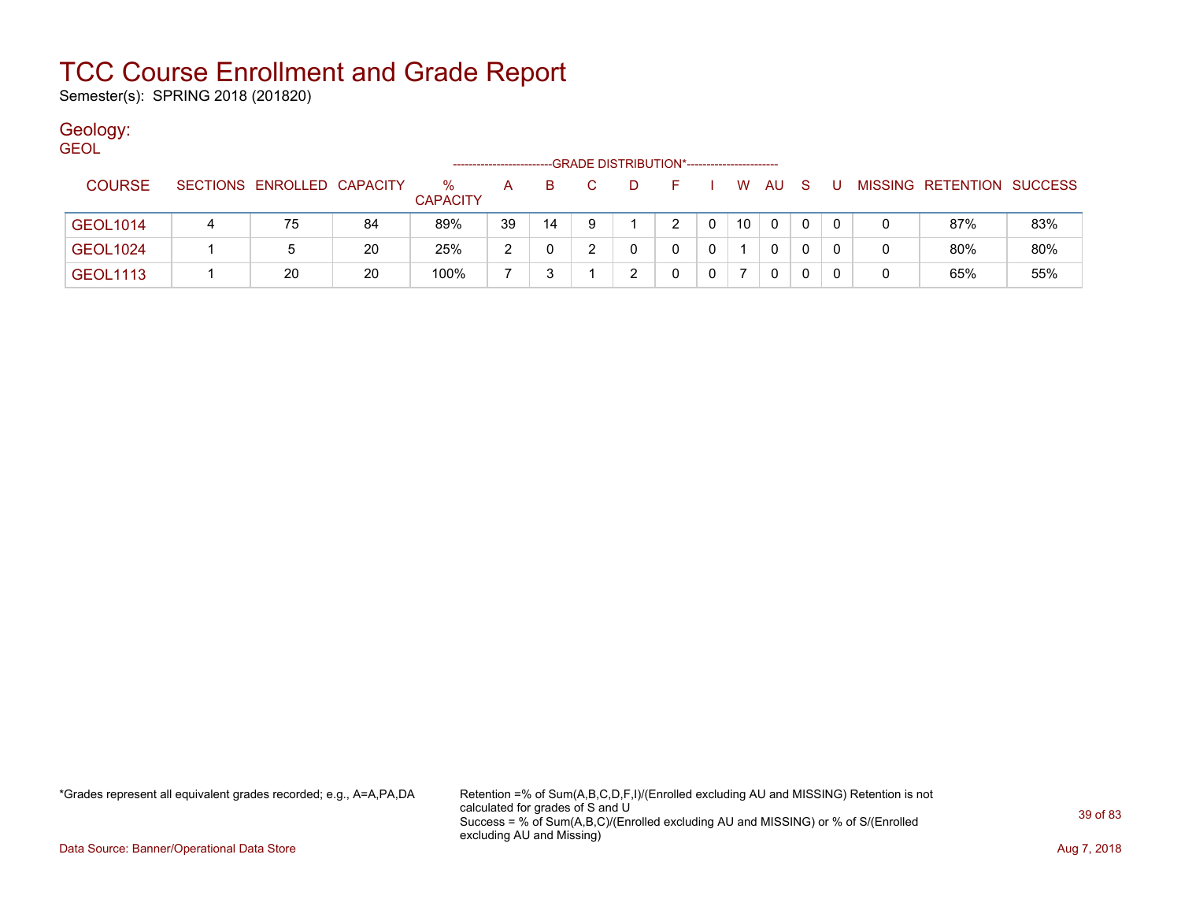Semester(s): SPRING 2018 (201820)

### Geology:

| <b>GEOL</b> |                 |   |                            |    |                         |    |    | -GRADE DISTRIBUTION*----------------------- |   |    |   |    |      |     |   |   |                           |     |
|-------------|-----------------|---|----------------------------|----|-------------------------|----|----|---------------------------------------------|---|----|---|----|------|-----|---|---|---------------------------|-----|
|             | <b>COURSE</b>   |   | SECTIONS ENROLLED CAPACITY |    | $\%$<br><b>CAPACITY</b> | A  | B. |                                             | D | F. |   |    | W AU | - S | U |   | MISSING RETENTION SUCCESS |     |
|             | <b>GEOL1014</b> | 4 | 75                         | 84 | 89%                     | 39 | 14 | -9                                          |   | 2  |   | 10 | 0    | 0   | 0 | 0 | 87%                       | 83% |
|             | <b>GEOL1024</b> |   | 5                          | 20 | 25%                     | 2  | 0  |                                             |   | 0  | 0 |    | 0    | 0   | 0 | 0 | 80%                       | 80% |
|             | <b>GEOL1113</b> |   | 20                         | 20 | 100%                    |    |    |                                             |   |    |   |    | 0    | 0   | 0 | 0 | 65%                       | 55% |

\*Grades represent all equivalent grades recorded; e.g., A=A,PA,DA Retention =% of Sum(A,B,C,D,F,I)/(Enrolled excluding AU and MISSING) Retention is not calculated for grades of S and U Success = % of Sum(A,B,C)/(Enrolled excluding AU and MISSING) or % of S/(Enrolled excluding AU and Missing)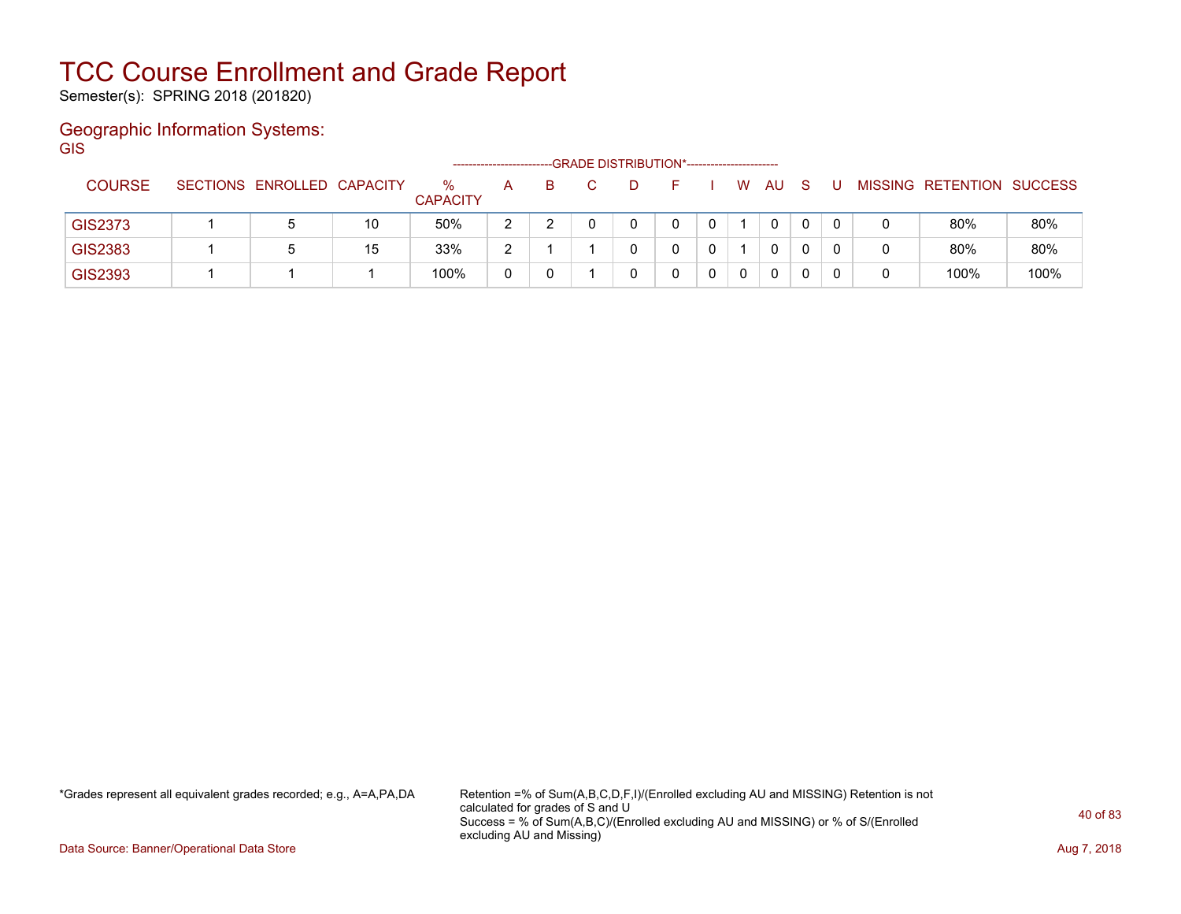Semester(s): SPRING 2018 (201820)

### Geographic Information Systems: **GIS**

|                |                            |    |                         | ------------------- |   | --GRADE DISTRIBUTION*----------------------- |  |   |    |              |  |                           |      |
|----------------|----------------------------|----|-------------------------|---------------------|---|----------------------------------------------|--|---|----|--------------|--|---------------------------|------|
| <b>COURSE</b>  | SECTIONS ENROLLED CAPACITY |    | $\%$<br><b>CAPACITY</b> | A                   | B |                                              |  | W | AU | <sub>S</sub> |  | MISSING RETENTION SUCCESS |      |
| <b>GIS2373</b> |                            | 10 | 50%                     | ົ                   |   |                                              |  |   | 0  |              |  | 80%                       | 80%  |
| GIS2383        |                            | 15 | 33%                     | ົ                   |   |                                              |  |   |    |              |  | 80%                       | 80%  |
| <b>GIS2393</b> |                            |    | 100%                    | 0                   |   |                                              |  |   | 0  |              |  | 100%                      | 100% |

\*Grades represent all equivalent grades recorded; e.g., A=A,PA,DA Retention =% of Sum(A,B,C,D,F,I)/(Enrolled excluding AU and MISSING) Retention is not calculated for grades of S and U Success = % of Sum(A,B,C)/(Enrolled excluding AU and MISSING) or % of S/(Enrolled excluding AU and Missing)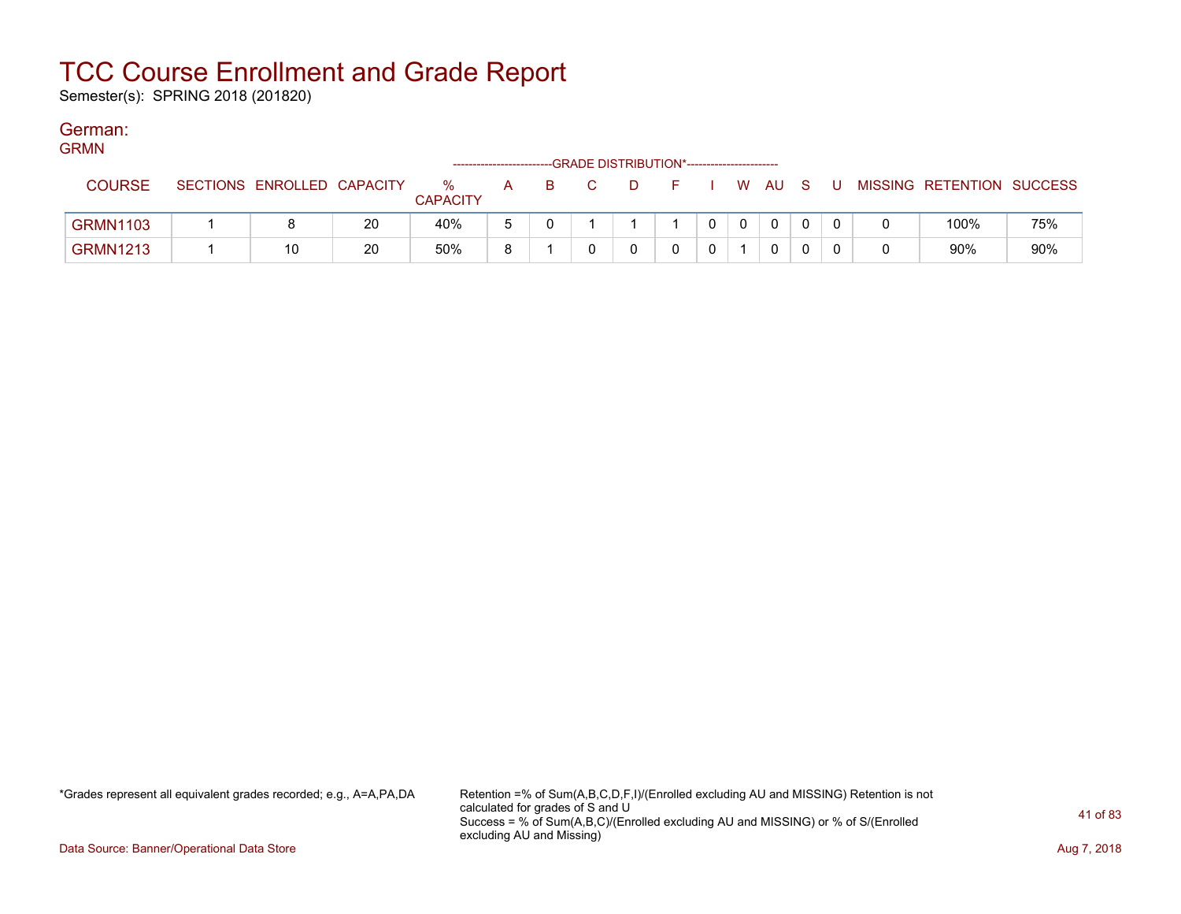Semester(s): SPRING 2018 (201820)

#### German:  $CDMAU$

| <b>GRMN</b>     |                            |    |                         | ----------------------- |   | --GRADE DISTRIBUTION*------------------------ |   |  |      |     |     |                           |     |
|-----------------|----------------------------|----|-------------------------|-------------------------|---|-----------------------------------------------|---|--|------|-----|-----|---------------------------|-----|
| <b>COURSE</b>   | SECTIONS ENROLLED CAPACITY |    | $\%$<br><b>CAPACITY</b> | A                       | B |                                               | D |  | W AU | - S | . U | MISSING RETENTION SUCCESS |     |
| <b>GRMN1103</b> |                            | 20 | 40%                     | 5                       |   |                                               |   |  | 0    |     |     | 100%                      | 75% |
| <b>GRMN1213</b> | 10                         | 20 | 50%                     | я                       |   |                                               |   |  | 0    |     |     | 90%                       | 90% |

\*Grades represent all equivalent grades recorded; e.g., A=A,PA,DA Retention =% of Sum(A,B,C,D,F,I)/(Enrolled excluding AU and MISSING) Retention is not calculated for grades of S and U Success = % of Sum(A,B,C)/(Enrolled excluding AU and MISSING) or % of S/(Enrolled excluding AU and Missing)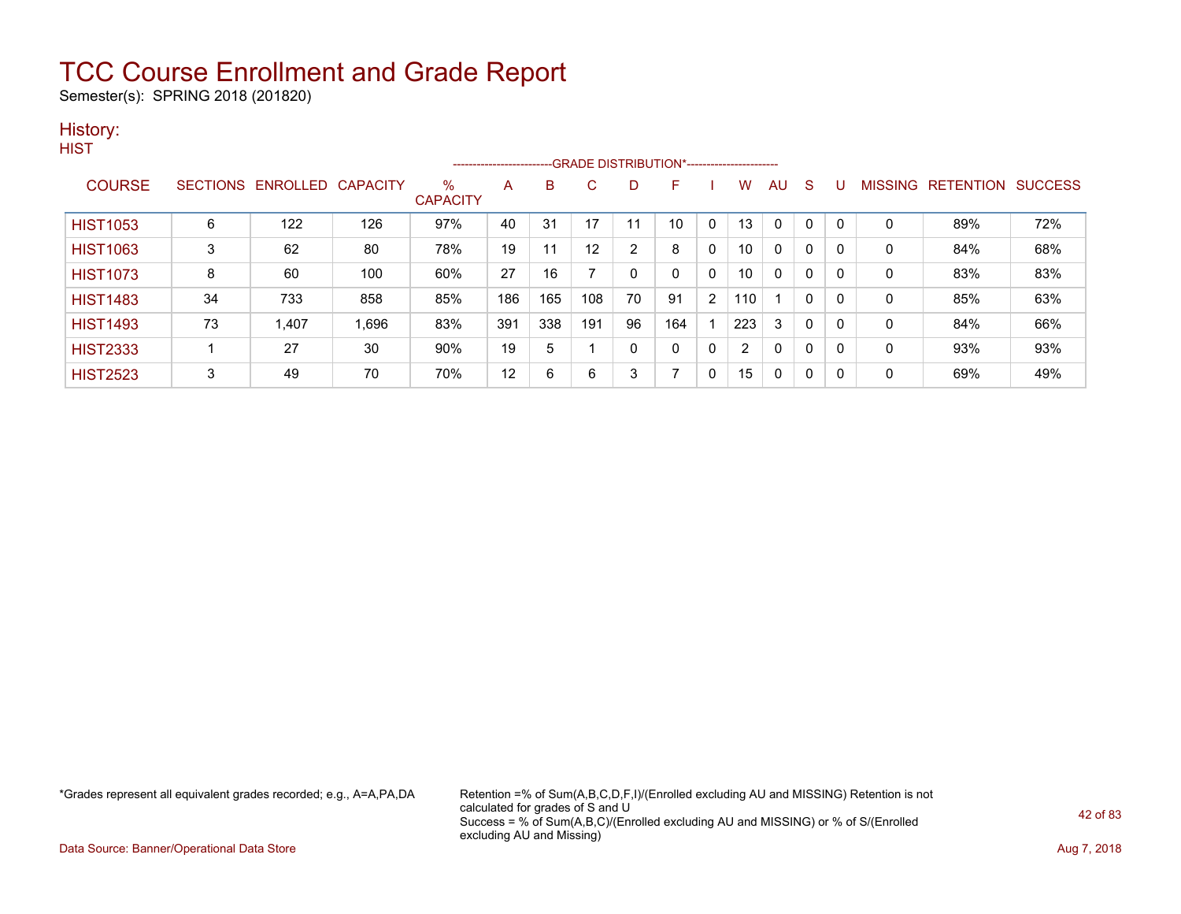Semester(s): SPRING 2018 (201820)

### History:

|                 |    |                            |       |                         |     |     |                   |                | -------------------------GRADE DISTRIBUTION*---------------------- |              |     |              |              |   |                |                  |                |
|-----------------|----|----------------------------|-------|-------------------------|-----|-----|-------------------|----------------|--------------------------------------------------------------------|--------------|-----|--------------|--------------|---|----------------|------------------|----------------|
| <b>COURSE</b>   |    | SECTIONS ENROLLED CAPACITY |       | $\%$<br><b>CAPACITY</b> | A   | B   | C                 | D              | F                                                                  |              | w   | AU           | S            |   | <b>MISSING</b> | <b>RETENTION</b> | <b>SUCCESS</b> |
| <b>HIST1053</b> | 6  | 122                        | 126   | 97%                     | 40  | 31  | 17                | 11             | 10                                                                 | 0            | 13  | $\Omega$     | $\mathbf{0}$ |   | $\mathbf 0$    | 89%              | 72%            |
| <b>HIST1063</b> | 3  | 62                         | 80    | 78%                     | 19  | 11  | $12 \overline{ }$ | $\overline{2}$ | 8                                                                  | $\mathbf{0}$ | 10  | $\mathbf{0}$ | 0            |   | $\mathbf 0$    | 84%              | 68%            |
| <b>HIST1073</b> | 8  | 60                         | 100   | 60%                     | 27  | 16  |                   |                | 0                                                                  | 0            | 10  | $\mathbf{0}$ | 0            |   | $\mathbf 0$    | 83%              | 83%            |
| <b>HIST1483</b> | 34 | 733                        | 858   | 85%                     | 186 | 165 | 108               | 70             | 91                                                                 | 2            | 110 |              | $\mathbf{0}$ | 0 | 0              | 85%              | 63%            |
| <b>HIST1493</b> | 73 | 1,407                      | 1,696 | 83%                     | 391 | 338 | 191               | 96             | 164                                                                |              | 223 | 3            | 0            |   | 0              | 84%              | 66%            |
| <b>HIST2333</b> |    | 27                         | 30    | 90%                     | 19  | 5   |                   | $\mathbf{0}$   | 0                                                                  | 0            | 2   | $\mathbf{0}$ | 0            | 0 | $\mathbf 0$    | 93%              | 93%            |
| <b>HIST2523</b> | 3  | 49                         | 70    | 70%                     | 12  | 6   | 6                 | 3              |                                                                    | 0            | 15  | 0            | 0            | 0 | 0              | 69%              | 49%            |

\*Grades represent all equivalent grades recorded; e.g., A=A,PA,DA Retention =% of Sum(A,B,C,D,F,I)/(Enrolled excluding AU and MISSING) Retention is not calculated for grades of S and U Success = % of Sum(A,B,C)/(Enrolled excluding AU and MISSING) or % of S/(Enrolled excluding AU and Missing)

Data Source: Banner/Operational Data Store **Aug 7, 2018**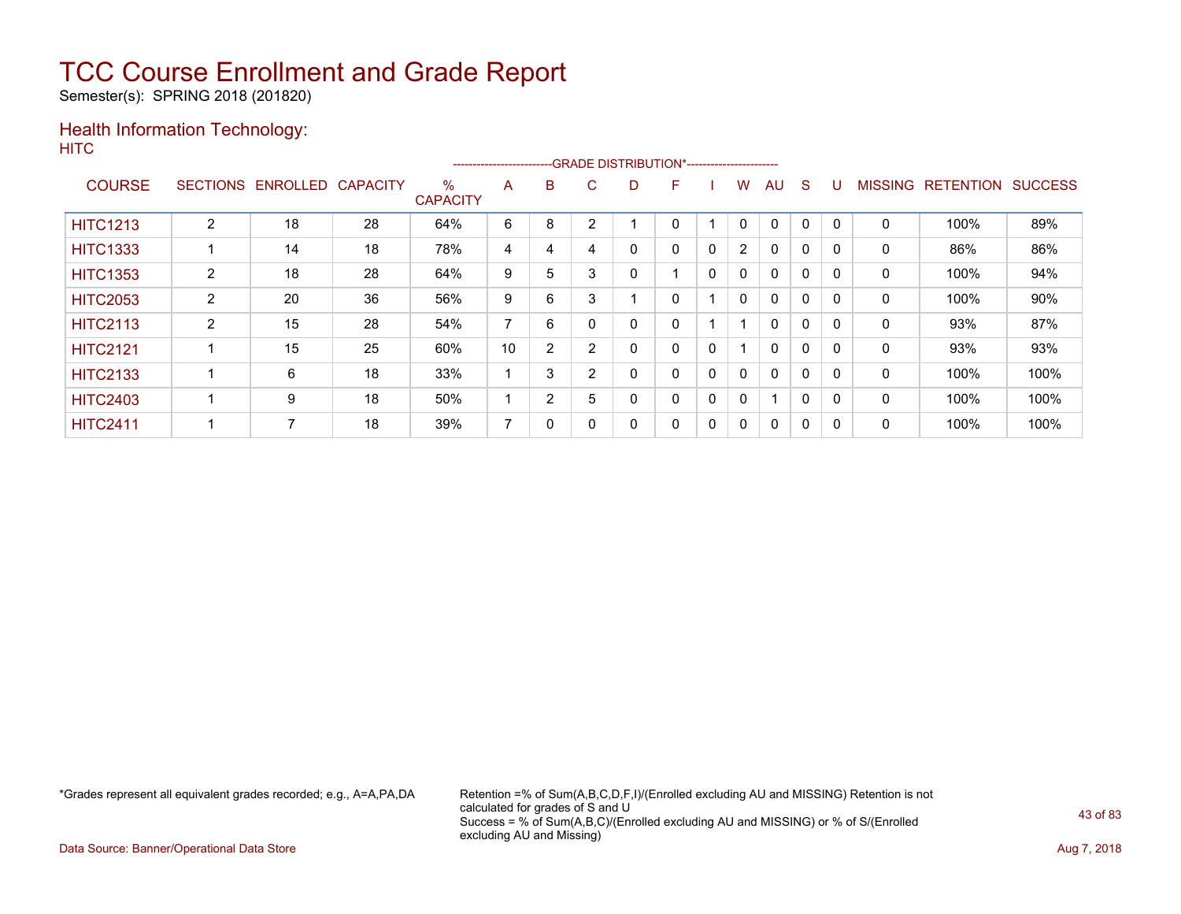Semester(s): SPRING 2018 (201820)

### Health Information Technology: **HITC**

|                 |                 |                 |                 |                         | ------------------------ |                |   | --- GRADE DISTRIBUTION*----------------------- |   |              |                |              |              |          |                |                  |                |
|-----------------|-----------------|-----------------|-----------------|-------------------------|--------------------------|----------------|---|------------------------------------------------|---|--------------|----------------|--------------|--------------|----------|----------------|------------------|----------------|
| <b>COURSE</b>   | <b>SECTIONS</b> | <b>ENROLLED</b> | <b>CAPACITY</b> | $\%$<br><b>CAPACITY</b> | A                        | B              | С | D                                              | F |              | w              | AU           | S            |          | <b>MISSING</b> | <b>RETENTION</b> | <b>SUCCESS</b> |
| <b>HITC1213</b> | $\overline{2}$  | 18              | 28              | 64%                     | 6                        | 8              | ◠ |                                                | 0 |              | 0              | $\mathbf 0$  | 0            |          | 0              | 100%             | 89%            |
| <b>HITC1333</b> |                 | 14              | 18              | 78%                     | 4                        | 4              | 4 | 0                                              | 0 | $\Omega$     | $\overline{2}$ | 0            | 0            |          | 0              | 86%              | 86%            |
| <b>HITC1353</b> | $\overline{2}$  | 18              | 28              | 64%                     | 9                        | 5              | 3 | 0                                              |   | $\mathbf{0}$ | $\mathbf{0}$   | $\mathbf{0}$ | $\mathbf{0}$ | $\Omega$ | 0              | 100%             | 94%            |
| <b>HITC2053</b> | 2               | 20              | 36              | 56%                     | 9                        | 6              | 3 |                                                | 0 |              | 0              | 0            | 0            |          | 0              | 100%             | 90%            |
| <b>HITC2113</b> | 2               | 15              | 28              | 54%                     | 7                        | 6              |   | 0                                              | 0 |              |                | $\mathbf{0}$ | $\mathbf 0$  |          | 0              | 93%              | 87%            |
| <b>HITC2121</b> |                 | 15              | 25              | 60%                     | 10                       | $\overline{2}$ | 2 | 0                                              | 0 | $\mathbf{0}$ |                | $\mathbf{0}$ | 0            |          | 0              | 93%              | 93%            |
| <b>HITC2133</b> |                 | 6               | 18              | 33%                     |                          | 3              | 2 | 0                                              | 0 | 0            | 0              | $\mathbf{0}$ | $\mathbf 0$  | $\Omega$ | 0              | 100%             | 100%           |
| <b>HITC2403</b> |                 | 9               | 18              | 50%                     |                          | 2              | 5 | 0                                              | 0 | 0            | 0              | 1            | $\mathbf 0$  |          | 0              | 100%             | 100%           |
| <b>HITC2411</b> |                 | 7               | 18              | 39%                     | ⇁                        | 0              |   | 0                                              | 0 | 0            | 0              | $\mathbf{0}$ | 0            | - 0      | 0              | 100%             | 100%           |

\*Grades represent all equivalent grades recorded; e.g., A=A,PA,DA Retention =% of Sum(A,B,C,D,F,I)/(Enrolled excluding AU and MISSING) Retention is not calculated for grades of S and U Success = % of Sum(A,B,C)/(Enrolled excluding AU and MISSING) or % of S/(Enrolled excluding AU and Missing)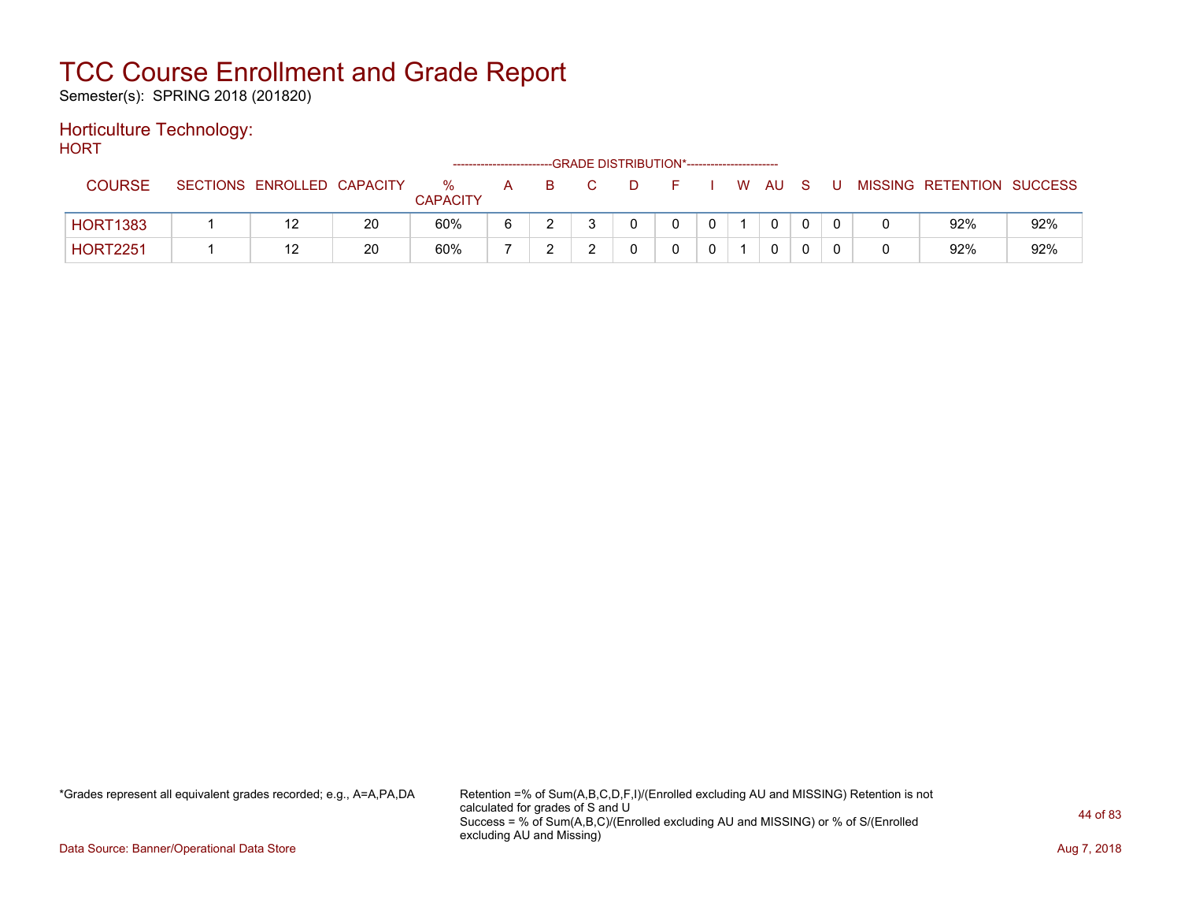Semester(s): SPRING 2018 (201820)

#### Horticulture Technology: **HORT**

| .               |                            |    |                      |              |  | --GRADE DISTRIBUTION*----------------------- |  |          |     |    |                           |     |
|-----------------|----------------------------|----|----------------------|--------------|--|----------------------------------------------|--|----------|-----|----|---------------------------|-----|
| <b>COURSE</b>   | SECTIONS ENROLLED CAPACITY |    | %<br><b>CAPACITY</b> | $\mathsf{A}$ |  |                                              |  | W AU     | - S | -U | MISSING RETENTION SUCCESS |     |
| <b>HORT1383</b> |                            | 20 | 60%                  |              |  |                                              |  | $\Omega$ |     |    | 92%                       | 92% |
| <b>HORT2251</b> |                            | 20 | 60%                  |              |  |                                              |  | 0        |     |    | 92%                       | 92% |

\*Grades represent all equivalent grades recorded; e.g., A=A,PA,DA Retention =% of Sum(A,B,C,D,F,I)/(Enrolled excluding AU and MISSING) Retention is not calculated for grades of S and U Success = % of Sum(A,B,C)/(Enrolled excluding AU and MISSING) or % of S/(Enrolled excluding AU and Missing)

Data Source: Banner/Operational Data Store **Aug 7, 2018**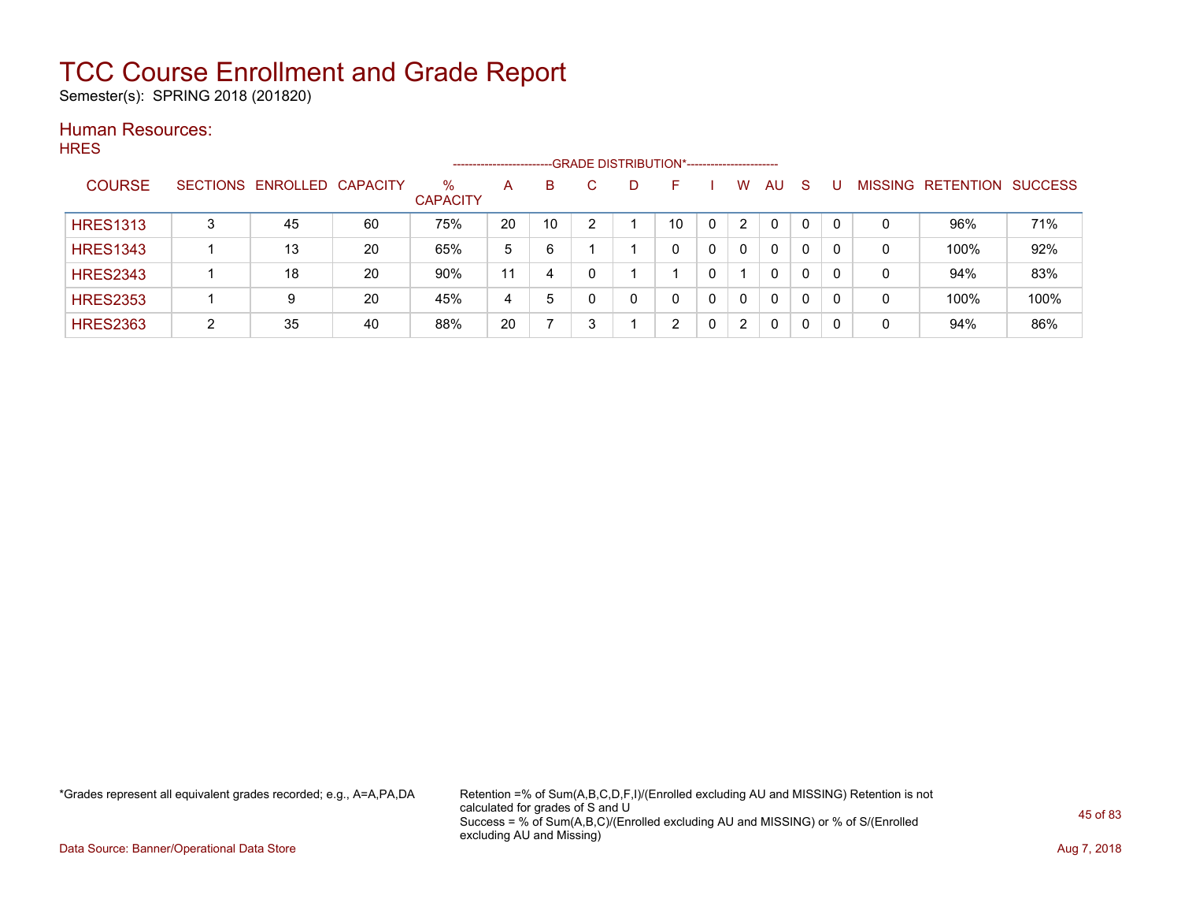Semester(s): SPRING 2018 (201820)

#### Human Resources: **HRES**

|                 |   |                            |    |                         | -------------------- |    |   | --GRADE DISTRIBUTION*------------------------ |                |          |    |                |                  |                |
|-----------------|---|----------------------------|----|-------------------------|----------------------|----|---|-----------------------------------------------|----------------|----------|----|----------------|------------------|----------------|
| <b>COURSE</b>   |   | SECTIONS ENROLLED CAPACITY |    | $\%$<br><b>CAPACITY</b> | A                    | B  | D |                                               | W              | AU       | -S | <b>MISSING</b> | <b>RETENTION</b> | <b>SUCCESS</b> |
| <b>HRES1313</b> | 3 | 45                         | 60 | 75%                     | 20                   | 10 |   | 10                                            | 2              | $\Omega$ | 0  |                | 96%              | 71%            |
| <b>HRES1343</b> |   | 13                         | 20 | 65%                     | 5                    | 6  |   | 0                                             | 0              | 0        | 0  | 0              | 100%             | 92%            |
| <b>HRES2343</b> |   | 18                         | 20 | 90%                     | 11                   | 4  |   |                                               |                | 0        | 0  | 0              | 94%              | 83%            |
| <b>HRES2353</b> |   | 9                          | 20 | 45%                     | 4                    | 5  |   |                                               | $\Omega$       | 0        | 0  | 0              | 100%             | 100%           |
| <b>HRES2363</b> | ົ | 35                         | 40 | 88%                     | 20                   |    |   | ົ                                             | $\overline{2}$ | 0        | 0  | 0              | 94%              | 86%            |

\*Grades represent all equivalent grades recorded; e.g., A=A,PA,DA Retention =% of Sum(A,B,C,D,F,I)/(Enrolled excluding AU and MISSING) Retention is not calculated for grades of S and U Success = % of Sum(A,B,C)/(Enrolled excluding AU and MISSING) or % of S/(Enrolled excluding AU and Missing)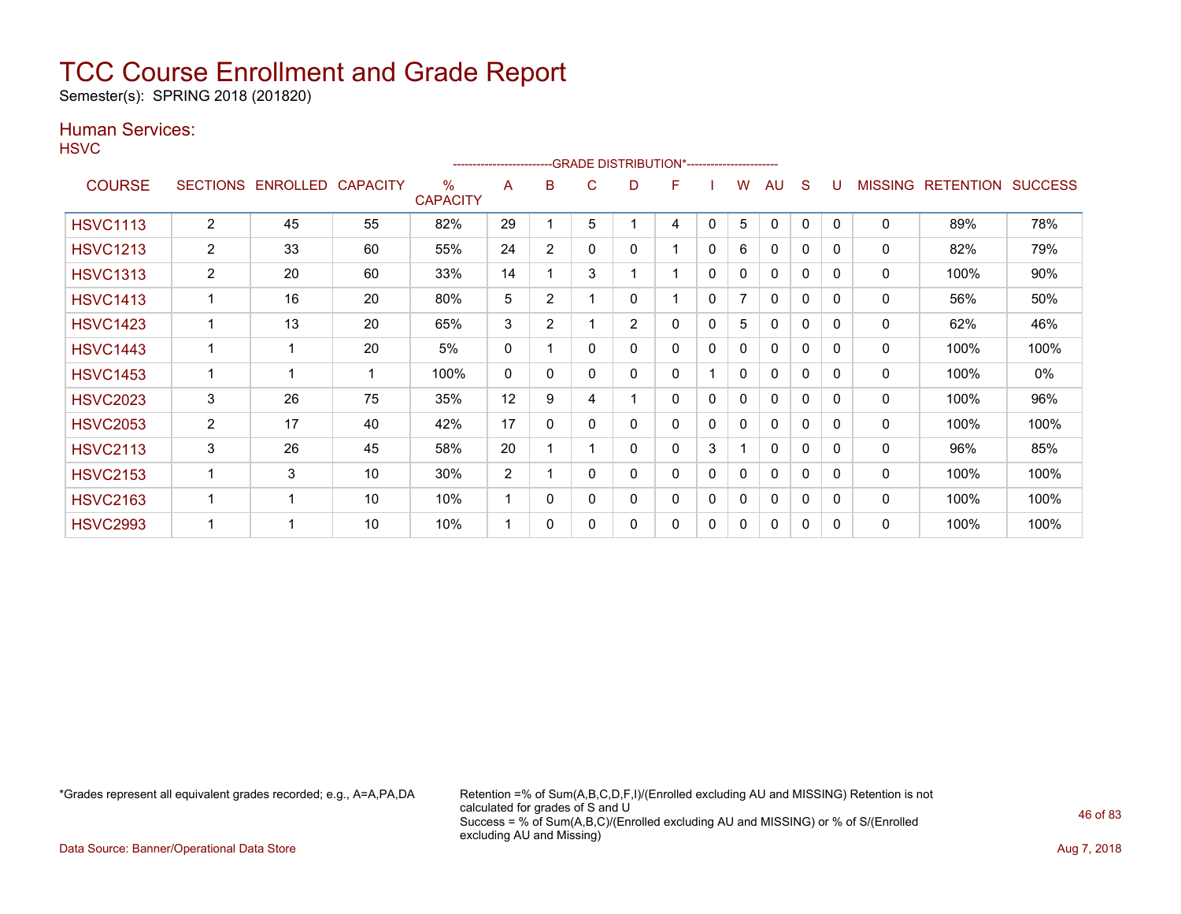Semester(s): SPRING 2018 (201820)

### Human Services:

**HSVC** 

|                 |                 |          |                 |                         |                |                | ------------------------GRADE                DISTRIBUTION*---------------------- |                |   |              |   |              |          |              |                |                  |                |
|-----------------|-----------------|----------|-----------------|-------------------------|----------------|----------------|----------------------------------------------------------------------------------|----------------|---|--------------|---|--------------|----------|--------------|----------------|------------------|----------------|
| <b>COURSE</b>   | <b>SECTIONS</b> | ENROLLED | <b>CAPACITY</b> | $\%$<br><b>CAPACITY</b> | A              | B              | С                                                                                | D              | F |              | w | AU           | S        |              | <b>MISSING</b> | <b>RETENTION</b> | <b>SUCCESS</b> |
| <b>HSVC1113</b> | 2               | 45       | 55              | 82%                     | 29             |                | 5                                                                                |                | 4 | 0            | 5 | 0            | $\Omega$ | $\mathbf{0}$ | 0              | 89%              | 78%            |
| <b>HSVC1213</b> | $\overline{2}$  | 33       | 60              | 55%                     | 24             | 2              | 0                                                                                | 0              | 1 | 0            | 6 | $\Omega$     | 0        | $\Omega$     | 0              | 82%              | 79%            |
| <b>HSVC1313</b> | $\overline{2}$  | 20       | 60              | 33%                     | 14             |                | 3                                                                                |                | 1 | 0            | 0 | $\Omega$     | 0        | 0            | 0              | 100%             | 90%            |
| <b>HSVC1413</b> |                 | 16       | 20              | 80%                     | 5              | 2              |                                                                                  | 0              | 1 | $\mathbf{0}$ | 7 | $\mathbf{0}$ | 0        | $\Omega$     | 0              | 56%              | 50%            |
| <b>HSVC1423</b> |                 | 13       | 20              | 65%                     | 3              | $\overline{2}$ |                                                                                  | $\overline{2}$ | 0 | 0            | 5 | 0            | 0        | $\Omega$     | 0              | 62%              | 46%            |
| <b>HSVC1443</b> |                 |          | 20              | 5%                      | 0              |                | 0                                                                                | 0              | 0 | 0            | 0 | 0            | 0        | $\Omega$     | 0              | 100%             | 100%           |
| <b>HSVC1453</b> |                 |          |                 | 100%                    | $\mathbf{0}$   | 0              | 0                                                                                | 0              | 0 |              | 0 | 0            | 0        | 0            | 0              | 100%             | $0\%$          |
| <b>HSVC2023</b> | 3               | 26       | 75              | 35%                     | 12             | 9              | 4                                                                                |                | 0 | $\mathbf{0}$ | 0 | 0            | 0        | $\mathbf{0}$ | 0              | 100%             | 96%            |
| <b>HSVC2053</b> | $\overline{2}$  | 17       | 40              | 42%                     | 17             | $\mathbf{0}$   | 0                                                                                | 0              | 0 | 0            | 0 | 0            | 0        | $\mathbf{0}$ | 0              | 100%             | 100%           |
| <b>HSVC2113</b> | 3               | 26       | 45              | 58%                     | 20             |                |                                                                                  | 0              | 0 | 3            |   | 0            | 0        | $\mathbf{0}$ | 0              | 96%              | 85%            |
| <b>HSVC2153</b> |                 | 3        | 10              | 30%                     | $\overline{2}$ |                | 0                                                                                | 0              | 0 | 0            | 0 | 0            | 0        | $\Omega$     | 0              | 100%             | 100%           |
| <b>HSVC2163</b> |                 |          | 10              | 10%                     | 1              | 0              | 0                                                                                | 0              | 0 | 0            | 0 | 0            | 0        | $\Omega$     | 0              | 100%             | 100%           |
| <b>HSVC2993</b> |                 |          | 10              | 10%                     | 1              | $\Omega$       | 0                                                                                | 0              | 0 | 0            | 0 | 0            | 0        | $\Omega$     | 0              | 100%             | 100%           |

\*Grades represent all equivalent grades recorded; e.g., A=A,PA,DA Retention =% of Sum(A,B,C,D,F,I)/(Enrolled excluding AU and MISSING) Retention is not calculated for grades of S and U Success = % of Sum(A,B,C)/(Enrolled excluding AU and MISSING) or % of S/(Enrolled excluding AU and Missing)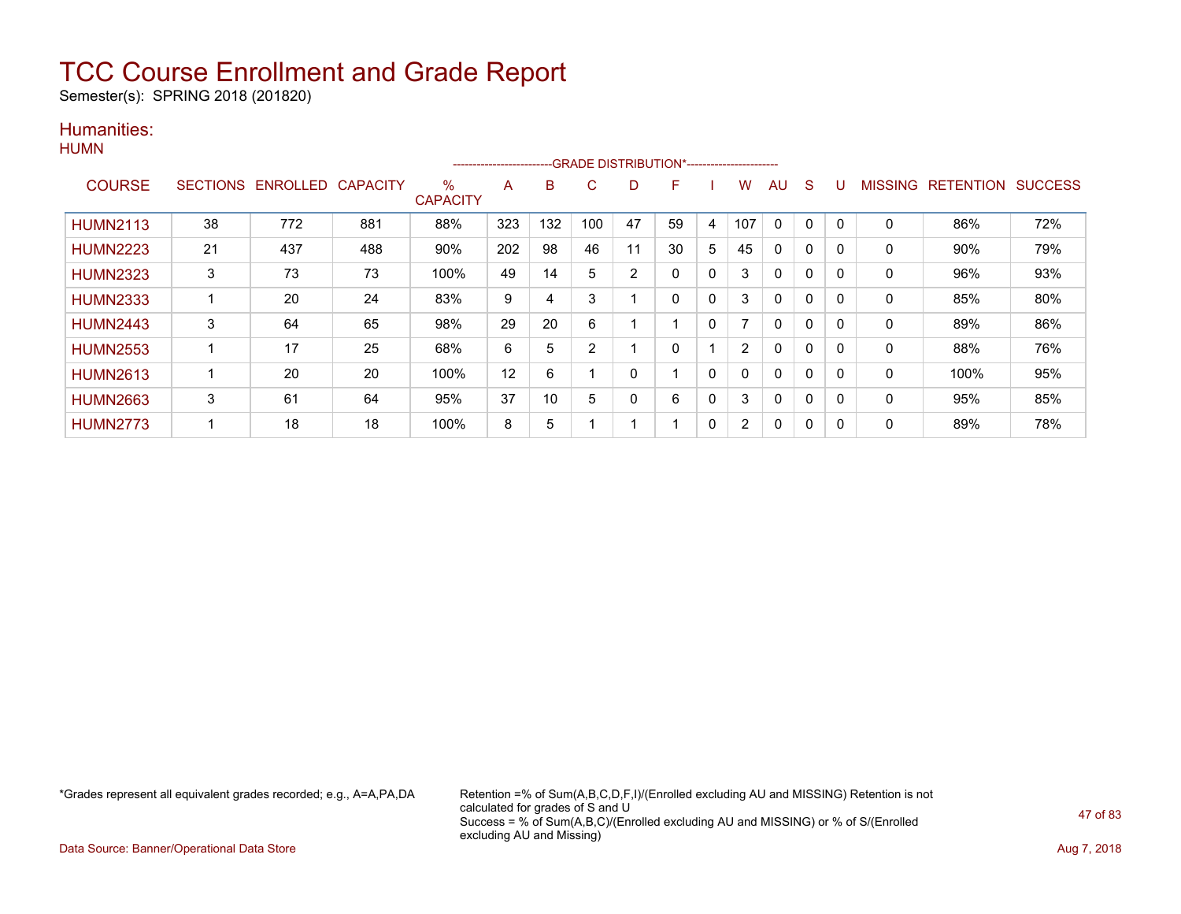Semester(s): SPRING 2018 (201820)

### Humanities: **HUMN**

|                 |                 |                   |     |                 | ------------------------- |     |     |    | -GRADE DISTRIBUTION*----------------------- |              |                |              |              |          |                |                  |                |
|-----------------|-----------------|-------------------|-----|-----------------|---------------------------|-----|-----|----|---------------------------------------------|--------------|----------------|--------------|--------------|----------|----------------|------------------|----------------|
| <b>COURSE</b>   | <b>SECTIONS</b> | ENROLLED CAPACITY |     | %               | A                         | B   | C   | D  | F                                           |              | w              | AU           | S            |          | <b>MISSING</b> | <b>RETENTION</b> | <b>SUCCESS</b> |
|                 |                 |                   |     | <b>CAPACITY</b> |                           |     |     |    |                                             |              |                |              |              |          |                |                  |                |
| <b>HUMN2113</b> | 38              | 772               | 881 | 88%             | 323                       | 132 | 100 | 47 | 59                                          | 4            | 107            | $\mathbf{0}$ | 0            | $\Omega$ | $\Omega$       | 86%              | 72%            |
| <b>HUMN2223</b> | 21              | 437               | 488 | 90%             | 202                       | 98  | 46  | 11 | 30                                          | 5            | 45             | 0            | 0            | 0        | 0              | 90%              | 79%            |
| <b>HUMN2323</b> | 3               | 73                | 73  | 100%            | 49                        | 14  | 5   | 2  | $\mathbf{0}$                                | $\Omega$     | 3              | $\mathbf{0}$ | $\Omega$     | 0        | 0              | 96%              | 93%            |
| <b>HUMN2333</b> |                 | 20                | 24  | 83%             | 9                         | 4   | 3   |    | 0                                           | 0            | 3              | 0            | 0            | $\Omega$ | 0              | 85%              | 80%            |
| <b>HUMN2443</b> | 3               | 64                | 65  | 98%             | 29                        | 20  | 6   |    |                                             | 0            |                | 0            | 0            | $\Omega$ | 0              | 89%              | 86%            |
| <b>HUMN2553</b> |                 | 17                | 25  | 68%             | 6                         | 5   | 2   |    | 0                                           |              | $\overline{2}$ | 0            | 0            | $\Omega$ | 0              | 88%              | 76%            |
| <b>HUMN2613</b> |                 | 20                | 20  | 100%            | 12                        | 6   |     | 0  |                                             | $\mathbf{0}$ | 0              | $\mathbf{0}$ | $\mathbf{0}$ | $\Omega$ | 0              | 100%             | 95%            |
| <b>HUMN2663</b> | 3               | 61                | 64  | 95%             | 37                        | 10  | 5   | 0  | 6                                           | 0            | 3              | 0            | 0            | $\Omega$ | 0              | 95%              | 85%            |
| <b>HUMN2773</b> |                 | 18                | 18  | 100%            | 8                         | 5   |     |    |                                             | 0            | 2              | 0            | 0            | 0        | 0              | 89%              | 78%            |

\*Grades represent all equivalent grades recorded; e.g., A=A,PA,DA Retention =% of Sum(A,B,C,D,F,I)/(Enrolled excluding AU and MISSING) Retention is not calculated for grades of S and U Success = % of Sum(A,B,C)/(Enrolled excluding AU and MISSING) or % of S/(Enrolled excluding AU and Missing)

Data Source: Banner/Operational Data Store **Aug 7, 2018**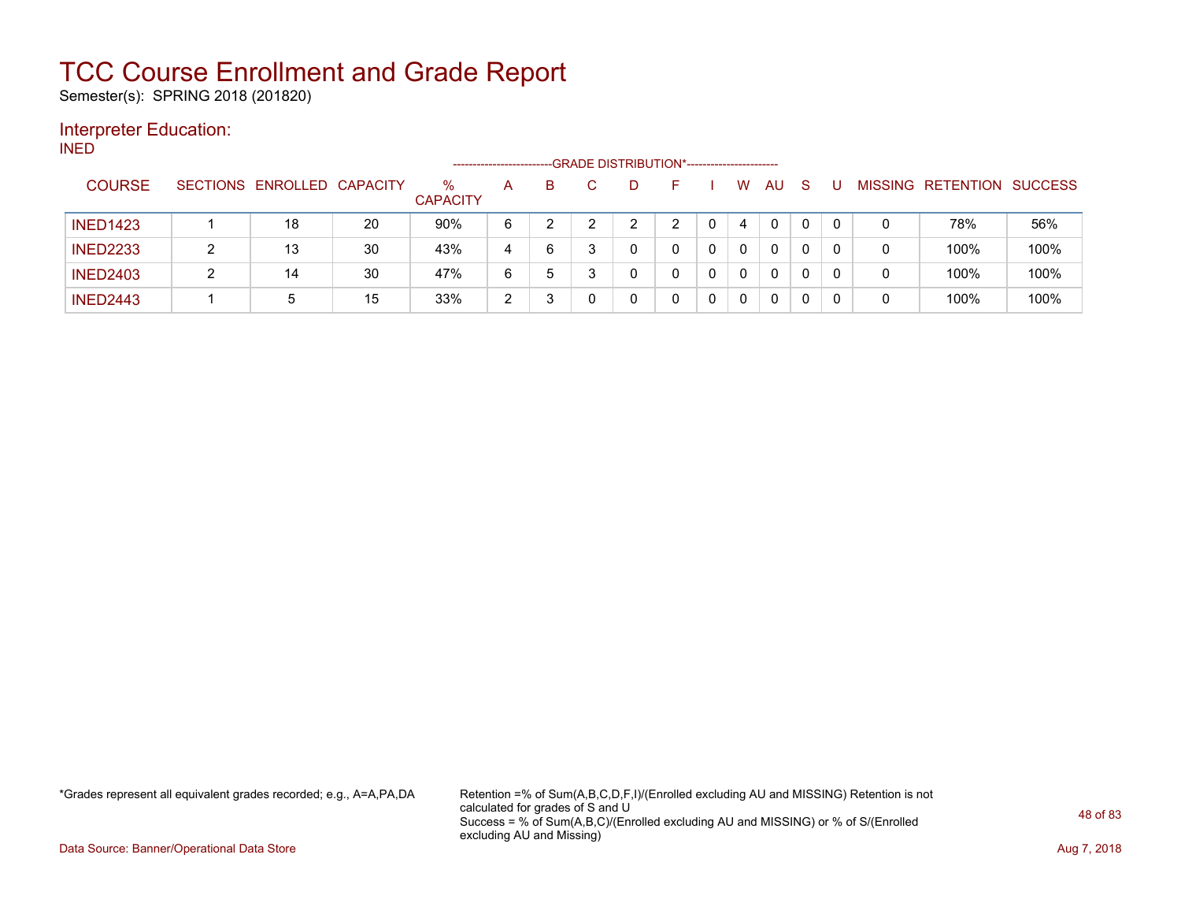Semester(s): SPRING 2018 (201820)

### Interpreter Education:

INED

|                 |                            |    |                         | ---------------------- |    | --GRADE DISTRIBUTION*----------------------- |   |          |              |              |          |                |                  |                |
|-----------------|----------------------------|----|-------------------------|------------------------|----|----------------------------------------------|---|----------|--------------|--------------|----------|----------------|------------------|----------------|
| <b>COURSE</b>   | SECTIONS ENROLLED CAPACITY |    | $\%$<br><b>CAPACITY</b> | A                      | B. |                                              |   | W        | AU           | <sub>S</sub> |          | <b>MISSING</b> | <b>RETENTION</b> | <b>SUCCESS</b> |
| <b>INED1423</b> | 18                         | 20 | 90%                     | 6                      |    | ົ                                            | ⌒ | 4        | $\mathbf{0}$ |              | $\Omega$ | 0              | 78%              | 56%            |
| <b>INED2233</b> | 13                         | 30 | 43%                     | 4                      | 6  |                                              |   | $\Omega$ | 0            | 0            | $\Omega$ | 0              | 100%             | 100%           |
| <b>INED2403</b> | 14                         | 30 | 47%                     | 6                      | 5  |                                              |   | 0        | 0            |              | 0        | 0              | 100%             | 100%           |
| <b>INED2443</b> | 5                          | 15 | 33%                     | 2                      |    |                                              |   | 0        | 0            |              |          | 0              | 100%             | 100%           |

\*Grades represent all equivalent grades recorded; e.g., A=A,PA,DA Retention =% of Sum(A,B,C,D,F,I)/(Enrolled excluding AU and MISSING) Retention is not calculated for grades of S and U Success = % of Sum(A,B,C)/(Enrolled excluding AU and MISSING) or % of S/(Enrolled excluding AU and Missing)

Data Source: Banner/Operational Data Store **Aug 7, 2018**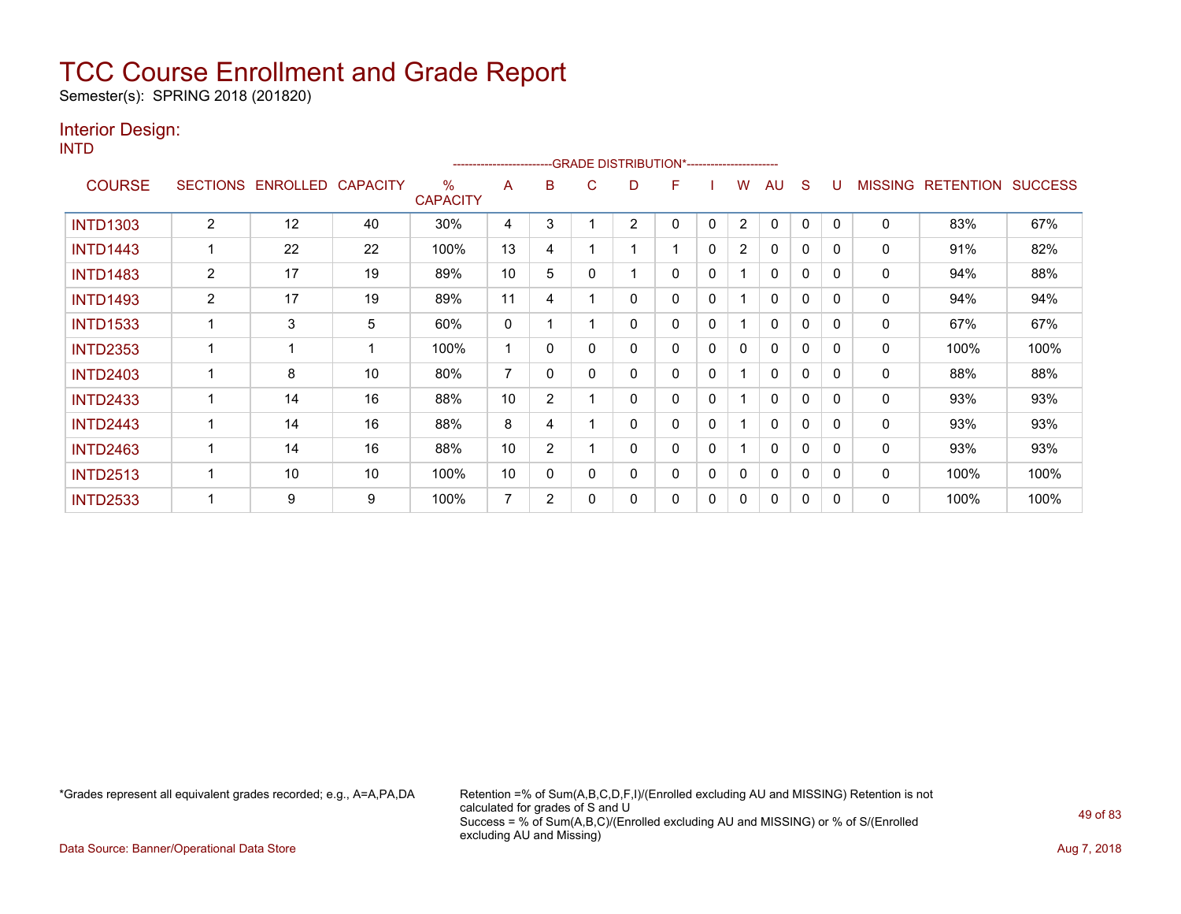Semester(s): SPRING 2018 (201820)

### Interior Design:

INTD

|                 |                 |          |                 |                                  | ----------------------- |                |   | -- GRADE DISTRIBUTION*------------------------ |   |              |                |              |              |              |                |                  |                |
|-----------------|-----------------|----------|-----------------|----------------------------------|-------------------------|----------------|---|------------------------------------------------|---|--------------|----------------|--------------|--------------|--------------|----------------|------------------|----------------|
| <b>COURSE</b>   | <b>SECTIONS</b> | ENROLLED | <b>CAPACITY</b> | $\frac{0}{0}$<br><b>CAPACITY</b> | A                       | B              | С | D                                              | F |              | W              | AU           | S            |              | <b>MISSING</b> | <b>RETENTION</b> | <b>SUCCESS</b> |
| <b>INTD1303</b> | $\overline{2}$  | 12       | 40              | 30%                              | 4                       | 3              |   | $\overline{2}$                                 | 0 | 0            | $\overline{2}$ | 0            | 0            | $\Omega$     | $\mathbf 0$    | 83%              | 67%            |
| <b>INTD1443</b> |                 | 22       | 22              | 100%                             | 13                      | 4              |   |                                                |   | 0            | $\overline{2}$ | 0            | 0            | $\Omega$     | 0              | 91%              | 82%            |
| <b>INTD1483</b> | 2               | 17       | 19              | 89%                              | 10                      | 5              | 0 |                                                | 0 | $\Omega$     |                | $\mathbf{0}$ | $\mathbf{0}$ | $\Omega$     | $\mathbf 0$    | 94%              | 88%            |
| <b>INTD1493</b> | $\overline{2}$  | 17       | 19              | 89%                              | 11                      | 4              |   | 0                                              | 0 | $\mathbf{0}$ |                | 0            | 0            | $\Omega$     | 0              | 94%              | 94%            |
| <b>INTD1533</b> |                 | 3        | 5               | 60%                              | 0                       |                |   | 0                                              | 0 | 0            |                | $\mathbf{0}$ | 0            | $\Omega$     | 0              | 67%              | 67%            |
| <b>INTD2353</b> |                 |          |                 | 100%                             |                         | $\Omega$       | 0 | 0                                              | 0 | $\Omega$     | 0              | $\Omega$     | $\mathbf 0$  | $\Omega$     | $\mathbf 0$    | 100%             | 100%           |
| <b>INTD2403</b> |                 | 8        | 10              | 80%                              | 7                       | 0              | 0 | 0                                              | 0 | $\mathbf{0}$ |                | $\mathbf{0}$ | $\mathbf 0$  | $\Omega$     | $\mathbf 0$    | 88%              | 88%            |
| <b>INTD2433</b> |                 | 14       | 16              | 88%                              | 10                      | $\overline{2}$ |   | 0                                              | 0 | 0            |                | $\mathbf{0}$ | 0            | <sup>0</sup> | 0              | 93%              | 93%            |
| <b>INTD2443</b> |                 | 14       | 16              | 88%                              | 8                       | 4              |   | 0                                              | 0 | 0            |                | $\mathbf{0}$ | $\mathbf 0$  | $\Omega$     | 0              | 93%              | 93%            |
| <b>INTD2463</b> |                 | 14       | 16              | 88%                              | 10                      | $\overline{2}$ |   | 0                                              | 0 | $\mathbf{0}$ |                | 0            | $\mathbf{0}$ | 0            | $\mathbf 0$    | 93%              | 93%            |
| <b>INTD2513</b> |                 | 10       | 10              | 100%                             | 10                      | 0              | 0 | 0                                              | 0 | 0            | 0              | $\mathbf{0}$ | 0            | $\Omega$     | 0              | 100%             | 100%           |
| <b>INTD2533</b> |                 | 9        | 9               | 100%                             | 7                       | 2              | 0 | 0                                              | 0 | 0            | 0              | 0            | 0            | 0            | 0              | 100%             | 100%           |

\*Grades represent all equivalent grades recorded; e.g., A=A,PA,DA Retention =% of Sum(A,B,C,D,F,I)/(Enrolled excluding AU and MISSING) Retention is not calculated for grades of S and U Success = % of Sum(A,B,C)/(Enrolled excluding AU and MISSING) or % of S/(Enrolled excluding AU and Missing)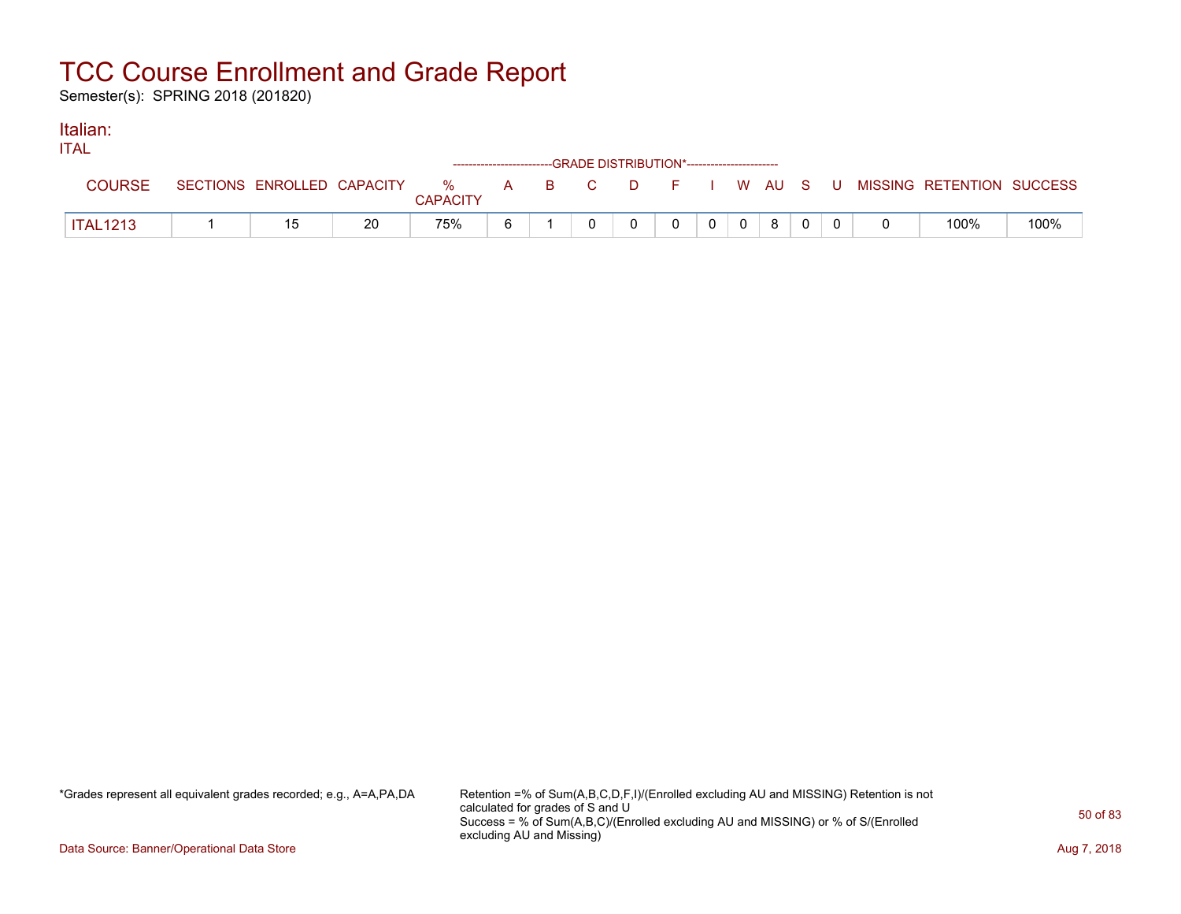Semester(s): SPRING 2018 (201820)

#### Italian: ITAL

| IIAL            |  |    | ------------------------GRADE            DISTRIBUTION*------------------------- |    |  |          |                |                |   |  |                                                                               |      |
|-----------------|--|----|---------------------------------------------------------------------------------|----|--|----------|----------------|----------------|---|--|-------------------------------------------------------------------------------|------|
| <b>COURSE</b>   |  |    | <b>CAPACITY</b>                                                                 |    |  |          |                |                |   |  | SECTIONS ENROLLED CAPACITY 3 % A B C D F I W AU S U MISSING RETENTION SUCCESS |      |
| <b>ITAL1213</b> |  | 20 | 75%                                                                             | ĥ. |  | $\Omega$ | 0 <sup>1</sup> | $\overline{0}$ | 8 |  | 100%                                                                          | 100% |

\*Grades represent all equivalent grades recorded; e.g., A=A,PA,DA Retention =% of Sum(A,B,C,D,F,I)/(Enrolled excluding AU and MISSING) Retention is not calculated for grades of S and U Success = % of Sum(A,B,C)/(Enrolled excluding AU and MISSING) or % of S/(Enrolled excluding AU and Missing)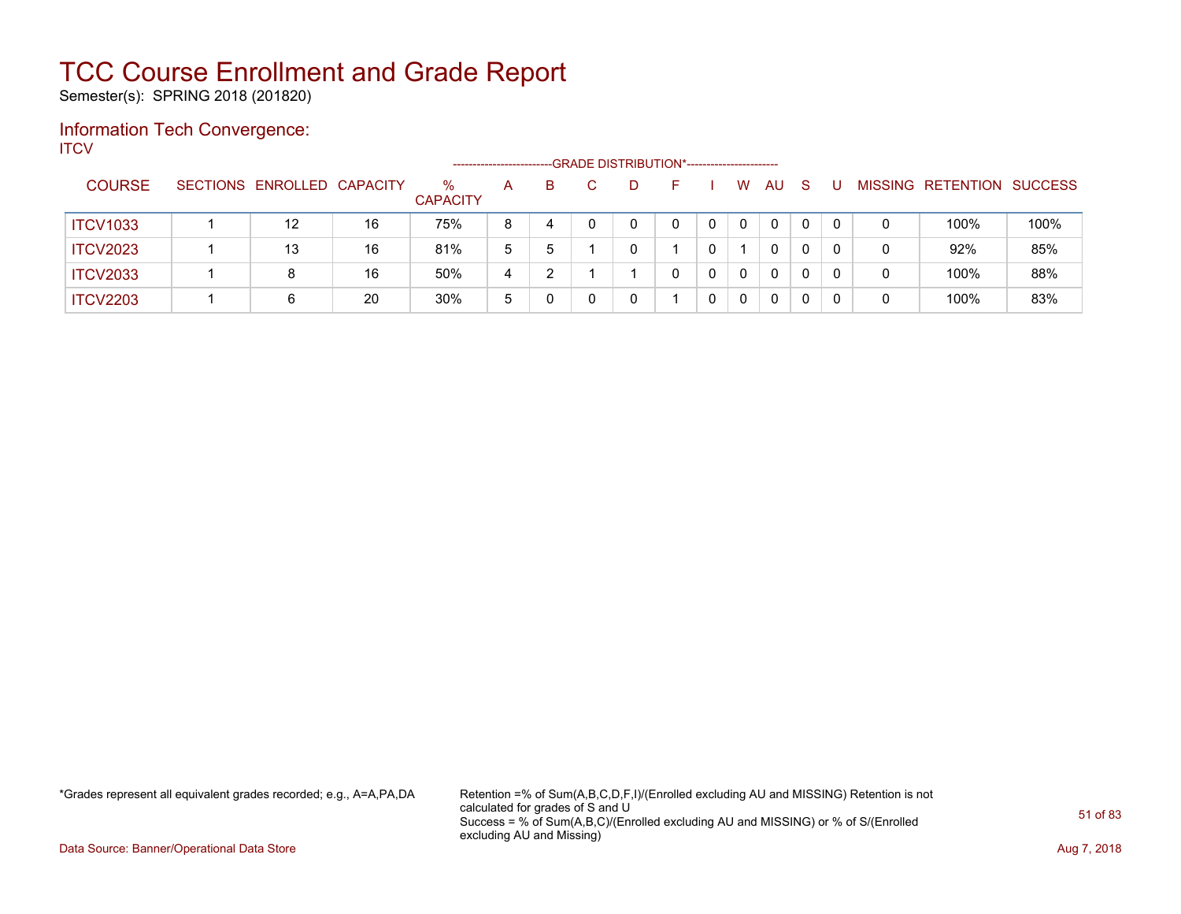Semester(s): SPRING 2018 (201820)

### Information Tech Convergence: **ITCV**

|                 |                            |    |                         | ---------------------- |    |    | -GRADE DISTRIBUTION*----------------------- |   |    |    |  |                           |      |
|-----------------|----------------------------|----|-------------------------|------------------------|----|----|---------------------------------------------|---|----|----|--|---------------------------|------|
| <b>COURSE</b>   | SECTIONS ENROLLED CAPACITY |    | $\%$<br><b>CAPACITY</b> | A                      | B. | D. | н.                                          | W | AU | -S |  | MISSING RETENTION SUCCESS |      |
| <b>ITCV1033</b> | 12                         | 16 | 75%                     | 8                      | 4  |    |                                             | 0 | 0  | 0  |  | 100%                      | 100% |
| <b>ITCV2023</b> | 13                         | 16 | 81%                     | 5                      | 5  |    |                                             |   | 0  | 0  |  | 92%                       | 85%  |
| <b>ITCV2033</b> | 8                          | 16 | 50%                     | 4                      | າ  |    |                                             | 0 | 0  | 0  |  | 100%                      | 88%  |
| <b>ITCV2203</b> | 6                          | 20 | 30%                     | 5                      |    |    |                                             | 0 | 0  | 0  |  | 100%                      | 83%  |

\*Grades represent all equivalent grades recorded; e.g., A=A,PA,DA Retention =% of Sum(A,B,C,D,F,I)/(Enrolled excluding AU and MISSING) Retention is not calculated for grades of S and U Success = % of Sum(A,B,C)/(Enrolled excluding AU and MISSING) or % of S/(Enrolled excluding AU and Missing)

Data Source: Banner/Operational Data Store **Aug 7, 2018**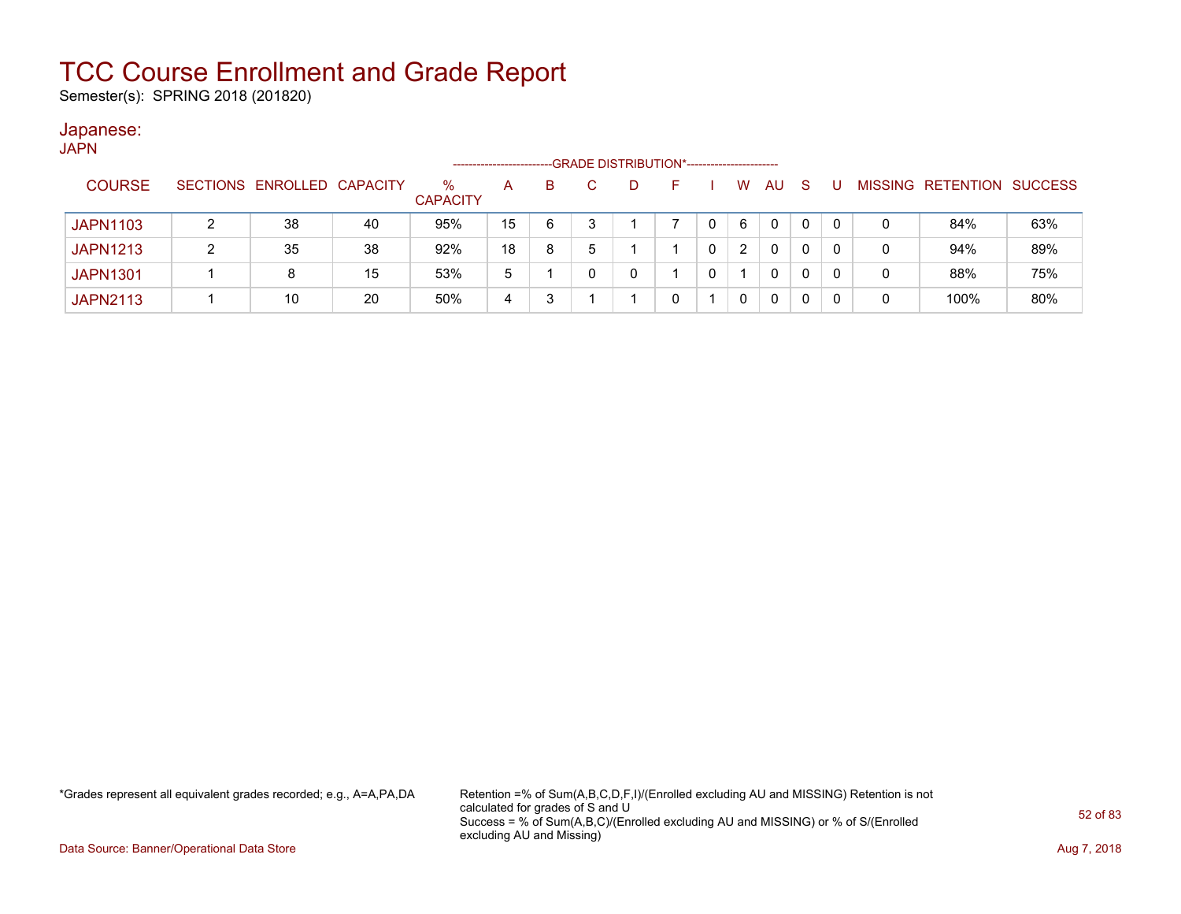Semester(s): SPRING 2018 (201820)

#### Japanese: JAPN

| <b>UINIT</b>    |    |    |                            |    |    |   |  |   |              |                                             |   |      |                                  |
|-----------------|----|----|----------------------------|----|----|---|--|---|--------------|---------------------------------------------|---|------|----------------------------------|
| <b>COURSE</b>   |    |    | $\%$<br><b>CAPACITY</b>    | A  | B. | D |  | W | AU           | <sub>S</sub>                                |   |      |                                  |
| <b>JAPN1103</b> | 38 | 40 | 95%                        | 15 | 6  |   |  | 6 | $\mathbf{0}$ | $\Omega$                                    | 0 | 84%  | 63%                              |
| <b>JAPN1213</b> | 35 | 38 | 92%                        | 18 | 8  |   |  | 2 | $\mathbf{0}$ | 0                                           | 0 | 94%  | 89%                              |
| <b>JAPN1301</b> |    | 15 | 53%                        | 5  |    | 0 |  |   | 0            | 0                                           | 0 | 88%  | 75%                              |
| <b>JAPN2113</b> | 10 | 20 | 50%                        | 4  |    |   |  | 0 | 0            | 0                                           | 0 | 100% | 80%                              |
|                 |    |    | SECTIONS ENROLLED CAPACITY |    |    |   |  |   |              | -GRADE DISTRIBUTION*----------------------- |   |      | <b>MISSING RETENTION SUCCESS</b> |

\*Grades represent all equivalent grades recorded; e.g., A=A,PA,DA Retention =% of Sum(A,B,C,D,F,I)/(Enrolled excluding AU and MISSING) Retention is not calculated for grades of S and U Success = % of Sum(A,B,C)/(Enrolled excluding AU and MISSING) or % of S/(Enrolled excluding AU and Missing)

Data Source: Banner/Operational Data Store **Aug 7, 2018**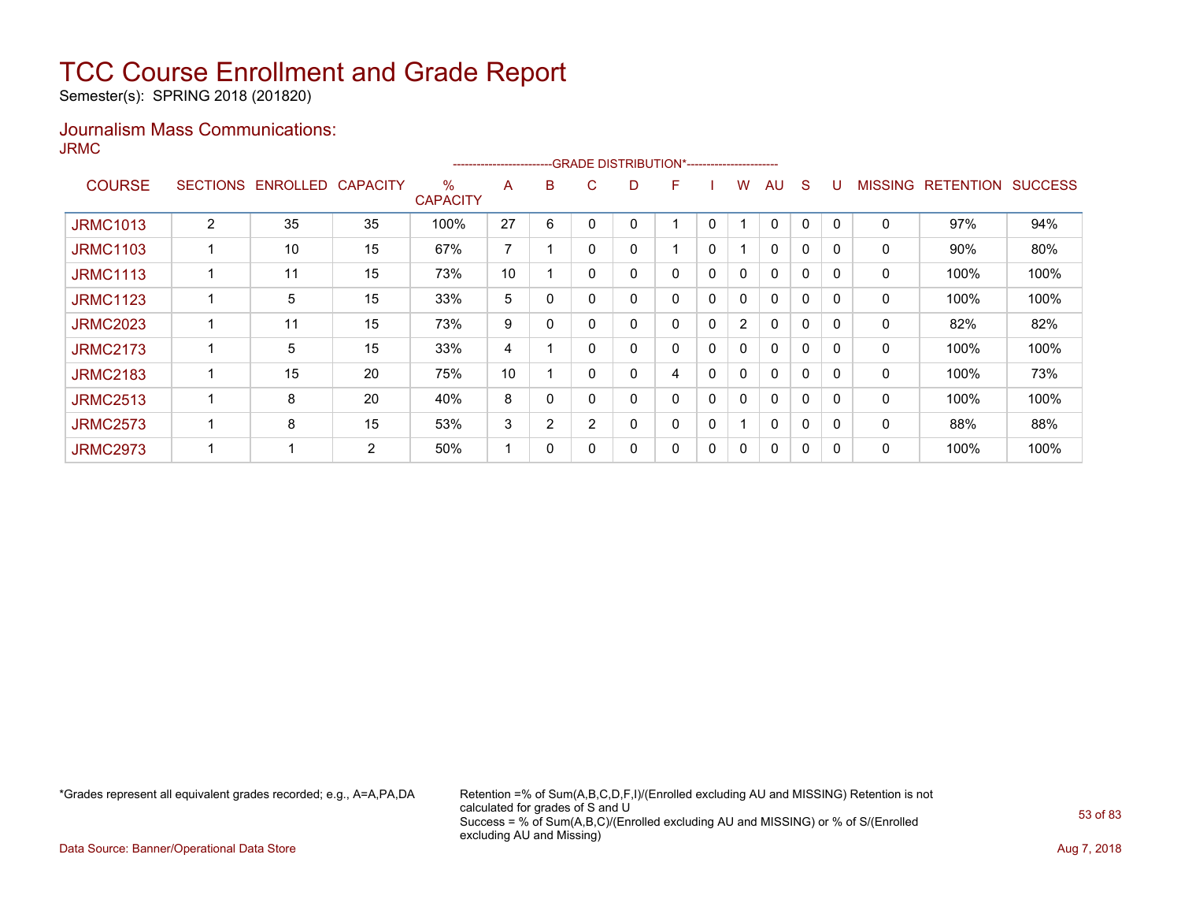Semester(s): SPRING 2018 (201820)

### Journalism Mass Communications: JRMC

|                 |                 |          |                 |                         | ---------------------- |   | -GRADE DISTRIBUTION*----------------------- |   |   |             |                |              |   |          |                |                  |                |
|-----------------|-----------------|----------|-----------------|-------------------------|------------------------|---|---------------------------------------------|---|---|-------------|----------------|--------------|---|----------|----------------|------------------|----------------|
| <b>COURSE</b>   | <b>SECTIONS</b> | ENROLLED | <b>CAPACITY</b> | $\%$<br><b>CAPACITY</b> | A                      | B | C.                                          | D | F |             | w              | AU           | S |          | <b>MISSING</b> | <b>RETENTION</b> | <b>SUCCESS</b> |
| <b>JRMC1013</b> | 2               | 35       | 35              | 100%                    | 27                     | 6 | 0                                           |   |   | 0           |                | $\Omega$     | 0 | $\Omega$ | 0              | 97%              | 94%            |
| <b>JRMC1103</b> |                 | 10       | 15              | 67%                     | ⇁                      |   | $\mathbf{0}$                                |   |   | 0           |                | 0            | 0 | 0        | 0              | 90%              | 80%            |
| <b>JRMC1113</b> |                 | 11       | 15              | 73%                     | 10                     |   | $\Omega$                                    |   | 0 | 0           | 0              | $\Omega$     | 0 | $\Omega$ | 0              | 100%             | 100%           |
| <b>JRMC1123</b> |                 | 5        | 15              | 33%                     | 5                      | 0 | 0                                           |   | 0 | 0           | 0              | $\Omega$     | 0 | $\Omega$ | 0              | 100%             | 100%           |
| <b>JRMC2023</b> |                 | 11       | 15              | 73%                     | 9                      | 0 | 0                                           |   | 0 | 0           | $\overline{2}$ | 0            | 0 | 0        | 0              | 82%              | 82%            |
| <b>JRMC2173</b> |                 | 5        | 15              | 33%                     | 4                      |   | $\mathbf{0}$                                | 0 | 0 | 0           | 0              | 0            | 0 | 0        | 0              | 100%             | 100%           |
| <b>JRMC2183</b> |                 | 15       | 20              | 75%                     | 10                     |   | $\Omega$                                    |   | 4 | $\mathbf 0$ | 0              | $\mathbf{0}$ | 0 | $\Omega$ | 0              | 100%             | 73%            |
| <b>JRMC2513</b> |                 | 8        | 20              | 40%                     | 8                      | 0 | 0                                           |   | 0 | $\Omega$    | 0              | $\mathbf{0}$ | 0 | $\Omega$ | 0              | 100%             | 100%           |
| <b>JRMC2573</b> |                 | 8        | 15              | 53%                     | 3                      | 2 | 2                                           | 0 | 0 | 0           |                | $\mathbf{0}$ | 0 | 0        | 0              | 88%              | 88%            |
| <b>JRMC2973</b> |                 |          | 2               | 50%                     |                        | 0 | 0                                           |   | 0 | 0           | 0              | $\Omega$     | 0 |          | 0              | 100%             | 100%           |

\*Grades represent all equivalent grades recorded; e.g., A=A,PA,DA Retention =% of Sum(A,B,C,D,F,I)/(Enrolled excluding AU and MISSING) Retention is not calculated for grades of S and U Success = % of Sum(A,B,C)/(Enrolled excluding AU and MISSING) or % of S/(Enrolled excluding AU and Missing)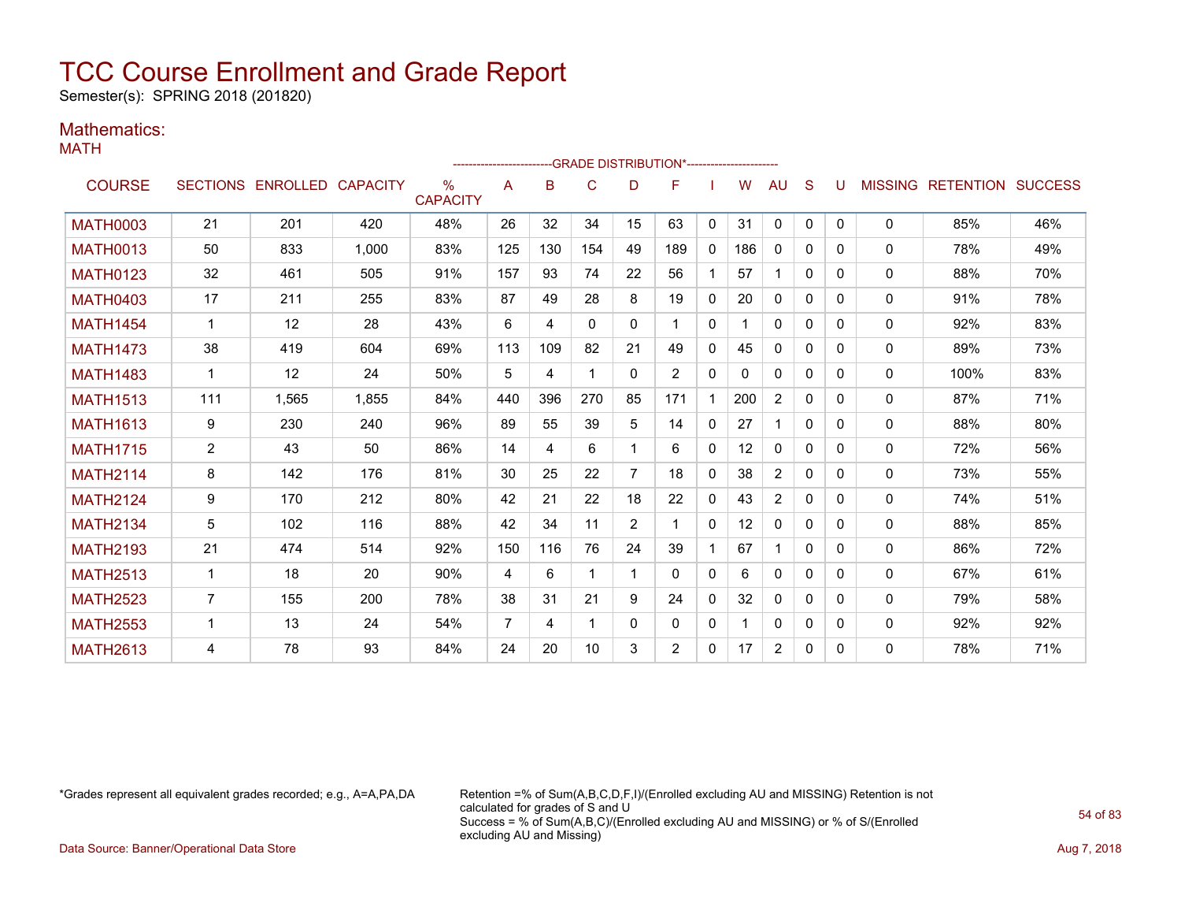Semester(s): SPRING 2018 (201820)

### Mathematics:

MATH

|                 |                |                            |       |                      | ----------------------- |     |              |                | --GRADE DISTRIBUTION*---------------------- |              |     |                |              |   |              |                                  |     |
|-----------------|----------------|----------------------------|-------|----------------------|-------------------------|-----|--------------|----------------|---------------------------------------------|--------------|-----|----------------|--------------|---|--------------|----------------------------------|-----|
| <b>COURSE</b>   |                | SECTIONS ENROLLED CAPACITY |       | ℅<br><b>CAPACITY</b> | A                       | B   | C            | D              | F                                           |              | W   | AU             | S            |   |              | <b>MISSING RETENTION SUCCESS</b> |     |
| <b>MATH0003</b> | 21             | 201                        | 420   | 48%                  | 26                      | 32  | 34           | 15             | 63                                          | $\mathbf{0}$ | 31  | $\mathbf{0}$   | $\mathbf{0}$ | 0 | $\mathbf{0}$ | 85%                              | 46% |
| <b>MATH0013</b> | 50             | 833                        | 1,000 | 83%                  | 125                     | 130 | 154          | 49             | 189                                         | $\mathbf{0}$ | 186 | $\mathbf{0}$   | $\Omega$     | 0 | $\mathbf{0}$ | 78%                              | 49% |
| <b>MATH0123</b> | 32             | 461                        | 505   | 91%                  | 157                     | 93  | 74           | 22             | 56                                          |              | 57  |                | $\Omega$     | 0 | 0            | 88%                              | 70% |
| <b>MATH0403</b> | 17             | 211                        | 255   | 83%                  | 87                      | 49  | 28           | 8              | 19                                          | 0            | 20  | 0              | $\Omega$     | 0 | 0            | 91%                              | 78% |
| <b>MATH1454</b> | 1              | 12                         | 28    | 43%                  | 6                       | 4   | $\mathbf{0}$ | $\mathbf{0}$   | 1                                           | $\mathbf{0}$ |     | 0              | 0            | 0 | 0            | 92%                              | 83% |
| <b>MATH1473</b> | 38             | 419                        | 604   | 69%                  | 113                     | 109 | 82           | 21             | 49                                          | $\Omega$     | 45  | $\mathbf{0}$   | $\Omega$     | 0 | $\mathbf{0}$ | 89%                              | 73% |
| <b>MATH1483</b> | 1              | 12                         | 24    | 50%                  | 5                       | 4   | -1           | $\Omega$       | $\overline{2}$                              | $\mathbf{0}$ | 0   | $\mathbf{0}$   | $\Omega$     | 0 | 0            | 100%                             | 83% |
| <b>MATH1513</b> | 111            | 1.565                      | 1.855 | 84%                  | 440                     | 396 | 270          | 85             | 171                                         | $\mathbf 1$  | 200 | $\overline{2}$ | $\Omega$     | 0 | 0            | 87%                              | 71% |
| <b>MATH1613</b> | 9              | 230                        | 240   | 96%                  | 89                      | 55  | 39           | 5              | 14                                          | $\mathbf{0}$ | 27  |                | 0            | 0 | 0            | 88%                              | 80% |
| <b>MATH1715</b> | $\overline{2}$ | 43                         | 50    | 86%                  | 14                      | 4   | 6            |                | 6                                           | $\mathbf{0}$ | 12  | 0              | $\Omega$     | 0 | 0            | 72%                              | 56% |
| <b>MATH2114</b> | 8              | 142                        | 176   | 81%                  | 30                      | 25  | 22           | $\overline{7}$ | 18                                          | $\mathbf{0}$ | 38  | 2              | $\Omega$     | 0 | $\mathbf{0}$ | 73%                              | 55% |
| <b>MATH2124</b> | 9              | 170                        | 212   | 80%                  | 42                      | 21  | 22           | 18             | 22                                          | $\Omega$     | 43  | $\overline{2}$ | 0            | 0 | $\Omega$     | 74%                              | 51% |
| <b>MATH2134</b> | 5              | 102                        | 116   | 88%                  | 42                      | 34  | 11           | $\overline{2}$ |                                             | $\mathbf{0}$ | 12  | 0              | $\Omega$     | 0 | 0            | 88%                              | 85% |
| <b>MATH2193</b> | 21             | 474                        | 514   | 92%                  | 150                     | 116 | 76           | 24             | 39                                          |              | 67  |                | $\Omega$     | 0 | 0            | 86%                              | 72% |
| <b>MATH2513</b> | 1              | 18                         | 20    | 90%                  | 4                       | 6   | -1           |                | $\Omega$                                    | $\mathbf{0}$ | 6   | $\mathbf{0}$   | $\Omega$     | 0 | $\mathbf{0}$ | 67%                              | 61% |
| <b>MATH2523</b> | $\overline{7}$ | 155                        | 200   | 78%                  | 38                      | 31  | 21           | 9              | 24                                          | $\mathbf 0$  | 32  | $\mathbf{0}$   | $\Omega$     | 0 | 0            | 79%                              | 58% |
| <b>MATH2553</b> | 1              | 13                         | 24    | 54%                  | 7                       | 4   | -1           | $\Omega$       | 0                                           | $\mathbf{0}$ |     | $\mathbf{0}$   | $\Omega$     | 0 | 0            | 92%                              | 92% |
| <b>MATH2613</b> | 4              | 78                         | 93    | 84%                  | 24                      | 20  | 10           | 3              | $\overline{2}$                              | 0            | 17  | $\overline{2}$ | 0            | 0 | 0            | 78%                              | 71% |

\*Grades represent all equivalent grades recorded; e.g., A=A,PA,DA Retention =% of Sum(A,B,C,D,F,I)/(Enrolled excluding AU and MISSING) Retention is not calculated for grades of S and U Success = % of Sum(A,B,C)/(Enrolled excluding AU and MISSING) or % of S/(Enrolled excluding AU and Missing)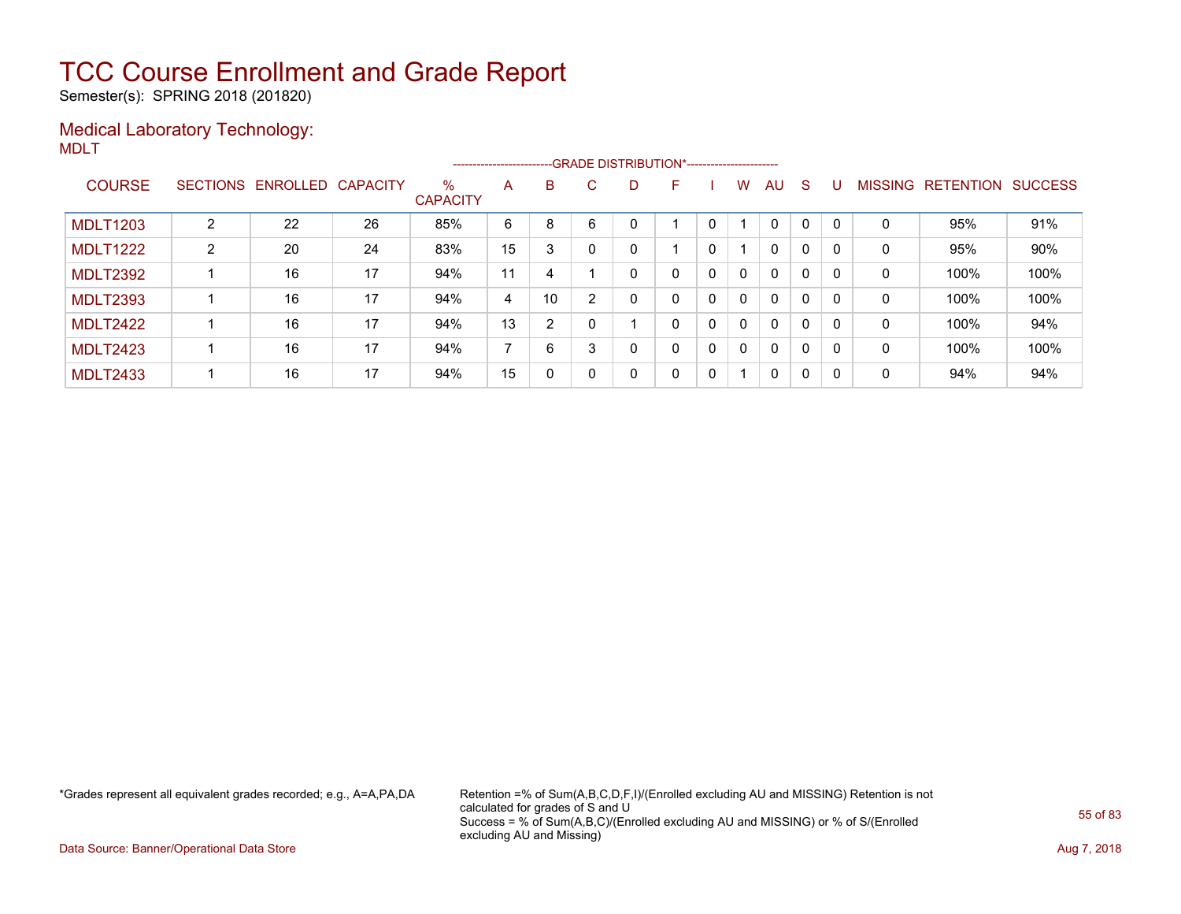Semester(s): SPRING 2018 (201820)

### Medical Laboratory Technology: MDLT

|                 |   |                            |    |                      | ----------------------- |    |              |    | -- GRADE DISTRIBUTION*------------------------ |   |              |              |              |   |                |           |                |
|-----------------|---|----------------------------|----|----------------------|-------------------------|----|--------------|----|------------------------------------------------|---|--------------|--------------|--------------|---|----------------|-----------|----------------|
| <b>COURSE</b>   |   | SECTIONS ENROLLED CAPACITY |    | %<br><b>CAPACITY</b> | A                       | B. | C.           | D. | F                                              |   | w            | AU.          | -S           |   | <b>MISSING</b> | RETENTION | <b>SUCCESS</b> |
| <b>MDLT1203</b> | 2 | 22                         | 26 | 85%                  | 6                       | 8  | 6            |    |                                                |   |              | $\Omega$     | 0            |   | 0              | 95%       | 91%            |
| <b>MDLT1222</b> | 2 | 20                         | 24 | 83%                  | 15                      | 3  | $\mathbf{0}$ | 0  |                                                | 0 |              | 0            | 0            |   | 0              | 95%       | 90%            |
| <b>MDLT2392</b> |   | 16                         | 17 | 94%                  | 11                      | 4  |              |    | 0                                              | 0 | $\mathbf{0}$ | $\mathbf{0}$ | $\mathbf{0}$ |   | 0              | 100%      | 100%           |
| <b>MDLT2393</b> |   | 16                         | 17 | 94%                  | 4                       | 10 | 2            |    | 0                                              | 0 | $\mathbf{0}$ | $\mathbf{0}$ | $\mathbf{0}$ |   | 0              | 100%      | 100%           |
| <b>MDLT2422</b> |   | 16                         | 17 | 94%                  | 13                      | 2  |              |    | 0                                              | 0 | $\Omega$     | $\mathbf{0}$ | $\mathbf{0}$ |   | 0              | 100%      | 94%            |
| <b>MDLT2423</b> |   | 16                         | 17 | 94%                  |                         | 6  | 3            | 0  | 0                                              | 0 | $\mathbf{0}$ | $\mathbf{0}$ | $\mathbf{0}$ |   | $\mathbf 0$    | 100%      | 100%           |
| <b>MDLT2433</b> |   | 16                         | 17 | 94%                  | 15                      | 0  | $\mathbf{0}$ | 0  | 0                                              | 0 | 1            | 0            | 0            | 0 | 0              | 94%       | 94%            |

\*Grades represent all equivalent grades recorded; e.g., A=A,PA,DA Retention =% of Sum(A,B,C,D,F,I)/(Enrolled excluding AU and MISSING) Retention is not calculated for grades of S and U Success = % of Sum(A,B,C)/(Enrolled excluding AU and MISSING) or % of S/(Enrolled excluding AU and Missing)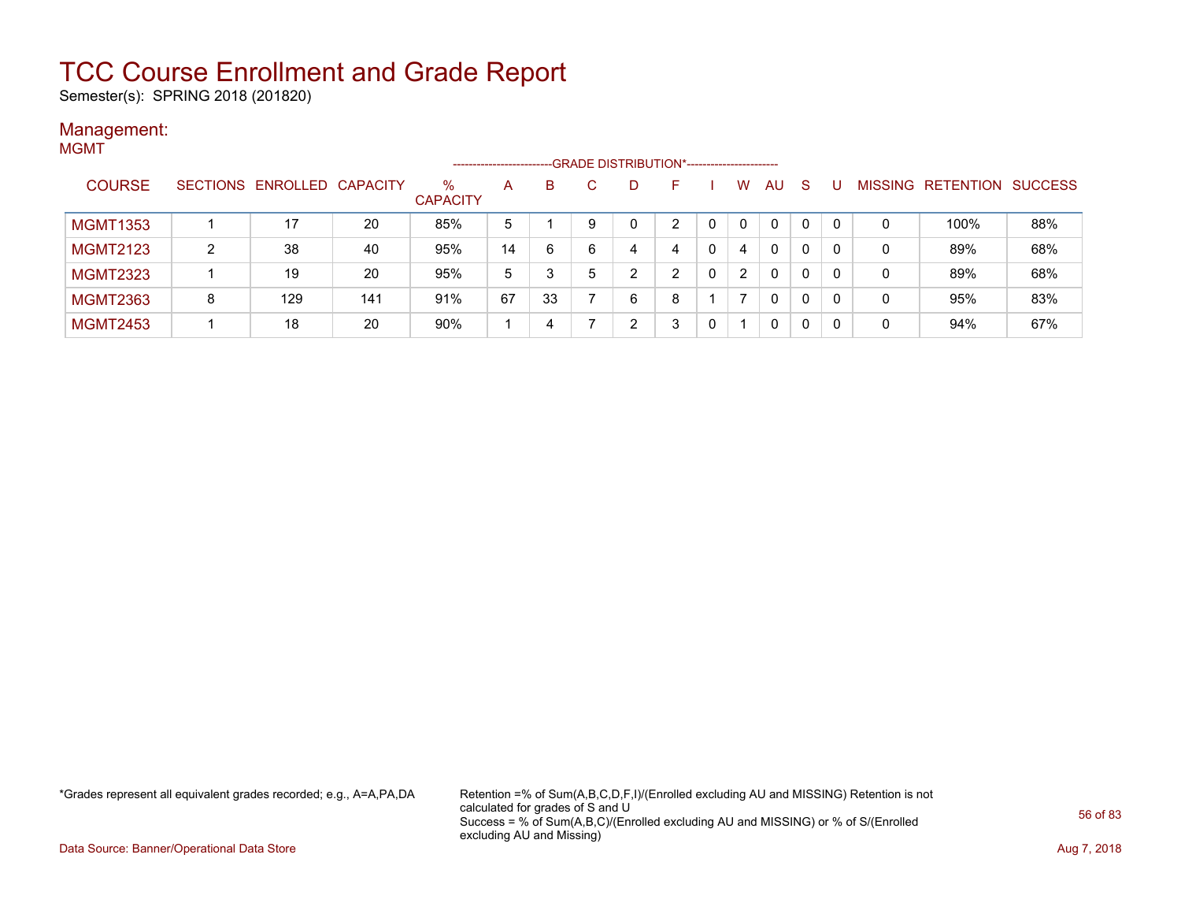Semester(s): SPRING 2018 (201820)

#### Management: MGMT

|                 |   |                            |     |                         | -------------------- |    |   | --GRADE DISTRIBUTION*------------------------ |   |   |                |          |          |                |                  |                |
|-----------------|---|----------------------------|-----|-------------------------|----------------------|----|---|-----------------------------------------------|---|---|----------------|----------|----------|----------------|------------------|----------------|
| <b>COURSE</b>   |   | SECTIONS ENROLLED CAPACITY |     | $\%$<br><b>CAPACITY</b> | A                    | B  |   | D                                             |   |   | W              | AU       | S        | <b>MISSING</b> | <b>RETENTION</b> | <b>SUCCESS</b> |
| <b>MGMT1353</b> |   | 17                         | 20  | 85%                     | 5                    |    |   |                                               | ົ |   | 0              | $\Omega$ | $\Omega$ |                | 100%             | 88%            |
| <b>MGMT2123</b> | າ | 38                         | 40  | 95%                     | 14                   | 6  | 6 | 4                                             | 4 | 0 | 4              | 0        | 0        | 0              | 89%              | 68%            |
| <b>MGMT2323</b> |   | 19                         | 20  | 95%                     | 5                    | 3  | 5 | ົ                                             | ົ |   | $\overline{2}$ | 0        | 0        | 0              | 89%              | 68%            |
| <b>MGMT2363</b> | 8 | 129                        | 141 | 91%                     | 67                   | 33 |   | 6                                             | 8 |   |                | 0        | 0        | 0              | 95%              | 83%            |
| <b>MGMT2453</b> |   | 18                         | 20  | 90%                     |                      | 4  |   | ົ                                             | 3 |   |                | 0        | 0        | 0              | 94%              | 67%            |

\*Grades represent all equivalent grades recorded; e.g., A=A,PA,DA Retention =% of Sum(A,B,C,D,F,I)/(Enrolled excluding AU and MISSING) Retention is not calculated for grades of S and U Success = % of Sum(A,B,C)/(Enrolled excluding AU and MISSING) or % of S/(Enrolled excluding AU and Missing)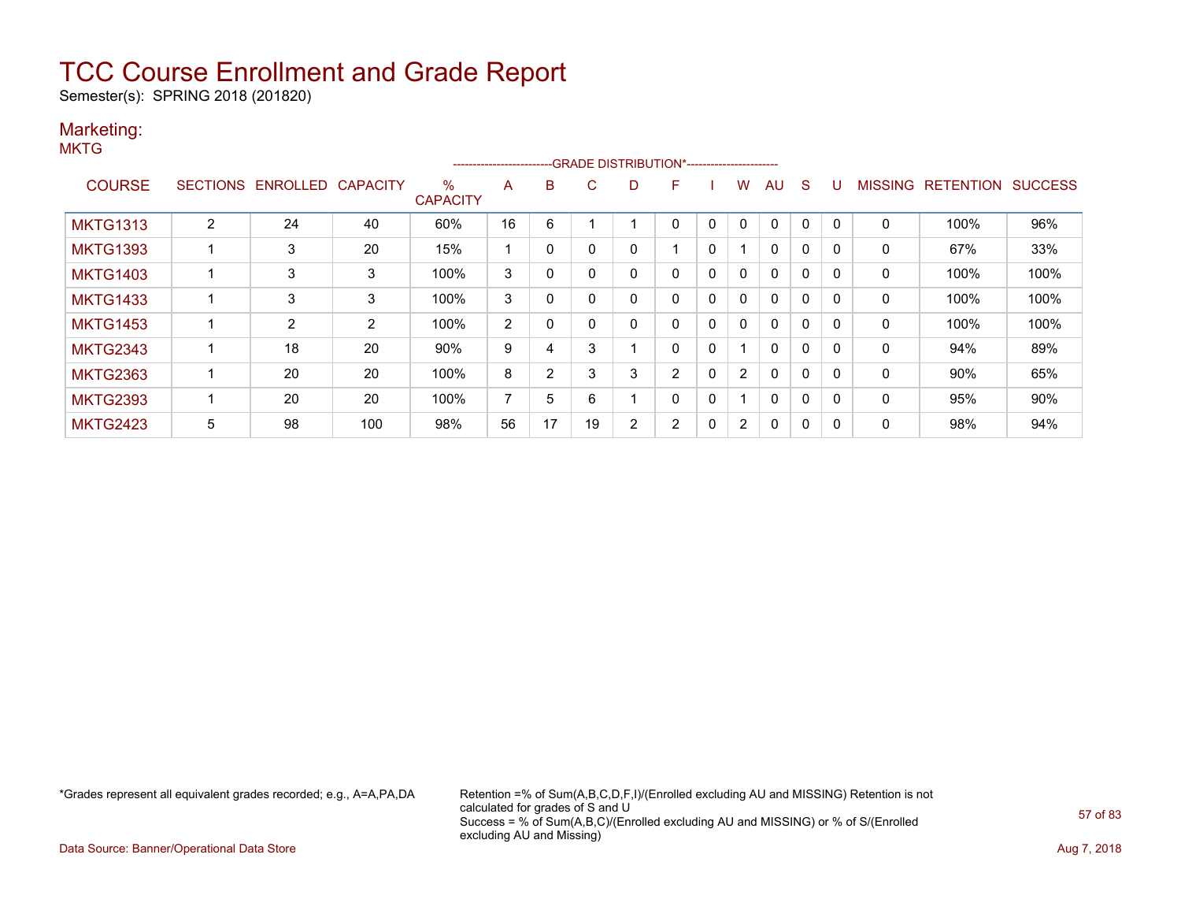Semester(s): SPRING 2018 (201820)

### Marketing:

|                 |                 |          |                 |                      | ----------------------- |    |    |   | --GRADE DISTRIBUTION*----------------------- |             |                |              |              |              |                |                  |                |
|-----------------|-----------------|----------|-----------------|----------------------|-------------------------|----|----|---|----------------------------------------------|-------------|----------------|--------------|--------------|--------------|----------------|------------------|----------------|
| <b>COURSE</b>   | <b>SECTIONS</b> | ENROLLED | <b>CAPACITY</b> | %<br><b>CAPACITY</b> | A                       | B  | C. | D | F                                            |             | w              | AU           | S            |              | <b>MISSING</b> | <b>RETENTION</b> | <b>SUCCESS</b> |
| <b>MKTG1313</b> | 2               | 24       | 40              | 60%                  | 16                      | 6  |    |   | 0                                            | 0           | 0              | 0            | 0            | 0            | 0              | 100%             | 96%            |
| <b>MKTG1393</b> |                 | 3        | 20              | 15%                  |                         | 0  |    |   |                                              | 0           |                | 0            | 0            | 0            | 0              | 67%              | 33%            |
| <b>MKTG1403</b> |                 | 3        | 3               | 100%                 | 3                       | 0  |    |   | 0                                            | $\mathbf 0$ | 0              | $\mathbf{0}$ | $\mathbf{0}$ | $\mathbf{0}$ | $\mathbf{0}$   | 100%             | 100%           |
| <b>MKTG1433</b> |                 | 3        | 3               | 100%                 | 3                       | 0  |    |   | 0                                            | 0           | $\mathbf{0}$   | $\mathbf{0}$ | 0            | $\Omega$     | 0              | 100%             | 100%           |
| <b>MKTG1453</b> |                 | 2        | $\overline{2}$  | 100%                 | 2                       |    |    |   | 0                                            | 0           | $\mathbf{0}$   | $\mathbf{0}$ | 0            | 0            | $\mathbf{0}$   | 100%             | 100%           |
| <b>MKTG2343</b> |                 | 18       | 20              | 90%                  | 9                       | 4  | 3  |   | 0                                            | 0           |                | 0            | 0            |              | 0              | 94%              | 89%            |
| <b>MKTG2363</b> |                 | 20       | 20              | 100%                 | 8                       | 2  | 3  | 3 | $\overline{2}$                               | $\mathbf 0$ | $\overline{2}$ | $\mathbf{0}$ | $\mathbf{0}$ | 0            | $\mathbf{0}$   | 90%              | 65%            |
| <b>MKTG2393</b> |                 | 20       | 20              | 100%                 | $\overline{ }$          | 5  | 6  |   | 0                                            | $\mathbf 0$ |                | $\mathbf 0$  | $\mathbf{0}$ | $\Omega$     | $\mathbf{0}$   | 95%              | 90%            |
| <b>MKTG2423</b> | 5               | 98       | 100             | 98%                  | 56                      | 17 | 19 | 2 | 2                                            | 0           | $\overline{2}$ | 0            | 0            | 0            | 0              | 98%              | 94%            |

\*Grades represent all equivalent grades recorded; e.g., A=A,PA,DA Retention =% of Sum(A,B,C,D,F,I)/(Enrolled excluding AU and MISSING) Retention is not calculated for grades of S and U Success = % of Sum(A,B,C)/(Enrolled excluding AU and MISSING) or % of S/(Enrolled excluding AU and Missing)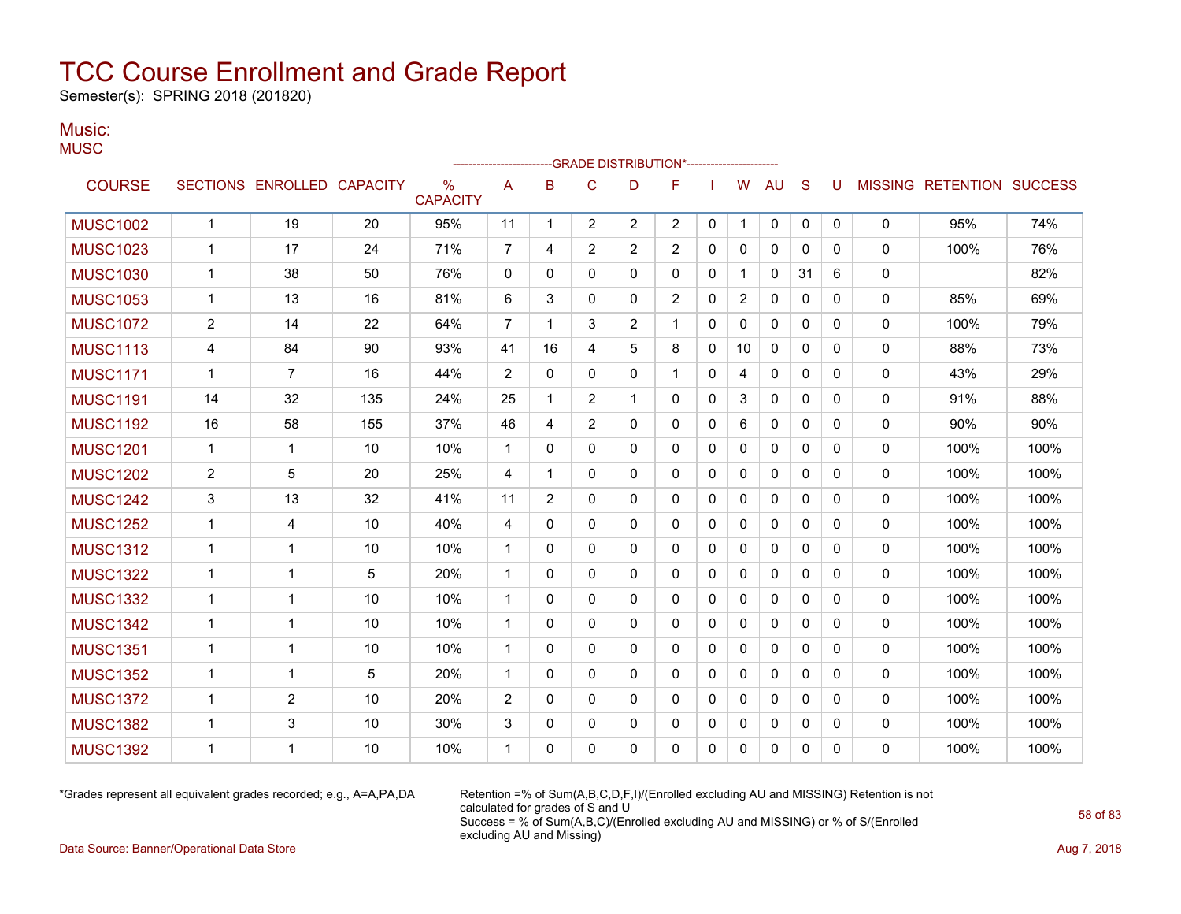Semester(s): SPRING 2018 (201820)

### Music:

|                 |                |                            |     |                                  |                |              |                | -----------------------GRADE                DISTRIBUTION*----------------------- |                |              |                |              |              |          |              |                                  |      |
|-----------------|----------------|----------------------------|-----|----------------------------------|----------------|--------------|----------------|----------------------------------------------------------------------------------|----------------|--------------|----------------|--------------|--------------|----------|--------------|----------------------------------|------|
| <b>COURSE</b>   |                | SECTIONS ENROLLED CAPACITY |     | $\frac{0}{0}$<br><b>CAPACITY</b> | A              | B            | C              | D                                                                                | F              |              | W              | AU           | S            | U        |              | <b>MISSING RETENTION SUCCESS</b> |      |
| <b>MUSC1002</b> | $\mathbf{1}$   | 19                         | 20  | 95%                              | 11             | $\mathbf 1$  | $\overline{2}$ | $\overline{2}$                                                                   | $\overline{2}$ | 0            | 1              | 0            | 0            | 0        | 0            | 95%                              | 74%  |
| <b>MUSC1023</b> | 1              | 17                         | 24  | 71%                              | 7              | 4            | $\overline{2}$ | $\overline{2}$                                                                   | $\overline{2}$ | 0            | $\mathbf{0}$   | 0            | $\mathbf{0}$ | 0        | 0            | 100%                             | 76%  |
| <b>MUSC1030</b> | 1              | 38                         | 50  | 76%                              | $\mathbf{0}$   | $\Omega$     | $\Omega$       | 0                                                                                | 0              | $\mathbf{0}$ |                | $\mathbf{0}$ | 31           | 6        | 0            |                                  | 82%  |
| <b>MUSC1053</b> | 1              | 13                         | 16  | 81%                              | 6              | 3            | $\Omega$       | 0                                                                                | $\overline{c}$ | $\mathbf{0}$ | $\overline{2}$ | $\mathbf{0}$ | $\mathbf{0}$ | 0        | 0            | 85%                              | 69%  |
| <b>MUSC1072</b> | $\overline{c}$ | 14                         | 22  | 64%                              | $\overline{7}$ | -1           | 3              | 2                                                                                | 1              | $\mathbf{0}$ | 0              | 0            | $\mathbf{0}$ | 0        | 0            | 100%                             | 79%  |
| <b>MUSC1113</b> | 4              | 84                         | 90  | 93%                              | 41             | 16           | 4              | 5                                                                                | 8              | 0            | 10             | 0            | $\mathbf{0}$ | 0        | 0            | 88%                              | 73%  |
| <b>MUSC1171</b> | $\mathbf{1}$   | $\overline{7}$             | 16  | 44%                              | $\overline{2}$ | $\mathbf{0}$ | $\Omega$       | $\Omega$                                                                         | 1              | $\Omega$     | 4              | 0            | $\mathbf{0}$ | $\Omega$ | 0            | 43%                              | 29%  |
| <b>MUSC1191</b> | 14             | 32                         | 135 | 24%                              | 25             | 1            | $\overline{2}$ | 1                                                                                | $\mathbf{0}$   | $\Omega$     | 3              | $\mathbf{0}$ | $\Omega$     | $\Omega$ | 0            | 91%                              | 88%  |
| <b>MUSC1192</b> | 16             | 58                         | 155 | 37%                              | 46             | 4            | $\overline{2}$ | 0                                                                                | 0              | 0            | 6              | $\mathbf{0}$ | $\mathbf{0}$ | $\Omega$ | 0            | 90%                              | 90%  |
| <b>MUSC1201</b> | $\mathbf{1}$   | $\mathbf{1}$               | 10  | 10%                              | 1              | 0            | $\mathbf{0}$   | 0                                                                                | 0              | 0            | $\mathbf{0}$   | 0            | $\mathbf{0}$ | 0        | 0            | 100%                             | 100% |
| <b>MUSC1202</b> | 2              | 5                          | 20  | 25%                              | 4              | -1           | $\mathbf{0}$   | 0                                                                                | $\mathbf{0}$   | $\mathbf{0}$ | $\mathbf{0}$   | $\mathbf{0}$ | $\mathbf{0}$ | $\Omega$ | 0            | 100%                             | 100% |
| <b>MUSC1242</b> | 3              | 13                         | 32  | 41%                              | 11             | 2            | 0              | 0                                                                                | 0              | $\mathbf{0}$ | 0              | $\mathbf{0}$ | $\mathbf{0}$ | 0        | 0            | 100%                             | 100% |
| <b>MUSC1252</b> | 1              | 4                          | 10  | 40%                              | 4              | $\mathbf{0}$ | $\Omega$       | 0                                                                                | 0              | 0            | $\mathbf{0}$   | 0            | $\mathbf{0}$ | 0        | 0            | 100%                             | 100% |
| <b>MUSC1312</b> | 1              | 1                          | 10  | 10%                              | 1              | 0            | 0              | 0                                                                                | 0              | 0            | 0              | 0            | $\mathbf{0}$ | 0        | 0            | 100%                             | 100% |
| <b>MUSC1322</b> | 1              | $\mathbf 1$                | 5   | 20%                              | 1              | $\mathbf{0}$ | 0              | 0                                                                                | $\mathbf{0}$   | $\mathbf{0}$ | $\mathbf{0}$   | $\mathbf{0}$ | $\mathbf{0}$ | 0        | $\mathbf{0}$ | 100%                             | 100% |
| <b>MUSC1332</b> | $\mathbf 1$    | $\overline{1}$             | 10  | 10%                              | $\mathbf{1}$   | $\Omega$     | 0              | 0                                                                                | $\mathbf{0}$   | $\mathbf{0}$ | 0              | $\mathbf{0}$ | $\mathbf{0}$ | $\Omega$ | 0            | 100%                             | 100% |
| <b>MUSC1342</b> | 1              | $\mathbf 1$                | 10  | 10%                              | $\mathbf{1}$   | $\Omega$     | 0              | 0                                                                                | $\Omega$       | $\mathbf{0}$ | $\Omega$       | $\mathbf{0}$ | $\Omega$     | $\Omega$ | 0            | 100%                             | 100% |
| <b>MUSC1351</b> | 1              | 1                          | 10  | 10%                              | 1              | 0            | 0              | 0                                                                                | 0              | 0            | 0              | 0            | $\mathbf{0}$ | 0        | 0            | 100%                             | 100% |
| <b>MUSC1352</b> | $\mathbf 1$    | $\mathbf 1$                | 5   | 20%                              | 1              | $\mathbf{0}$ | 0              | 0                                                                                | 0              | $\mathbf{0}$ | 0              | $\mathbf{0}$ | $\mathbf{0}$ | $\Omega$ | 0            | 100%                             | 100% |
| <b>MUSC1372</b> | $\mathbf 1$    | $\overline{2}$             | 10  | 20%                              | $\overline{2}$ | $\Omega$     | $\Omega$       | $\Omega$                                                                         | $\Omega$       | $\mathbf{0}$ | $\mathbf{0}$   | $\mathbf{0}$ | $\Omega$     | 0        | 0            | 100%                             | 100% |
| <b>MUSC1382</b> | 1              | 3                          | 10  | 30%                              | 3              | 0            | 0              | 0                                                                                | 0              | $\mathbf{0}$ | 0              | 0            | $\mathbf{0}$ | 0        | 0            | 100%                             | 100% |
| <b>MUSC1392</b> | -1             | 1                          | 10  | 10%                              | 1              | $\Omega$     | $\Omega$       | 0                                                                                | 0              | 0            | 0              | 0            | $\mathbf{0}$ | 0        | 0            | 100%                             | 100% |

\*Grades represent all equivalent grades recorded; e.g., A=A,PA,DA Retention =% of Sum(A,B,C,D,F,I)/(Enrolled excluding AU and MISSING) Retention is not calculated for grades of S and U Success = % of Sum(A,B,C)/(Enrolled excluding AU and MISSING) or % of S/(Enrolled excluding AU and Missing)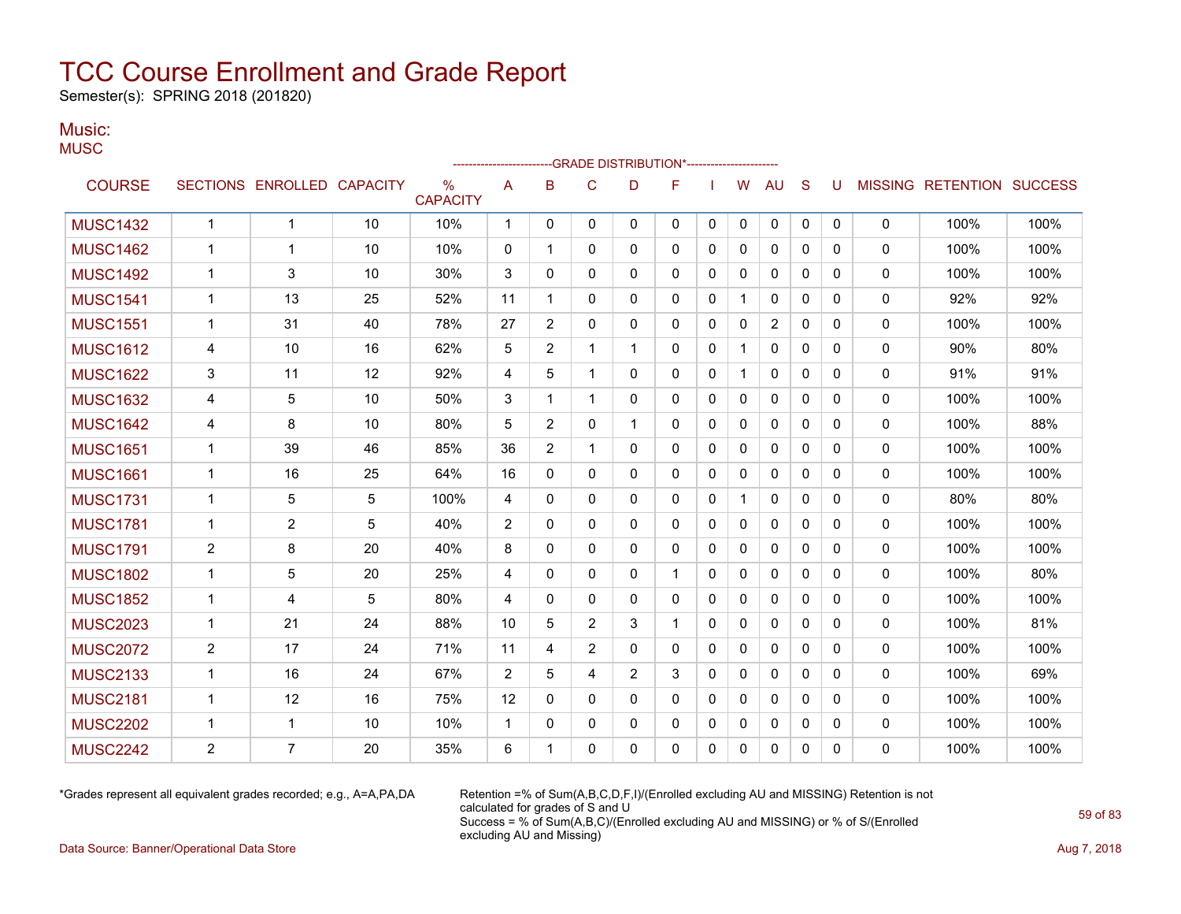Semester(s): SPRING 2018 (201820)

### Music:

| v |  |  |
|---|--|--|
|   |  |  |

|                 |                |                   |                 |                         |              |                |                | --GRADE DISTRIBUTION*---------------------- |          |              |              |              |              |              |              |                           |      |
|-----------------|----------------|-------------------|-----------------|-------------------------|--------------|----------------|----------------|---------------------------------------------|----------|--------------|--------------|--------------|--------------|--------------|--------------|---------------------------|------|
| <b>COURSE</b>   |                | SECTIONS ENROLLED | <b>CAPACITY</b> | $\%$<br><b>CAPACITY</b> | A            | B              | C              | D                                           | F        |              | W            | <b>AU</b>    | S            | U            |              | MISSING RETENTION SUCCESS |      |
| <b>MUSC1432</b> | $\mathbf{1}$   | $\mathbf{1}$      | 10              | 10%                     | $\mathbf{1}$ | $\Omega$       | $\mathbf{0}$   | $\Omega$                                    | 0        | $\mathbf{0}$ | $\mathbf{0}$ | 0            | $\mathbf{0}$ | $\mathbf{0}$ | 0            | 100%                      | 100% |
| <b>MUSC1462</b> | $\mathbf{1}$   | 1                 | 10              | 10%                     | 0            | 1              | $\mathbf{0}$   | $\mathbf{0}$                                | 0        | $\Omega$     | $\mathbf{0}$ | $\mathbf{0}$ | $\Omega$     | $\Omega$     | 0            | 100%                      | 100% |
| <b>MUSC1492</b> | $\mathbf{1}$   | 3                 | 10              | 30%                     | 3            | $\Omega$       | $\Omega$       | $\Omega$                                    | $\Omega$ | $\Omega$     | $\Omega$     | $\mathbf{0}$ | $\Omega$     | $\Omega$     | $\mathbf{0}$ | 100%                      | 100% |
| <b>MUSC1541</b> | 1              | 13                | 25              | 52%                     | 11           | 1              | $\mathbf{0}$   | $\mathbf{0}$                                | 0        | $\mathbf{0}$ |              | $\mathbf{0}$ | $\mathbf{0}$ | 0            | 0            | 92%                       | 92%  |
| <b>MUSC1551</b> | $\mathbf{1}$   | 31                | 40              | 78%                     | 27           | $\overline{2}$ | $\mathbf{0}$   | $\mathbf{0}$                                | 0        | $\Omega$     | $\mathbf{0}$ | 2            | $\mathbf{0}$ | $\Omega$     | 0            | 100%                      | 100% |
| <b>MUSC1612</b> | 4              | 10                | 16              | 62%                     | 5            | $\overline{2}$ | 1              | 1                                           | 0        | $\mathbf 0$  | $\mathbf{1}$ | $\mathbf{0}$ | $\Omega$     | 0            | 0            | 90%                       | 80%  |
| <b>MUSC1622</b> | 3              | 11                | 12              | 92%                     | 4            | 5              | 1              | $\mathbf{0}$                                | 0        | $\mathbf{0}$ | $\mathbf{1}$ | $\mathbf{0}$ | $\mathbf{0}$ | 0            | 0            | 91%                       | 91%  |
| <b>MUSC1632</b> | 4              | 5                 | 10              | 50%                     | 3            | 1              | 1              | $\Omega$                                    | 0        | $\mathbf{0}$ | $\mathbf{0}$ | $\mathbf{0}$ | $\Omega$     | $\Omega$     | 0            | 100%                      | 100% |
| <b>MUSC1642</b> | 4              | 8                 | 10              | 80%                     | 5            | $\overline{2}$ | 0              | 1                                           | 0        | 0            | $\mathbf{0}$ | $\mathbf{0}$ | $\mathbf{0}$ | 0            | 0            | 100%                      | 88%  |
| <b>MUSC1651</b> | $\mathbf{1}$   | 39                | 46              | 85%                     | 36           | $\overline{2}$ | 1              | $\mathbf{0}$                                | 0        | $\mathbf{0}$ | $\mathbf{0}$ | $\mathbf{0}$ | $\Omega$     | $\Omega$     | 0            | 100%                      | 100% |
| <b>MUSC1661</b> | 1              | 16                | 25              | 64%                     | 16           | $\mathbf{0}$   | $\mathbf{0}$   | 0                                           | 0        | $\mathbf{0}$ | $\mathbf{0}$ | $\mathbf{0}$ | $\Omega$     | 0            | 0            | 100%                      | 100% |
| <b>MUSC1731</b> | $\mathbf{1}$   | 5                 | 5               | 100%                    | 4            | $\Omega$       | $\mathbf{0}$   | $\mathbf{0}$                                | 0        | $\mathbf{0}$ |              | $\mathbf{0}$ | $\Omega$     | 0            | 0            | 80%                       | 80%  |
| <b>MUSC1781</b> | 1              | $\overline{2}$    | 5               | 40%                     | 2            | 0              | $\mathbf{0}$   | $\mathbf{0}$                                | 0        | 0            | $\mathbf{0}$ | $\mathbf{0}$ | $\mathbf{0}$ | 0            | 0            | 100%                      | 100% |
| <b>MUSC1791</b> | 2              | 8                 | 20              | 40%                     | 8            | 0              | 0              | 0                                           | 0        | 0            | 0            | $\mathbf{0}$ | $\mathbf{0}$ | 0            | 0            | 100%                      | 100% |
| <b>MUSC1802</b> | $\mathbf{1}$   | 5                 | 20              | 25%                     | 4            | 0              | $\mathbf{0}$   | $\mathbf{0}$                                | 1        | 0            | $\mathbf 0$  | 0            | $\mathbf{0}$ | 0            | 0            | 100%                      | 80%  |
| <b>MUSC1852</b> | $\mathbf{1}$   | 4                 | 5               | 80%                     | 4            | $\mathbf{0}$   | $\mathbf{0}$   | $\mathbf{0}$                                | 0        | $\Omega$     | $\mathbf{0}$ | $\mathbf{0}$ | $\mathbf{0}$ | 0            | $\mathbf{0}$ | 100%                      | 100% |
| <b>MUSC2023</b> | $\mathbf{1}$   | 21                | 24              | 88%                     | 10           | 5              | 2              | 3                                           | 1        | $\Omega$     | $\mathbf{0}$ | $\mathbf{0}$ | $\mathbf{0}$ | 0            | $\mathbf{0}$ | 100%                      | 81%  |
| <b>MUSC2072</b> | $\overline{2}$ | 17                | 24              | 71%                     | 11           | 4              | $\overline{2}$ | $\Omega$                                    | $\Omega$ | $\Omega$     | $\mathbf{0}$ | $\mathbf{0}$ | $\Omega$     | $\Omega$     | 0            | 100%                      | 100% |
| <b>MUSC2133</b> | $\mathbf{1}$   | 16                | 24              | 67%                     | 2            | 5              | 4              | $\overline{2}$                              | 3        | $\Omega$     | $\mathbf{0}$ | $\Omega$     | $\Omega$     | $\Omega$     | $\mathbf{0}$ | 100%                      | 69%  |
| <b>MUSC2181</b> | $\mathbf{1}$   | 12                | 16              | 75%                     | 12           | $\Omega$       | $\mathbf{0}$   | $\Omega$                                    | 0        | $\mathbf{0}$ | $\mathbf{0}$ | $\Omega$     | $\Omega$     | $\Omega$     | 0            | 100%                      | 100% |
| <b>MUSC2202</b> | $\mathbf{1}$   | $\mathbf 1$       | 10              | 10%                     | $\mathbf{1}$ | $\Omega$       | $\mathbf{0}$   | $\mathbf{0}$                                | 0        | $\Omega$     | $\mathbf{0}$ | $\mathbf{0}$ | $\Omega$     | 0            | 0            | 100%                      | 100% |
| <b>MUSC2242</b> | $\overline{2}$ | $\overline{7}$    | 20              | 35%                     | 6            | 1              | $\Omega$       | $\Omega$                                    | 0        | $\Omega$     | $\Omega$     | $\Omega$     | $\Omega$     | $\Omega$     | $\Omega$     | 100%                      | 100% |

\*Grades represent all equivalent grades recorded; e.g., A=A,PA,DA Retention =% of Sum(A,B,C,D,F,I)/(Enrolled excluding AU and MISSING) Retention is not calculated for grades of S and U Success = % of Sum(A,B,C)/(Enrolled excluding AU and MISSING) or % of S/(Enrolled excluding AU and Missing)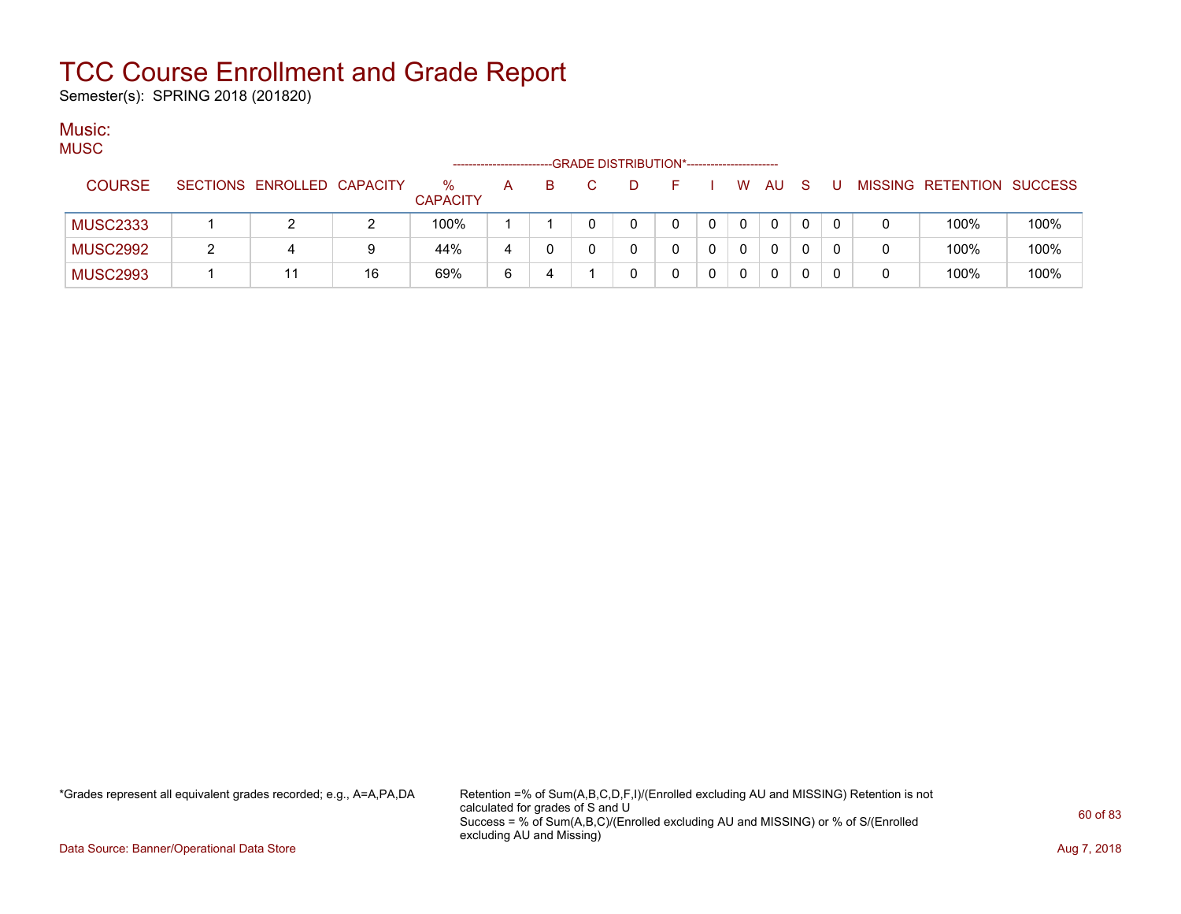Semester(s): SPRING 2018 (201820)

#### Music: MUSC

| mood            |                            |    |                         | -------------------- |  | --GRADE DISTRIBUTION*----------------------- |  |              |          |    |  |                           |      |
|-----------------|----------------------------|----|-------------------------|----------------------|--|----------------------------------------------|--|--------------|----------|----|--|---------------------------|------|
| <b>COURSE</b>   | SECTIONS ENROLLED CAPACITY |    | $\%$<br><b>CAPACITY</b> | A                    |  | D                                            |  | W            | AU       | -S |  | MISSING RETENTION SUCCESS |      |
| <b>MUSC2333</b> |                            |    | 100%                    |                      |  |                                              |  | $\mathbf{0}$ | $\Omega$ |    |  | 100%                      | 100% |
| <b>MUSC2992</b> |                            | 9  | 44%                     | 4                    |  |                                              |  | 0            | $\Omega$ |    |  | 100%                      | 100% |
| <b>MUSC2993</b> |                            | 16 | 69%                     | 6                    |  |                                              |  | 0            | $\Omega$ |    |  | 100%                      | 100% |

\*Grades represent all equivalent grades recorded; e.g., A=A,PA,DA Retention =% of Sum(A,B,C,D,F,I)/(Enrolled excluding AU and MISSING) Retention is not calculated for grades of S and U Success = % of Sum(A,B,C)/(Enrolled excluding AU and MISSING) or % of S/(Enrolled excluding AU and Missing)

Data Source: Banner/Operational Data Store **Aug 7, 2018**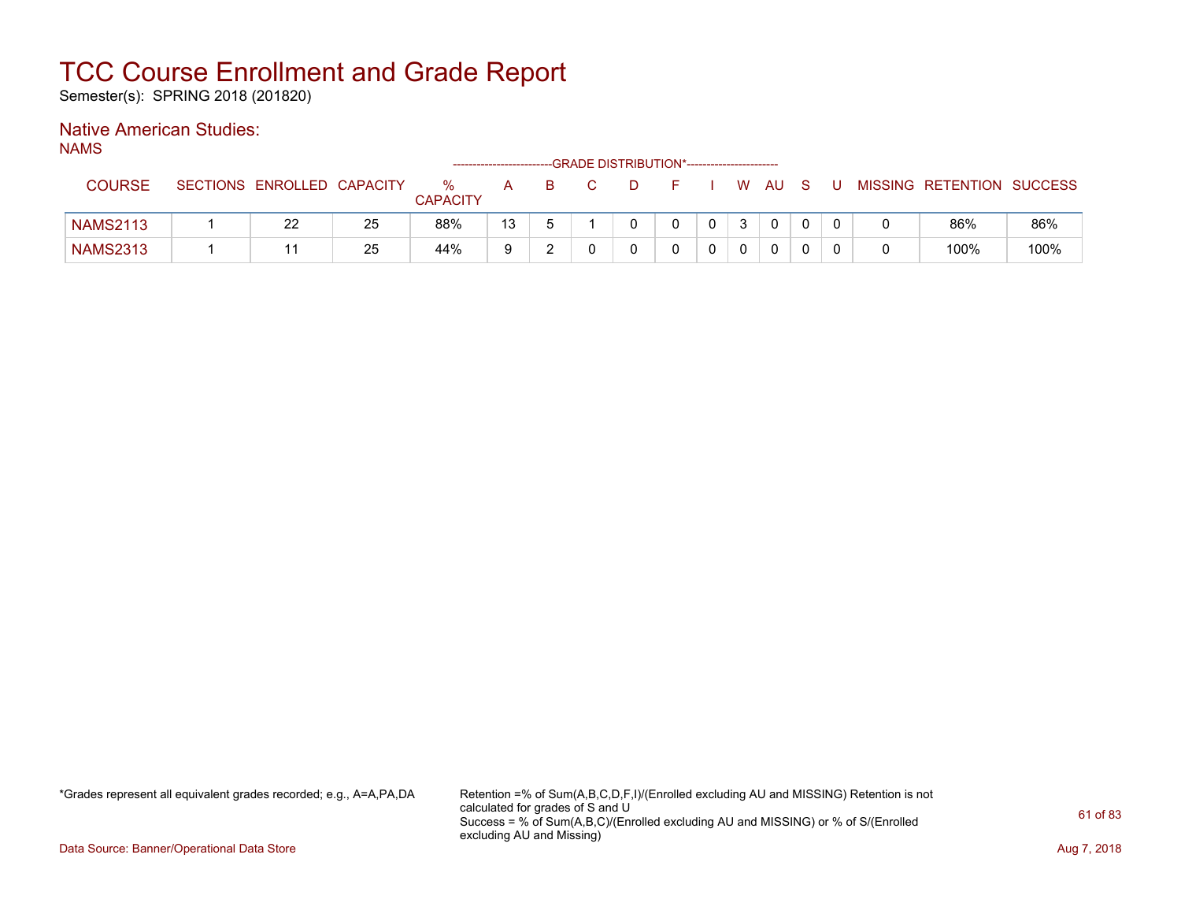Semester(s): SPRING 2018 (201820)

### Native American Studies:

NAMS

|                 |                 |                   |    |                         | ------------------------- |   |  | -GRADE DISTRIBUTION*----------------------- |              |   |     |  |                           |      |
|-----------------|-----------------|-------------------|----|-------------------------|---------------------------|---|--|---------------------------------------------|--------------|---|-----|--|---------------------------|------|
| <b>COURSE</b>   | <b>SECTIONS</b> | ENROLLED CAPACITY |    | $\%$<br><b>CAPACITY</b> |                           | в |  |                                             |              | W | AU. |  | MISSING RETENTION SUCCESS |      |
| <b>NAMS2113</b> |                 | 22                | 25 | 88%                     | 13                        |   |  |                                             | $\Omega$     | 3 |     |  | 86%                       | 86%  |
| <b>NAMS2313</b> |                 |                   | 25 | 44%                     | a                         |   |  |                                             | $\mathbf{0}$ |   |     |  | 100%                      | 100% |

\*Grades represent all equivalent grades recorded; e.g., A=A,PA,DA Retention =% of Sum(A,B,C,D,F,I)/(Enrolled excluding AU and MISSING) Retention is not calculated for grades of S and U Success = % of Sum(A,B,C)/(Enrolled excluding AU and MISSING) or % of S/(Enrolled excluding AU and Missing)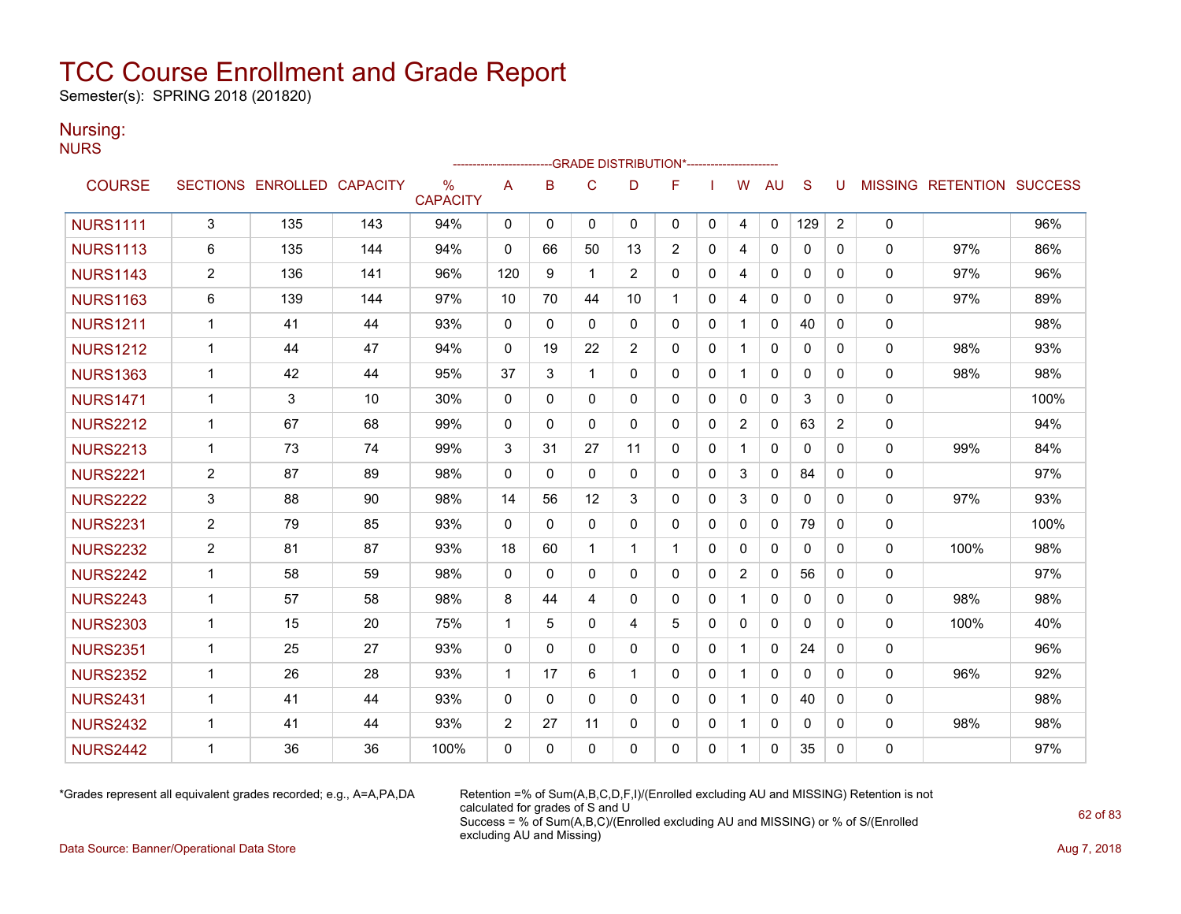Semester(s): SPRING 2018 (201820)

### Nursing:

NURS

|                 |                |                            |     |                         |              |             |              | ------------------------GRADE                DISTRIBUTION*---------------------- |              |              |                |              |              |                |   |                                  |      |
|-----------------|----------------|----------------------------|-----|-------------------------|--------------|-------------|--------------|----------------------------------------------------------------------------------|--------------|--------------|----------------|--------------|--------------|----------------|---|----------------------------------|------|
| <b>COURSE</b>   |                | SECTIONS ENROLLED CAPACITY |     | $\%$<br><b>CAPACITY</b> | A            | B           | $\mathsf{C}$ | D                                                                                | F            |              | W              | <b>AU</b>    | <sub>S</sub> | U              |   | <b>MISSING RETENTION SUCCESS</b> |      |
| <b>NURS1111</b> | 3              | 135                        | 143 | 94%                     | $\Omega$     | $\mathbf 0$ | $\mathbf{0}$ | $\mathbf{0}$                                                                     | $\mathbf{0}$ | 0            | 4              | 0            | 129          | $\overline{2}$ | 0 |                                  | 96%  |
| <b>NURS1113</b> | 6              | 135                        | 144 | 94%                     | $\mathbf{0}$ | 66          | 50           | 13                                                                               | 2            | 0            | 4              | 0            | $\mathbf{0}$ | 0              | 0 | 97%                              | 86%  |
| <b>NURS1143</b> | $\overline{2}$ | 136                        | 141 | 96%                     | 120          | 9           | 1            | $\overline{2}$                                                                   | $\mathbf{0}$ | 0            | 4              | 0            | $\mathbf{0}$ | $\Omega$       | 0 | 97%                              | 96%  |
| <b>NURS1163</b> | 6              | 139                        | 144 | 97%                     | 10           | 70          | 44           | 10                                                                               | 1            | $\mathbf{0}$ | 4              | $\mathbf{0}$ | $\mathbf{0}$ | 0              | 0 | 97%                              | 89%  |
| <b>NURS1211</b> | $\mathbf{1}$   | 41                         | 44  | 93%                     | $\mathbf{0}$ | $\Omega$    | $\Omega$     | $\Omega$                                                                         | $\mathbf{0}$ | 0            | 1              | $\mathbf{0}$ | 40           | 0              | 0 |                                  | 98%  |
| <b>NURS1212</b> | $\mathbf 1$    | 44                         | 47  | 94%                     | 0            | 19          | 22           | $\overline{2}$                                                                   | $\mathbf{0}$ | 0            | -1             | 0            | $\mathbf{0}$ | $\Omega$       | 0 | 98%                              | 93%  |
| <b>NURS1363</b> | $\mathbf{1}$   | 42                         | 44  | 95%                     | 37           | 3           | $\mathbf{1}$ | $\Omega$                                                                         | $\mathbf{0}$ | 0            | -1             | $\mathbf{0}$ | $\mathbf{0}$ | $\mathbf{0}$   | 0 | 98%                              | 98%  |
| <b>NURS1471</b> | $\mathbf 1$    | 3                          | 10  | 30%                     | $\mathbf{0}$ | $\Omega$    | 0            | $\Omega$                                                                         | $\mathbf{0}$ | 0            | $\Omega$       | $\Omega$     | 3            | $\Omega$       | 0 |                                  | 100% |
| <b>NURS2212</b> | $\mathbf 1$    | 67                         | 68  | 99%                     | $\mathbf{0}$ | $\Omega$    | $\Omega$     | $\Omega$                                                                         | $\mathbf{0}$ | $\mathbf{0}$ | $\overline{2}$ | $\Omega$     | 63           | 2              | 0 |                                  | 94%  |
| <b>NURS2213</b> | $\mathbf{1}$   | 73                         | 74  | 99%                     | 3            | 31          | 27           | 11                                                                               | $\Omega$     | 0            | -1             | $\mathbf{0}$ | $\mathbf{0}$ | $\Omega$       | 0 | 99%                              | 84%  |
| <b>NURS2221</b> | $\overline{2}$ | 87                         | 89  | 98%                     | $\mathbf{0}$ | $\Omega$    | $\Omega$     | $\Omega$                                                                         | $\mathbf{0}$ | 0            | 3              | $\Omega$     | 84           | $\Omega$       | 0 |                                  | 97%  |
| <b>NURS2222</b> | 3              | 88                         | 90  | 98%                     | 14           | 56          | 12           | 3                                                                                | $\mathbf{0}$ | 0            | 3              | 0            | 0            | $\mathbf{0}$   | 0 | 97%                              | 93%  |
| <b>NURS2231</b> | $\overline{2}$ | 79                         | 85  | 93%                     | 0            | 0           | $\mathbf{0}$ | $\Omega$                                                                         | 0            | 0            | $\Omega$       | 0            | 79           | 0              | 0 |                                  | 100% |
| <b>NURS2232</b> | $\overline{2}$ | 81                         | 87  | 93%                     | 18           | 60          | 1            | -1                                                                               | 1            | $\mathbf{0}$ | $\Omega$       | $\mathbf{0}$ | $\mathbf{0}$ | $\mathbf{0}$   | 0 | 100%                             | 98%  |
| <b>NURS2242</b> | $\mathbf{1}$   | 58                         | 59  | 98%                     | $\Omega$     | $\Omega$    | $\Omega$     | $\Omega$                                                                         | $\Omega$     | $\mathbf{0}$ | 2              | $\mathbf{0}$ | 56           | $\Omega$       | 0 |                                  | 97%  |
| <b>NURS2243</b> | $\mathbf{1}$   | 57                         | 58  | 98%                     | 8            | 44          | 4            | $\Omega$                                                                         | $\mathbf{0}$ | 0            | $\mathbf 1$    | 0            | $\mathbf{0}$ | $\mathbf{0}$   | 0 | 98%                              | 98%  |
| <b>NURS2303</b> | $\mathbf 1$    | 15                         | 20  | 75%                     | $\mathbf{1}$ | 5           | $\Omega$     | 4                                                                                | 5            | $\mathbf{0}$ | $\Omega$       | $\Omega$     | $\mathbf{0}$ | $\Omega$       | 0 | 100%                             | 40%  |
| <b>NURS2351</b> | 1              | 25                         | 27  | 93%                     | 0            | $\Omega$    | $\mathbf{0}$ | $\Omega$                                                                         | $\mathbf{0}$ | 0            | -1             | $\mathbf{0}$ | 24           | 0              | 0 |                                  | 96%  |
| <b>NURS2352</b> | $\mathbf 1$    | 26                         | 28  | 93%                     | $\mathbf{1}$ | 17          | 6            | 1                                                                                | $\Omega$     | $\mathbf{0}$ | -1             | $\Omega$     | $\Omega$     | $\Omega$       | 0 | 96%                              | 92%  |
| <b>NURS2431</b> | $\mathbf 1$    | 41                         | 44  | 93%                     | $\mathbf{0}$ | $\Omega$    | $\Omega$     | $\Omega$                                                                         | $\Omega$     | $\mathbf{0}$ | $\overline{1}$ | $\Omega$     | 40           | $\Omega$       | 0 |                                  | 98%  |
| <b>NURS2432</b> | 1              | 41                         | 44  | 93%                     | 2            | 27          | 11           | $\Omega$                                                                         | 0            | 0            |                | 0            | $\mathbf{0}$ | 0              | 0 | 98%                              | 98%  |
| <b>NURS2442</b> | 1              | 36                         | 36  | 100%                    | 0            | $\Omega$    | $\Omega$     | $\Omega$                                                                         | $\Omega$     | $\Omega$     | 1              | 0            | 35           | 0              | 0 |                                  | 97%  |

\*Grades represent all equivalent grades recorded; e.g., A=A,PA,DA Retention =% of Sum(A,B,C,D,F,I)/(Enrolled excluding AU and MISSING) Retention is not calculated for grades of S and U Success = % of Sum(A,B,C)/(Enrolled excluding AU and MISSING) or % of S/(Enrolled excluding AU and Missing)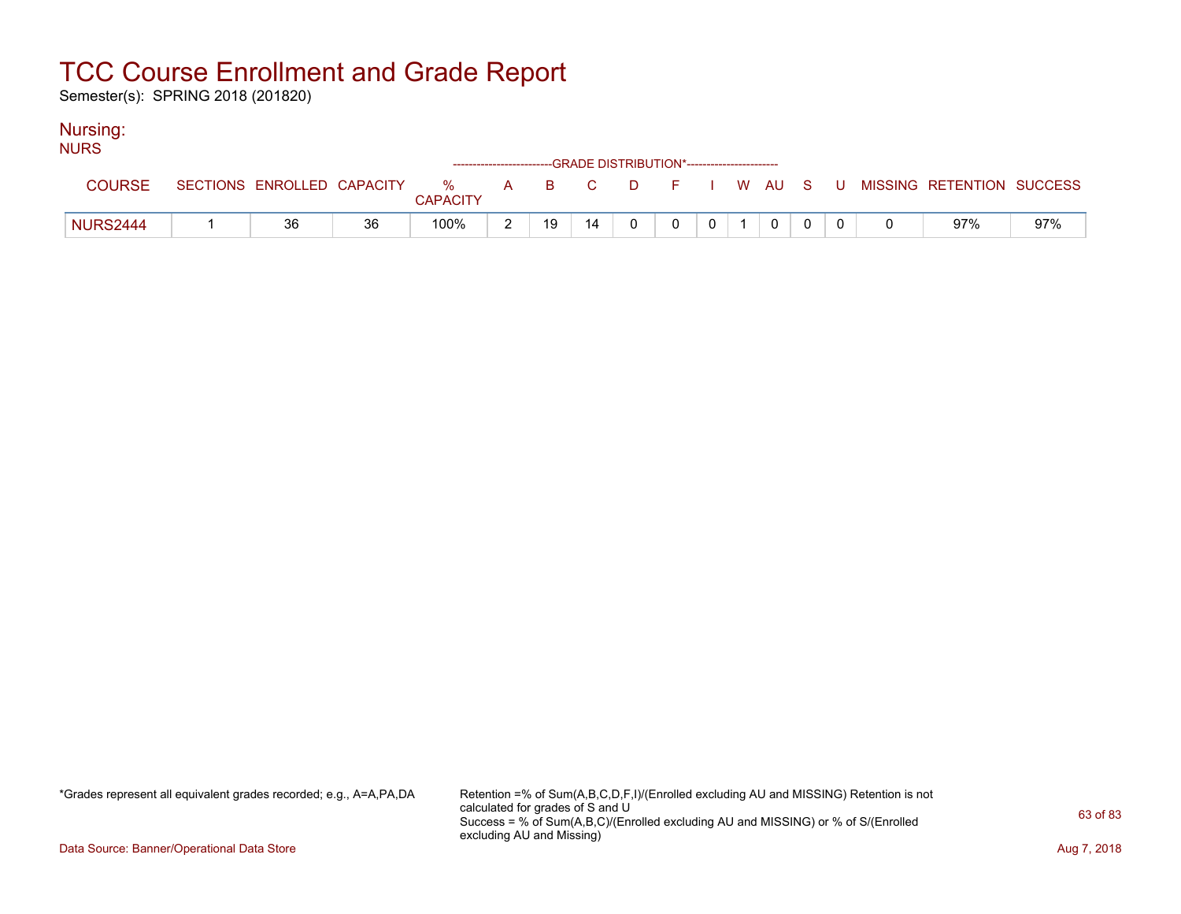Semester(s): SPRING 2018 (201820)

### Nursing:

| <b>NURS</b>     |                            |    |                                                                    |    |    |          |        |             |                |  |                           |     |
|-----------------|----------------------------|----|--------------------------------------------------------------------|----|----|----------|--------|-------------|----------------|--|---------------------------|-----|
|                 |                            |    | ------------------------GRADE DISTRIBUTION*----------------------- |    |    |          |        |             |                |  |                           |     |
| <b>COURSE</b>   | SECTIONS ENROLLED CAPACITY |    | % A B C<br><b>CAPACITY</b>                                         |    |    | DFIWAUSU |        |             |                |  | MISSING RETENTION SUCCESS |     |
| <b>NURS2444</b> | 36                         | 36 | 100%                                                               | 19 | 14 |          | $\cap$ | $\mathbf 0$ | $\overline{0}$ |  | 97%                       | 97% |

\*Grades represent all equivalent grades recorded; e.g., A=A,PA,DA Retention =% of Sum(A,B,C,D,F,I)/(Enrolled excluding AU and MISSING) Retention is not calculated for grades of S and U Success = % of Sum(A,B,C)/(Enrolled excluding AU and MISSING) or % of S/(Enrolled excluding AU and Missing)

Data Source: Banner/Operational Data Store **Aug 7, 2018**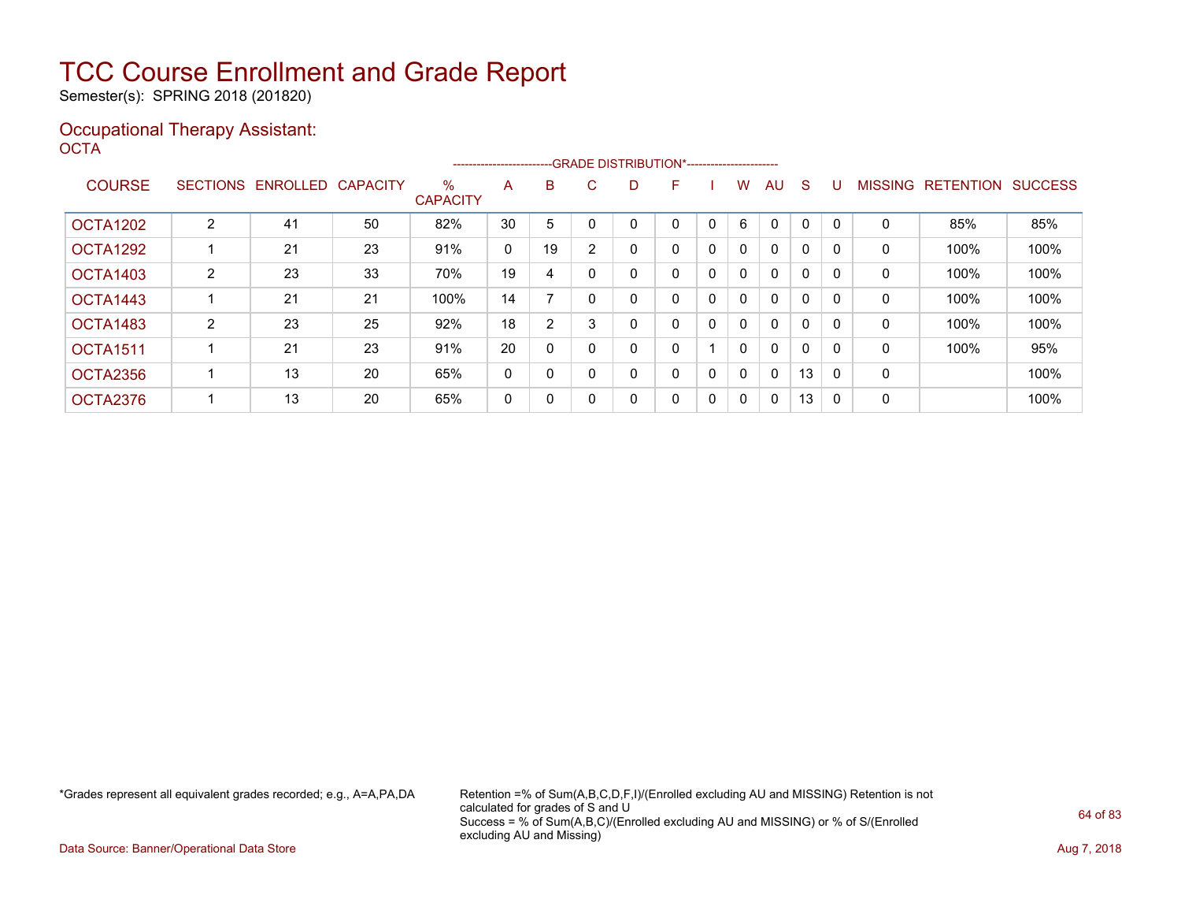Semester(s): SPRING 2018 (201820)

### Occupational Therapy Assistant: OCTA<sup>'</sup>

|                 |   |                   |                 |                         | ----------------------- |                | --GRADE DISTRIBUTION*----------------------- |   |   |             |              |              |              |          |                |                  |                |
|-----------------|---|-------------------|-----------------|-------------------------|-------------------------|----------------|----------------------------------------------|---|---|-------------|--------------|--------------|--------------|----------|----------------|------------------|----------------|
| <b>COURSE</b>   |   | SECTIONS ENROLLED | <b>CAPACITY</b> | $\%$<br><b>CAPACITY</b> | A                       | B              | C.                                           | D | F |             | w            | AU.          | <sub>S</sub> |          | <b>MISSING</b> | <b>RETENTION</b> | <b>SUCCESS</b> |
|                 |   |                   |                 |                         |                         |                |                                              |   |   |             |              |              |              |          |                |                  |                |
| <b>OCTA1202</b> | 2 | 41                | 50              | 82%                     | 30                      | 5              |                                              |   |   |             | 6            | $\Omega$     | 0            |          | 0              | 85%              | 85%            |
| OCTA1292        |   | 21                | 23              | 91%                     | 0                       | 19             |                                              | 0 | 0 | 0           | $\mathbf{0}$ | $\mathbf{0}$ | 0            |          | 0              | 100%             | 100%           |
| <b>OCTA1403</b> | 2 | 23                | 33              | 70%                     | 19                      | 4              |                                              |   | 0 | 0           | 0            | $\mathbf{0}$ | 0            |          | 0              | 100%             | 100%           |
| OCTA1443        |   | 21                | 21              | 100%                    | 14                      |                |                                              | 0 | 0 | $\mathbf 0$ | $\mathbf{0}$ | $\mathbf{0}$ | 0            |          | 0              | 100%             | 100%           |
| OCTA1483        | 2 | 23                | 25              | 92%                     | 18                      | $\overline{2}$ | ົ                                            | 0 | 0 | 0           | $\mathbf{0}$ | $\mathbf{0}$ | 0            |          | $\Omega$       | 100%             | 100%           |
| <b>OCTA1511</b> |   | 21                | 23              | 91%                     | 20                      | 0              |                                              |   | 0 |             | 0            | $\mathbf{0}$ | 0            |          | 0              | 100%             | 95%            |
| OCTA2356        |   | 13                | 20              | 65%                     | 0                       | 0              |                                              | 0 | 0 | $\mathbf 0$ | $\mathbf{0}$ | $\mathbf{0}$ | 13           |          | $\mathbf 0$    |                  | 100%           |
| OCTA2376        |   | 13                | 20              | 65%                     | 0                       | 0              |                                              | 0 | 0 | 0           | $\Omega$     | 0            | 13           | $\Omega$ | 0              |                  | 100%           |

\*Grades represent all equivalent grades recorded; e.g., A=A,PA,DA Retention =% of Sum(A,B,C,D,F,I)/(Enrolled excluding AU and MISSING) Retention is not calculated for grades of S and U Success = % of Sum(A,B,C)/(Enrolled excluding AU and MISSING) or % of S/(Enrolled excluding AU and Missing)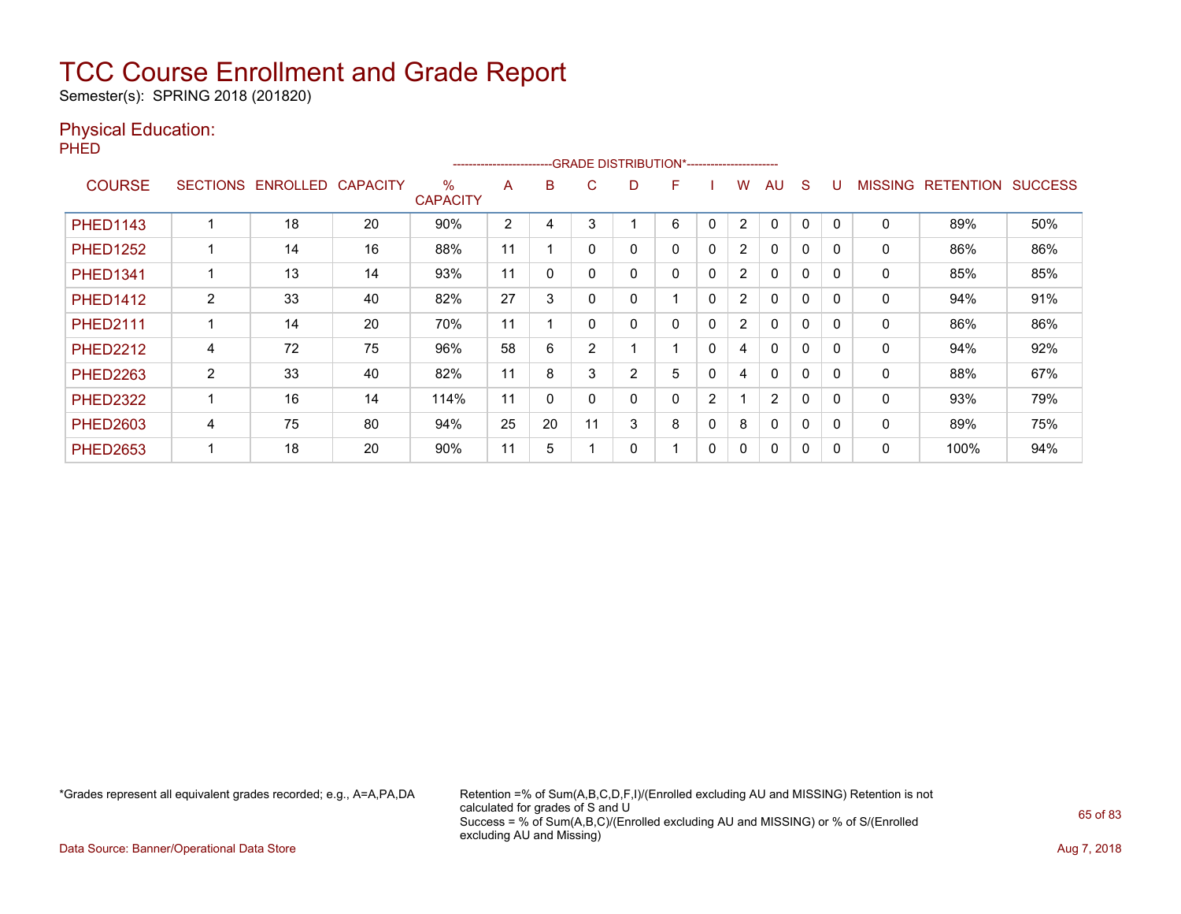Semester(s): SPRING 2018 (201820)

### Physical Education:

PHED

|                 |                 |          |                 |                         | ---------------------- |    |                |                | -GRADE DISTRIBUTION*----------------------- |                |                |              |              |          |                |                  |                |
|-----------------|-----------------|----------|-----------------|-------------------------|------------------------|----|----------------|----------------|---------------------------------------------|----------------|----------------|--------------|--------------|----------|----------------|------------------|----------------|
| <b>COURSE</b>   | <b>SECTIONS</b> | ENROLLED | <b>CAPACITY</b> | $\%$<br><b>CAPACITY</b> | A                      | B  | C              | D              | F                                           |                | w              | AU           | <sub>S</sub> |          | <b>MISSING</b> | <b>RETENTION</b> | <b>SUCCESS</b> |
| <b>PHED1143</b> |                 | 18       | 20              | 90%                     | $\overline{2}$         | 4  | 3              |                | 6                                           | 0              | $\overline{2}$ | $\mathbf{0}$ | 0            | $\Omega$ | $\mathbf 0$    | 89%              | 50%            |
| <b>PHED1252</b> |                 | 14       | 16              | 88%                     | 11                     |    | $\Omega$       |                | 0                                           | 0              | $\overline{2}$ | $\mathbf{0}$ | 0            | $\Omega$ | $\Omega$       | 86%              | 86%            |
| <b>PHED1341</b> |                 | 13       | 14              | 93%                     | 11                     | 0  | $\Omega$       |                | 0                                           | 0              | $\overline{2}$ | $\mathbf{0}$ | 0            | $\Omega$ | 0              | 85%              | 85%            |
| <b>PHED1412</b> | $\overline{2}$  | 33       | 40              | 82%                     | 27                     | 3  | $\Omega$       | 0              |                                             | $\mathbf 0$    | $\overline{2}$ | 0            | 0            | $\Omega$ | 0              | 94%              | 91%            |
| <b>PHED2111</b> |                 | 14       | 20              | 70%                     | 11                     |    | $\Omega$       | 0              | 0                                           | 0              | $\overline{2}$ | $\Omega$     | 0            | $\Omega$ | 0              | 86%              | 86%            |
| <b>PHED2212</b> | 4               | 72       | 75              | 96%                     | 58                     | 6  | $\overline{2}$ |                |                                             | 0              | 4              | $\mathbf{0}$ | $\Omega$     | $\Omega$ | 0              | 94%              | 92%            |
| <b>PHED2263</b> | $\overline{2}$  | 33       | 40              | 82%                     | 11                     | 8  | 3              | $\overline{2}$ | 5                                           | 0              | 4              | $\mathbf{0}$ | 0            | $\Omega$ | 0              | 88%              | 67%            |
| <b>PHED2322</b> |                 | 16       | 14              | 114%                    | 11                     | 0  | $\Omega$       | 0              | 0                                           | $\overline{2}$ |                | 2            | 0            | 0        | 0              | 93%              | 79%            |
| <b>PHED2603</b> | 4               | 75       | 80              | 94%                     | 25                     | 20 | 11             | 3              | 8                                           | 0              | 8              | $\mathbf{0}$ | 0            |          | 0              | 89%              | 75%            |
| <b>PHED2653</b> |                 | 18       | 20              | 90%                     | 11                     | 5  |                |                |                                             | 0              | 0              | $\mathbf{0}$ | 0            | 0        | 0              | 100%             | 94%            |

\*Grades represent all equivalent grades recorded; e.g., A=A,PA,DA Retention =% of Sum(A,B,C,D,F,I)/(Enrolled excluding AU and MISSING) Retention is not calculated for grades of S and U Success = % of Sum(A,B,C)/(Enrolled excluding AU and MISSING) or % of S/(Enrolled excluding AU and Missing)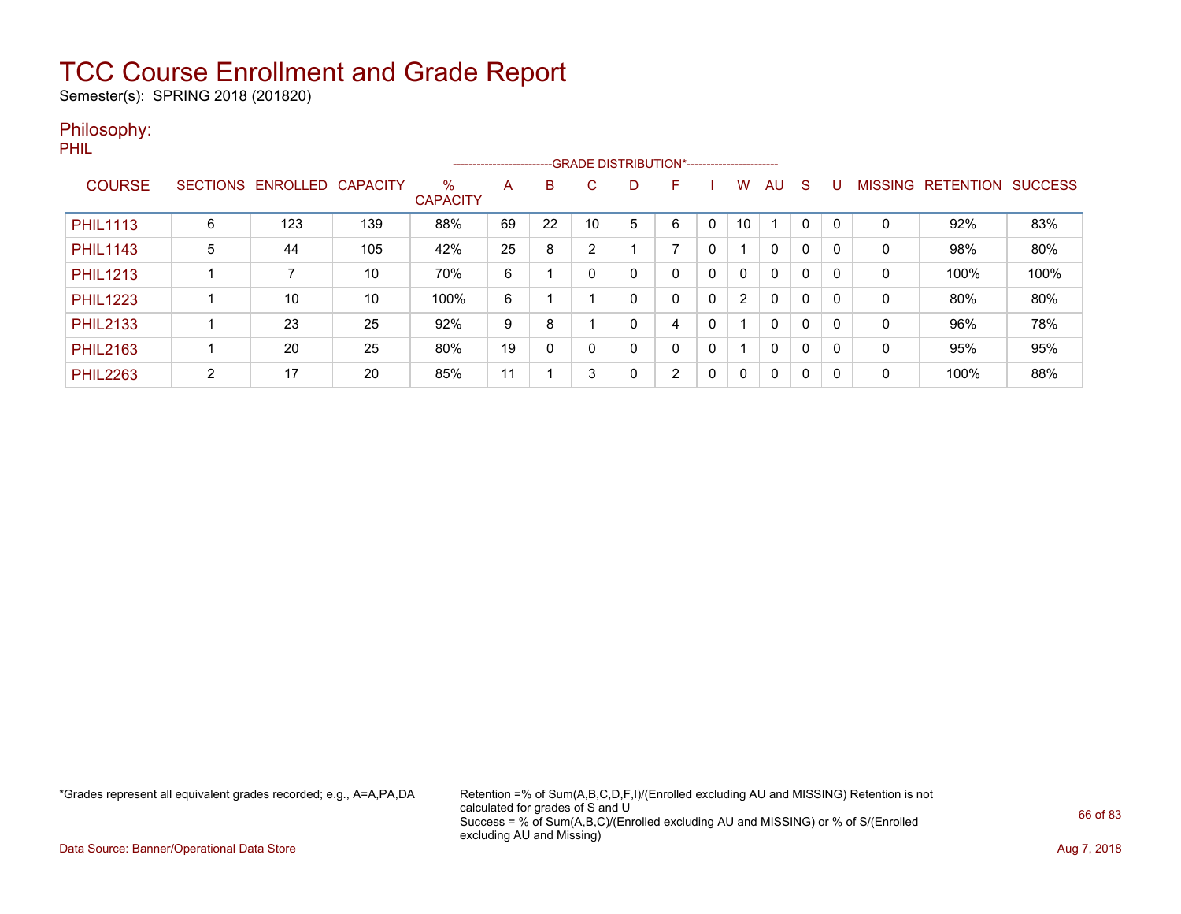Semester(s): SPRING 2018 (201820)

### Philosophy:

PHIL

|                 |                 |          |                 |                         |    |          | -------------------------GRADE DISTRIBUTION*---------------------- |   |                |   |                |              |          |   |                |                  |                |
|-----------------|-----------------|----------|-----------------|-------------------------|----|----------|--------------------------------------------------------------------|---|----------------|---|----------------|--------------|----------|---|----------------|------------------|----------------|
| <b>COURSE</b>   | <b>SECTIONS</b> | ENROLLED | <b>CAPACITY</b> | $\%$<br><b>CAPACITY</b> | A  | B        | С                                                                  | D |                |   | W.             | AU           | S        | U | <b>MISSING</b> | <b>RETENTION</b> | <b>SUCCESS</b> |
| <b>PHIL1113</b> | 6               | 123      | 139             | 88%                     | 69 | 22       | 10                                                                 | 5 | 6              |   | 10             |              |          |   | 0              | 92%              | 83%            |
| <b>PHIL1143</b> | 5               | 44       | 105             | 42%                     | 25 | 8        | C                                                                  |   | ⇁              | 0 |                | $\mathbf{0}$ | $\Omega$ |   | 0              | 98%              | 80%            |
| <b>PHIL1213</b> |                 |          | 10              | 70%                     | 6  |          |                                                                    | 0 | 0              | 0 | $\mathbf{0}$   | $\mathbf{0}$ | 0        | 0 | 0              | 100%             | 100%           |
| <b>PHIL1223</b> |                 | 10       | 10              | 100%                    | 6  |          |                                                                    | 0 | 0              | 0 | $\overline{2}$ | $\Omega$     | $\Omega$ | 0 | $\Omega$       | 80%              | 80%            |
| <b>PHIL2133</b> |                 | 23       | 25              | 92%                     | 9  | 8        |                                                                    | 0 | 4              | 0 |                | $\mathbf{0}$ | 0        | 0 | $\Omega$       | 96%              | 78%            |
| <b>PHIL2163</b> |                 | 20       | 25              | 80%                     | 19 | $\Omega$ |                                                                    | 0 | 0              | 0 |                | $\mathbf{0}$ | $\Omega$ |   | 0              | 95%              | 95%            |
| <b>PHIL2263</b> | 2               | 17       | 20              | 85%                     | 11 |          | 3                                                                  | 0 | $\overline{2}$ | 0 | 0              | $\Omega$     | $\Omega$ | 0 | 0              | 100%             | 88%            |

\*Grades represent all equivalent grades recorded; e.g., A=A,PA,DA Retention =% of Sum(A,B,C,D,F,I)/(Enrolled excluding AU and MISSING) Retention is not calculated for grades of S and U Success = % of Sum(A,B,C)/(Enrolled excluding AU and MISSING) or % of S/(Enrolled excluding AU and Missing)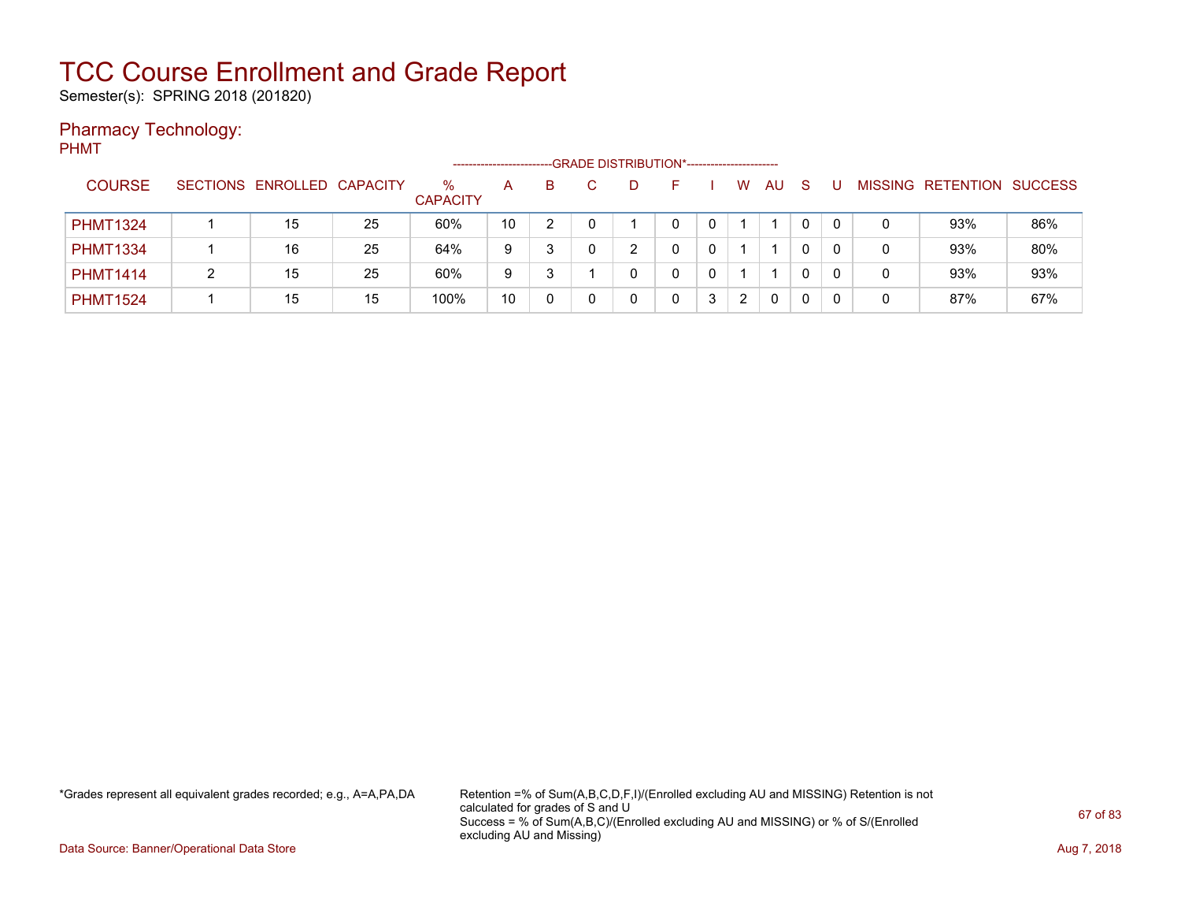Semester(s): SPRING 2018 (201820)

### Pharmacy Technology:

PHMT

|                 |                            |    |                         | ---------------------- |   |   | -- GRADE DISTRIBUTION*----------------------- |   |   |   |     |    |   |                           |     |
|-----------------|----------------------------|----|-------------------------|------------------------|---|---|-----------------------------------------------|---|---|---|-----|----|---|---------------------------|-----|
| <b>COURSE</b>   | SECTIONS ENROLLED CAPACITY |    | $\%$<br><b>CAPACITY</b> | Α                      | B |   |                                               |   |   | W | AU. | -S |   | MISSING RETENTION SUCCESS |     |
| <b>PHMT1324</b> | 15                         | 25 | 60%                     | 10                     |   |   |                                               | 0 |   |   |     |    |   | 93%                       | 86% |
| <b>PHMT1334</b> | 16                         | 25 | 64%                     | 9                      | 3 | 0 |                                               |   |   |   |     |    | 0 | 93%                       | 80% |
| <b>PHMT1414</b> | 15                         | 25 | 60%                     | 9                      |   |   |                                               |   |   |   |     |    | 0 | 93%                       | 93% |
| <b>PHMT1524</b> | 15                         | 15 | 100%                    | 10                     |   |   |                                               |   | 3 |   | 0   | 0  |   | 87%                       | 67% |

\*Grades represent all equivalent grades recorded; e.g., A=A,PA,DA Retention =% of Sum(A,B,C,D,F,I)/(Enrolled excluding AU and MISSING) Retention is not calculated for grades of S and U Success = % of Sum(A,B,C)/(Enrolled excluding AU and MISSING) or % of S/(Enrolled excluding AU and Missing)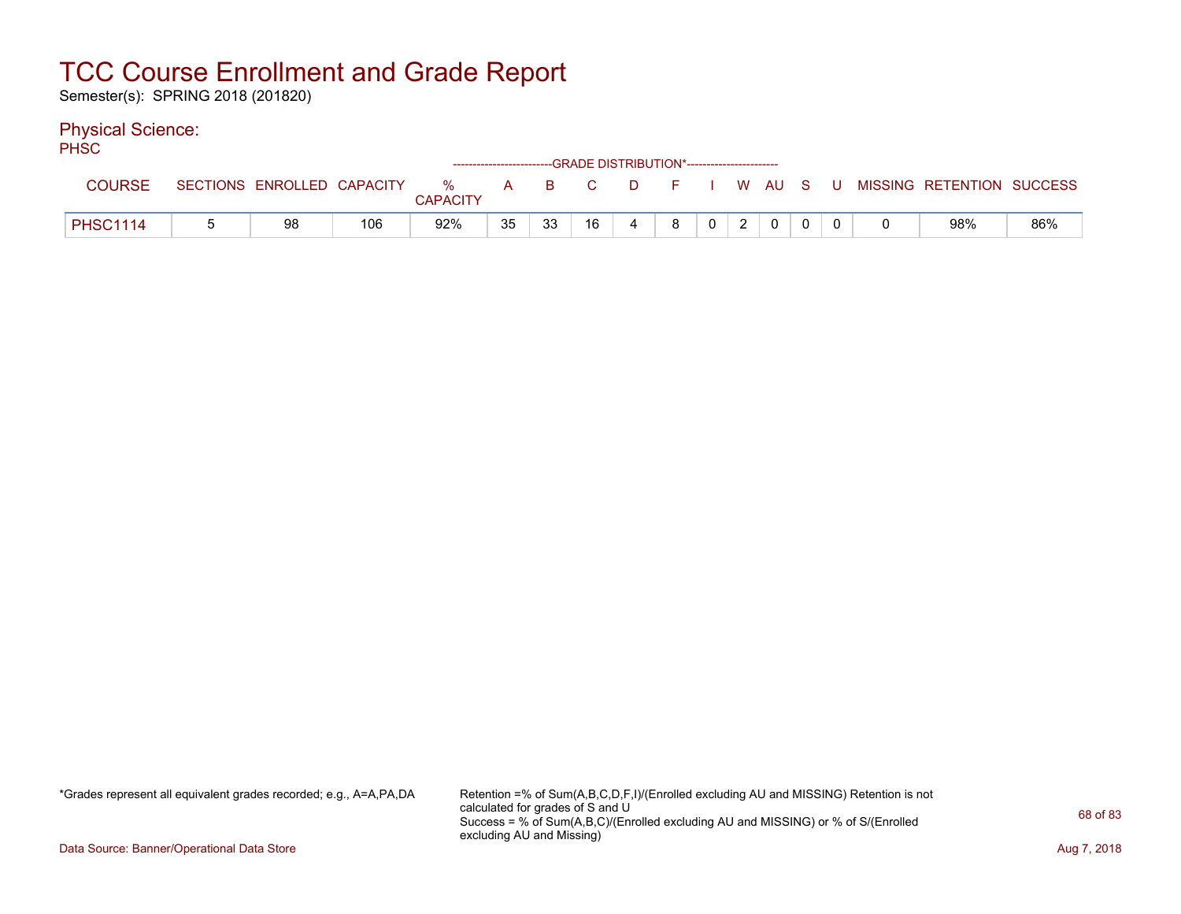Semester(s): SPRING 2018 (201820)

### Physical Science:

PH<sub>SC</sub>

| ___             |                            |     |          |              |    |    |    | ------------------------GRADE DISTRIBUTION*----------------------- |              |      |  |                           |     |
|-----------------|----------------------------|-----|----------|--------------|----|----|----|--------------------------------------------------------------------|--------------|------|--|---------------------------|-----|
| <b>COURSE</b>   | SECTIONS ENROLLED CAPACITY |     | %        | $\mathsf{A}$ | R. |    | D. | . E                                                                |              | WAUS |  | MISSING RETENTION SUCCESS |     |
|                 |                            |     | CAPACITY |              |    |    |    |                                                                    |              |      |  |                           |     |
| <b>PHSC1114</b> | 98                         | 106 | 92%      | 35           | 33 | 16 |    | 8                                                                  | $\mathbf{0}$ |      |  | 98%                       | 86% |

\*Grades represent all equivalent grades recorded; e.g., A=A,PA,DA Retention =% of Sum(A,B,C,D,F,I)/(Enrolled excluding AU and MISSING) Retention is not calculated for grades of S and U Success = % of Sum(A,B,C)/(Enrolled excluding AU and MISSING) or % of S/(Enrolled excluding AU and Missing)

Data Source: Banner/Operational Data Store **Aug 7, 2018**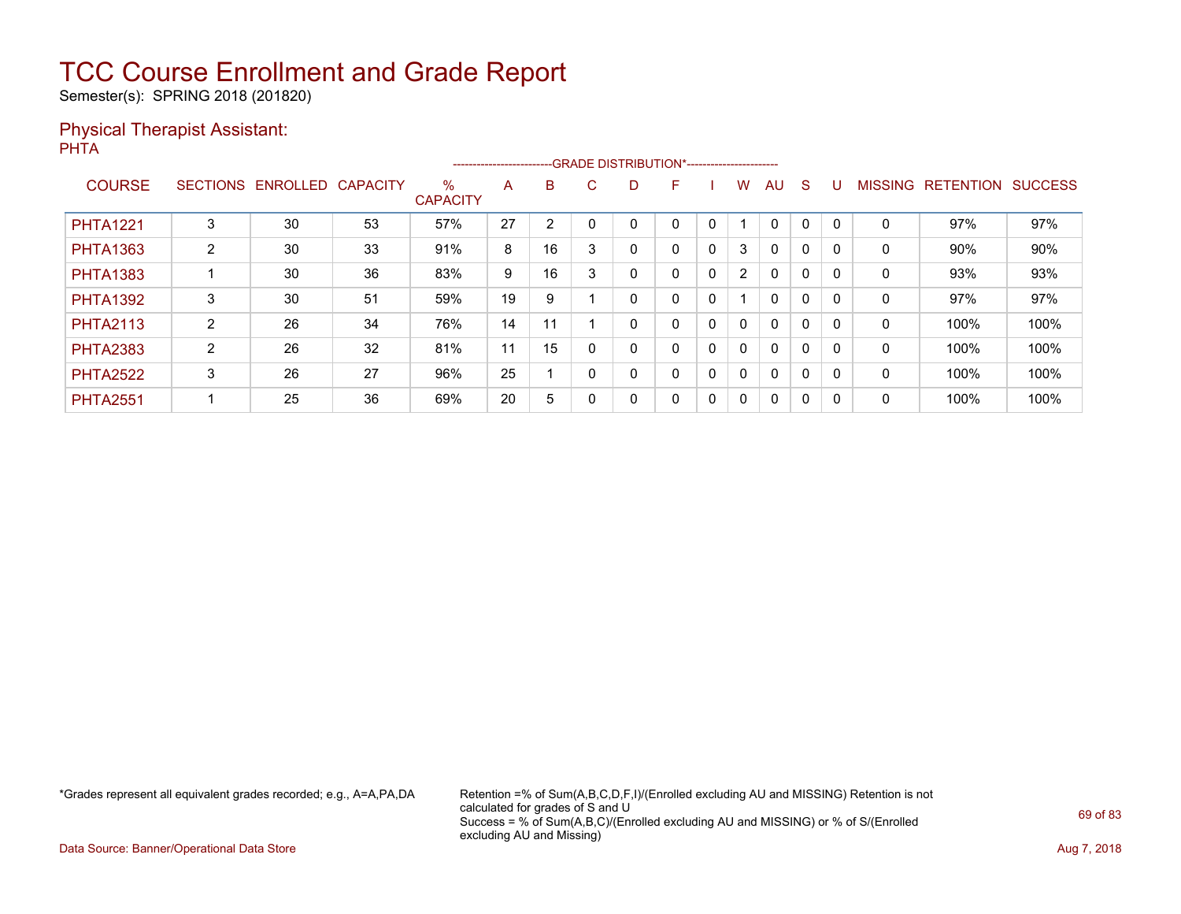Semester(s): SPRING 2018 (201820)

### Physical Therapist Assistant: PHTA

|                 | --GRADE DISTRIBUTION*-----------------------<br>------------------------ |                          |    |                         |    |    |         |   |   |   |              |              |              |          |                |                  |                |
|-----------------|--------------------------------------------------------------------------|--------------------------|----|-------------------------|----|----|---------|---|---|---|--------------|--------------|--------------|----------|----------------|------------------|----------------|
| <b>COURSE</b>   | <b>SECTIONS</b>                                                          | <b>ENROLLED CAPACITY</b> |    | $\%$<br><b>CAPACITY</b> | A  | B  | C.      | D | F |   | w            | AU           | S            |          | <b>MISSING</b> | <b>RETENTION</b> | <b>SUCCESS</b> |
| <b>PHTA1221</b> | 3                                                                        | 30                       | 53 | 57%                     | 27 | 2  |         |   |   | 0 |              | 0            | 0            |          | 0              | 97%              | 97%            |
| <b>PHTA1363</b> | $\overline{2}$                                                           | 30                       | 33 | 91%                     | 8  | 16 | 3       |   | 0 | 0 | 3            | $\mathbf{0}$ | $\mathbf{0}$ |          | 0              | 90%              | 90%            |
| <b>PHTA1383</b> |                                                                          | 30                       | 36 | 83%                     | 9  | 16 | c<br>۰. |   | 0 | 0 | 2            | $\mathbf{0}$ | 0            | $\Omega$ | 0              | 93%              | 93%            |
| <b>PHTA1392</b> | 3                                                                        | 30                       | 51 | 59%                     | 19 | 9  |         |   | 0 | 0 |              | $\mathbf{0}$ | $\mathbf{0}$ |          | 0              | 97%              | 97%            |
| <b>PHTA2113</b> | $\overline{2}$                                                           | 26                       | 34 | 76%                     | 14 | 11 |         |   | 0 | 0 | 0            | $\mathbf{0}$ | 0            | $\Omega$ | $\mathbf 0$    | 100%             | 100%           |
| <b>PHTA2383</b> | $\overline{2}$                                                           | 26                       | 32 | 81%                     | 11 | 15 |         |   | 0 | 0 | 0            | $\mathbf{0}$ | 0            | $\Omega$ | 0              | 100%             | 100%           |
| <b>PHTA2522</b> | 3                                                                        | 26                       | 27 | 96%                     | 25 |    |         |   | 0 | 0 | $\mathbf{0}$ | $\mathbf{0}$ | 0            |          | 0              | 100%             | 100%           |
| <b>PHTA2551</b> |                                                                          | 25                       | 36 | 69%                     | 20 | 5  |         | 0 | 0 | 0 | 0            | $\mathbf{0}$ | 0            | $\Omega$ | 0              | 100%             | 100%           |

\*Grades represent all equivalent grades recorded; e.g., A=A,PA,DA Retention =% of Sum(A,B,C,D,F,I)/(Enrolled excluding AU and MISSING) Retention is not calculated for grades of S and U Success = % of Sum(A,B,C)/(Enrolled excluding AU and MISSING) or % of S/(Enrolled excluding AU and Missing)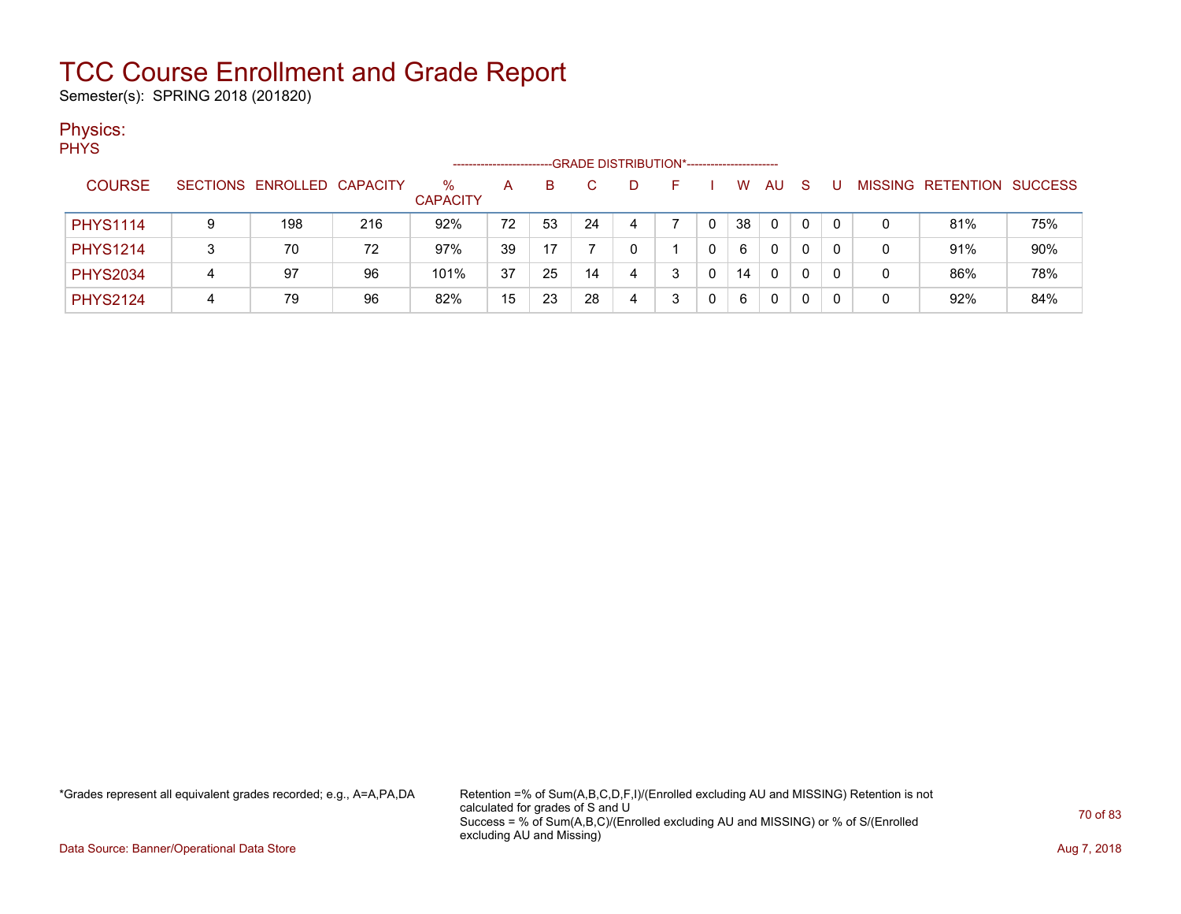Semester(s): SPRING 2018 (201820)

### Physics:

| ٠<br>M. |
|---------|
|---------|

|                 | -GRADE DISTRIBUTION*----------------------- |                            |     |                      |    |    |    |   |  |   |    |              |    |   |   |                           |     |
|-----------------|---------------------------------------------|----------------------------|-----|----------------------|----|----|----|---|--|---|----|--------------|----|---|---|---------------------------|-----|
| <b>COURSE</b>   |                                             | SECTIONS ENROLLED CAPACITY |     | %<br><b>CAPACITY</b> | А  | B  | C. |   |  |   | W  | AU           | -S | U |   | MISSING RETENTION SUCCESS |     |
| <b>PHYS1114</b> | 9                                           | 198                        | 216 | 92%                  | 72 | 53 | 24 | 4 |  | 0 | 38 | $\mathbf{0}$ | 0  | 0 | 0 | 81%                       | 75% |
| <b>PHYS1214</b> |                                             | 70                         | 72  | 97%                  | 39 |    |    |   |  | 0 | 6  | $\Omega$     |    |   | 0 | 91%                       | 90% |
| <b>PHYS2034</b> | 4                                           | 97                         | 96  | 101%                 | 37 | 25 | 14 | 4 |  | 0 | 14 | $\Omega$     | 0  |   | 0 | 86%                       | 78% |
| <b>PHYS2124</b> | 4                                           | 79                         | 96  | 82%                  | 15 | 23 | 28 | 4 |  | 0 | 6  | 0            |    |   | 0 | 92%                       | 84% |

\*Grades represent all equivalent grades recorded; e.g., A=A,PA,DA Retention =% of Sum(A,B,C,D,F,I)/(Enrolled excluding AU and MISSING) Retention is not calculated for grades of S and U Success = % of Sum(A,B,C)/(Enrolled excluding AU and MISSING) or % of S/(Enrolled excluding AU and Missing)

Data Source: Banner/Operational Data Store **Aug 7, 2018**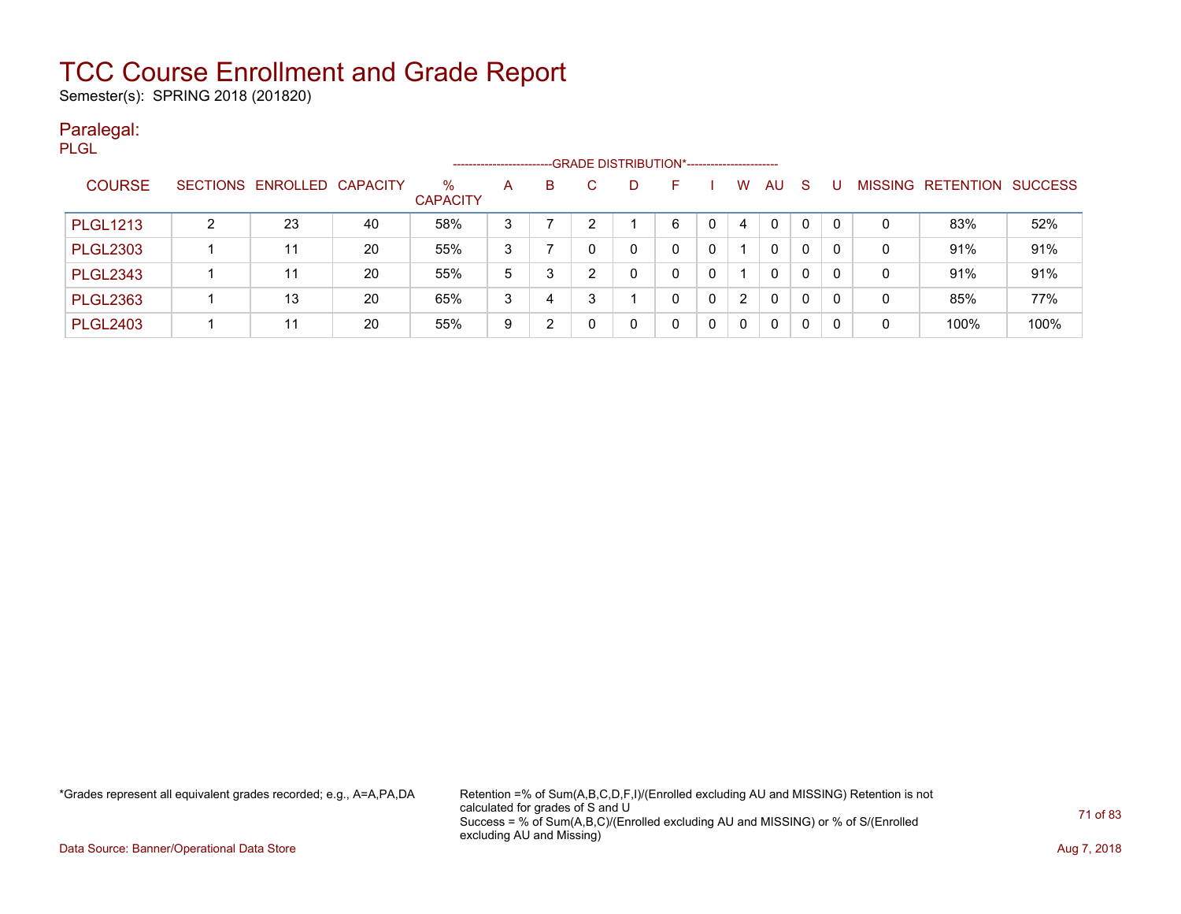Semester(s): SPRING 2018 (201820)

### Paralegal: PLGL

|                 | -- GRADE DISTRIBUTION*------------------------<br>---------------------- |                            |    |                         |   |   |   |  |    |              |          |              |   |   |              |                                  |      |
|-----------------|--------------------------------------------------------------------------|----------------------------|----|-------------------------|---|---|---|--|----|--------------|----------|--------------|---|---|--------------|----------------------------------|------|
| <b>COURSE</b>   |                                                                          | SECTIONS ENROLLED CAPACITY |    | $\%$<br><b>CAPACITY</b> | A | B |   |  | н. |              | w        | AU           | S | U |              | <b>MISSING RETENTION SUCCESS</b> |      |
| <b>PLGL1213</b> |                                                                          | 23                         | 40 | 58%                     | 3 |   |   |  | 6  | $\mathbf{0}$ | 4        | 0            | 0 | 0 | $\mathbf{0}$ | 83%                              | 52%  |
| <b>PLGL2303</b> |                                                                          | 11                         | 20 | 55%                     | 3 |   |   |  |    | 0            |          | 0            | 0 | 0 | $\mathbf{0}$ | 91%                              | 91%  |
| <b>PLGL2343</b> |                                                                          | 11                         | 20 | 55%                     | 5 | 3 |   |  |    | $\Omega$     |          | 0            | 0 | 0 | 0            | 91%                              | 91%  |
| <b>PLGL2363</b> |                                                                          | 13                         | 20 | 65%                     | 3 | 4 | 3 |  |    | $\Omega$     | 2        | $\mathbf{0}$ | 0 | 0 | 0            | 85%                              | 77%  |
| <b>PLGL2403</b> |                                                                          | 11                         | 20 | 55%                     | 9 | າ |   |  |    | $\Omega$     | $\Omega$ | 0            | 0 | 0 | 0            | 100%                             | 100% |

\*Grades represent all equivalent grades recorded; e.g., A=A,PA,DA Retention =% of Sum(A,B,C,D,F,I)/(Enrolled excluding AU and MISSING) Retention is not calculated for grades of S and U Success = % of Sum(A,B,C)/(Enrolled excluding AU and MISSING) or % of S/(Enrolled excluding AU and Missing)

Data Source: Banner/Operational Data Store **Aug 7, 2018**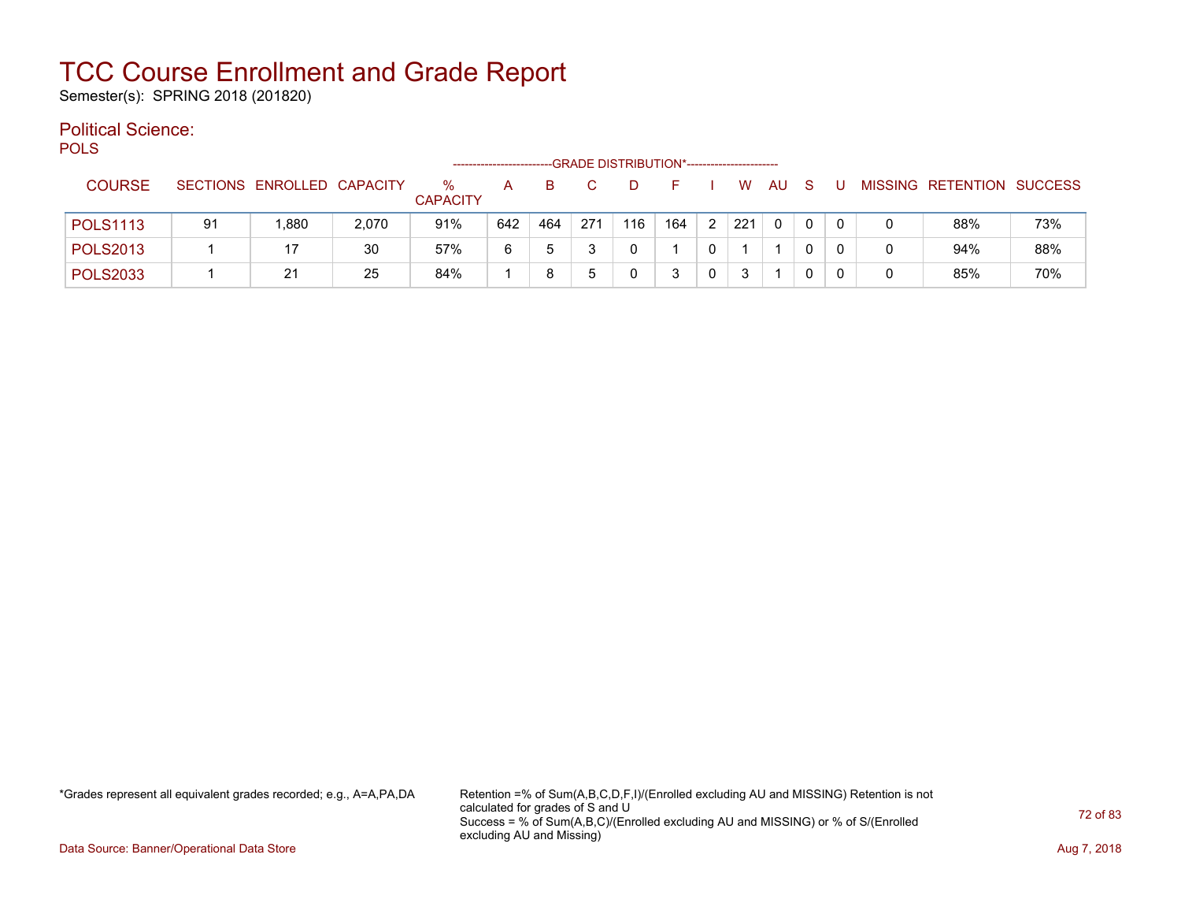Semester(s): SPRING 2018 (201820)

#### Political Science: POLS

| ັບ∟ບ            | -GRADE DISTRIBUTION*---------------------- |                            |       |                         |     |     |     |     |     |   |     |              |          |  |  |                           |     |
|-----------------|--------------------------------------------|----------------------------|-------|-------------------------|-----|-----|-----|-----|-----|---|-----|--------------|----------|--|--|---------------------------|-----|
| <b>COURSE</b>   |                                            | SECTIONS ENROLLED CAPACITY |       | $\%$<br><b>CAPACITY</b> | А   | в   |     |     |     |   | W   | AU           | S        |  |  | MISSING RETENTION SUCCESS |     |
| <b>POLS1113</b> | 91                                         | .880                       | 2,070 | 91%                     | 642 | 464 | 271 | 116 | 164 | 2 | 221 | $\mathbf{0}$ | $\Omega$ |  |  | 88%                       | 73% |
| <b>POLS2013</b> |                                            | 17                         | 30    | 57%                     | 6   |     |     |     |     |   |     |              | 0        |  |  | 94%                       | 88% |
| <b>POLS2033</b> |                                            | 21                         | 25    | 84%                     |     |     |     |     |     | 0 |     |              |          |  |  | 85%                       | 70% |

\*Grades represent all equivalent grades recorded; e.g., A=A,PA,DA Retention =% of Sum(A,B,C,D,F,I)/(Enrolled excluding AU and MISSING) Retention is not calculated for grades of S and U Success = % of Sum(A,B,C)/(Enrolled excluding AU and MISSING) or % of S/(Enrolled excluding AU and Missing)

Data Source: Banner/Operational Data Store **Aug 7, 2018**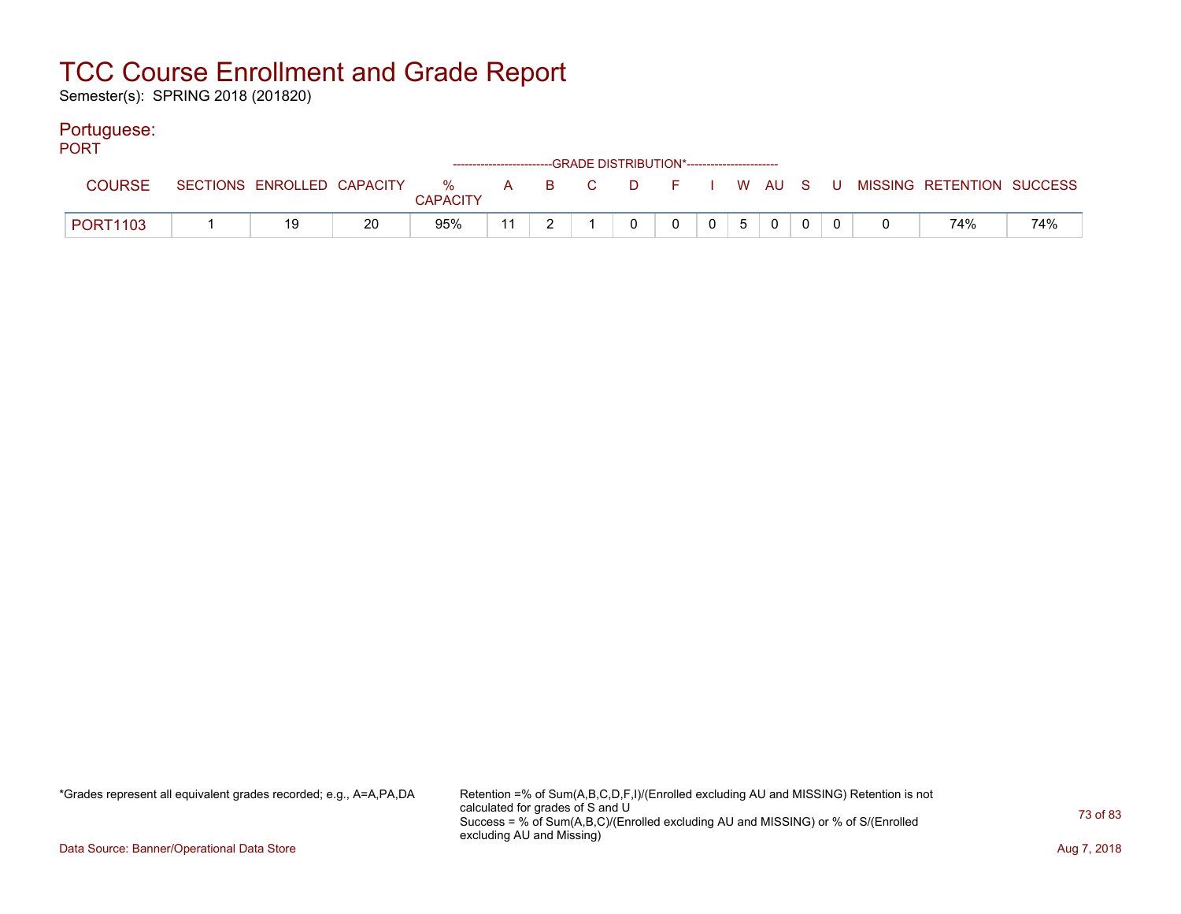Semester(s): SPRING 2018 (201820)

#### Portuguese:

| <b>PORT</b>     |    |    |                 |    |  | ------------------------GRADE DISTRIBUTION*----------------------- |              |                 |          |  |                                                                             |     |
|-----------------|----|----|-----------------|----|--|--------------------------------------------------------------------|--------------|-----------------|----------|--|-----------------------------------------------------------------------------|-----|
| <b>COURSE</b>   |    |    | <b>CAPACITY</b> |    |  |                                                                    |              |                 |          |  | SECTIONS ENROLLED CAPACITY % A B C D F I W AU S U MISSING RETENTION SUCCESS |     |
| <b>PORT1103</b> | 19 | 20 | 95%             | 11 |  | $\Omega$                                                           | $\mathbf{0}$ | $0 \mid 5 \mid$ | $\Omega$ |  | 74%                                                                         | 74% |

\*Grades represent all equivalent grades recorded; e.g., A=A,PA,DA Retention =% of Sum(A,B,C,D,F,I)/(Enrolled excluding AU and MISSING) Retention is not calculated for grades of S and U Success = % of Sum(A,B,C)/(Enrolled excluding AU and MISSING) or % of S/(Enrolled excluding AU and Missing)

Data Source: Banner/Operational Data Store **Aug 7, 2018**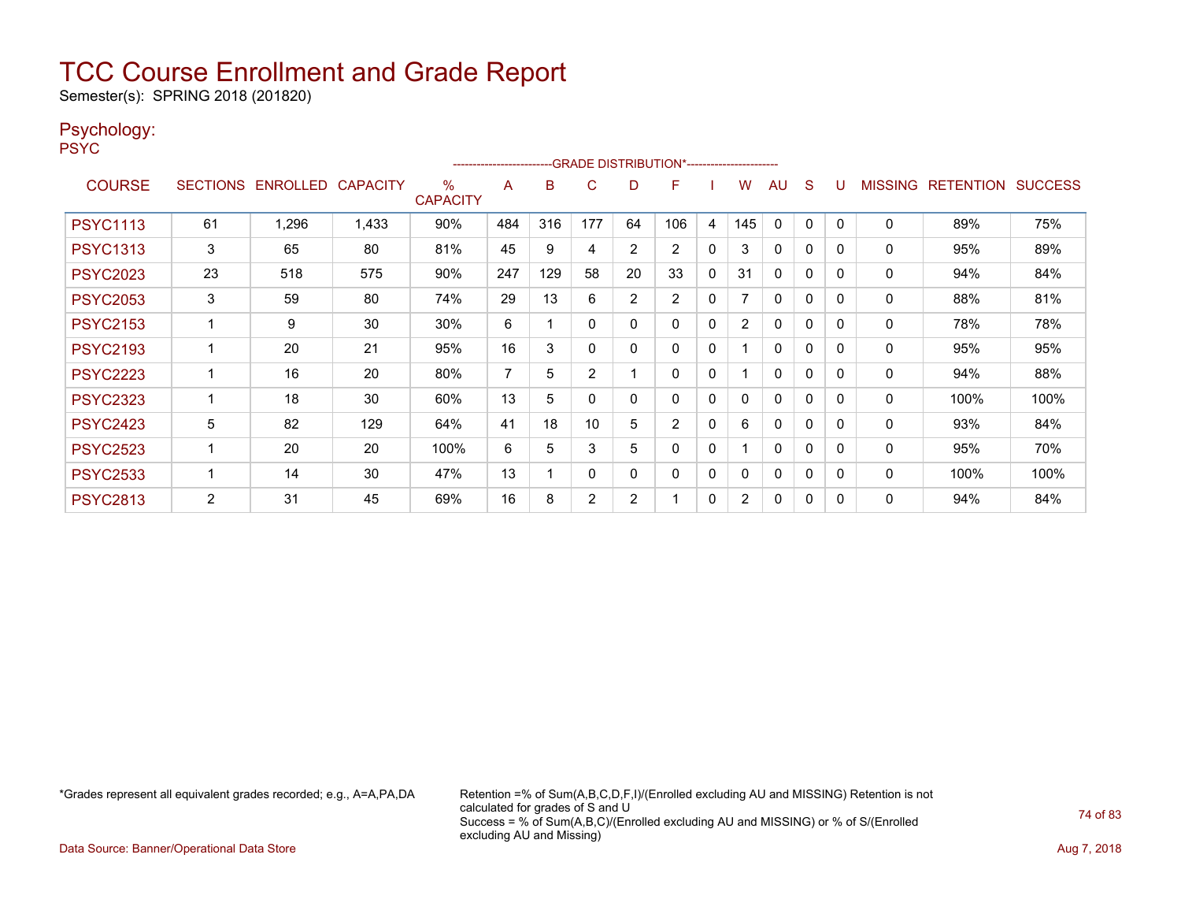Semester(s): SPRING 2018 (201820)

#### Psychology:

PSYC

|                 |                 |                   |       |                      | ------------------------ |     |             |                | -GRADE DISTRIBUTION*----------------------- |              |                |              |              |          |                |                  |                |
|-----------------|-----------------|-------------------|-------|----------------------|--------------------------|-----|-------------|----------------|---------------------------------------------|--------------|----------------|--------------|--------------|----------|----------------|------------------|----------------|
| <b>COURSE</b>   | <b>SECTIONS</b> | ENROLLED CAPACITY |       | ℅<br><b>CAPACITY</b> | A                        | B   | C           | D              | F                                           |              | W              | AU           | <sub>S</sub> |          | <b>MISSING</b> | <b>RETENTION</b> | <b>SUCCESS</b> |
| <b>PSYC1113</b> | 61              | 1,296             | 1,433 | 90%                  | 484                      | 316 | 177         | 64             | 106                                         | 4            | 145            | 0            | 0            | $\Omega$ | 0              | 89%              | 75%            |
| <b>PSYC1313</b> | 3               | 65                | 80    | 81%                  | 45                       | 9   | 4           | 2              | $\overline{2}$                              | 0            | 3              | 0            | 0            | 0        | 0              | 95%              | 89%            |
| <b>PSYC2023</b> | 23              | 518               | 575   | 90%                  | 247                      | 129 | 58          | 20             | 33                                          | $\Omega$     | 31             | $\mathbf{0}$ | 0            | 0        | 0              | 94%              | 84%            |
| <b>PSYC2053</b> | 3               | 59                | 80    | 74%                  | 29                       | 13  | 6           | $\overline{2}$ | $\overline{2}$                              | 0            |                | $\mathbf{0}$ | 0            | 0        | 0              | 88%              | 81%            |
| <b>PSYC2153</b> |                 | 9                 | 30    | 30%                  | 6                        |     | 0           | 0              | 0                                           | $\mathbf{0}$ | $\overline{2}$ | $\mathbf{0}$ | 0            | 0        | 0              | 78%              | 78%            |
| <b>PSYC2193</b> |                 | 20                | 21    | 95%                  | 16                       | 3   | $\mathbf 0$ | 0              | $\Omega$                                    | 0            |                | $\Omega$     | 0            | $\Omega$ | 0              | 95%              | 95%            |
| <b>PSYC2223</b> |                 | 16                | 20    | 80%                  | $\overline{7}$           | 5   | 2           |                | $\Omega$                                    | $\mathbf{0}$ |                | $\Omega$     | 0            | 0        | 0              | 94%              | 88%            |
| <b>PSYC2323</b> |                 | 18                | 30    | 60%                  | 13                       | 5   | 0           | 0              | 0                                           | $\mathbf{0}$ | 0              | $\mathbf{0}$ | 0            | 0        | 0              | 100%             | 100%           |
| <b>PSYC2423</b> | 5               | 82                | 129   | 64%                  | 41                       | 18  | 10          | 5              | $\overline{2}$                              | $\mathbf{0}$ | 6              | $\mathbf{0}$ | 0            | 0        | 0              | 93%              | 84%            |
| <b>PSYC2523</b> |                 | 20                | 20    | 100%                 | 6                        | 5   | 3           | 5              | $\Omega$                                    | 0            |                | 0            | 0            | 0        | 0              | 95%              | 70%            |
| <b>PSYC2533</b> |                 | 14                | 30    | 47%                  | 13                       |     | $\mathbf 0$ | 0              | 0                                           | $\mathbf{0}$ | 0              | $\mathbf{0}$ | 0            | 0        | 0              | 100%             | 100%           |
| <b>PSYC2813</b> | $\overline{2}$  | 31                | 45    | 69%                  | 16                       | 8   | 2           | $\overline{2}$ |                                             | 0            | $\overline{2}$ | 0            | 0            | 0        | $\Omega$       | 94%              | 84%            |

\*Grades represent all equivalent grades recorded; e.g., A=A,PA,DA Retention =% of Sum(A,B,C,D,F,I)/(Enrolled excluding AU and MISSING) Retention is not calculated for grades of S and U Success = % of Sum(A,B,C)/(Enrolled excluding AU and MISSING) or % of S/(Enrolled excluding AU and Missing)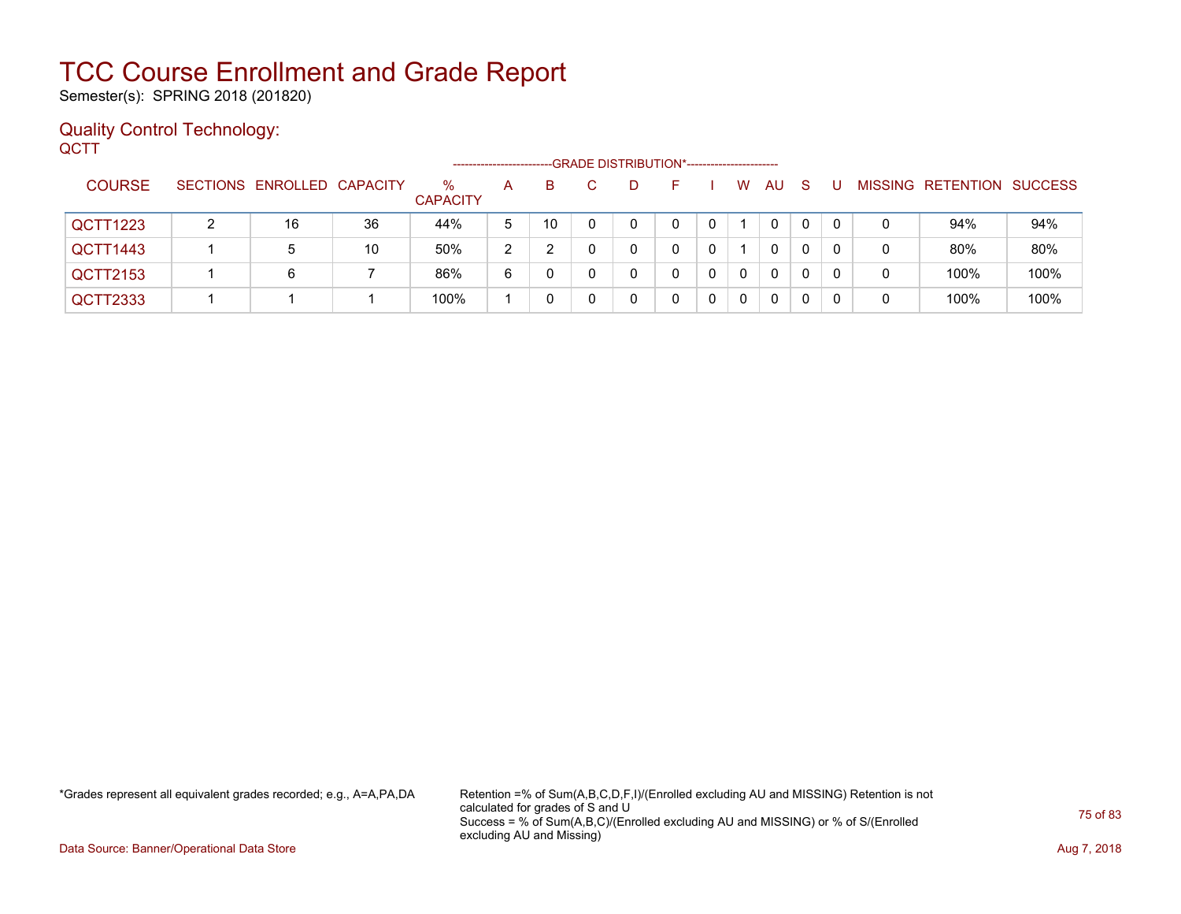Semester(s): SPRING 2018 (201820)

#### Quality Control Technology: **QCTT**

|               |                            |    |                      | ------------------------ |    |   | -GRADE DISTRIBUTION*----------------------- |   |          |    |    |   |   |                           |      |
|---------------|----------------------------|----|----------------------|--------------------------|----|---|---------------------------------------------|---|----------|----|----|---|---|---------------------------|------|
| <b>COURSE</b> | SECTIONS ENROLLED CAPACITY |    | ℅<br><b>CAPACITY</b> | A                        | B. | Ð | ь.                                          |   | W        | AU | -S |   |   | MISSING RETENTION SUCCESS |      |
| QCTT1223      | 16                         | 36 | 44%                  | 5                        | 10 |   |                                             |   |          | 0  | 0  |   | 0 | 94%                       | 94%  |
| QCTT1443      | 5                          | 10 | 50%                  | າ<br>∠                   |    |   |                                             |   |          | 0  | 0  |   |   | 80%                       | 80%  |
| QCTT2153      | 6                          |    | 86%                  | 6                        |    |   |                                             | 0 | $\Omega$ | 0  | 0  | 0 | 0 | 100%                      | 100% |
| QCTT2333      |                            |    | 100%                 |                          |    |   |                                             | 0 | 0        | 0  |    |   |   | 100%                      | 100% |

\*Grades represent all equivalent grades recorded; e.g., A=A,PA,DA Retention =% of Sum(A,B,C,D,F,I)/(Enrolled excluding AU and MISSING) Retention is not calculated for grades of S and U Success = % of Sum(A,B,C)/(Enrolled excluding AU and MISSING) or % of S/(Enrolled excluding AU and Missing)

Data Source: Banner/Operational Data Store **Aug 7, 2018**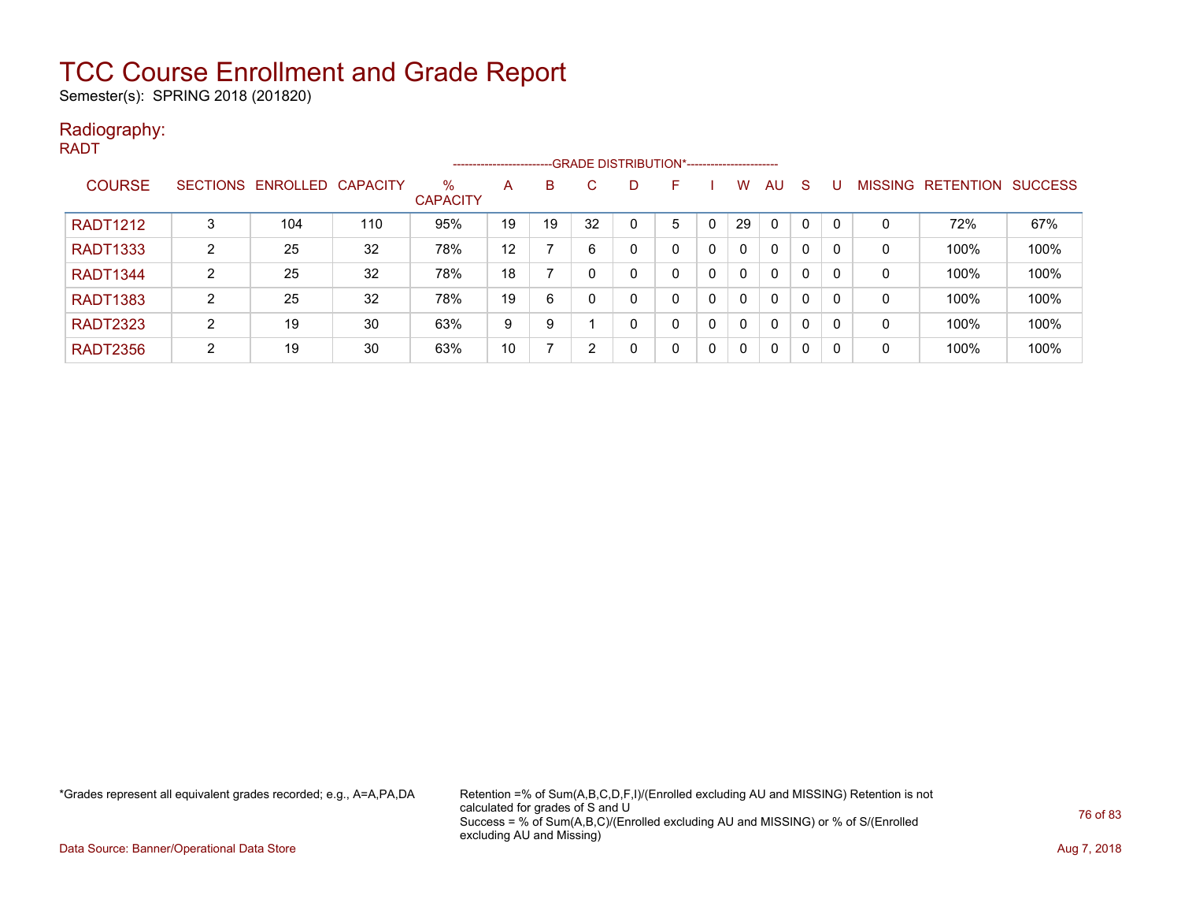Semester(s): SPRING 2018 (201820)

#### Radiography: RADT

|                 |   |                            |     |                         | ------------------------ |    |    |   |   |   |          |              |              |   |                   |                |
|-----------------|---|----------------------------|-----|-------------------------|--------------------------|----|----|---|---|---|----------|--------------|--------------|---|-------------------|----------------|
| <b>COURSE</b>   |   | SECTIONS ENROLLED CAPACITY |     | $\%$<br><b>CAPACITY</b> | A                        | B. |    |   | F |   | w        | <b>AU</b>    | <sub>S</sub> |   | MISSING RETENTION | <b>SUCCESS</b> |
| <b>RADT1212</b> |   | 104                        | 110 | 95%                     | 19                       | 19 | 32 |   | 5 |   | 29       | $\mathbf{0}$ | 0            | 0 | 72%               | 67%            |
| <b>RADT1333</b> | 2 | 25                         | 32  | 78%                     | 12                       |    | 6  | ი | 0 | 0 | $\Omega$ | 0            | 0            | 0 | 100%              | 100%           |
| <b>RADT1344</b> |   | 25                         | 32  | 78%                     | 18                       |    |    |   | 0 | 0 | 0        | 0            | 0            | 0 | 100%              | 100%           |
| <b>RADT1383</b> | 2 | 25                         | 32  | 78%                     | 19                       | 6  |    | n | 0 | 0 |          | 0            | 0            | 0 | 100%              | 100%           |
| <b>RADT2323</b> | ົ | 19                         | 30  | 63%                     | 9                        | 9  |    |   | 0 | 0 | 0        | $\mathbf{0}$ | 0            | 0 | 100%              | 100%           |
| <b>RADT2356</b> | 2 | 19                         | 30  | 63%                     | 10                       |    | 2  | ∩ | 0 | 0 |          | 0            | 0            | 0 | 100%              | 100%           |

\*Grades represent all equivalent grades recorded; e.g., A=A,PA,DA Retention =% of Sum(A,B,C,D,F,I)/(Enrolled excluding AU and MISSING) Retention is not calculated for grades of S and U Success = % of Sum(A,B,C)/(Enrolled excluding AU and MISSING) or % of S/(Enrolled excluding AU and Missing)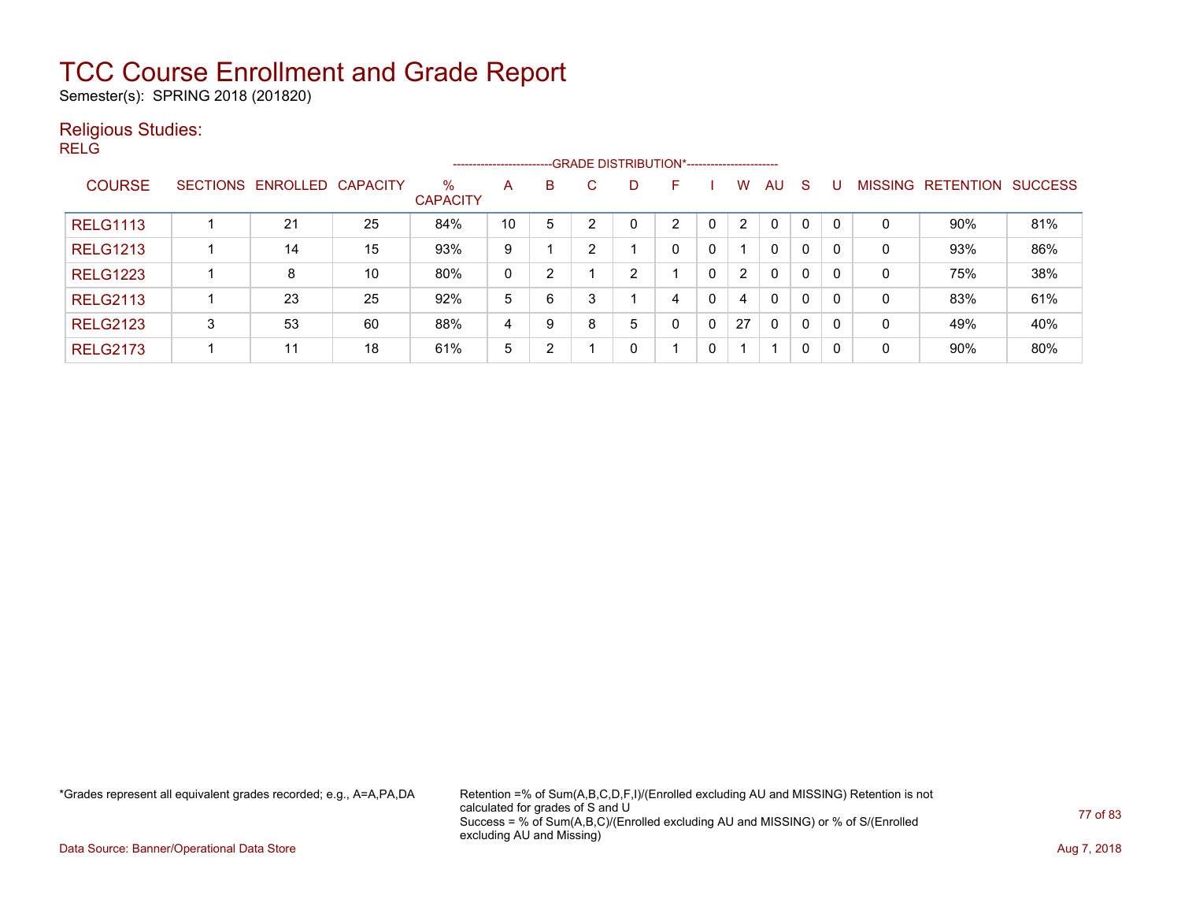Semester(s): SPRING 2018 (201820)

#### Religious Studies:

RELG

|                 |                 |                   |    |                         | ----------------------- |   |    |   | --GRADE DISTRIBUTION*----------------------- |   |                |              |              |                |                  |                |
|-----------------|-----------------|-------------------|----|-------------------------|-------------------------|---|----|---|----------------------------------------------|---|----------------|--------------|--------------|----------------|------------------|----------------|
| <b>COURSE</b>   | <b>SECTIONS</b> | ENROLLED CAPACITY |    | $\%$<br><b>CAPACITY</b> | A                       | B | C. | D | F                                            |   | w              | AU.          | -S           | <b>MISSING</b> | <b>RETENTION</b> | <b>SUCCESS</b> |
| <b>RELG1113</b> |                 | 21                | 25 | 84%                     | 10                      | 5 |    |   | C.                                           |   | $\overline{2}$ | $\Omega$     | 0            | 0              | 90%              | 81%            |
| <b>RELG1213</b> |                 | 14                | 15 | 93%                     | 9                       |   |    |   | 0                                            | 0 |                | $\mathbf{0}$ | 0            | 0              | 93%              | 86%            |
| <b>RELG1223</b> |                 | 8                 | 10 | 80%                     | 0                       | 2 |    | ົ |                                              | 0 | $\overline{2}$ | $\mathbf{0}$ | $\mathbf{0}$ | 0              | 75%              | 38%            |
| <b>RELG2113</b> |                 | 23                | 25 | 92%                     | 5                       | 6 |    |   | 4                                            | 0 | 4              | $\mathbf{0}$ | 0            | 0              | 83%              | 61%            |
| <b>RELG2123</b> | 3               | 53                | 60 | 88%                     | 4                       | 9 | 8  | 5 | 0                                            | 0 | 27             | $\mathbf{0}$ | 0            | $\mathbf 0$    | 49%              | 40%            |
| <b>RELG2173</b> |                 | 11                | 18 | 61%                     | 5                       | 2 |    |   |                                              | 0 |                |              | 0            | 0              | 90%              | 80%            |

\*Grades represent all equivalent grades recorded; e.g., A=A,PA,DA Retention =% of Sum(A,B,C,D,F,I)/(Enrolled excluding AU and MISSING) Retention is not calculated for grades of S and U Success = % of Sum(A,B,C)/(Enrolled excluding AU and MISSING) or % of S/(Enrolled excluding AU and Missing)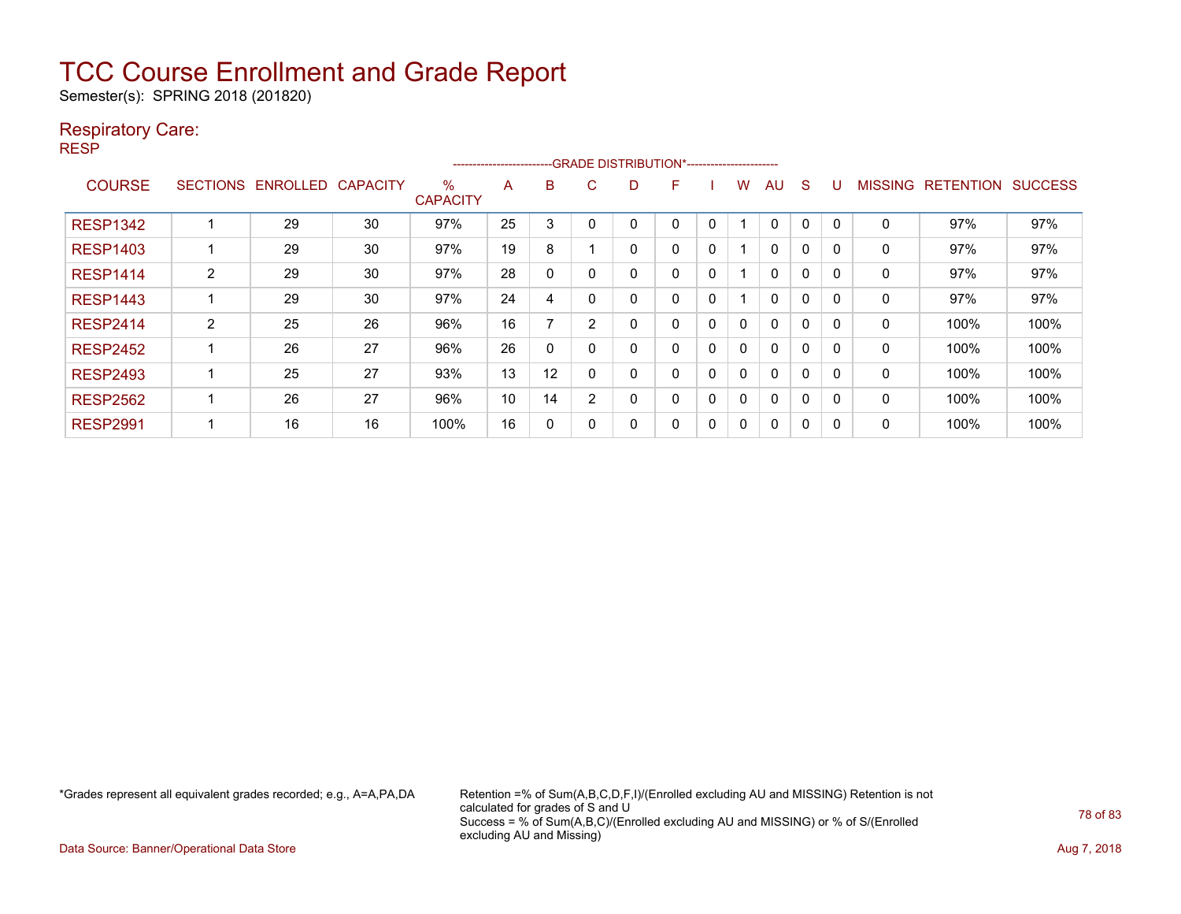Semester(s): SPRING 2018 (201820)

#### Respiratory Care:

RESP

|                 |                 |                 |                 |                         | ----------------------- |              |                | --- GRADE DISTRIBUTION*------------------------ |   |              |   |              |          |          |                |                  |                |
|-----------------|-----------------|-----------------|-----------------|-------------------------|-------------------------|--------------|----------------|-------------------------------------------------|---|--------------|---|--------------|----------|----------|----------------|------------------|----------------|
| <b>COURSE</b>   | <b>SECTIONS</b> | <b>ENROLLED</b> | <b>CAPACITY</b> | $\%$<br><b>CAPACITY</b> | A                       | B            | C              | D                                               | F |              | w | AU           | S        |          | <b>MISSING</b> | <b>RETENTION</b> | <b>SUCCESS</b> |
| <b>RESP1342</b> |                 | 29              | 30              | 97%                     | 25                      | 3            |                | 0                                               | 0 | 0            |   | 0            |          | 0        | 0              | 97%              | 97%            |
| <b>RESP1403</b> |                 | 29              | 30              | 97%                     | 19                      | 8            |                | 0                                               | 0 | 0            |   | $\mathbf{0}$ | $\Omega$ | 0        | 0              | 97%              | 97%            |
| <b>RESP1414</b> | $\overline{2}$  | 29              | 30              | 97%                     | 28                      | $\mathbf{0}$ |                | 0                                               | 0 | $\mathbf{0}$ |   | 0            | $\Omega$ | $\Omega$ | 0              | 97%              | 97%            |
| <b>RESP1443</b> |                 | 29              | 30              | 97%                     | 24                      | 4            |                | 0                                               | 0 | 0            |   | $\Omega$     | $\Omega$ | $\Omega$ | 0              | 97%              | 97%            |
| <b>RESP2414</b> | 2               | 25              | 26              | 96%                     | 16                      |              | $\overline{2}$ | 0                                               | 0 | 0            | 0 | $\Omega$     | $\Omega$ | $\Omega$ | 0              | 100%             | 100%           |
| <b>RESP2452</b> |                 | 26              | 27              | 96%                     | 26                      | 0            |                | 0                                               | 0 | 0            | 0 | $\Omega$     |          | 0        | 0              | 100%             | 100%           |
| <b>RESP2493</b> |                 | 25              | 27              | 93%                     | 13                      | 12           |                | 0                                               | 0 | 0            | 0 | $\Omega$     | 0        | $\Omega$ | 0              | 100%             | 100%           |
| <b>RESP2562</b> |                 | 26              | 27              | 96%                     | 10                      | 14           | $\overline{2}$ | 0                                               | 0 | 0            | 0 | $\Omega$     | $\Omega$ | $\Omega$ | 0              | 100%             | 100%           |
| <b>RESP2991</b> |                 | 16              | 16              | 100%                    | 16                      | 0            |                | 0                                               | 0 | 0            | 0 | 0            | 0        | 0        | 0              | 100%             | 100%           |

\*Grades represent all equivalent grades recorded; e.g., A=A,PA,DA Retention =% of Sum(A,B,C,D,F,I)/(Enrolled excluding AU and MISSING) Retention is not calculated for grades of S and U Success = % of Sum(A,B,C)/(Enrolled excluding AU and MISSING) or % of S/(Enrolled excluding AU and Missing)

Data Source: Banner/Operational Data Store **Aug 7, 2018**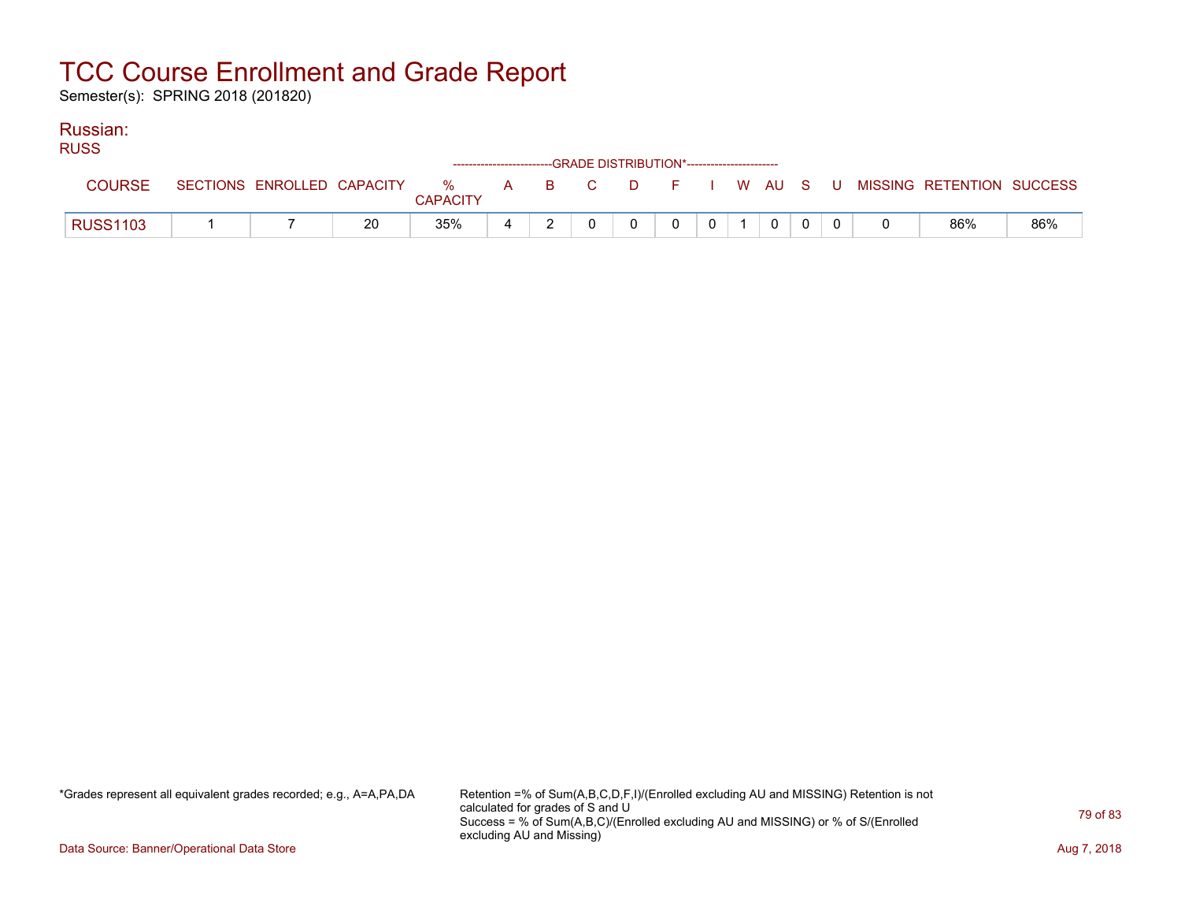Semester(s): SPRING 2018 (201820)

#### Russian: RUSS

| RUSS            |  |    |                 |  | ------------------------GRADE DISTRIBUTION*----------------------- |          |              |                |              |  |                                                                             |     |
|-----------------|--|----|-----------------|--|--------------------------------------------------------------------|----------|--------------|----------------|--------------|--|-----------------------------------------------------------------------------|-----|
| <b>COURSE</b>   |  |    | <b>CAPACITY</b> |  |                                                                    |          |              |                |              |  | SECTIONS ENROLLED CAPACITY % A B C D F I W AU S U MISSING RETENTION SUCCESS |     |
| <b>RUSS1103</b> |  | 20 | 35%             |  |                                                                    | $\Omega$ | $\mathbf{0}$ | 0 <sup>1</sup> | $\mathbf{0}$ |  | 86%                                                                         | 86% |

\*Grades represent all equivalent grades recorded; e.g., A=A,PA,DA Retention =% of Sum(A,B,C,D,F,I)/(Enrolled excluding AU and MISSING) Retention is not calculated for grades of S and U Success = % of Sum(A,B,C)/(Enrolled excluding AU and MISSING) or % of S/(Enrolled excluding AU and Missing)

Data Source: Banner/Operational Data Store **Aug 7, 2018**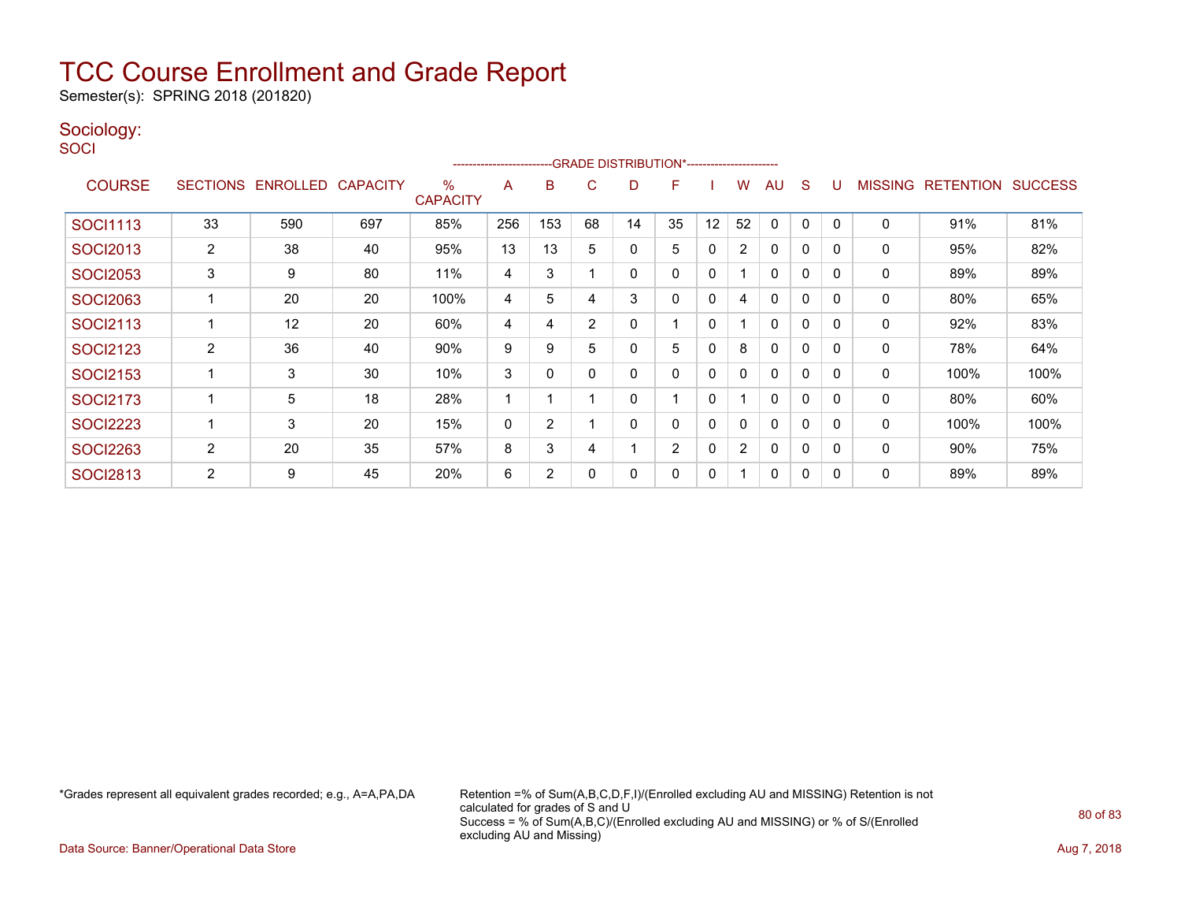Semester(s): SPRING 2018 (201820)

#### Sociology:

**SOCI** 

|                 |                |                   |                 |                      | ----------------------- |                |                | --GRADE DISTRIBUTION*----------------------- |                |              |                |              |              |          |                |                  |                |
|-----------------|----------------|-------------------|-----------------|----------------------|-------------------------|----------------|----------------|----------------------------------------------|----------------|--------------|----------------|--------------|--------------|----------|----------------|------------------|----------------|
| <b>COURSE</b>   |                | SECTIONS ENROLLED | <b>CAPACITY</b> | %<br><b>CAPACITY</b> | A                       | В              | C              | D                                            | F              |              | w              | AU           | S            |          | <b>MISSING</b> | <b>RETENTION</b> | <b>SUCCESS</b> |
| <b>SOCI1113</b> | 33             | 590               | 697             | 85%                  | 256                     | 153            | 68             | 14                                           | 35             | 12           | 52             | 0            | 0            |          | 0              | 91%              | 81%            |
| <b>SOCI2013</b> | 2              | 38                | 40              | 95%                  | 13                      | 13             | 5              | 0                                            | 5              | $\mathbf 0$  | $\overline{2}$ | $\mathbf{0}$ | 0            | $\Omega$ | 0              | 95%              | 82%            |
| <b>SOCI2053</b> | 3              | 9                 | 80              | 11%                  | 4                       | 3              |                | 0                                            | 0              | $\mathbf{0}$ |                | $\mathbf{0}$ | $\Omega$     | $\Omega$ | 0              | 89%              | 89%            |
| <b>SOCI2063</b> |                | 20                | 20              | 100%                 | 4                       | 5              | 4              | 3                                            | 0              | $\mathbf{0}$ | 4              | $\mathbf{0}$ | 0            | $\Omega$ | 0              | 80%              | 65%            |
| <b>SOCI2113</b> |                | 12                | 20              | 60%                  | 4                       | 4              | $\overline{2}$ | 0                                            |                | 0            |                | $\mathbf{0}$ | 0            | $\Omega$ | 0              | 92%              | 83%            |
| <b>SOCI2123</b> | $\overline{2}$ | 36                | 40              | 90%                  | 9                       | 9              | 5              | 0                                            | 5              | 0            | 8              | 0            | 0            |          | 0              | 78%              | 64%            |
| <b>SOCI2153</b> |                | 3                 | 30              | 10%                  | 3                       | 0              |                | 0                                            | 0              | $\mathbf{0}$ | 0              | $\mathbf{0}$ | $\mathbf{0}$ | $\Omega$ | 0              | 100%             | 100%           |
| <b>SOCI2173</b> |                | 5                 | 18              | 28%                  |                         |                |                | 0                                            |                | $\mathbf{0}$ |                | $\mathbf{0}$ | 0            |          | 0              | 80%              | 60%            |
| <b>SOCI2223</b> |                | 3                 | 20              | 15%                  | 0                       | $\overline{2}$ |                | 0                                            | 0              | 0            | 0              | $\mathbf{0}$ | $\mathbf{0}$ | $\Omega$ | 0              | 100%             | 100%           |
| <b>SOCI2263</b> | $\overline{2}$ | 20                | 35              | 57%                  | 8                       | 3              | 4              |                                              | $\overline{2}$ | $\Omega$     | $\overline{2}$ | $\mathbf{0}$ | $\Omega$     | $\Omega$ | $\Omega$       | $90\%$           | 75%            |
| <b>SOCI2813</b> | 2              | 9                 | 45              | 20%                  | 6                       | 2              | 0              | 0                                            | 0              | 0            |                | $\mathbf{0}$ | 0            | $\Omega$ | 0              | 89%              | 89%            |

\*Grades represent all equivalent grades recorded; e.g., A=A,PA,DA Retention =% of Sum(A,B,C,D,F,I)/(Enrolled excluding AU and MISSING) Retention is not calculated for grades of S and U Success = % of Sum(A,B,C)/(Enrolled excluding AU and MISSING) or % of S/(Enrolled excluding AU and Missing)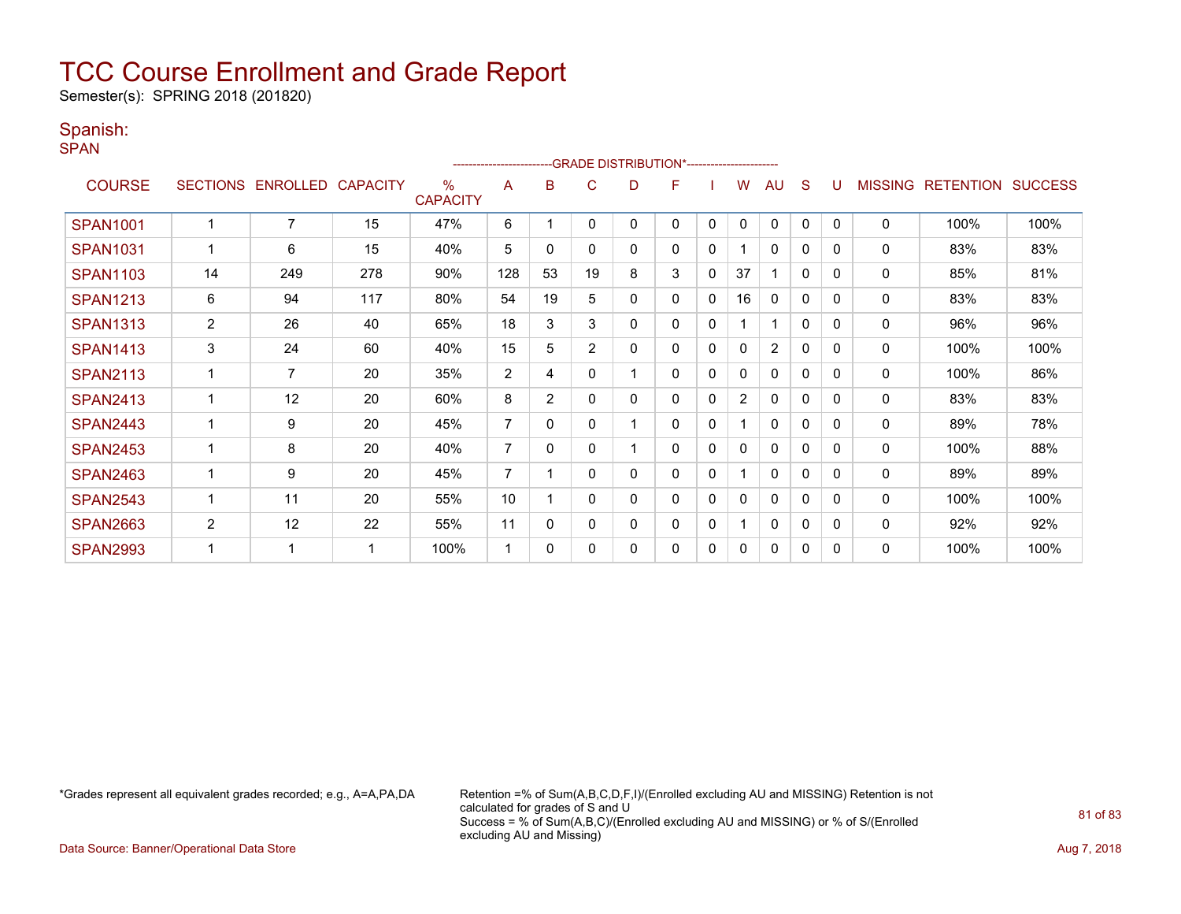Semester(s): SPRING 2018 (201820)

#### Spanish:

SPAN

|                 |                 |                 |                 |                         |                |                | -- GRADE DISTRIBUTION*----------------------- |   |   |              |                |                |              |              |                |                  |                |
|-----------------|-----------------|-----------------|-----------------|-------------------------|----------------|----------------|-----------------------------------------------|---|---|--------------|----------------|----------------|--------------|--------------|----------------|------------------|----------------|
| <b>COURSE</b>   | <b>SECTIONS</b> | <b>ENROLLED</b> | <b>CAPACITY</b> | $\%$<br><b>CAPACITY</b> | A              | в              | C                                             | D | F |              | W              | AU             | S            |              | <b>MISSING</b> | <b>RETENTION</b> | <b>SUCCESS</b> |
| <b>SPAN1001</b> |                 | $\overline{7}$  | 15              | 47%                     | 6              |                | $\mathbf{0}$                                  | 0 | 0 | $\mathbf{0}$ | $\mathbf{0}$   | $\mathbf{0}$   | $\mathbf{0}$ | $\mathbf{0}$ | 0              | 100%             | 100%           |
| <b>SPAN1031</b> |                 | 6               | 15              | 40%                     | 5              | 0              | 0                                             | 0 | 0 | 0            |                | $\mathbf{0}$   | 0            | 0            | 0              | 83%              | 83%            |
| <b>SPAN1103</b> | 14              | 249             | 278             | 90%                     | 128            | 53             | 19                                            | 8 | 3 | $\mathbf{0}$ | 37             | 1              | $\mathbf{0}$ | $\Omega$     | 0              | 85%              | 81%            |
| <b>SPAN1213</b> | 6               | 94              | 117             | 80%                     | 54             | 19             | 5                                             | 0 | 0 | 0            | 16             | $\mathbf{0}$   | 0            | $\Omega$     | 0              | 83%              | 83%            |
| <b>SPAN1313</b> | $\overline{c}$  | 26              | 40              | 65%                     | 18             | 3              | 3                                             | 0 | 0 | $\mathbf 0$  |                | 1              | $\mathbf{0}$ | $\Omega$     | 0              | 96%              | 96%            |
| <b>SPAN1413</b> | 3               | 24              | 60              | 40%                     | 15             | 5              | $\overline{2}$                                | 0 | 0 | 0            | 0              | $\overline{2}$ | $\Omega$     | $\Omega$     | 0              | 100%             | 100%           |
| <b>SPAN2113</b> |                 | $\overline{7}$  | 20              | 35%                     | $\overline{2}$ | 4              | 0                                             |   | 0 | 0            | 0              | $\mathbf{0}$   | 0            | $\Omega$     | 0              | 100%             | 86%            |
| <b>SPAN2413</b> |                 | 12              | 20              | 60%                     | 8              | $\overline{2}$ | $\Omega$                                      | 0 | 0 | 0            | $\overline{2}$ | $\Omega$       | 0            | $\Omega$     | $\mathbf 0$    | 83%              | 83%            |
| <b>SPAN2443</b> |                 | 9               | 20              | 45%                     | $\overline{7}$ | $\Omega$       | 0                                             |   | 0 | 0            |                | $\mathbf{0}$   | $\Omega$     | $\Omega$     | 0              | 89%              | 78%            |
| <b>SPAN2453</b> |                 | 8               | 20              | 40%                     | $\overline{7}$ | $\mathbf{0}$   | 0                                             |   | 0 | $\mathbf{0}$ | 0              | $\mathbf{0}$   | $\mathbf{0}$ | 0            | 0              | 100%             | 88%            |
| <b>SPAN2463</b> |                 | 9               | 20              | 45%                     | $\overline{7}$ |                | $\Omega$                                      | 0 | 0 | 0            |                | $\mathbf{0}$   | $\Omega$     | $\Omega$     | 0              | 89%              | 89%            |
| <b>SPAN2543</b> |                 | 11              | 20              | 55%                     | 10             |                | 0                                             | 0 | 0 | $\mathbf{0}$ | 0              | $\mathbf{0}$   | 0            | $\Omega$     | $\mathbf 0$    | 100%             | 100%           |
| <b>SPAN2663</b> | $\overline{c}$  | 12              | 22              | 55%                     | 11             | 0              | 0                                             | 0 | 0 | 0            |                | 0              | $\mathbf{0}$ | 0            | 0              | 92%              | 92%            |
| <b>SPAN2993</b> |                 | 1               |                 | 100%                    | 1              | $\Omega$       | $\Omega$                                      | 0 | 0 | $\mathbf{0}$ | 0              | 0              | 0            | $\Omega$     | $\mathbf 0$    | 100%             | 100%           |

\*Grades represent all equivalent grades recorded; e.g., A=A,PA,DA Retention =% of Sum(A,B,C,D,F,I)/(Enrolled excluding AU and MISSING) Retention is not calculated for grades of S and U Success = % of Sum(A,B,C)/(Enrolled excluding AU and MISSING) or % of S/(Enrolled excluding AU and Missing)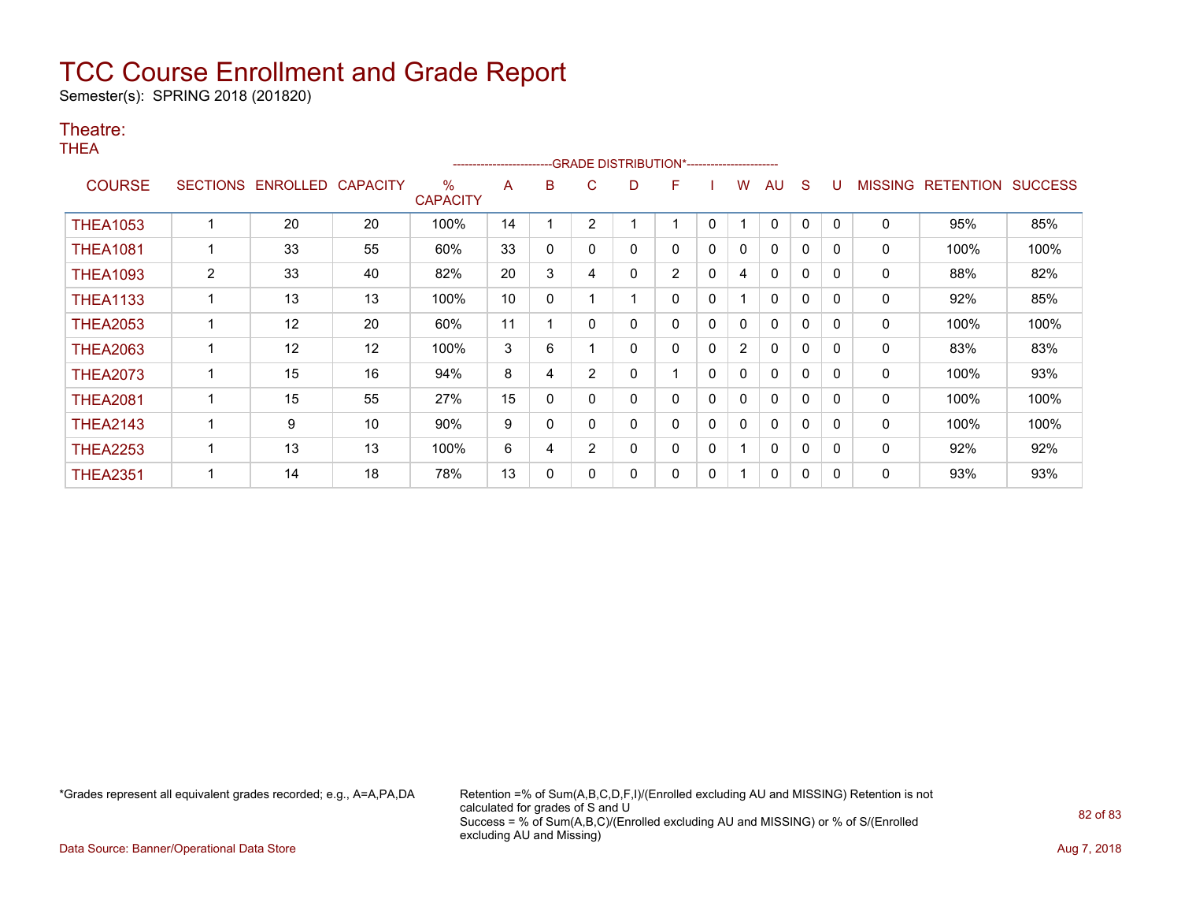Semester(s): SPRING 2018 (201820)

#### Theatre:

THEA

|                 |                 |          |                 |                         | ---------------------- |          |                |   | --GRADE DISTRIBUTION*----------------------- |              |                |              |   |          |                |                  |                |
|-----------------|-----------------|----------|-----------------|-------------------------|------------------------|----------|----------------|---|----------------------------------------------|--------------|----------------|--------------|---|----------|----------------|------------------|----------------|
| <b>COURSE</b>   | <b>SECTIONS</b> | ENROLLED | <b>CAPACITY</b> | $\%$<br><b>CAPACITY</b> | A                      | в        | C              | D | F                                            |              | w              | AU           | S |          | <b>MISSING</b> | <b>RETENTION</b> | <b>SUCCESS</b> |
| <b>THEA1053</b> |                 | 20       | 20              | 100%                    | 14                     |          | 2              |   |                                              | 0            |                | $\mathbf{0}$ | 0 |          | 0              | 95%              | 85%            |
| <b>THEA1081</b> |                 | 33       | 55              | 60%                     | 33                     | 0        | 0              | 0 | 0                                            | 0            | 0              | 0            | 0 | 0        | 0              | 100%             | 100%           |
| <b>THEA1093</b> | $\overline{2}$  | 33       | 40              | 82%                     | 20                     | 3        | 4              | 0 | $\overline{2}$                               | $\mathbf{0}$ | 4              | $\mathbf{0}$ | 0 | $\Omega$ | 0              | 88%              | 82%            |
| <b>THEA1133</b> |                 | 13       | 13              | 100%                    | 10                     | $\Omega$ |                |   | 0                                            | 0            |                | $\mathbf{0}$ | 0 | 0        | 0              | 92%              | 85%            |
| <b>THEA2053</b> |                 | $12 \,$  | 20              | 60%                     | 11                     |          | 0              | 0 | 0                                            | 0            | 0              | 0            | 0 | 0        | 0              | 100%             | 100%           |
| <b>THEA2063</b> |                 | 12       | 12              | 100%                    | 3                      | 6        |                | 0 | 0                                            | 0            | $\overline{2}$ | $\mathbf{0}$ | 0 | 0        | 0              | 83%              | 83%            |
| <b>THEA2073</b> |                 | 15       | 16              | 94%                     | 8                      | 4        | $\overline{2}$ | 0 |                                              | 0            | 0              | $\mathbf{0}$ | 0 | 0        | 0              | 100%             | 93%            |
| <b>THEA2081</b> |                 | 15       | 55              | 27%                     | 15                     | 0        |                | 0 | 0                                            | 0            | 0              | $\mathbf{0}$ | 0 | $\Omega$ | 0              | 100%             | 100%           |
| <b>THEA2143</b> |                 | 9        | 10              | 90%                     | 9                      | 0        |                | 0 | 0                                            | 0            | 0              | 0            | 0 | 0        | 0              | 100%             | 100%           |
| <b>THEA2253</b> |                 | 13       | 13              | 100%                    | 6                      | 4        | $\overline{2}$ | 0 | 0                                            | 0            |                | $\mathbf{0}$ | 0 | $\Omega$ | 0              | 92%              | 92%            |
| <b>THEA2351</b> |                 | 14       | 18              | 78%                     | 13                     | 0        |                | 0 | 0                                            | 0            |                | $\mathbf{0}$ | 0 | $\Omega$ | 0              | 93%              | 93%            |

\*Grades represent all equivalent grades recorded; e.g., A=A,PA,DA Retention =% of Sum(A,B,C,D,F,I)/(Enrolled excluding AU and MISSING) Retention is not calculated for grades of S and U Success = % of Sum(A,B,C)/(Enrolled excluding AU and MISSING) or % of S/(Enrolled excluding AU and Missing)